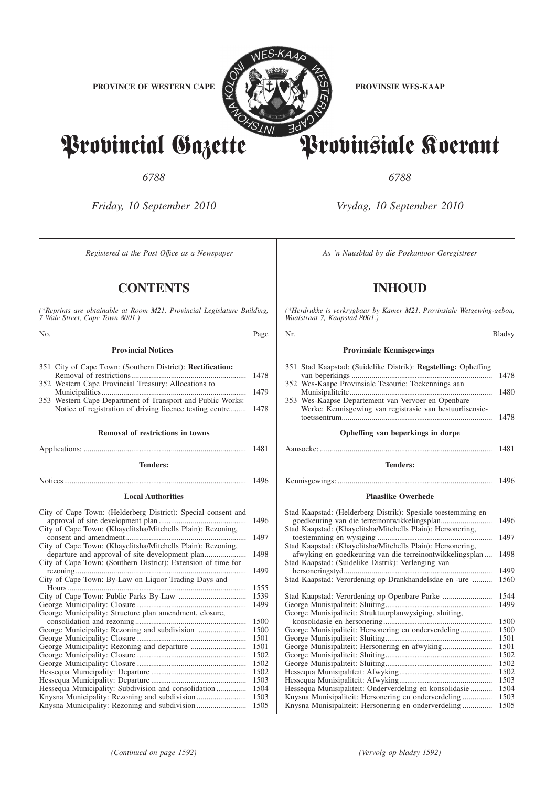

Provincial Gazette Provinsiale Koerant

*6788 6788*

*Friday, 10 September 2010 Vrydag, 10 September 2010*

*Registered at the Post Office as a Newspaper* As 'n Nuusblad by die Poskantoor Geregistreer

**CONTENTS INHOUD**

*(\*Reprints are obtainable at Room M21, Provincial Legislature Building, 7 Wale Street, Cape Town 8001.)*

| No.                                                                                                                                                                                                                                                          | Page                         | Nr.                                                                                                                                                                                                                                                                                                                                                        | Bladsy                |
|--------------------------------------------------------------------------------------------------------------------------------------------------------------------------------------------------------------------------------------------------------------|------------------------------|------------------------------------------------------------------------------------------------------------------------------------------------------------------------------------------------------------------------------------------------------------------------------------------------------------------------------------------------------------|-----------------------|
| <b>Provincial Notices</b>                                                                                                                                                                                                                                    |                              | <b>Provinsiale Kennisgewings</b>                                                                                                                                                                                                                                                                                                                           |                       |
| 351 City of Cape Town: (Southern District): Rectification:<br>352 Western Cape Provincial Treasury: Allocations to<br>353 Western Cape Department of Transport and Public Works:<br>Notice of registration of driving licence testing centre                 | 1478<br>1478                 | 351 Stad Kaapstad: (Suidelike Distrik): Regstelling: Opheffing<br>352 Wes-Kaape Provinsiale Tesourie: Toekennings aan<br>353 Wes-Kaapse Departement van Vervoer en Openbare<br>Werke: Kennisgewing van registrasie van bestuurlisensie-                                                                                                                    | 1478                  |
| <b>Removal of restrictions in towns</b>                                                                                                                                                                                                                      |                              | Opheffing van beperkings in dorpe                                                                                                                                                                                                                                                                                                                          |                       |
|                                                                                                                                                                                                                                                              |                              |                                                                                                                                                                                                                                                                                                                                                            |                       |
| <b>Tenders:</b>                                                                                                                                                                                                                                              |                              | <b>Tenders:</b>                                                                                                                                                                                                                                                                                                                                            |                       |
|                                                                                                                                                                                                                                                              |                              |                                                                                                                                                                                                                                                                                                                                                            |                       |
| <b>Local Authorities</b>                                                                                                                                                                                                                                     |                              | <b>Plaaslike Owerhede</b>                                                                                                                                                                                                                                                                                                                                  |                       |
| City of Cape Town: (Helderberg District): Special consent and<br>City of Cape Town: (Khayelitsha/Mitchells Plain): Rezoning,<br>City of Cape Town: (Khayelitsha/Mitchells Plain): Rezoning,<br>City of Cape Town: (Southern District): Extension of time for | 1496<br>1497<br>1498<br>1499 | Stad Kaapstad: (Helderberg Distrik): Spesiale toestemming en<br>goedkeuring van die terreinontwikkelingsplan<br>Stad Kaapstad: (Khayelitsha/Mitchells Plain): Hersonering,<br>Stad Kaapstad: (Khayelitsha/Mitchells Plain): Hersonering,<br>afwyking en goedkeuring van die terreinontwikkelingsplan<br>Stad Kaapstad: (Suidelike Distrik): Verlenging van | 1496<br>1497<br>-1498 |
| City of Cape Town: By-Law on Liquor Trading Days and<br>George Municipality: Structure plan amendment, closure,                                                                                                                                              | 1499                         | Stad Kaapstad: Verordening op Drankhandelsdae en -ure  1560<br>Stad Kaapstad: Verordening op Openbare Parke  1544<br>George Munisipaliteit: Struktuurplanwysiging, sluiting,                                                                                                                                                                               |                       |
|                                                                                                                                                                                                                                                              | 1500<br>1501                 |                                                                                                                                                                                                                                                                                                                                                            |                       |
| Hessequa Municipality: Subdivision and consolidation 1504                                                                                                                                                                                                    |                              | Hessequa Munisipaliteit: Onderverdeling en konsolidasie 1504                                                                                                                                                                                                                                                                                               |                       |
|                                                                                                                                                                                                                                                              |                              | Knysna Munisipaliteit: Hersonering en onderverdeling  1503                                                                                                                                                                                                                                                                                                 |                       |

*(\*Herdrukke is verkrygbaar by Kamer M21, Provinsiale Wetgewing-gebou, Waalstraat 7, Kaapstad 8001.)*

# **Provinsiale Kennisgewings**

| Opheffing van beperkings in dorpe                                                                              |      |
|----------------------------------------------------------------------------------------------------------------|------|
|                                                                                                                | 1478 |
| 353 Wes-Kaapse Departement van Vervoer en Openbare<br>Werke: Kennisgewing van registrasie van bestuurlisensie- |      |
|                                                                                                                | 1480 |
| 352 Wes-Kaape Provinsiale Tesourie: Toekennings aan                                                            |      |
| 351 Stad Kaapstad: (Suidelike Distrik): <b>Regstelling:</b> Opheffing                                          | 1478 |
|                                                                                                                |      |

# Aansoeke: ....................................................................................... 1481

# **Tenders:**

# **Plaaslike Owerhede**

| Stad Kaapstad: (Helderberg Distrik): Spesiale toestemming en |      |
|--------------------------------------------------------------|------|
|                                                              | 1496 |
| Stad Kaapstad: (Khayelitsha/Mitchells Plain): Hersonering,   |      |
|                                                              | 1497 |
| Stad Kaapstad: (Khayelitsha/Mitchells Plain): Hersonering,   |      |
| afwyking en goedkeuring van die terreinontwikkelingsplan     | 1498 |
| Stad Kaapstad: (Suidelike Distrik): Verlenging van           |      |
|                                                              | 1499 |
| Stad Kaapstad: Verordening op Drankhandelsdae en -ure        | 1560 |
|                                                              |      |
|                                                              | 1544 |
|                                                              | 1499 |
| George Munisipaliteit: Struktuurplanwysiging, sluiting,      |      |
|                                                              | 1500 |
| George Munisipaliteit: Hersonering en onderverdeling         | 1500 |
|                                                              | 1501 |
| George Munisipaliteit: Hersonering en afwyking               | 1501 |
|                                                              | 1502 |
|                                                              | 1502 |
|                                                              |      |
|                                                              | 1502 |
|                                                              | 1503 |
| Hessequa Munisipaliteit: Onderverdeling en konsolidasie      | 1504 |
|                                                              | 1503 |
|                                                              | 1505 |
|                                                              |      |

Knysna Municipality: Rezoning and subdivision ......................... 1505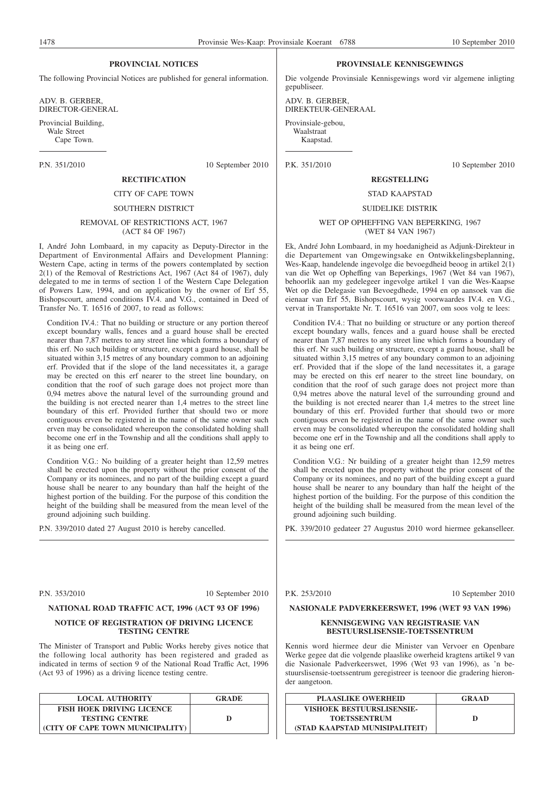# **PROVINCIAL NOTICES**

The following Provincial Notices are published for general information.

ADV. B. GERBER, DIRECTOR-GENERAL

Provincial Building, Wale Street Cape Town.

P.N. 351/2010 10 September 2010

# **RECTIFICATION** CITY OF CAPE TOWN

#### SOUTHERN DISTRICT

#### REMOVAL OF RESTRICTIONS ACT, 1967 (ACT 84 OF 1967)

I, André John Lombaard, in my capacity as Deputy-Director in the Department of Environmental Affairs and Development Planning: Western Cape, acting in terms of the powers contemplated by section 2(1) of the Removal of Restrictions Act, 1967 (Act 84 of 1967), duly delegated to me in terms of section 1 of the Western Cape Delegation of Powers Law, 1994, and on application by the owner of Erf 55, Bishopscourt, amend conditions IV.4. and V.G., contained in Deed of Transfer No. T. 16516 of 2007, to read as follows:

Condition IV.4.: That no building or structure or any portion thereof except boundary walls, fences and a guard house shall be erected nearer than 7,87 metres to any street line which forms a boundary of this erf. No such building or structure, except a guard house, shall be situated within 3,15 metres of any boundary common to an adjoining erf. Provided that if the slope of the land necessitates it, a garage may be erected on this erf nearer to the street line boundary, on condition that the roof of such garage does not project more than 0,94 metres above the natural level of the surrounding ground and the building is not erected nearer than 1,4 metres to the street line boundary of this erf. Provided further that should two or more contiguous erven be registered in the name of the same owner such erven may be consolidated whereupon the consolidated holding shall become one erf in the Township and all the conditions shall apply to it as being one erf.

Condition V.G.: No building of a greater height than 12,59 metres shall be erected upon the property without the prior consent of the Company or its nominees, and no part of the building except a guard house shall be nearer to any boundary than half the height of the highest portion of the building. For the purpose of this condition the height of the building shall be measured from the mean level of the ground adjoining such building.

P.N. 339/2010 dated 27 August 2010 is hereby cancelled.

P.N. 353/2010 10 September 2010

# **NATIONAL ROAD TRAFFIC ACT, 1996 (ACT 93 OF 1996)**

#### **NOTICE OF REGISTRATION OF DRIVING LICENCE TESTING CENTRE**

The Minister of Transport and Public Works hereby gives notice that the following local authority has been registered and graded as indicated in terms of section 9 of the National Road Traffic Act, 1996 (Act 93 of 1996) as a driving licence testing centre.

| <b>LOCAL AUTHORITY</b>           | <b>GRADE</b> |
|----------------------------------|--------------|
| <b>FISH HOEK DRIVING LICENCE</b> |              |
| <b>TESTING CENTRE</b>            |              |
| (CITY OF CAPE TOWN MUNICIPALITY) |              |

#### **PROVINSIALE KENNISGEWINGS**

Die volgende Provinsiale Kennisgewings word vir algemene inligting gepubliseer.

ADV. B. GERBER, DIREKTEUR-GENERAAL

Provinsiale-gebou, Waalstraat Kaapstad.

P.K. 351/2010 10 September 2010

# **REGSTELLING**

# STAD KAAPSTAD

SUIDELIKE DISTRIK

#### WET OP OPHEFFING VAN BEPERKING, 1967 (WET 84 VAN 1967)

Ek, André John Lombaard, in my hoedanigheid as Adjunk-Direkteur in die Departement van Omgewingsake en Ontwikkelingsbeplanning, Wes-Kaap, handelende ingevolge die bevoegdheid beoog in artikel 2(1) van die Wet op Opheffing van Beperkings, 1967 (Wet 84 van 1967), behoorlik aan my gedelegeer ingevolge artikel 1 van die Wes-Kaapse Wet op die Delegasie van Bevoegdhede, 1994 en op aansoek van die eienaar van Erf 55, Bishopscourt, wysig voorwaardes IV.4. en V.G., vervat in Transportakte Nr. T. 16516 van 2007, om soos volg te lees:

Condition IV.4.: That no building or structure or any portion thereof except boundary walls, fences and a guard house shall be erected nearer than 7,87 metres to any street line which forms a boundary of this erf. Nr such building or structure, except a guard house, shall be situated within 3,15 metres of any boundary common to an adjoining erf. Provided that if the slope of the land necessitates it, a garage may be erected on this erf nearer to the street line boundary, on condition that the roof of such garage does not project more than 0,94 metres above the natural level of the surrounding ground and the building is not erected nearer than 1,4 metres to the street line boundary of this erf. Provided further that should two or more contiguous erven be registered in the name of the same owner such erven may be consolidated whereupon the consolidated holding shall become one erf in the Township and all the conditions shall apply to it as being one erf.

Condition V.G.: Nr building of a greater height than 12,59 metres shall be erected upon the property without the prior consent of the Company or its nominees, and no part of the building except a guard house shall be nearer to any boundary than half the height of the highest portion of the building. For the purpose of this condition the height of the building shall be measured from the mean level of the ground adjoining such building.

PK. 339/2010 gedateer 27 Augustus 2010 word hiermee gekanselleer.

P.K. 253/2010 10 September 2010

# **NASIONALE PADVERKEERSWET, 1996 (WET 93 VAN 1996)**

#### **KENNISGEWING VAN REGISTRASIE VAN BESTUURSLISENSIE-TOETSSENTRUM**

Kennis word hiermee deur die Minister van Vervoer en Openbare Werke gegee dat die volgende plaaslike owerheid kragtens artikel 9 van die Nasionale Padverkeerswet, 1996 (Wet 93 van 1996), as 'n bestuurslisensie-toetssentrum geregistreer is teenoor die gradering hieronder aangetoon.

| <b>PLAASLIKE OWERHEID</b>        | <b>GRAAD</b> |
|----------------------------------|--------------|
| <b>VISHOEK BESTUURSLISENSIE-</b> |              |
| <b>TOETSSENTRUM</b>              | D            |
| (STAD KAAPSTAD MUNISIPALITEIT)   |              |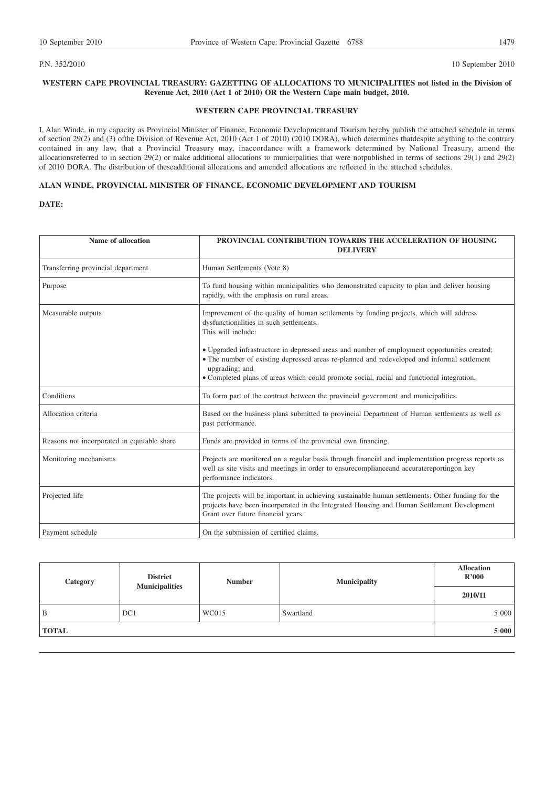P.N. 352/2010 10 September 2010 10 September 2010

# **WESTERN CAPE PROVINCIAL TREASURY: GAZETTING OF ALLOCATIONS TO MUNICIPALITIES not listed in the Division of Revenue Act, 2010 (Act 1 of 2010) OR the Western Cape main budget, 2010.**

# **WESTERN CAPE PROVINCIAL TREASURY**

I, Alan Winde, in my capacity as Provincial Minister of Finance, Economic Developmentand Tourism hereby publish the attached schedule in terms of section 29(2) and (3) ofthe Division of Revenue Act, 2010 (Act 1 of 2010) (2010 DORA), which determines thatdespite anything to the contrary contained in any law, that a Provincial Treasury may, inaccordance with a framework determined by National Treasury, amend the allocationsreferred to in section 29(2) or make additional allocations to municipalities that were notpublished in terms of sections 29(1) and 29(2) of 2010 DORA. The distribution of theseadditional allocations and amended allocations are reflected in the attached schedules.

# **ALAN WINDE, PROVINCIAL MINISTER OF FINANCE, ECONOMIC DEVELOPMENT AND TOURISM**

# **DATE:**

| Name of allocation                          | PROVINCIAL CONTRIBUTION TOWARDS THE ACCELERATION OF HOUSING<br><b>DELIVERY</b>                                                                                                                                                                                                                             |  |
|---------------------------------------------|------------------------------------------------------------------------------------------------------------------------------------------------------------------------------------------------------------------------------------------------------------------------------------------------------------|--|
| Transferring provincial department          | Human Settlements (Vote 8)                                                                                                                                                                                                                                                                                 |  |
| Purpose                                     | To fund housing within municipalities who demonstrated capacity to plan and deliver housing<br>rapidly, with the emphasis on rural areas.                                                                                                                                                                  |  |
| Measurable outputs                          | Improvement of the quality of human settlements by funding projects, which will address<br>dysfunctionalities in such settlements.<br>This will include:                                                                                                                                                   |  |
|                                             | • Upgraded infrastructure in depressed areas and number of employment opportunities created;<br>• The number of existing depressed areas re-planned and redeveloped and informal settlement<br>upgrading; and<br>• Completed plans of areas which could promote social, racial and functional integration. |  |
| Conditions                                  | To form part of the contract between the provincial government and municipalities.                                                                                                                                                                                                                         |  |
| Allocation criteria                         | Based on the business plans submitted to provincial Department of Human settlements as well as<br>past performance.                                                                                                                                                                                        |  |
| Reasons not incorporated in equitable share | Funds are provided in terms of the provincial own financing.                                                                                                                                                                                                                                               |  |
| Monitoring mechanisms                       | Projects are monitored on a regular basis through financial and implementation progress reports as<br>well as site visits and meetings in order to ensure compliance and accurate reporting on key<br>performance indicators.                                                                              |  |
| Projected life                              | The projects will be important in achieving sustainable human settlements. Other funding for the<br>projects have been incorporated in the Integrated Housing and Human Settlement Development<br>Grant over future financial years.                                                                       |  |
| Payment schedule                            | On the submission of certified claims.                                                                                                                                                                                                                                                                     |  |

| Category     | <b>District</b><br><b>Municipalities</b> | <b>Number</b> | <b>Municipality</b> | <b>Allocation</b><br>R'000 |
|--------------|------------------------------------------|---------------|---------------------|----------------------------|
|              |                                          |               |                     | 2010/11                    |
| B            | DC1                                      | WC015         | Swartland           | 5 000                      |
| <b>TOTAL</b> |                                          |               |                     | 5 000                      |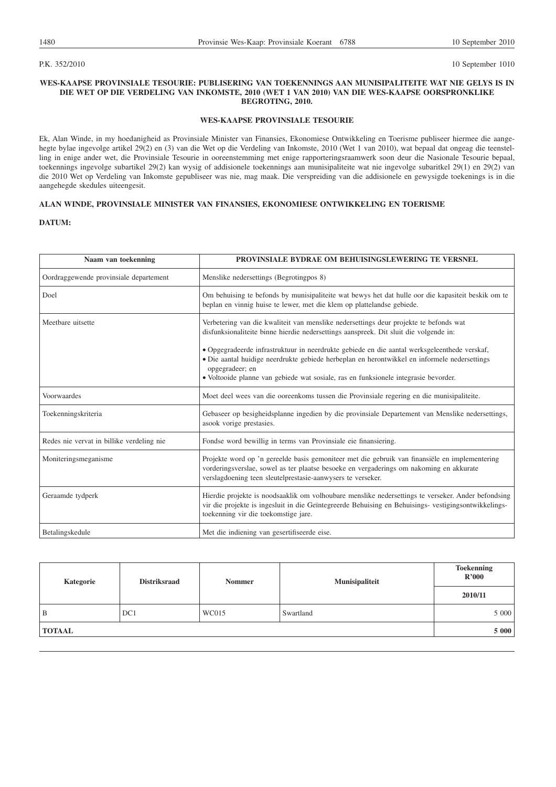P.K. 352/2010 10 September 1010

# **WES-KAAPSE PROVINSIALE TESOURIE: PUBLISERING VAN TOEKENNINGS AAN MUNISIPALITEITE WAT NIE GELYS IS IN DIE WET OP DIE VERDELING VAN INKOMSTE, 2010 (WET 1 VAN 2010) VAN DIE WES-KAAPSE OORSPRONKLIKE BEGROTING, 2010.**

#### **WES-KAAPSE PROVINSIALE TESOURIE**

Ek, Alan Winde, in my hoedanigheid as Provinsiale Minister van Finansies, Ekonomiese Ontwikkeling en Toerisme publiseer hiermee die aangehegte bylae ingevolge artikel 29(2) en (3) van die Wet op die Verdeling van Inkomste, 2010 (Wet 1 van 2010), wat bepaal dat ongeag die teenstelling in enige ander wet, die Provinsiale Tesourie in ooreenstemming met enige rapporteringsraamwerk soon deur die Nasionale Tesourie bepaal, toekennings ingevolge subartikel 29(2) kan wysig of addisionele toekennings aan munisipaliteite wat nie ingevolge subaritkel 29(1) en 29(2) van die 2010 Wet op Verdeling van Inkomste gepubliseer was nie, mag maak. Die verspreiding van die addisionele en gewysigde toekenings is in die aangehegde skedules uiteengesit.

# **ALAN WINDE, PROVINSIALE MINISTER VAN FINANSIES, EKONOMIESE ONTWIKKELING EN TOERISME**

# **DATUM:**

| Naam van toekenning                       | PROVINSIALE BYDRAE OM BEHUISINGSLEWERING TE VERSNEL                                                                                                                                                                                                                                                                                                                                               |  |
|-------------------------------------------|---------------------------------------------------------------------------------------------------------------------------------------------------------------------------------------------------------------------------------------------------------------------------------------------------------------------------------------------------------------------------------------------------|--|
| Oordraggewende provinsiale departement    | Menslike nedersettings (Begrotingpos 8)                                                                                                                                                                                                                                                                                                                                                           |  |
| Doel                                      | Om behuising te befonds by munisipaliteite wat bewys het dat hulle oor die kapasiteit beskik om te<br>beplan en vinnig huise te lewer, met die klem op plattelandse gebiede.                                                                                                                                                                                                                      |  |
| Meethare uitsette                         | Verbetering van die kwaliteit van menslike nedersettings deur projekte te befonds wat<br>disfunksionaliteite binne hierdie nedersettings aanspreek. Dit sluit die volgende in:<br>• Opgegradeerde infrastruktuur in neerdrukte gebiede en die aantal werksgeleenthede verskaf,<br>• Die aantal huidige neerdrukte gebiede herbeplan en herontwikkel en informele nedersettings<br>opgegradeer; en |  |
|                                           | • Voltooide planne van gebiede wat sosiale, ras en funksionele integrasie bevorder.                                                                                                                                                                                                                                                                                                               |  |
| Voorwaardes                               | Moet deel wees van die ooreenkoms tussen die Provinsiale regering en die munisipaliteite.                                                                                                                                                                                                                                                                                                         |  |
| Toekenningskriteria                       | Gebaseer op besigheidsplanne ingedien by die provinsiale Departement van Menslike nedersettings,<br>asook vorige prestasies.                                                                                                                                                                                                                                                                      |  |
| Redes nie vervat in billike verdeling nie | Fondse word bewillig in terms van Provinsiale eie finansiering.                                                                                                                                                                                                                                                                                                                                   |  |
| Moniteringsmeganisme                      | Projekte word op 'n gereelde basis gemoniteer met die gebruik van finansiële en implementering<br>vorderingsverslae, sowel as ter plaatse besoeke en vergaderings om nakoming en akkurate<br>verslagdoening teen sleutelprestasie-aanwysers te verseker.                                                                                                                                          |  |
| Geraamde tydperk                          | Hierdie projekte is noodsaaklik om volhoubare menslike nedersettings te verseker. Ander befondsing<br>vir die projekte is ingesluit in die Geïntegreerde Behuising en Behuisings- vestigingsontwikkelings-<br>toekenning vir die toekomstige jare.                                                                                                                                                |  |
| Betalingskedule                           | Met die indiening van gesertifiseerde eise.                                                                                                                                                                                                                                                                                                                                                       |  |

| Kategorie     | <b>Distriksraad</b><br><b>Nommer</b> | Munisipaliteit | <b>Toekenning</b><br>R'000 |         |
|---------------|--------------------------------------|----------------|----------------------------|---------|
|               |                                      |                |                            | 2010/11 |
| B             | DC1                                  | WC015          | Swartland                  | 5 000   |
| <b>TOTAAL</b> |                                      |                |                            | 5 000   |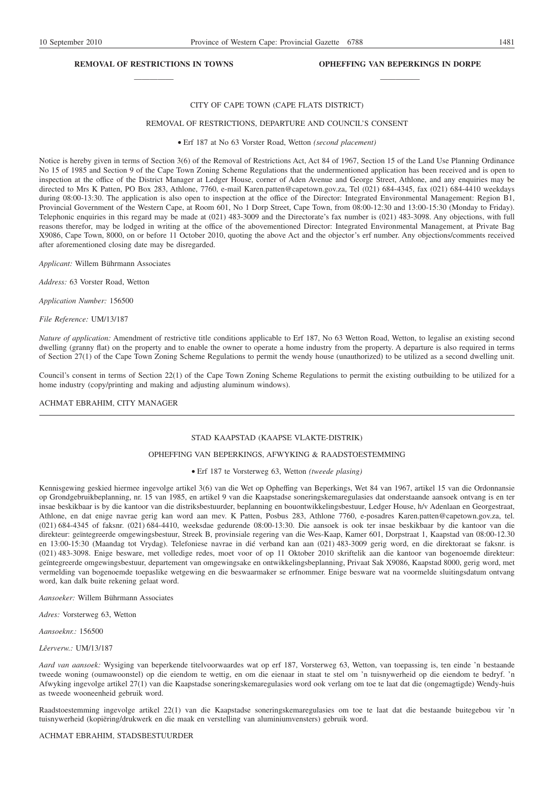# **REMOVAL OF RESTRICTIONS IN TOWNS** —————

# **OPHEFFING VAN BEPERKINGS IN DORPE** —————

#### CITY OF CAPE TOWN (CAPE FLATS DISTRICT)

#### REMOVAL OF RESTRICTIONS, DEPARTURE AND COUNCIL'S CONSENT

Erf 187 at No 63 Vorster Road, Wetton *(second placement)*

Notice is hereby given in terms of Section 3(6) of the Removal of Restrictions Act, Act 84 of 1967, Section 15 of the Land Use Planning Ordinance No 15 of 1985 and Section 9 of the Cape Town Zoning Scheme Regulations that the undermentioned application has been received and is open to inspection at the office of the District Manager at Ledger House, corner of Aden Avenue and George Street, Athlone, and any enquiries may be directed to Mrs K Patten, PO Box 283, Athlone, 7760, e-mail Karen.patten@capetown.gov.za, Tel (021) 684-4345, fax (021) 684-4410 weekdays during 08:00-13:30. The application is also open to inspection at the office of the Director: Integrated Environmental Management: Region B1, Provincial Government of the Western Cape, at Room 601, No 1 Dorp Street, Cape Town, from 08:00-12:30 and 13:00-15:30 (Monday to Friday). Telephonic enquiries in this regard may be made at (021) 483-3009 and the Directorate's fax number is (021) 483-3098. Any objections, with full reasons therefor, may be lodged in writing at the office of the abovementioned Director: Integrated Environmental Management, at Private Bag X9086, Cape Town, 8000, on or before 11 October 2010, quoting the above Act and the objector's erf number. Any objections/comments received after aforementioned closing date may be disregarded.

*Applicant:* Willem Bührmann Associates

*Address:* 63 Vorster Road, Wetton

*Application Number:* 156500

*File Reference:* UM/13/187

*Nature of application:* Amendment of restrictive title conditions applicable to Erf 187, No 63 Wetton Road, Wetton, to legalise an existing second dwelling (granny flat) on the property and to enable the owner to operate a home industry from the property. A departure is also required in terms of Section 27(1) of the Cape Town Zoning Scheme Regulations to permit the wendy house (unauthorized) to be utilized as a second dwelling unit.

Council's consent in terms of Section 22(1) of the Cape Town Zoning Scheme Regulations to permit the existing outbuilding to be utilized for a home industry (copy/printing and making and adjusting aluminum windows).

#### ACHMAT EBRAHIM, CITY MANAGER

#### STAD KAAPSTAD (KAAPSE VLAKTE-DISTRIK)

### OPHEFFING VAN BEPERKINGS, AFWYKING & RAADSTOESTEMMING

#### Erf 187 te Vorsterweg 63, Wetton *(tweede plasing)*

Kennisgewing geskied hiermee ingevolge artikel 3(6) van die Wet op Opheffing van Beperkings, Wet 84 van 1967, artikel 15 van die Ordonnansie op Grondgebruikbeplanning, nr. 15 van 1985, en artikel 9 van die Kaapstadse soneringskemaregulasies dat onderstaande aansoek ontvang is en ter insae beskikbaar is by die kantoor van die distriksbestuurder, beplanning en bouontwikkelingsbestuur, Ledger House, h/v Adenlaan en Georgestraat, Athlone, en dat enige navrae gerig kan word aan mev. K Patten, Posbus 283, Athlone 7760, e-posadres Karen.patten@capetown.gov.za, tel. (021) 684-4345 of faksnr. (021) 684-4410, weeksdae gedurende 08:00-13:30. Die aansoek is ook ter insae beskikbaar by die kantoor van die direkteur: geïntegreerde omgewingsbestuur, Streek B, provinsiale regering van die Wes-Kaap, Kamer 601, Dorpstraat 1, Kaapstad van 08:00-12.30 en 13:00-15:30 (Maandag tot Vrydag). Telefoniese navrae in dié verband kan aan (021) 483-3009 gerig word, en die direktoraat se faksnr. is (021) 483-3098. Enige besware, met volledige redes, moet voor of op 11 Oktober 2010 skriftelik aan die kantoor van bogenoemde direkteur: geïntegreerde omgewingsbestuur, departement van omgewingsake en ontwikkelingsbeplanning, Privaat Sak X9086, Kaapstad 8000, gerig word, met vermelding van bogenoemde toepaslike wetgewing en die beswaarmaker se erfnommer. Enige besware wat na voormelde sluitingsdatum ontvang word, kan dalk buite rekening gelaat word.

*Aansoeker:* Willem Bührmann Associates

*Adres:* Vorsterweg 63, Wetton

*Aansoeknr.:* 156500

*Lêerverw.:* UM/13/187

*Aard van aansoek:* Wysiging van beperkende titelvoorwaardes wat op erf 187, Vorsterweg 63, Wetton, van toepassing is, ten einde 'n bestaande tweede woning (oumawoonstel) op die eiendom te wettig, en om die eienaar in staat te stel om 'n tuisnywerheid op die eiendom te bedryf. 'n Afwyking ingevolge artikel 27(1) van die Kaapstadse soneringskemaregulasies word ook verlang om toe te laat dat die (ongemagtigde) Wendy-huis as tweede wooneenheid gebruik word.

Raadstoestemming ingevolge artikel 22(1) van die Kaapstadse soneringskemaregulasies om toe te laat dat die bestaande buitegebou vir 'n tuisnywerheid (kopiëring/drukwerk en die maak en verstelling van aluminiumvensters) gebruik word.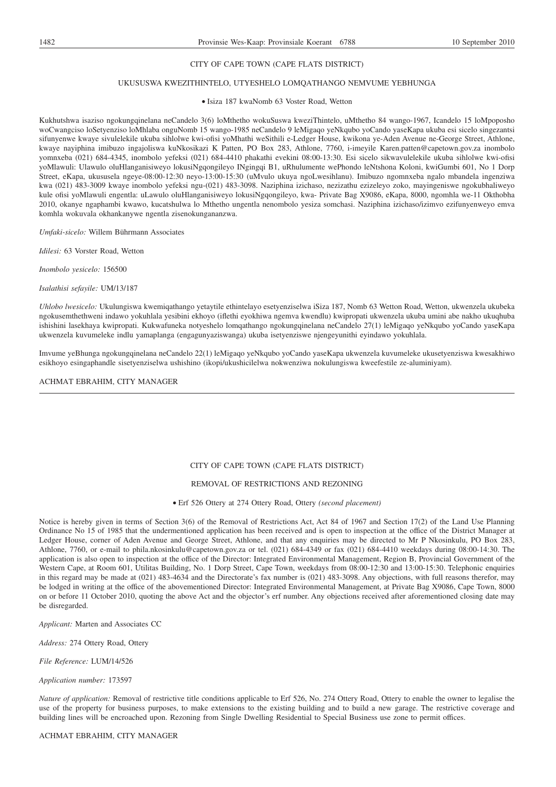# CITY OF CAPE TOWN (CAPE FLATS DISTRICT)

#### UKUSUSWA KWEZITHINTELO, UTYESHELO LOMQATHANGO NEMVUME YEBHUNGA

#### Isiza 187 kwaNomb 63 Voster Road, Wetton

Kukhutshwa isaziso ngokungqinelana neCandelo 3(6) loMthetho wokuSuswa kweziThintelo, uMthetho 84 wango-1967, Icandelo 15 loMpoposho woCwangciso loSetyenziso loMhlaba onguNomb 15 wango-1985 neCandelo 9 leMigaqo yeNkqubo yoCando yaseKapa ukuba esi sicelo singezantsi sifunyenwe kwaye sivulelekile ukuba sihlolwe kwi-ofisi yoMhathi weSithili e-Ledger House, kwikona ye-Aden Avenue ne-George Street, Athlone, kwaye nayiphina imibuzo ingajoliswa kuNkosikazi K Patten, PO Box 283, Athlone, 7760, i-imeyile Karen.patten@capetown.gov.za inombolo yomnxeba (021) 684-4345, inombolo yefeksi (021) 684-4410 phakathi evekini 08:00-13:30. Esi sicelo sikwavulelekile ukuba sihlolwe kwi-ofisi yoMlawuli: Ulawulo oluHlanganisiweyo lokusiNgqongileyo INgingqi B1, uRhulumente wePhondo leNtshona Koloni, kwiGumbi 601, No 1 Dorp Street, eKapa, ukususela ngeye-08:00-12:30 neyo-13:00-15:30 (uMvulo ukuya ngoLwesihlanu). Imibuzo ngomnxeba ngalo mbandela ingenziwa kwa (021) 483-3009 kwaye inombolo yefeksi ngu-(021) 483-3098. Naziphina izichaso, nezizathu ezizeleyo zoko, mayingeniswe ngokubhaliweyo kule ofisi yoMlawuli engentla: uLawulo oluHlanganisiweyo lokusiNgqongileyo, kwa- Private Bag X9086, eKapa, 8000, ngomhla we-11 Okthobha 2010, okanye ngaphambi kwawo, kucatshulwa lo Mthetho ungentla nenombolo yesiza somchasi. Naziphina izichaso/izimvo ezifunyenweyo emva komhla wokuvala okhankanywe ngentla zisenokungananzwa.

*Umfaki-sicelo:* Willem Bührmann Associates

*Idilesi:* 63 Vorster Road, Wetton

*Inombolo yesicelo:* 156500

*Isalathisi sefayile:* UM/13/187

*Uhlobo lwesicelo:* Ukulungiswa kwemiqathango yetaytile ethintelayo esetyenziselwa iSiza 187, Nomb 63 Wetton Road, Wetton, ukwenzela ukubeka ngokusemthethweni indawo yokuhlala yesibini ekhoyo (iflethi eyokhiwa ngemva kwendlu) kwipropati ukwenzela ukuba umini abe nakho ukuqhuba ishishini lasekhaya kwipropati. Kukwafuneka notyeshelo lomqathango ngokungqinelana neCandelo 27(1) leMigaqo yeNkqubo yoCando yaseKapa ukwenzela kuvumeleke indlu yamaplanga (engagunyaziswanga) ukuba isetyenziswe njengeyunithi eyindawo yokuhlala.

Imvume yeBhunga ngokungqinelana neCandelo 22(1) leMigaqo yeNkqubo yoCando yaseKapa ukwenzela kuvumeleke ukusetyenziswa kwesakhiwo esikhoyo esingaphandle sisetyenziselwa ushishino (ikopi/ukushicilelwa nokwenziwa nokulungiswa kweefestile ze-aluminiyam).

ACHMAT EBRAHIM, CITY MANAGER

# CITY OF CAPE TOWN (CAPE FLATS DISTRICT)

# REMOVAL OF RESTRICTIONS AND REZONING

Erf 526 Ottery at 274 Ottery Road, Ottery *(second placement)*

Notice is hereby given in terms of Section 3(6) of the Removal of Restrictions Act, Act 84 of 1967 and Section 17(2) of the Land Use Planning Ordinance No 15 of 1985 that the undermentioned application has been received and is open to inspection at the office of the District Manager at Ledger House, corner of Aden Avenue and George Street, Athlone, and that any enquiries may be directed to Mr P Nkosinkulu, PO Box 283, Athlone, 7760, or e-mail to phila.nkosinkulu@capetown.gov.za or tel. (021) 684-4349 or fax (021) 684-4410 weekdays during 08:00-14:30. The application is also open to inspection at the office of the Director: Integrated Environmental Management, Region B, Provincial Government of the Western Cape, at Room 601, Utilitas Building, No. 1 Dorp Street, Cape Town, weekdays from 08:00-12:30 and 13:00-15:30. Telephonic enquiries in this regard may be made at (021) 483-4634 and the Directorate's fax number is (021) 483-3098. Any objections, with full reasons therefor, may be lodged in writing at the office of the abovementioned Director: Integrated Environmental Management, at Private Bag X9086, Cape Town, 8000 on or before 11 October 2010, quoting the above Act and the objector's erf number. Any objections received after aforementioned closing date may be disregarded.

*Applicant:* Marten and Associates CC

*Address:* 274 Ottery Road, Ottery

*File Reference:* LUM/14/526

*Application number:* 173597

*Nature of application:* Removal of restrictive title conditions applicable to Erf 526, No. 274 Ottery Road, Ottery to enable the owner to legalise the use of the property for business purposes, to make extensions to the existing building and to build a new garage. The restrictive coverage and building lines will be encroached upon. Rezoning from Single Dwelling Residential to Special Business use zone to permit offices.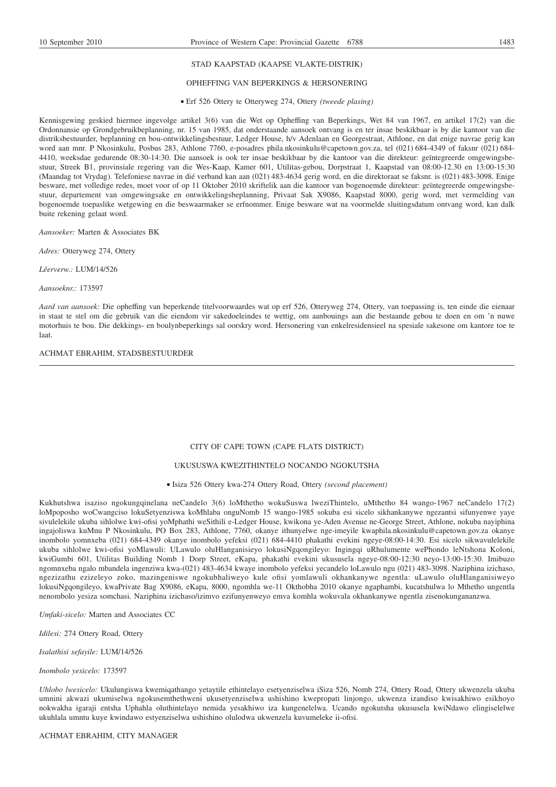# STAD KAAPSTAD (KAAPSE VLAKTE-DISTRIK)

#### OPHEFFING VAN BEPERKINGS & HERSONERING

Erf 526 Ottery te Otteryweg 274, Ottery *(tweede plasing)*

Kennisgewing geskied hiermee ingevolge artikel 3(6) van die Wet op Opheffing van Beperkings, Wet 84 van 1967, en artikel 17(2) van die Ordonnansie op Grondgebruikbeplanning, nr. 15 van 1985, dat onderstaande aansoek ontvang is en ter insae beskikbaar is by die kantoor van die distriksbestuurder, beplanning en bou-ontwikkelingsbestuur, Ledger House, h/v Adenlaan en Georgestraat, Athlone, en dat enige navrae gerig kan word aan mnr. P Nkosinkulu, Posbus 283, Athlone 7760, e-posadres phila.nkosinkulu@capetown.gov.za, tel (021) 684-4349 of faksnr (021) 684- 4410, weeksdae gedurende 08:30-14:30. Die aansoek is ook ter insae beskikbaar by die kantoor van die direkteur: geïntegreerde omgewingsbestuur, Streek B1, provinsiale regering van die Wes-Kaap, Kamer 601, Utilitas-gebou, Dorpstraat 1, Kaapstad van 08:00-12.30 en 13:00-15:30 (Maandag tot Vrydag). Telefoniese navrae in dié verband kan aan (021) 483-4634 gerig word, en die direktoraat se faksnr. is (021) 483-3098. Enige besware, met volledige redes, moet voor of op 11 Oktober 2010 skriftelik aan die kantoor van bogenoemde direkteur: geïntegreerde omgewingsbestuur, departement van omgewingsake en ontwikkelingsbeplanning, Privaat Sak X9086, Kaapstad 8000, gerig word, met vermelding van bogenoemde toepaslike wetgewing en die beswaarmaker se erfnommer. Enige besware wat na voormelde sluitingsdatum ontvang word, kan dalk buite rekening gelaat word.

*Aansoeker:* Marten & Associates BK

*Adres:* Otteryweg 274, Ottery

*Lêerverw.:* LUM/14/526

*Aansoeknr.:* 173597

*Aard van aansoek:* Die opheffing van beperkende titelvoorwaardes wat op erf 526, Otteryweg 274, Ottery, van toepassing is, ten einde die eienaar in staat te stel om die gebruik van die eiendom vir sakedoeleindes te wettig, om aanbouings aan die bestaande gebou te doen en om 'n nuwe motorhuis te bou. Die dekkings- en boulynbeperkings sal oorskry word. Hersonering van enkelresidensieel na spesiale sakesone om kantore toe te laat.

#### ACHMAT EBRAHIM, STADSBESTUURDER

# CITY OF CAPE TOWN (CAPE FLATS DISTRICT)

# UKUSUSWA KWEZITHINTELO NOCANDO NGOKUTSHA

Isiza 526 Ottery kwa-274 Ottery Road, Ottery *(second placement)*

Kukhutshwa isaziso ngokungqinelana neCandelo 3(6) loMthetho wokuSuswa lweziThintelo, uMthetho 84 wango-1967 neCandelo 17(2) loMpoposho woCwangciso lokuSetyenziswa koMhlaba onguNomb 15 wango-1985 sokuba esi sicelo sikhankanywe ngezantsi sifunyenwe yaye sivulelekile ukuba sihlolwe kwi-ofisi yoMphathi weSithili e-Ledger House, kwikona ye-Aden Avenue ne-George Street, Athlone, nokuba nayiphina ingajoliswa kuMnu P Nkosinkulu, PO Box 283, Athlone, 7760, okanye ithunyelwe nge-imeyile kwaphila.nkosinkulu@capetown.gov.za okanye inombolo yomnxeba (021) 684-4349 okanye inombolo yefeksi (021) 684-4410 phakathi evekini ngeye-08:00-14:30. Esi sicelo sikwavulelekile ukuba sihlolwe kwi-ofisi yoMlawuli: ULawulo oluHlanganisieyo lokusiNgqongileyo: Ingingqi uRhulumente wePhondo leNtshona Koloni, kwiGumbi 601, Utilitas Building Nomb 1 Dorp Street, eKapa, phakathi evekini ukususela ngeye-08:00-12:30 neyo-13:00-15:30. Imibuzo ngomnxeba ngalo mbandela ingenziwa kwa-(021) 483-4634 kwaye inombolo yefeksi yecandelo loLawulo ngu (021) 483-3098. Naziphina izichaso, ngezizathu ezizeleyo zoko, mazingeniswe ngokubhaliweyo kule ofisi yomlawuli okhankanywe ngentla: uLawulo oluHlanganisiweyo lokusiNgqongileyo, kwaPrivate Bag X9086, eKapa, 8000, ngomhla we-11 Okthobha 2010 okanye ngaphambi, kucatshulwa lo Mthetho ungentla nenombolo yesiza somchasi. Naziphina izichaso/izimvo ezifunyenweyo emva komhla wokuvala okhankanywe ngentla zisenokungananzwa.

*Umfaki-sicelo:* Marten and Associates CC

*Idilesi:* 274 Ottery Road, Ottery

*Isalathisi sefayile:* LUM/14/526

*Inombolo yesicelo:* 173597

*Uhlobo lwesicelo:* Ukulungiswa kwemiqathango yetaytile ethintelayo esetyenziselwa iSiza 526, Nomb 274, Ottery Road, Ottery ukwenzela ukuba umnini akwazi ukumiselwa ngokusemthethweni ukusetyenziselwa ushishino kwepropati linjongo, ukwenza izandiso kwisakhiwo esikhoyo nokwakha igaraji entsha Uphahla oluthintelayo nemida yesakhiwo iza kungenelelwa. Ucando ngokutsha ukususela kwiNdawo elingiselelwe ukuhlala umntu kuye kwindawo estyenziselwa ushishino olulodwa ukwenzela kuvumeleke ii-ofisi.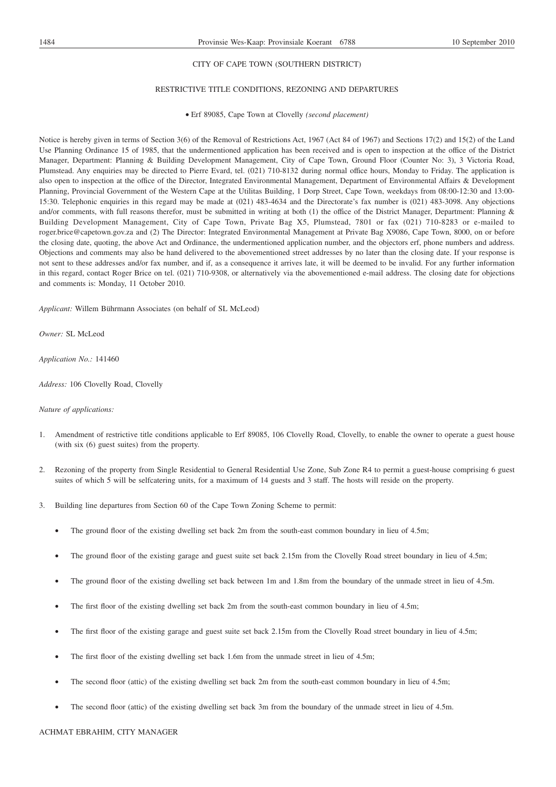# CITY OF CAPE TOWN (SOUTHERN DISTRICT)

# RESTRICTIVE TITLE CONDITIONS, REZONING AND DEPARTURES

Erf 89085, Cape Town at Clovelly *(second placement)*

Notice is hereby given in terms of Section 3(6) of the Removal of Restrictions Act, 1967 (Act 84 of 1967) and Sections 17(2) and 15(2) of the Land Use Planning Ordinance 15 of 1985, that the undermentioned application has been received and is open to inspection at the office of the District Manager, Department: Planning & Building Development Management, City of Cape Town, Ground Floor (Counter No: 3), 3 Victoria Road, Plumstead. Any enquiries may be directed to Pierre Evard, tel. (021) 710-8132 during normal office hours, Monday to Friday. The application is also open to inspection at the office of the Director, Integrated Environmental Management, Department of Environmental Affairs & Development Planning, Provincial Government of the Western Cape at the Utilitas Building, 1 Dorp Street, Cape Town, weekdays from 08:00-12:30 and 13:00- 15:30. Telephonic enquiries in this regard may be made at (021) 483-4634 and the Directorate's fax number is (021) 483-3098. Any objections and/or comments, with full reasons therefor, must be submitted in writing at both  $(1)$  the office of the District Manager, Department: Planning & Building Development Management, City of Cape Town, Private Bag X5, Plumstead, 7801 or fax (021) 710-8283 or e-mailed to roger.brice@capetown.gov.za and (2) The Director: Integrated Environmental Management at Private Bag X9086, Cape Town, 8000, on or before the closing date, quoting, the above Act and Ordinance, the undermentioned application number, and the objectors erf, phone numbers and address. Objections and comments may also be hand delivered to the abovementioned street addresses by no later than the closing date. If your response is not sent to these addresses and/or fax number, and if, as a consequence it arrives late, it will be deemed to be invalid. For any further information in this regard, contact Roger Brice on tel. (021) 710-9308, or alternatively via the abovementioned e-mail address. The closing date for objections and comments is: Monday, 11 October 2010.

*Applicant:* Willem Bührmann Associates (on behalf of SL McLeod)

*Owner:* SL McLeod

*Application No.:* 141460

*Address:* 106 Clovelly Road, Clovelly

#### *Nature of applications:*

- 1. Amendment of restrictive title conditions applicable to Erf 89085, 106 Clovelly Road, Clovelly, to enable the owner to operate a guest house (with six (6) guest suites) from the property.
- 2. Rezoning of the property from Single Residential to General Residential Use Zone, Sub Zone R4 to permit a guest-house comprising 6 guest suites of which 5 will be selfcatering units, for a maximum of 14 guests and 3 staff. The hosts will reside on the property.
- 3. Building line departures from Section 60 of the Cape Town Zoning Scheme to permit:
	- The ground floor of the existing dwelling set back 2m from the south-east common boundary in lieu of 4.5m;
	- The ground floor of the existing garage and guest suite set back 2.15m from the Clovelly Road street boundary in lieu of 4.5m;
	- The ground floor of the existing dwelling set back between 1m and 1.8m from the boundary of the unmade street in lieu of 4.5m.
	- The first floor of the existing dwelling set back 2m from the south-east common boundary in lieu of 4.5m;
	- The first floor of the existing garage and guest suite set back 2.15m from the Clovelly Road street boundary in lieu of 4.5m;
	- The first floor of the existing dwelling set back 1.6m from the unmade street in lieu of 4.5m;
	- The second floor (attic) of the existing dwelling set back 2m from the south-east common boundary in lieu of 4.5m;
	- The second floor (attic) of the existing dwelling set back 3m from the boundary of the unmade street in lieu of 4.5m.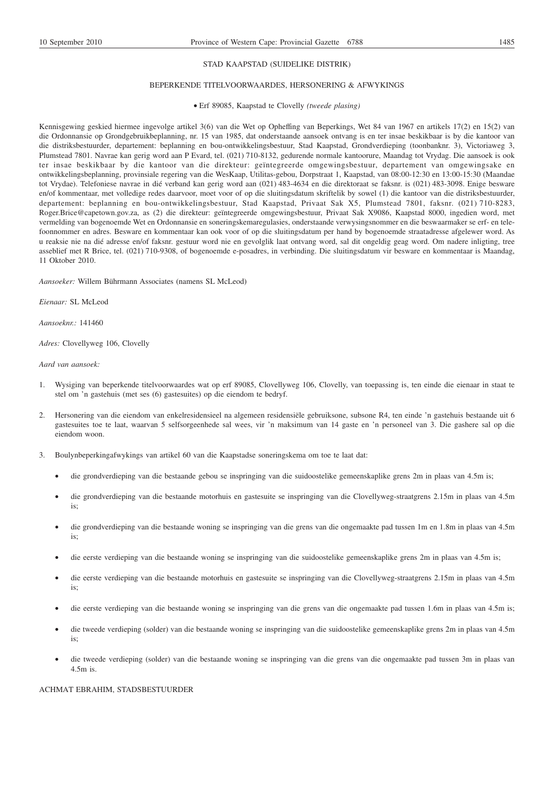# STAD KAAPSTAD (SUIDELIKE DISTRIK)

# BEPERKENDE TITELVOORWAARDES, HERSONERING & AFWYKINGS

# Erf 89085, Kaapstad te Clovelly *(tweede plasing)*

Kennisgewing geskied hiermee ingevolge artikel 3(6) van die Wet op Opheffing van Beperkings, Wet 84 van 1967 en artikels 17(2) en 15(2) van die Ordonnansie op Grondgebruikbeplanning, nr. 15 van 1985, dat onderstaande aansoek ontvang is en ter insae beskikbaar is by die kantoor van die distriksbestuurder, departement: beplanning en bou-ontwikkelingsbestuur, Stad Kaapstad, Grondverdieping (toonbanknr. 3), Victoriaweg 3, Plumstead 7801. Navrae kan gerig word aan P Evard, tel. (021) 710-8132, gedurende normale kantoorure, Maandag tot Vrydag. Die aansoek is ook ter insae beskikbaar by die kantoor van die direkteur: geïntegreerde omgewingsbestuur, departement van omgewingsake en ontwikkelingsbeplanning, provinsiale regering van die WesKaap, Utilitas-gebou, Dorpstraat 1, Kaapstad, van 08:00-12:30 en 13:00-15:30 (Maandae tot Vrydae). Telefoniese navrae in dié verband kan gerig word aan (021) 483-4634 en die direktoraat se faksnr. is (021) 483-3098. Enige besware en/of kommentaar, met volledige redes daarvoor, moet voor of op die sluitingsdatum skriftelik by sowel (1) die kantoor van die distriksbestuurder, departement: beplanning en bou-ontwikkelingsbestuur, Stad Kaapstad, Privaat Sak X5, Plumstead 7801, faksnr. (021) 710-8283, Roger.Brice@capetown.gov.za, as (2) die direkteur: geïntegreerde omgewingsbestuur, Privaat Sak X9086, Kaapstad 8000, ingedien word, met vermelding van bogenoemde Wet en Ordonnansie en soneringskemaregulasies, onderstaande verwysingsnommer en die beswaarmaker se erf- en telefoonnommer en adres. Besware en kommentaar kan ook voor of op die sluitingsdatum per hand by bogenoemde straatadresse afgelewer word. As u reaksie nie na dié adresse en/of faksnr. gestuur word nie en gevolglik laat ontvang word, sal dit ongeldig geag word. Om nadere inligting, tree asseblief met R Brice, tel. (021) 710-9308, of bogenoemde e-posadres, in verbinding. Die sluitingsdatum vir besware en kommentaar is Maandag, 11 Oktober 2010.

*Aansoeker:* Willem Bührmann Associates (namens SL McLeod)

*Eienaar:* SL McLeod

*Aansoeknr.:* 141460

*Adres:* Clovellyweg 106, Clovelly

*Aard van aansoek:*

- 1. Wysiging van beperkende titelvoorwaardes wat op erf 89085, Clovellyweg 106, Clovelly, van toepassing is, ten einde die eienaar in staat te stel om 'n gastehuis (met ses (6) gastesuites) op die eiendom te bedryf.
- 2. Hersonering van die eiendom van enkelresidensieel na algemeen residensiële gebruiksone, subsone R4, ten einde 'n gastehuis bestaande uit 6 gastesuites toe te laat, waarvan 5 selfsorgeenhede sal wees, vir 'n maksimum van 14 gaste en 'n personeel van 3. Die gashere sal op die eiendom woon.
- 3. Boulynbeperkingafwykings van artikel 60 van die Kaapstadse soneringskema om toe te laat dat:
	- die grondverdieping van die bestaande gebou se inspringing van die suidoostelike gemeenskaplike grens 2m in plaas van 4.5m is;
	- die grondverdieping van die bestaande motorhuis en gastesuite se inspringing van die Clovellyweg-straatgrens 2.15m in plaas van 4.5m is;
	- die grondverdieping van die bestaande woning se inspringing van die grens van die ongemaakte pad tussen 1m en 1.8m in plaas van 4.5m is;
	- die eerste verdieping van die bestaande woning se inspringing van die suidoostelike gemeenskaplike grens 2m in plaas van 4.5m is;
	- die eerste verdieping van die bestaande motorhuis en gastesuite se inspringing van die Clovellyweg-straatgrens 2.15m in plaas van 4.5m is;
	- die eerste verdieping van die bestaande woning se inspringing van die grens van die ongemaakte pad tussen 1.6m in plaas van 4.5m is;
	- die tweede verdieping (solder) van die bestaande woning se inspringing van die suidoostelike gemeenskaplike grens 2m in plaas van 4.5m is;
	- die tweede verdieping (solder) van die bestaande woning se inspringing van die grens van die ongemaakte pad tussen 3m in plaas van 4.5m is.

#### ACHMAT EBRAHIM, STADSBESTUURDER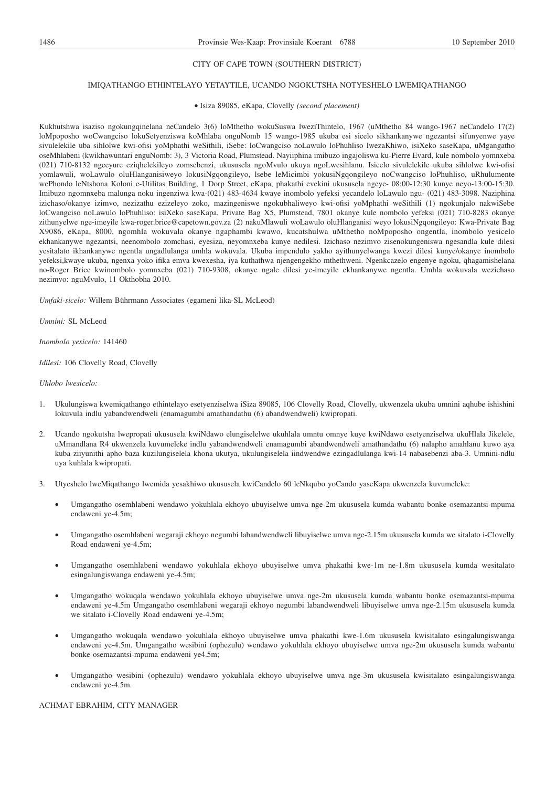# CITY OF CAPE TOWN (SOUTHERN DISTRICT)

# IMIQATHANGO ETHINTELAYO YETAYTILE, UCANDO NGOKUTSHA NOTYESHELO LWEMIQATHANGO

#### Isiza 89085, eKapa, Clovelly *(second placement)*

Kukhutshwa isaziso ngokungqinelana neCandelo 3(6) loMthetho wokuSuswa lweziThintelo, 1967 (uMthetho 84 wango-1967 neCandelo 17(2) loMpoposho woCwangciso lokuSetyenziswa koMhlaba onguNomb 15 wango-1985 ukuba esi sicelo sikhankanywe ngezantsi sifunyenwe yaye sivulelekile uba sihlolwe kwi-ofisi yoMphathi weSithili, iSebe: loCwangciso noLawulo loPhuhliso lwezaKhiwo, isiXeko saseKapa, uMgangatho oseMhlabeni (kwikhawuntari enguNomb: 3), 3 Victoria Road, Plumstead. Nayiiphina imibuzo ingajoliswa ku-Pierre Evard, kule nombolo yomnxeba (021) 710-8132 ngeeyure eziqhelekileyo zomsebenzi, ukususela ngoMvulo ukuya ngoLwesihlanu. Isicelo sivulelekile ukuba sihlolwe kwi-ofisi yomlawuli, woLawulo oluHlanganisiweyo lokusiNgqongileyo, lsebe leMicimbi yokusiNgqongileyo noCwangciso loPhuhliso, uRhulumente wePhondo leNtshona Koloni e-Utilitas Building, 1 Dorp Street, eKapa, phakathi evekini ukususela ngeye- 08:00-12:30 kunye neyo-13:00-15:30. Imibuzo ngomnxeba malunga noku ingenziwa kwa-(021) 483-4634 kwaye inombolo yefeksi yecandelo loLawulo ngu- (021) 483-3098. Naziphina izichaso/okanye izimvo, nezizathu ezizeleyo zoko, mazingeniswe ngokubhaliweyo kwi-ofisi yoMphathi weSithili (1) ngokunjalo nakwiSebe loCwangciso noLawulo loPhuhliso: isiXeko saseKapa, Private Bag X5, Plumstead, 7801 okanye kule nombolo yefeksi (021) 710-8283 okanye zithunyelwe nge-imeyile kwa-roger.brice@capetown.gov.za (2) nakuMlawuli woLawulo oluHlanganisi weyo lokusiNgqongileyo: Kwa-Private Bag X9086, eKapa, 8000, ngomhla wokuvala okanye ngaphambi kwawo, kucatshulwa uMthetho noMpoposho ongentla, inombolo yesicelo ekhankanywe ngezantsi, neenombolo zomchasi, eyesiza, neyomnxeba kunye nedilesi. Izichaso nezimvo zisenokungeniswa ngesandla kule dilesi yesitalato ikhankanywe ngentla ungadlulanga umhla wokuvala. Ukuba impendulo yakho ayithunyelwanga kwezi dilesi kunye/okanye inombolo yefeksi,kwaye ukuba, ngenxa yoko ifika emva kwexesha, iya kuthathwa njengengekho mthethweni. Ngenkcazelo engenye ngoku, qhagamishelana no-Roger Brice kwinombolo yomnxeba (021) 710-9308, okanye ngale dilesi ye-imeyile ekhankanywe ngentla. Umhla wokuvala wezichaso nezimvo: nguMvulo, 11 Okthobha 2010.

*Umfaki-sicelo:* Willem Bührmann Associates (egameni lika-SL McLeod)

*Umnini:* SL McLeod

*Inombolo yesicelo:* 141460

*Idilesi:* 106 Clovelly Road, Clovelly

*Uhlobo lwesicelo:*

- 1. Ukulungiswa kwemiqathango ethintelayo esetyenziselwa iSiza 89085, 106 Clovelly Road, Clovelly, ukwenzela ukuba umnini aqhube ishishini lokuvula indlu yabandwendweli (enamagumbi amathandathu (6) abandwendweli) kwipropati.
- 2. Ucando ngokutsha lwepropati ukususela kwiNdawo elungiselelwe ukuhlala umntu omnye kuye kwiNdawo esetyenziselwa ukuHlala Jikelele, uMmandlana R4 ukwenzela kuvumeleke indlu yabandwendweli enamagumbi abandwendweli amathandathu (6) nalapho amahlanu kuwo aya kuba ziiyunithi apho baza kuzilungiselela khona ukutya, ukulungiselela iindwendwe ezingadlulanga kwi-14 nabasebenzi aba-3. Umnini-ndlu uya kuhlala kwipropati.
- 3. Utyeshelo lweMiqathango lwemida yesakhiwo ukususela kwiCandelo 60 leNkqubo yoCando yaseKapa ukwenzela kuvumeleke:
	- Umgangatho osemhlabeni wendawo yokuhlala ekhoyo ubuyiselwe umva nge-2m ukususela kumda wabantu bonke osemazantsi-mpuma endaweni ye-4.5m;
	- Umgangatho osemhlabeni wegaraji ekhoyo negumbi labandwendweli libuyiselwe umva nge-2.15m ukususela kumda we sitalato i-Clovelly Road endaweni ye-4.5m;
	- Umgangatho osemhlabeni wendawo yokuhlala ekhoyo ubuyiselwe umva phakathi kwe-1m ne-1.8m ukususela kumda wesitalato esingalungiswanga endaweni ye-4.5m;
	- Umgangatho wokuqala wendawo yokuhlala ekhoyo ubuyiselwe umva nge-2m ukususela kumda wabantu bonke osemazantsi-mpuma endaweni ye-4.5m Umgangatho osemhlabeni wegaraji ekhoyo negumbi labandwendweli libuyiselwe umva nge-2.15m ukususela kumda we sitalato i-Clovelly Road endaweni ye-4.5m;
	- Umgangatho wokuqala wendawo yokuhlala ekhoyo ubuyiselwe umva phakathi kwe-1.6m ukususela kwisitalato esingalungiswanga endaweni ye-4.5m. Umgangatho wesibini (ophezulu) wendawo yokuhlala ekhoyo ubuyiselwe umva nge-2m ukususela kumda wabantu bonke osemazantsi-mpuma endaweni ye4.5m;
	- Umgangatho wesibini (ophezulu) wendawo yokuhlala ekhoyo ubuyiselwe umva nge-3m ukususela kwisitalato esingalungiswanga endaweni ye-4.5m.

ACHMAT EBRAHIM, CITY MANAGER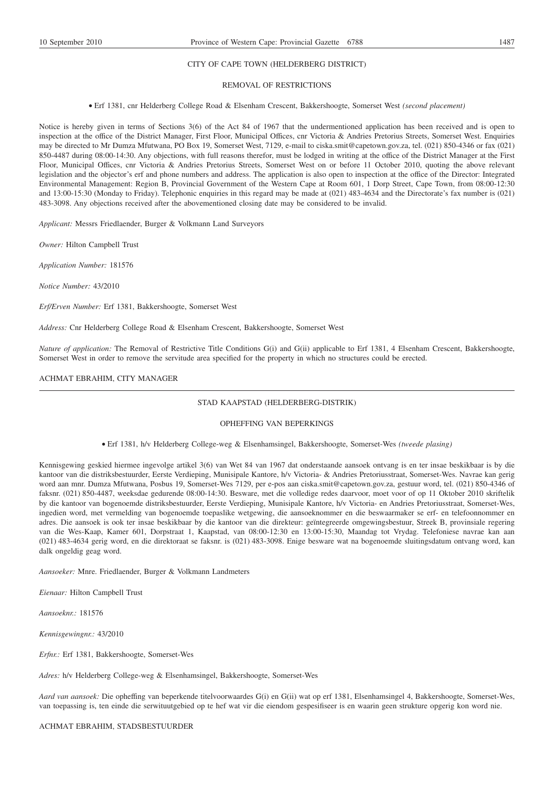# CITY OF CAPE TOWN (HELDERBERG DISTRICT)

# REMOVAL OF RESTRICTIONS

Erf 1381, cnr Helderberg College Road & Elsenham Crescent, Bakkershoogte, Somerset West *(second placement)*

Notice is hereby given in terms of Sections 3(6) of the Act 84 of 1967 that the undermentioned application has been received and is open to inspection at the office of the District Manager, First Floor, Municipal Offices, cnr Victoria & Andries Pretorius Streets, Somerset West. Enquiries may be directed to Mr Dumza Mfutwana, PO Box 19, Somerset West, 7129, e-mail to ciska.smit@capetown.gov.za, tel. (021) 850-4346 or fax (021) 850-4487 during 08:00-14:30. Any objections, with full reasons therefor, must be lodged in writing at the office of the District Manager at the First Floor, Municipal Offices, cnr Victoria & Andries Pretorius Streets, Somerset West on or before 11 October 2010, quoting the above relevant legislation and the objector's erf and phone numbers and address. The application is also open to inspection at the office of the Director: Integrated Environmental Management: Region B, Provincial Government of the Western Cape at Room 601, 1 Dorp Street, Cape Town, from 08:00-12:30 and 13:00-15:30 (Monday to Friday). Telephonic enquiries in this regard may be made at (021) 483-4634 and the Directorate's fax number is (021) 483-3098. Any objections received after the abovementioned closing date may be considered to be invalid.

*Applicant:* Messrs Friedlaender, Burger & Volkmann Land Surveyors

*Owner:* Hilton Campbell Trust

*Application Number:* 181576

*Notice Number:* 43/2010

*Erf/Erven Number:* Erf 1381, Bakkershoogte, Somerset West

*Address:* Cnr Helderberg College Road & Elsenham Crescent, Bakkershoogte, Somerset West

*Nature of application:* The Removal of Restrictive Title Conditions G(i) and G(ii) applicable to Erf 1381, 4 Elsenham Crescent, Bakkershoogte, Somerset West in order to remove the servitude area specified for the property in which no structures could be erected.

# ACHMAT EBRAHIM, CITY MANAGER

# STAD KAAPSTAD (HELDERBERG-DISTRIK)

# OPHEFFING VAN BEPERKINGS

#### Erf 1381, h/v Helderberg College-weg & Elsenhamsingel, Bakkershoogte, Somerset-Wes *(tweede plasing)*

Kennisgewing geskied hiermee ingevolge artikel 3(6) van Wet 84 van 1967 dat onderstaande aansoek ontvang is en ter insae beskikbaar is by die kantoor van die distriksbestuurder, Eerste Verdieping, Munisipale Kantore, h/v Victoria- & Andries Pretoriusstraat, Somerset-Wes. Navrae kan gerig word aan mnr. Dumza Mfutwana, Posbus 19, Somerset-Wes 7129, per e-pos aan ciska.smit@capetown.gov.za, gestuur word, tel. (021) 850-4346 of faksnr. (021) 850-4487, weeksdae gedurende 08:00-14:30. Besware, met die volledige redes daarvoor, moet voor of op 11 Oktober 2010 skriftelik by die kantoor van bogenoemde distriksbestuurder, Eerste Verdieping, Munisipale Kantore, h/v Victoria- en Andries Pretoriusstraat, Somerset-Wes, ingedien word, met vermelding van bogenoemde toepaslike wetgewing, die aansoeknommer en die beswaarmaker se erf- en telefoonnommer en adres. Die aansoek is ook ter insae beskikbaar by die kantoor van die direkteur: geïntegreerde omgewingsbestuur, Streek B, provinsiale regering van die Wes-Kaap, Kamer 601, Dorpstraat 1, Kaapstad, van 08:00-12:30 en 13:00-15:30, Maandag tot Vrydag. Telefoniese navrae kan aan (021) 483-4634 gerig word, en die direktoraat se faksnr. is (021) 483-3098. Enige besware wat na bogenoemde sluitingsdatum ontvang word, kan dalk ongeldig geag word.

*Aansoeker:* Mnre. Friedlaender, Burger & Volkmann Landmeters

*Eienaar:* Hilton Campbell Trust

*Aansoeknr.:* 181576

*Kennisgewingnr.:* 43/2010

*Erfnr.:* Erf 1381, Bakkershoogte, Somerset-Wes

*Adres:* h/v Helderberg College-weg & Elsenhamsingel, Bakkershoogte, Somerset-Wes

*Aard van aansoek:* Die opheffing van beperkende titelvoorwaardes G(i) en G(ii) wat op erf 1381, Elsenhamsingel 4, Bakkershoogte, Somerset-Wes, van toepassing is, ten einde die serwituutgebied op te hef wat vir die eiendom gespesifiseer is en waarin geen strukture opgerig kon word nie.

ACHMAT EBRAHIM, STADSBESTUURDER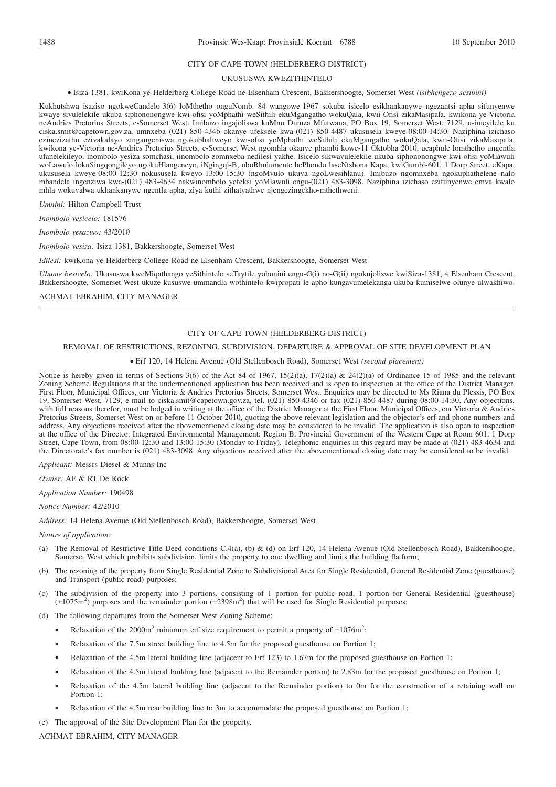#### CITY OF CAPE TOWN (HELDERBERG DISTRICT)

#### UKUSUSWA KWEZITHINTELO

#### Isiza-1381, kwiKona ye-Helderberg College Road ne-Elsenham Crescent, Bakkershoogte, Somerset West *(isibhengezo sesibini)*

Kukhutshwa isaziso ngokweCandelo-3(6) loMthetho onguNomb. 84 wangowe-1967 sokuba isicelo esikhankanywe ngezantsi apha sifunyenwe kwaye sivulelekile ukuba siphononongwe kwi-ofisi yoMphathi weSithili ekuMgangatho wokuQala, kwii-Ofisi zikaMasipala, kwikona ye-Victoria neAndries Pretorius Streets, e-Somerset West. Imibuzo ingajoliswa kuMnu Dumza Mfutwana, PO Box 19, Somerset West, 7129, u-imeyilele ku ciska.smit@capetown.gov.za, umnxeba (021) 850-4346 okanye ufeksele kwa-(021) 850-4487 ukususela kweye-08:00-14:30. Naziphina izichaso ezinezizathu ezivakalayo zingangeniswa ngokubhaliweyo kwi-ofisi yoMphathi weSithili ekuMgangatho wokuQala, kwii-Ofisi zikaMasipala, kwikona ye-Victoria ne-Andries Pretorius Streets, e-Somerset West ngomhla okanye phambi kowe-11 Oktobha 2010, ucaphule lomthetho ungentla ufanelekileyo, inombolo yesiza somchasi, iinombolo zomnxeba nedilesi yakhe. Isicelo sikwavulelekile ukuba siphononongwe kwi-ofisi yoMlawuli woLawulo lokuSingqongileyo ngokuHlangeneyo, iNgingqi-B, ubuRhulumente bePhondo laseNtshona Kapa, kwiGumbi-601, 1 Dorp Street, eKapa, ukususela kweye-08:00-12:30 nokususela kweyo-13:00-15:30 (ngoMvulo ukuya ngoLwesihlanu). Imibuzo ngomnxeba ngokuphathelene nalo mbandela ingenziwa kwa-(021) 483-4634 nakwinombolo yefeksi yoMlawuli engu-(021) 483-3098. Naziphina izichaso ezifunyenwe emva kwalo mhla wokuvalwa ukhankanywe ngentla apha, ziya kuthi zithatyathwe njengezingekho-mthethweni.

*Umnini:* Hilton Campbell Trust

*Inombolo yesicelo:* 181576

*Inombolo yesaziso:* 43/2010

*Inombolo yesiza:* Isiza-1381, Bakkershoogte, Somerset West

*Idilesi:* kwiKona ye-Helderberg College Road ne-Elsenham Crescent, Bakkershoogte, Somerset West

*Ubume besicelo:* Ukususwa kweMiqathango yeSithintelo seTaytile yobunini engu-G(i) no-G(ii) ngokujoliswe kwiSiza-1381, 4 Elsenham Crescent, Bakkershoogte, Somerset West ukuze kususwe ummandla wothintelo kwipropati le apho kungavumelekanga ukuba kumiselwe olunye ulwakhiwo.

ACHMAT EBRAHIM, CITY MANAGER

# CITY OF CAPE TOWN (HELDERBERG DISTRICT)

## REMOVAL OF RESTRICTIONS, REZONING, SUBDIVISION, DEPARTURE & APPROVAL OF SITE DEVELOPMENT PLAN

#### Erf 120, 14 Helena Avenue (Old Stellenbosch Road), Somerset West *(second placement)*

Notice is hereby given in terms of Sections 3(6) of the Act 84 of 1967, 15(2)(a), 17(2)(a) & 24(2)(a) of Ordinance 15 of 1985 and the relevant Zoning Scheme Regulations that the undermentioned application has been received and is open to inspection at the office of the District Manager, First Floor, Municipal Offices, cnr Victoria & Andries Pretorius Streets, Somerset West. Enquiries may be directed to Ms Riana du Plessis, PO Box 19, Somerset West, 7129, e-mail to ciska.smit@capetown.gov.za, tel. (021) 850-4346 or fax (021) 850-4487 during 08:00-14:30. Any objections, with full reasons therefor, must be lodged in writing at the office of the District Manager at the First Floor, Municipal Offices, cnr Victoria & Andries Pretorius Streets, Somerset West on or before 11 October 2010, quoting the above relevant legislation and the objector's erf and phone numbers and address. Any objections received after the abovementioned closing date may be considered to be invalid. The application is also open to inspection at the office of the Director: Integrated Environmental Management: Region B, Provincial Government of the Western Cape at Room 601, 1 Dorp Street, Cape Town, from 08:00-12:30 and 13:00-15:30 (Monday to Friday). Telephonic enquiries in this regard may be made at (021) 483-4634 and the Directorate's fax number is (021) 483-3098. Any objections received after the abovementioned closing date may be considered to be invalid.

*Applicant:* Messrs Diesel & Munns Inc

*Owner:* AE & RT De Kock

*Application Number:* 190498

*Notice Number:* 42/2010

*Address:* 14 Helena Avenue (Old Stellenbosch Road), Bakkershoogte, Somerset West

#### *Nature of application:*

- (a) The Removal of Restrictive Title Deed conditions C.4(a), (b) & (d) on Erf 120, 14 Helena Avenue (Old Stellenbosch Road), Bakkershoogte, Somerset West which prohibits subdivision, limits the property to one dwelling and limits the building flatform;
- (b) The rezoning of the property from Single Residential Zone to Subdivisional Area for Single Residential, General Residential Zone (guesthouse) and Transport (public road) purposes;
- (c) The subdivision of the property into 3 portions, consisting of 1 portion for public road, 1 portion for General Residential (guesthouse)  $(\pm 1075 \text{ m}^2)$  purposes and the remainder portion  $(\pm 2398 \text{ m}^2)$  that will
- (d) The following departures from the Somerset West Zoning Scheme:
	- Relaxation of the 2000 $m^2$  minimum erf size requirement to permit a property of  $\pm 1076m^2$ ;
	- Relaxation of the 7.5m street building line to 4.5m for the proposed guesthouse on Portion 1;
	- Relaxation of the 4.5m lateral building line (adjacent to Erf 123) to 1.67m for the proposed guesthouse on Portion 1;
	- Relaxation of the 4.5m lateral building line (adjacent to the Remainder portion) to 2.83m for the proposed guesthouse on Portion 1;
	- Relaxation of the 4.5m lateral building line (adjacent to the Remainder portion) to 0m for the construction of a retaining wall on Portion 1;
	- Relaxation of the 4.5m rear building line to 3m to accommodate the proposed guesthouse on Portion 1;
- (e) The approval of the Site Development Plan for the property.

ACHMAT EBRAHIM, CITY MANAGER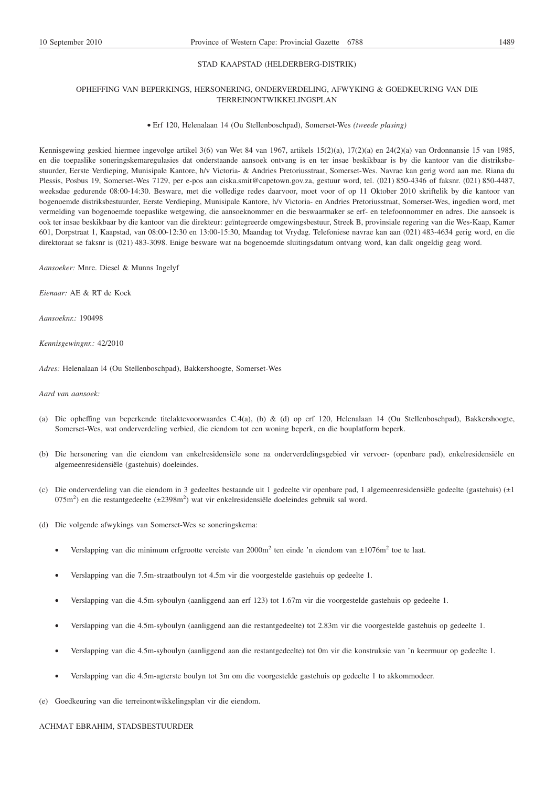# STAD KAAPSTAD (HELDERBERG-DISTRIK)

# OPHEFFING VAN BEPERKINGS, HERSONERING, ONDERVERDELING, AFWYKING & GOEDKEURING VAN DIE TERREINONTWIKKELINGSPLAN

#### Erf 120, Helenalaan 14 (Ou Stellenboschpad), Somerset-Wes *(tweede plasing)*

Kennisgewing geskied hiermee ingevolge artikel 3(6) van Wet 84 van 1967, artikels 15(2)(a), 17(2)(a) en 24(2)(a) van Ordonnansie 15 van 1985, en die toepaslike soneringskemaregulasies dat onderstaande aansoek ontvang is en ter insae beskikbaar is by die kantoor van die distriksbestuurder, Eerste Verdieping, Munisipale Kantore, h/v Victoria- & Andries Pretoriusstraat, Somerset-Wes. Navrae kan gerig word aan me. Riana du Plessis, Posbus 19, Somerset-Wes 7129, per e-pos aan ciska.smit@capetown.gov.za, gestuur word, tel. (021) 850-4346 of faksnr. (021) 850-4487, weeksdae gedurende 08:00-14:30. Besware, met die volledige redes daarvoor, moet voor of op 11 Oktober 2010 skriftelik by die kantoor van bogenoemde distriksbestuurder, Eerste Verdieping, Munisipale Kantore, h/v Victoria- en Andries Pretoriusstraat, Somerset-Wes, ingedien word, met vermelding van bogenoemde toepaslike wetgewing, die aansoeknommer en die beswaarmaker se erf- en telefoonnommer en adres. Die aansoek is ook ter insae beskikbaar by die kantoor van die direkteur: geïntegreerde omgewingsbestuur, Streek B, provinsiale regering van die Wes-Kaap, Kamer 601, Dorpstraat 1, Kaapstad, van 08:00-12:30 en 13:00-15:30, Maandag tot Vrydag. Telefoniese navrae kan aan (021) 483-4634 gerig word, en die direktoraat se faksnr is (021) 483-3098. Enige besware wat na bogenoemde sluitingsdatum ontvang word, kan dalk ongeldig geag word.

*Aansoeker:* Mnre. Diesel & Munns Ingelyf

*Eienaar:* AE & RT de Kock

*Aansoeknr.:* 190498

*Kennisgewingnr.:* 42/2010

*Adres:* Helenalaan l4 (Ou Stellenboschpad), Bakkershoogte, Somerset-Wes

*Aard van aansoek:*

- (a) Die opheffing van beperkende titelaktevoorwaardes C.4(a), (b) & (d) op erf 120, Helenalaan 14 (Ou Stellenboschpad), Bakkershoogte, Somerset-Wes, wat onderverdeling verbied, die eiendom tot een woning beperk, en die bouplatform beperk.
- (b) Die hersonering van die eiendom van enkelresidensiële sone na onderverdelingsgebied vir vervoer- (openbare pad), enkelresidensiële en algemeenresidensiële (gastehuis) doeleindes.
- (c) Die onderverdeling van die eiendom in 3 gedeeltes bestaande uit 1 gedeelte vir openbare pad, 1 algemeenresidensiële gedeelte (gastehuis) (±1 075m<sup>2</sup>) en die restantgedeelte (±2398m<sup>2</sup>) wat vir enkelresidensiële doeleindes gebruik sal word.
- (d) Die volgende afwykings van Somerset-Wes se soneringskema:
	- Verslapping van die minimum erfgrootte vereiste van 2000m<sup>2</sup> ten einde 'n eiendom van ±1076m<sup>2</sup> toe te laat.
	- Verslapping van die 7.5m-straatboulyn tot 4.5m vir die voorgestelde gastehuis op gedeelte 1.
	- Verslapping van die 4.5m-syboulyn (aanliggend aan erf 123) tot 1.67m vir die voorgestelde gastehuis op gedeelte 1.
	- Verslapping van die 4.5m-syboulyn (aanliggend aan die restantgedeelte) tot 2.83m vir die voorgestelde gastehuis op gedeelte 1.
	- Verslapping van die 4.5m-syboulyn (aanliggend aan die restantgedeelte) tot 0m vir die konstruksie van 'n keermuur op gedeelte 1.
	- Verslapping van die 4.5m-agterste boulyn tot 3m om die voorgestelde gastehuis op gedeelte 1 to akkommodeer.
- (e) Goedkeuring van die terreinontwikkelingsplan vir die eiendom.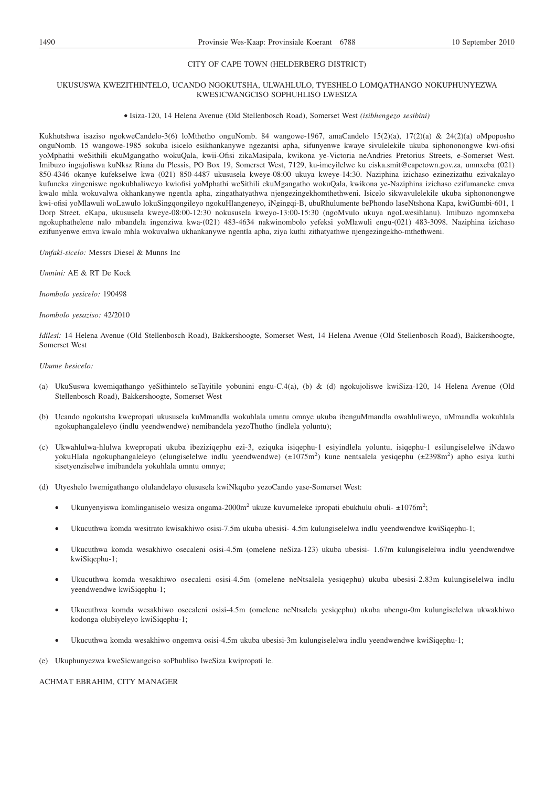# CITY OF CAPE TOWN (HELDERBERG DISTRICT)

# UKUSUSWA KWEZITHINTELO, UCANDO NGOKUTSHA, ULWAHLULO, TYESHELO LOMQATHANGO NOKUPHUNYEZWA KWESICWANGCISO SOPHUHLISO LWESIZA

#### Isiza-120, 14 Helena Avenue (Old Stellenbosch Road), Somerset West *(isibhengezo sesibini)*

Kukhutshwa isaziso ngokweCandelo-3(6) loMthetho onguNomb. 84 wangowe-1967, amaCandelo 15(2)(a), 17(2)(a) & 24(2)(a) oMpoposho onguNomb. 15 wangowe-1985 sokuba isicelo esikhankanywe ngezantsi apha, sifunyenwe kwaye sivulelekile ukuba siphononongwe kwi-ofisi yoMphathi weSithili ekuMgangatho wokuQala, kwii-Ofisi zikaMasipala, kwikona ye-Victoria neAndries Pretorius Streets, e-Somerset West. Imibuzo ingajoliswa kuNksz Riana du Plessis, PO Box 19, Somerset West, 7129, ku-imeyilelwe ku ciska.smit@capetown.gov.za, umnxeba (021) 850-4346 okanye kufekselwe kwa (021) 850-4487 ukususela kweye-08:00 ukuya kweye-14:30. Naziphina izichaso ezinezizathu ezivakalayo kufuneka zingeniswe ngokubhaliweyo kwiofisi yoMphathi weSithili ekuMgangatho wokuQala, kwikona ye-Naziphina izichaso ezifumaneke emva kwalo mhla wokuvalwa okhankanywe ngentla apha, zingathatyathwa njengezingekhomthethweni. Isicelo sikwavulelekile ukuba siphononongwe kwi-ofisi yoMlawuli woLawulo lokuSingqongileyo ngokuHlangeneyo, iNgingqi-B, ubuRhulumente bePhondo laseNtshona Kapa, kwiGumbi-601, 1 Dorp Street, eKapa, ukususela kweye-08:00-12:30 nokususela kweyo-13:00-15:30 (ngoMvulo ukuya ngoLwesihlanu). Imibuzo ngomnxeba ngokuphathelene nalo mbandela ingenziwa kwa-(021) 483-4634 nakwinombolo yefeksi yoMlawuli engu-(021) 483-3098. Naziphina izichaso ezifunyenwe emva kwalo mhla wokuvalwa ukhankanywe ngentla apha, ziya kuthi zithatyathwe njengezingekho-mthethweni.

*Umfaki-sicelo:* Messrs Diesel & Munns Inc

*Umnini:* AE & RT De Kock

*Inombolo yesicelo:* 190498

*Inombolo yesaziso:* 42/2010

*Idilesi:* 14 Helena Avenue (Old Stellenbosch Road), Bakkershoogte, Somerset West, 14 Helena Avenue (Old Stellenbosch Road), Bakkershoogte, Somerset West

#### *Ubume besicelo:*

- (a) UkuSuswa kwemiqathango yeSithintelo seTayitile yobunini engu-C.4(a), (b) & (d) ngokujoliswe kwiSiza-120, 14 Helena Avenue (Old Stellenbosch Road), Bakkershoogte, Somerset West
- (b) Ucando ngokutsha kwepropati ukususela kuMmandla wokuhlala umntu omnye ukuba ibenguMmandla owahluliweyo, uMmandla wokuhlala ngokuphangaleleyo (indlu yeendwendwe) nemibandela yezoThutho (indlela yoluntu);
- (c) Ukwahlulwa-hlulwa kwepropati ukuba ibeziziqephu ezi-3, eziquka isiqephu-1 esiyindlela yoluntu, isiqephu-1 esilungiselelwe iNdawo yokuHlala ngokuphangaleleyo (elungiselelwe indlu yeendwendwe) (±1075m<sup>2</sup>) kune nentsalela yesiqephu (±2398m<sup>2</sup>) apho esiya kuthi sisetyenziselwe imibandela yokuhlala umntu omnye;
- (d) Utyeshelo lwemigathango olulandelayo olususela kwiNkqubo yezoCando yase-Somerset West:
	- Ukunyenyiswa komlinganiselo wesiza ongama-2000m<sup>2</sup> ukuze kuvumeleke ipropati ebukhulu obuli- $\pm 1076$ m<sup>2</sup>;
	- Ukucuthwa komda wesitrato kwisakhiwo osisi-7.5m ukuba ubesisi- 4.5m kulungiselelwa indlu yeendwendwe kwiSiqephu-1;
	- Ukucuthwa komda wesakhiwo osecaleni osisi-4.5m (omelene neSiza-123) ukuba ubesisi- 1.67m kulungiselelwa indlu yeendwendwe kwiSiqephu-1;
	- Ukucuthwa komda wesakhiwo osecaleni osisi-4.5m (omelene neNtsalela yesiqephu) ukuba ubesisi-2.83m kulungiselelwa indlu yeendwendwe kwiSiqephu-1;
	- Ukucuthwa komda wesakhiwo osecaleni osisi-4.5m (omelene neNtsalela yesiqephu) ukuba ubengu-0m kulungiselelwa ukwakhiwo kodonga olubiyeleyo kwiSiqephu-1;
	- Ukucuthwa komda wesakhiwo ongemva osisi-4.5m ukuba ubesisi-3m kulungiselelwa indlu yeendwendwe kwiSiqephu-1;

(e) Ukuphunyezwa kweSicwangciso soPhuhliso lweSiza kwipropati le.

# ACHMAT EBRAHIM, CITY MANAGER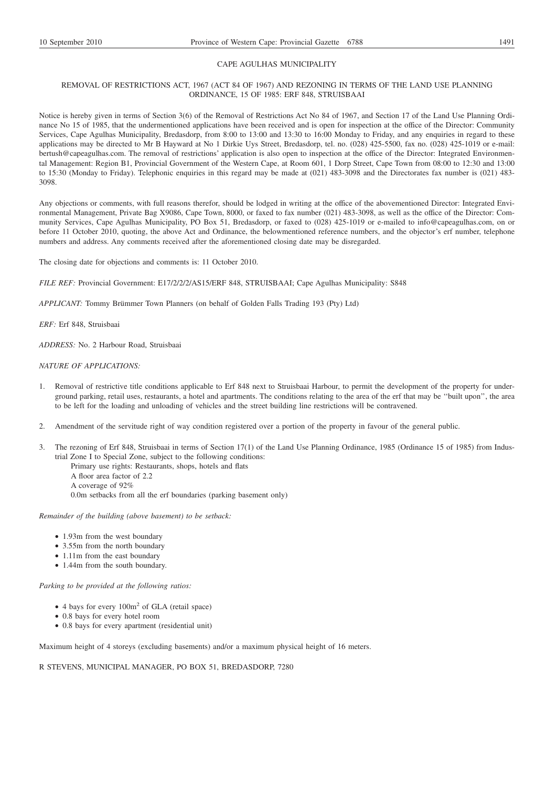# CAPE AGULHAS MUNICIPALITY

# REMOVAL OF RESTRICTIONS ACT, 1967 (ACT 84 OF 1967) AND REZONING IN TERMS OF THE LAND USE PLANNING ORDINANCE, 15 OF 1985: ERF 848, STRUISBAAI

Notice is hereby given in terms of Section 3(6) of the Removal of Restrictions Act No 84 of 1967, and Section 17 of the Land Use Planning Ordinance No 15 of 1985, that the undermentioned applications have been received and is open for inspection at the office of the Director: Community Services, Cape Agulhas Municipality, Bredasdorp, from 8:00 to 13:00 and 13:30 to 16:00 Monday to Friday, and any enquiries in regard to these applications may be directed to Mr B Hayward at No 1 Dirkie Uys Street, Bredasdorp, tel. no. (028) 425-5500, fax no. (028) 425-1019 or e-mail: bertush@capeagulhas.com. The removal of restrictions' application is also open to inspection at the office of the Director: Integrated Environmental Management: Region B1, Provincial Government of the Western Cape, at Room 601, 1 Dorp Street, Cape Town from 08:00 to 12:30 and 13:00 to 15:30 (Monday to Friday). Telephonic enquiries in this regard may be made at (021) 483-3098 and the Directorates fax number is (021) 483- 3098.

Any objections or comments, with full reasons therefor, should be lodged in writing at the office of the abovementioned Director: Integrated Environmental Management, Private Bag X9086, Cape Town, 8000, or faxed to fax number (021) 483-3098, as well as the office of the Director: Community Services, Cape Agulhas Municipality, PO Box 51, Bredasdorp, or faxed to (028) 425-1019 or e-mailed to info@capeagulhas.com, on or before 11 October 2010, quoting, the above Act and Ordinance, the belowmentioned reference numbers, and the objector's erf number, telephone numbers and address. Any comments received after the aforementioned closing date may be disregarded.

The closing date for objections and comments is: 11 October 2010.

*FILE REF:* Provincial Government: E17/2/2/2/AS15/ERF 848, STRUISBAAI; Cape Agulhas Municipality: S848

*APPLICANT:* Tommy Brümmer Town Planners (on behalf of Golden Falls Trading 193 (Pty) Ltd)

*ERF:* Erf 848, Struisbaai

*ADDRESS:* No. 2 Harbour Road, Struisbaai

# *NATURE OF APPLICATIONS:*

- 1. Removal of restrictive title conditions applicable to Erf 848 next to Struisbaai Harbour, to permit the development of the property for underground parking, retail uses, restaurants, a hotel and apartments. The conditions relating to the area of the erf that may be ''built upon'', the area to be left for the loading and unloading of vehicles and the street building line restrictions will be contravened.
- 2. Amendment of the servitude right of way condition registered over a portion of the property in favour of the general public.
- 3. The rezoning of Erf 848, Struisbaai in terms of Section 17(1) of the Land Use Planning Ordinance, 1985 (Ordinance 15 of 1985) from Industrial Zone I to Special Zone, subject to the following conditions:
	- Primary use rights: Restaurants, shops, hotels and flats
	- A floor area factor of 2.2 A coverage of 92%
	- 0.0m setbacks from all the erf boundaries (parking basement only)

*Remainder of the building (above basement) to be setback:*

- 1.93m from the west boundary
- 3.55m from the north boundary
- 1.11m from the east boundary
- 1.44m from the south boundary.

*Parking to be provided at the following ratios:*

- 4 bays for every  $100m^2$  of GLA (retail space)
- 0.8 bays for every hotel room
- 0.8 bays for every apartment (residential unit)

Maximum height of 4 storeys (excluding basements) and/or a maximum physical height of 16 meters.

R STEVENS, MUNICIPAL MANAGER, PO BOX 51, BREDASDORP, 7280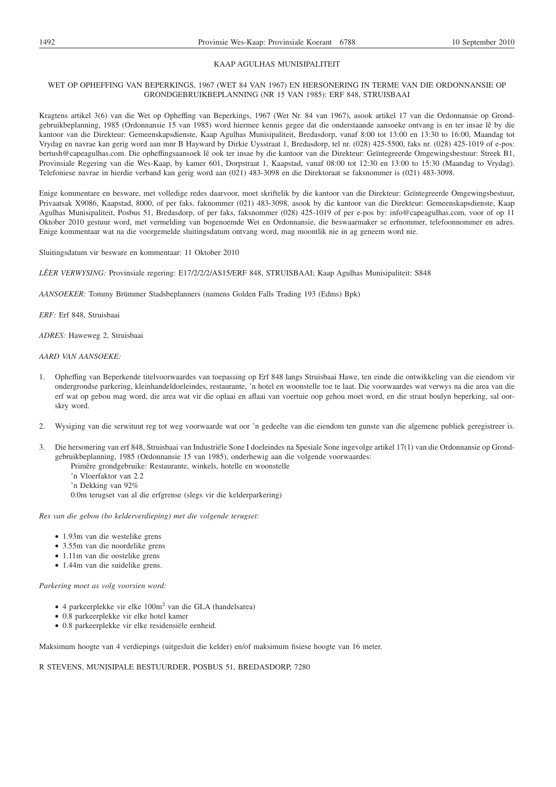#### KAAP AGULHAS MUNISIPALITEIT

# WET OP OPHEFFING VAN BEPERKINGS, 1967 (WET 84 VAN 1967) EN HERSONERING IN TERME VAN DIE ORDONNANSIE OP GRONDGEBRUIKBEPLANNING (NR 15 VAN 1985): ERF 848, STRUISBAAI

Kragtens artikel 3(6) van die Wet op Opheffing van Beperkings, 1967 (Wet Nr. 84 van 1967), asook artikel 17 van die Ordonnansie op Grondgebruikbeplanning, 1985 (Ordonnansie 15 van 1985) word hiermee kennis gegee dat die onderstaande aansoeke ontvang is en ter insae lê by die kantoor van die Direkteur: Gemeenskapsdienste, Kaap Agulhas Munisipaliteit, Bredasdorp, vanaf 8:00 tot 13:00 en 13:30 to 16:00, Maandag tot Vrydag en navrae kan gerig word aan mnr B Hayward by Dirkie Uysstraat 1, Bredasdorp, tel nr. (028) 425-5500, faks nr. (028) 425-1019 of e-pos: bertush@capeagulhas.com. Die opheffingsaansoek lê ook ter insae by die kantoor van die Direkteur: Geïntegreerde Omgewingsbestuur: Streek B1, Provinsiale Regering van die Wes-Kaap, by kamer 601, Dorpstraat 1, Kaapstad, vanaf 08:00 tot 12:30 en 13:00 to 15:30 (Maandag to Vrydag). Telefoniese navrae in hierdie verband kan gerig word aan (021) 483-3098 en die Direktoraat se faksnommer is (021) 483-3098.

Enige kommentare en besware, met volledige redes daarvoor, moet skriftelik by die kantoor van die Direkteur: Geïntegreerde Omgewingsbestuur, Privaatsak X9086, Kaapstad, 8000, of per faks, faknommer (021) 483-3098, asook by die kantoor van die Direkteur: Gemeenskapsdienste, Kaap Agulhas Munisipaliteit, Posbus 51, Bredasdorp, of per faks, faksnommer (028) 425-1019 of per e-pos by: info@capeagulhas.com, voor of op 11 Oktober 2010 gestuur word, met vermelding van bogenoemde Wet en Ordonnansie, die beswaarmaker se erfnommer, telefoonnommer en adres. Enige kommentaar wat na die voorgemelde sluitingsdatum ontvang word, mag moontlik nie in ag geneem word nie.

Sluitingsdatum vir besware en kommentaar: 11 Oktober 2010

*LÊER VERWYSING:* Provinsiale regering: E17/2/2/2/AS15/ERF 848, STRUISBAAI; Kaap Agulhas Munisipaliteit: S848

*AANSOEKER:* Tommy Brümmer Stadsbeplanners (namens Golden Falls Trading 193 (Edms) Bpk)

*ERF:* Erf 848, Struisbaai

*ADRES:* Haweweg 2, Struisbaai

#### *AARD VAN AANSOEKE:*

- 1. Opheffing van Beperkende titelvoorwaardes van toepassing op Erf 848 langs Struisbaai Hawe, ten einde die ontwikkeling van die eiendom vir ondergrondse parkering, kleinhandeldoeleindes, restaurante, 'n hotel en woonstelle toe te laat. Die voorwaardes wat verwys na die area van die erf wat op gebou mag word, die area wat vir die oplaai en aflaai van voertuie oop gehou moet word, en die straat boulyn beperking, sal oorskry word.
- 2. Wysiging van die serwituut reg tot weg voorwaarde wat oor 'n gedeelte van die eiendom ten gunste van die algemene publiek geregistreer is.
- 3. Die hersonering van erf 848, Struisbaai van Industriële Sone I doeleindes na Spesiale Sone ingevolge artikel 17(1) van die Ordonnansie op Grondgebruikbeplanning, 1985 (Ordonnansie 15 van 1985), onderhewig aan die volgende voorwaardes:
	- Primêre grondgebruike: Restaurante, winkels, hotelle en woonstelle
		- 'n Vloerfaktor van 2.2
		- 'n Dekking van 92%
		- 0.0m terugset van al die erfgrense (slegs vir die kelderparkering)

*Res van die gebou (bo kelderverdieping) met die volgende terugset:*

- 1.93m van die westelike grens
- 3.55m van die noordelike grens
- 1.11m van die oostelike grens
- 1.44m van die suidelike grens.

*Parkering moet as volg voorsien word:*

- 4 parkeerplekke vir elke 100m<sup>2</sup> van die GLA (handelsarea)
- 0.8 parkeerplekke vir elke hotel kamer
- 0.8 parkeerplekke vir elke residensiële eenheid.

Maksimum hoogte van 4 verdiepings (uitgesluit die kelder) en/of maksimum fisiese hoogte van 16 meter.

R STEVENS, MUNISIPALE BESTUURDER, POSBUS 51, BREDASDORP, 7280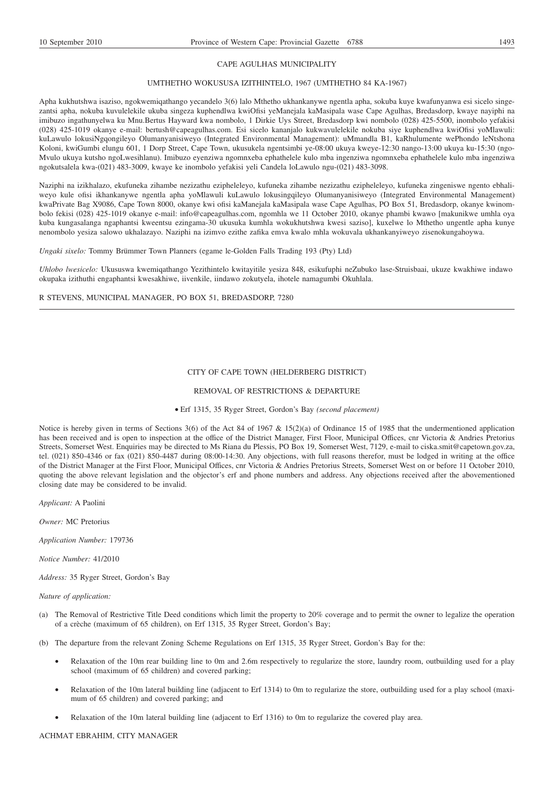#### CAPE AGULHAS MUNICIPALITY

#### UMTHETHO WOKUSUSA IZITHINTELO, 1967 (UMTHETHO 84 KA-1967)

Apha kukhutshwa isaziso, ngokwemiqathango yecandelo 3(6) lalo Mthetho ukhankanywe ngentla apha, sokuba kuye kwafunyanwa esi sicelo singezantsi apha, nokuba kuvulelekile ukuba singeza kuphendlwa kwiOfisi yeManejala kaMasipala wase Cape Agulhas, Bredasdorp, kwaye nayiphi na imibuzo ingathunyelwa ku Mnu.Bertus Hayward kwa nombolo, 1 Dirkie Uys Street, Bredasdorp kwi nombolo (028) 425-5500, inombolo yefakisi (028) 425-1019 okanye e-mail: bertush@capeagulhas.com. Esi sicelo kananjalo kukwavulelekile nokuba siye kuphendlwa kwiOfisi yoMlawuli: kuLawulo lokusiNgqongileyo Olumanyanisiweyo (Integrated Environmental Management): uMmandla B1, kaRhulumente wePhondo leNtshona Koloni, kwiGumbi elungu 601, 1 Dorp Street, Cape Town, ukusukela ngentsimbi ye-08:00 ukuya kweye-12:30 nango-13:00 ukuya ku-15:30 (ngo-Mvulo ukuya kutsho ngoLwesihlanu). Imibuzo eyenziwa ngomnxeba ephathelele kulo mba ingenziwa ngomnxeba ephathelele kulo mba ingenziwa ngokutsalela kwa-(021) 483-3009, kwaye ke inombolo yefakisi yeli Candela loLawulo ngu-(021) 483-3098.

Naziphi na izikhalazo, ekufuneka zihambe nezizathu ezipheleleyo, kufuneka zihambe nezizathu ezipheleleyo, kufuneka zingeniswe ngento ebhaliweyo kule ofisi ikhankanywe ngentla apha yoMlawuli kuLawulo lokusingqileyo Olumanyanisiweyo (Integrated Environmental Management) kwaPrivate Bag X9086, Cape Town 8000, okanye kwi ofisi kaManejala kaMasipala wase Cape Agulhas, PO Box 51, Bredasdorp, okanye kwinombolo fekisi (028) 425-1019 okanye e-mail: info@capeagulhas.com, ngomhla we 11 October 2010, okanye phambi kwawo [makunikwe umhla oya kuba kungasalanga ngaphantsi kweentsu ezingama-30 ukusuka kumhla wokukhutshwa kwesi saziso], kuxelwe lo Mthetho ungentle apha kunye nenombolo yesiza salowo ukhalazayo. Naziphi na izimvo ezithe zafika emva kwalo mhla wokuvala ukhankanyiweyo zisenokungahoywa.

*Ungaki sixelo:* Tommy Brümmer Town Planners (egame le-Golden Falls Trading 193 (Pty) Ltd)

*Uhlobo lwesicelo:* Ukususwa kwemiqathango Yezithintelo kwitayitile yesiza 848, esikufuphi neZubuko lase-Struisbaai, ukuze kwakhiwe indawo okupaka izithuthi engaphantsi kwesakhiwe, iivenkile, iindawo zokutyela, ihotele namagumbi Okuhlala.

R STEVENS, MUNICIPAL MANAGER, PO BOX 51, BREDASDORP, 7280

#### CITY OF CAPE TOWN (HELDERBERG DISTRICT)

REMOVAL OF RESTRICTIONS & DEPARTURE

Erf 1315, 35 Ryger Street, Gordon's Bay *(second placement)*

Notice is hereby given in terms of Sections 3(6) of the Act 84 of 1967 & 15(2)(a) of Ordinance 15 of 1985 that the undermentioned application has been received and is open to inspection at the office of the District Manager, First Floor, Municipal Offices, cnr Victoria & Andries Pretorius Streets, Somerset West. Enquiries may be directed to Ms Riana du Plessis, PO Box 19, Somerset West, 7129, e-mail to ciska.smit@capetown.gov.za, tel. (021) 850-4346 or fax (021) 850-4487 during 08:00-14:30. Any objections, with full reasons therefor, must be lodged in writing at the office of the District Manager at the First Floor, Municipal Offices, cnr Victoria & Andries Pretorius Streets, Somerset West on or before 11 October 2010, quoting the above relevant legislation and the objector's erf and phone numbers and address. Any objections received after the abovementioned closing date may be considered to be invalid.

*Applicant:* A Paolini

*Owner:* MC Pretorius

*Application Number:* 179736

*Notice Number:* 41/2010

*Address:* 35 Ryger Street, Gordon's Bay

#### *Nature of application:*

- (a) The Removal of Restrictive Title Deed conditions which limit the property to 20% coverage and to permit the owner to legalize the operation of a crèche (maximum of 65 children), on Erf 1315, 35 Ryger Street, Gordon's Bay;
- (b) The departure from the relevant Zoning Scheme Regulations on Erf 1315, 35 Ryger Street, Gordon's Bay for the:
	- Relaxation of the 10m rear building line to 0m and 2.6m respectively to regularize the store, laundry room, outbuilding used for a play school (maximum of 65 children) and covered parking;
	- Relaxation of the 10m lateral building line (adjacent to Erf 1314) to 0m to regularize the store, outbuilding used for a play school (maximum of 65 children) and covered parking; and
	- Relaxation of the 10m lateral building line (adjacent to Erf 1316) to 0m to regularize the covered play area.

# ACHMAT EBRAHIM, CITY MANAGER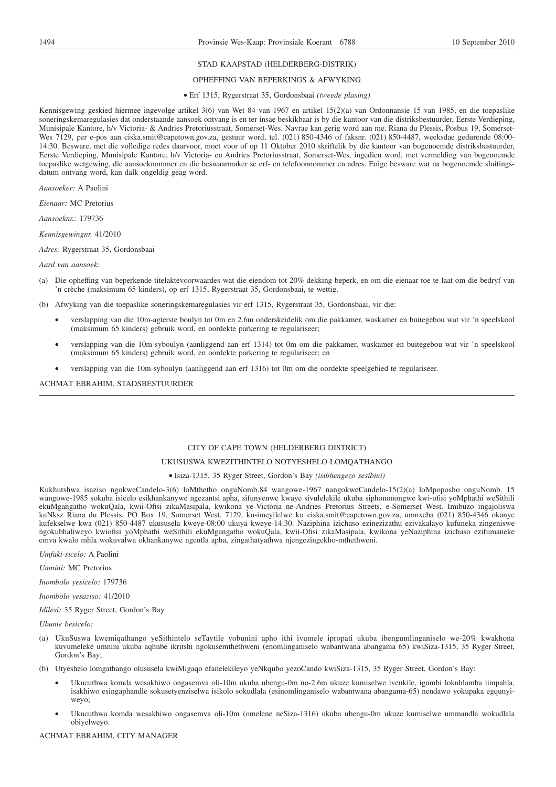# STAD KAAPSTAD (HELDERBERG-DISTRIK)

#### OPHEFFING VAN BEPERKINGS & AFWYKING

#### Erf 1315, Rygerstraat 35, Gordonsbaai *(tweede plasing)*

Kennisgewing geskied hiermee ingevolge artikel 3(6) van Wet 84 van 1967 en artikel 15(2)(a) van Ordonnansie 15 van 1985, en die toepaslike soneringskemaregulasies dat onderstaande aansoek ontvang is en ter insae beskikbaar is by die kantoor van die distriksbestuurder, Eerste Verdieping, Munisipale Kantore, h/v Victoria- & Andries Pretoriusstraat, Somerset-Wes. Navrae kan gerig word aan me. Riana du Plessis, Posbus 19, Somerset-Wes 7129, per e-pos aan ciska.smit@capetown.gov.za, gestuur word, tel. (021) 850-4346 of faksnr. (021) 850-4487, weeksdae gedurende 08:00- 14:30. Besware, met die volledige redes daarvoor, moet voor of op 11 Oktober 2010 skriftelik by die kantoor van bogenoemde distriksbestuurder, Eerste Verdieping, Munisipale Kantore, h/v Victoria- en Andries Pretoriusstraat, Somerset-Wes, ingedien word, met vermelding van bogenoemde toepaslike wetgewing, die aansoeknommer en die beswaarmaker se erf- en telefoonnommer en adres. Enige besware wat na bogenoemde sluitingsdatum ontvang word, kan dalk ongeldig geag word.

*Aansoeker:* A Paolini

*Eienaar:* MC Pretorius

*Aansoeknr.:* 179736

*Kennisgewingnr.* 41/2010

*Adres:* Rygerstraat 35, Gordonsbaai

#### *Aard van aansoek:*

- (a) Die opheffing van beperkende titelaktevoorwaardes wat die eiendom tot 20% dekking beperk, en om die eienaar toe te laat om die bedryf van 'n crèche (maksimum 65 kinders), op erf 1315, Rygerstraat 35, Gordonsbaai, te wettig.
- (b) Afwyking van die toepaslike soneringskemaregulasies vir erf 1315, Rygerstraat 35, Gordonsbaai, vir die:
	- verslapping van die 10m-agterste boulyn tot 0m en 2.6m onderskeidelik om die pakkamer, waskamer en buitegebou wat vir 'n speelskool (maksimum 65 kinders) gebruik word, en oordekte parkering te regulariseer;
	- verslapping van die 10m-syboulyn (aanliggend aan erf 1314) tot 0m om die pakkamer, waskamer en buitegebou wat vir 'n speelskool (maksimum 65 kinders) gebruik word, en oordekte parkering te regulariseer; en
	- verslapping van die 10m-syboulyn (aanliggend aan erf 1316) tot 0m om die oordekte speelgebied te regulariseer.

ACHMAT EBRAHIM, STADSBESTUURDER

#### CITY OF CAPE TOWN (HELDERBERG DISTRICT)

#### UKUSUSWA KWEZITHINTELO NOTYESHELO LOMQATHANGO

#### Isiza-1315, 35 Ryger Street, Gordon's Bay *(isibhengezo sesibini)*

Kukhutshwa isaziso ngokweCandelo-3(6) loMthetho onguNomb.84 wangowe-1967 nangokweCandelo-15(2)(a) loMpoposho onguNomb. 15 wangowe-1985 sokuba isicelo esikhankanywe ngezantsi apha, sifunyenwe kwaye sivulelekile ukuba siphononongwe kwi-ofisi yoMphathi weSithili ekuMgangatho wokuQala, kwii-Ofisi zikaMasipala, kwikona ye-Victoria ne-Andries Pretorius Streets, e-Somerset West. Imibuzo ingajoliswa kuNksz Riana du Plessis, PO Box 19, Somerset West, 7129, ku-imeyilelwe ku ciska.smit@capetown.gov.za, umnxeba (021) 850-4346 okanye kufekselwe kwa (021) 850-4487 ukususela kweye-08:00 ukuya kweye-14:30. Naziphina izichaso ezinezizathu ezivakalayo kufuneka zingeniswe ngokubhaliweyo kwiofisi yoMphathi weSithili ekuMgangatho wokuQala, kwii-Ofisi zikaMasipala, kwikona yeNaziphina izichaso ezifumaneke emva kwalo mhla wokuvalwa okhankanywe ngentla apha, zingathatyathwa njengezingekho-mthethweni.

*Umfaki-sicelo:* A Paolini

*Umnini:* MC Pretorius

*Inombolo yesicelo:* 179736

*Inombolo yesaziso:* 41/2010

*Idilesi:* 35 Ryger Street, Gordon's Bay

*Ubume besicelo:*

- (a) UkuSuswa kwemiqathango yeSithintelo seTaytile yobunini apho ithi ivumele ipropati ukuba ibengumlinganiselo we-20% kwakhona kuvumeleke umnini ukuba aqhube ikritshi ngokusemthethweni (enomlinganiselo wabantwana abangama 65) kwiSiza-1315, 35 Ryger Street, Gordon's Bay;
- (b) Utyeshelo lomgathango olususela kwiMigaqo efanelekileyo yeNkqubo yezoCando kwiSiza-1315, 35 Ryger Street, Gordon's Bay:
	- Ukucuthwa komda wesakhiwo ongasemva oli-10m ukuba ubengu-0m no-2.6m ukuze kumiselwe ivenkile, igumbi lokuhlamba iimpahla, isakhiwo esingaphandle sokusetyenziselwa isikolo sokudlala (esinomlinganiselo wabantwana abangama-65) nendawo yokupaka egqunyiweyo;
	- Ukucuthwa komda wesakhiwo ongasemva oli-10m (omelene neSiza-1316) ukuba ubengu-0m ukuze kumiselwe ummandla wokudlala obiyelweyo.

#### ACHMAT EBRAHIM, CITY MANAGER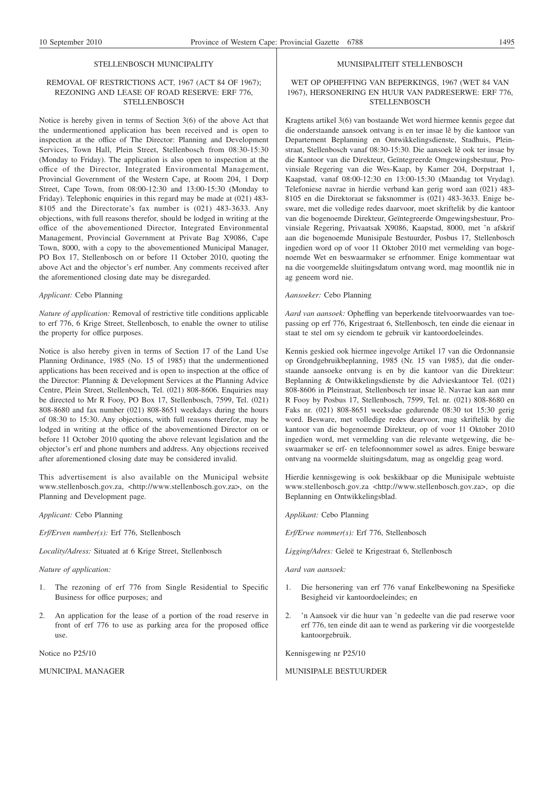#### STELLENBOSCH MUNICIPALITY

# REMOVAL OF RESTRICTIONS ACT, 1967 (ACT 84 OF 1967); REZONING AND LEASE OF ROAD RESERVE: ERF 776, **STELLENBOSCH**

Notice is hereby given in terms of Section 3(6) of the above Act that the undermentioned application has been received and is open to inspection at the office of The Director: Planning and Development Services, Town Hall, Plein Street, Stellenbosch from 08:30-15:30 (Monday to Friday). The application is also open to inspection at the office of the Director, Integrated Environmental Management, Provincial Government of the Western Cape, at Room 204, 1 Dorp Street, Cape Town, from 08:00-12:30 and 13:00-15:30 (Monday to Friday). Telephonic enquiries in this regard may be made at (021) 483- 8105 and the Directorate's fax number is (021) 483-3633. Any objections, with full reasons therefor, should be lodged in writing at the office of the abovementioned Director, Integrated Environmental Management, Provincial Government at Private Bag X9086, Cape Town, 8000, with a copy to the abovementioned Municipal Manager, PO Box 17, Stellenbosch on or before 11 October 2010, quoting the above Act and the objector's erf number. Any comments received after the aforementioned closing date may be disregarded.

#### *Applicant:* Cebo Planning

*Nature of application:* Removal of restrictive title conditions applicable to erf 776, 6 Krige Street, Stellenbosch, to enable the owner to utilise the property for office purposes.

Notice is also hereby given in terms of Section 17 of the Land Use Planning Ordinance, 1985 (No. 15 of 1985) that the undermentioned applications has been received and is open to inspection at the office of the Director: Planning & Development Services at the Planning Advice Centre, Plein Street, Stellenbosch, Tel. (021) 808-8606. Enquiries may be directed to Mr R Fooy, PO Box 17, Stellenbosch, 7599, Tel. (021) 808-8680 and fax number (021) 808-8651 weekdays during the hours of 08:30 to 15:30. Any objections, with full reasons therefor, may be lodged in writing at the office of the abovementioned Director on or before 11 October 2010 quoting the above relevant legislation and the objector's erf and phone numbers and address. Any objections received after aforementioned closing date may be considered invalid.

This advertisement is also available on the Municipal website www.stellenbosch.gov.za, <http://www.stellenbosch.gov.za>, on the Planning and Development page.

*Applicant:* Cebo Planning

*Erf/Erven number(s):* Erf 776, Stellenbosch

*Locality/Adress:* Situated at 6 Krige Street, Stellenbosch

#### *Nature of application:*

- 1. The rezoning of erf 776 from Single Residential to Specific Business for office purposes; and
- 2. An application for the lease of a portion of the road reserve in front of erf 776 to use as parking area for the proposed office use.

Notice no P25/10

MUNICIPAL MANAGER

#### MUNISIPALITEIT STELLENBOSCH

# WET OP OPHEFFING VAN BEPERKINGS, 1967 (WET 84 VAN 1967), HERSONERING EN HUUR VAN PADRESERWE: ERF 776, **STELLENBOSCH**

Kragtens artikel 3(6) van bostaande Wet word hiermee kennis gegee dat die onderstaande aansoek ontvang is en ter insae lê by die kantoor van Departement Beplanning en Ontwikkelingsdienste, Stadhuis, Pleinstraat, Stellenbosch vanaf 08:30-15:30. Die aansoek lê ook ter insae by die Kantoor van die Direkteur, Geïntegreerde Omgewingsbestuur, Provinsiale Regering van die Wes-Kaap, by Kamer 204, Dorpstraat 1, Kaapstad, vanaf 08:00-12:30 en 13:00-15:30 (Maandag tot Vrydag). Telefoniese navrae in hierdie verband kan gerig word aan (021) 483- 8105 en die Direktoraat se faksnommer is (021) 483-3633. Enige besware, met die volledige redes daarvoor, moet skriftelik by die kantoor van die bogenoemde Direkteur, Geïntegreerde Omgewingsbestuur, Provinsiale Regering, Privaatsak X9086, Kaapstad, 8000, met 'n afskrif aan die bogenoemde Munisipale Bestuurder, Posbus 17, Stellenbosch ingedien word op of voor 11 Oktober 2010 met vermelding van bogenoemde Wet en beswaarmaker se erfnommer. Enige kommentaar wat na die voorgemelde sluitingsdatum ontvang word, mag moontlik nie in ag geneem word nie.

#### *Aansoeker:* Cebo Planning

*Aard van aansoek:* Opheffing van beperkende titelvoorwaardes van toepassing op erf 776, Krigestraat 6, Stellenbosch, ten einde die eienaar in staat te stel om sy eiendom te gebruik vir kantoordoeleindes.

Kennis geskied ook hiermee ingevolge Artikel 17 van die Ordonnansie op Grondgebruikbeplanning, 1985 (Nr. 15 van 1985), dat die onderstaande aansoeke ontvang is en by die kantoor van die Direkteur: Beplanning & Ontwikkelingsdienste by die Advieskantoor Tel. (021) 808-8606 in Pleinstraat, Stellenbosch ter insae lê. Navrae kan aan mnr R Fooy by Posbus 17, Stellenbosch, 7599, Tel. nr. (021) 808-8680 en Faks nr. (021) 808-8651 weeksdae gedurende 08:30 tot 15:30 gerig word. Besware, met volledige redes dearvoor, mag skriftelik by die kantoor van die bogenoemde Direkteur, op of voor 11 Oktober 2010 ingedien word, met vermelding van die relevante wetgewing, die beswaarmaker se erf- en telefoonnommer sowel as adres. Enige besware ontvang na voormelde sluitingsdatum, mag as ongeldig geag word.

Hierdie kennisgewing is ook beskikbaar op die Munisipale webtuiste www.stellenbosch.gov.za <http://www.stellenbosch.gov.za>, op die Beplanning en Ontwikkelingsblad.

*Applikant:* Cebo Planning

*Erf/Erwe nommer(s):* Erf 776, Stellenbosch

*Ligging/Adres:* Geleë te Krigestraat 6, Stellenbosch

*Aard van aansoek:*

- 1. Die hersonering van erf 776 vanaf Enkelbewoning na Spesifieke Besigheid vir kantoordoeleindes; en
- 2. 'n Aansoek vir die huur van 'n gedeelte van die pad reserwe voor erf 776, ten einde dit aan te wend as parkering vir die voorgestelde kantoorgebruik.

Kennisgewing nr P25/10

MUNISIPALE BESTUURDER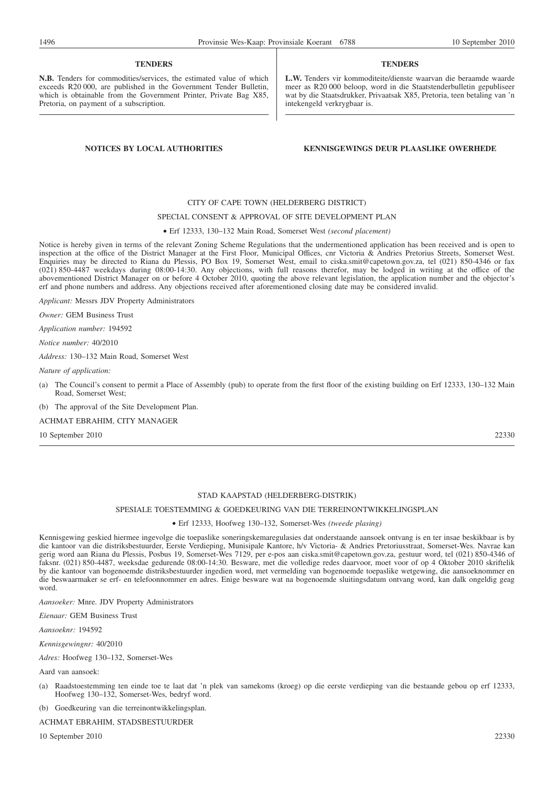#### **TENDERS**

**N.B.** Tenders for commodities/services, the estimated value of which exceeds R20 000, are published in the Government Tender Bulletin, which is obtainable from the Government Printer, Private Bag X85, Pretoria, on payment of a subscription.

#### **TENDERS**

**L.W.** Tenders vir kommoditeite/dienste waarvan die beraamde waarde meer as R20 000 beloop, word in die Staatstenderbulletin gepubliseer wat by die Staatsdrukker, Privaatsak X85, Pretoria, teen betaling van 'n intekengeld verkrygbaar is.

# **NOTICES BY LOCAL AUTHORITIES KENNISGEWINGS DEUR PLAASLIKE OWERHEDE**

# CITY OF CAPE TOWN (HELDERBERG DISTRICT)

#### SPECIAL CONSENT & APPROVAL OF SITE DEVELOPMENT PLAN

# Erf 12333, 130–132 Main Road, Somerset West *(second placement)*

Notice is hereby given in terms of the relevant Zoning Scheme Regulations that the undermentioned application has been received and is open to inspection at the office of the District Manager at the First Floor, Municipal Offices, cnr Victoria & Andries Pretorius Streets, Somerset West. Enquiries may be directed to Riana du Plessis, PO Box 19, Somerset West, email to ciska.smit@capetown.gov.za, tel (021) 850-4346 or fax (021) 850-4487 weekdays during 08:00-14:30. Any objections, with full reasons therefor, may be lodged in writing at the office of the abovementioned District Manager on or before 4 October 2010, quoting the above relevant legislation, the application number and the objector's erf and phone numbers and address. Any objections received after aforementioned closing date may be considered invalid.

*Applicant:* Messrs JDV Property Administrators

*Owner:* GEM Business Trust

*Application number:* 194592

*Notice number:* 40/2010

*Address:* 130–132 Main Road, Somerset West

*Nature of application:*

(a) The Council's consent to permit a Place of Assembly (pub) to operate from the first floor of the existing building on Erf 12333, 130–132 Main Road, Somerset West;

(b) The approval of the Site Development Plan.

ACHMAT EBRAHIM, CITY MANAGER

10 September 2010 22330

# STAD KAAPSTAD (HELDERBERG-DISTRIK)

# SPESIALE TOESTEMMING & GOEDKEURING VAN DIE TERREINONTWIKKELINGSPLAN

#### Erf 12333, Hoofweg 130–132, Somerset-Wes *(tweede plasing)*

Kennisgewing geskied hiermee ingevolge die toepaslike soneringskemaregulasies dat onderstaande aansoek ontvang is en ter insae beskikbaar is by die kantoor van die distriksbestuurder, Eerste Verdieping, Munisipale Kantore, h/v Victoria- & Andries Pretoriusstraat, Somerset-Wes. Navrae kan gerig word aan Riana du Plessis, Posbus 19, Somerset-Wes 7129, per e-pos aan ciska.smit@capetown.gov.za, gestuur word, tel (021) 850-4346 of faksnr. (021) 850-4487, weeksdae gedurende 08:00-14:30. Besware, met die volledige redes daarvoor, moet voor of op 4 Oktober 2010 skriftelik by die kantoor van bogenoemde distriksbestuurder ingedien word, met vermelding van bogenoemde toepaslike wetgewing, die aansoeknommer en die beswaarmaker se erf- en telefoonnommer en adres. Enige besware wat na bogenoemde sluitingsdatum ontvang word, kan dalk ongeldig geag word.

*Aansoeker:* Mnre. JDV Property Administrators

*Eienaar:* GEM Business Trust

*Aansoeknr:* 194592

*Kennisgewingnr:* 40/2010

*Adres:* Hoofweg 130–132, Somerset-Wes

Aard van aansoek:

(a) Raadstoestemming ten einde toe te laat dat 'n plek van samekoms (kroeg) op die eerste verdieping van die bestaande gebou op erf 12333, Hoofweg 130–132, Somerset-Wes, bedryf word.

(b) Goedkeuring van die terreinontwikkelingsplan.

ACHMAT EBRAHIM, STADSBESTUURDER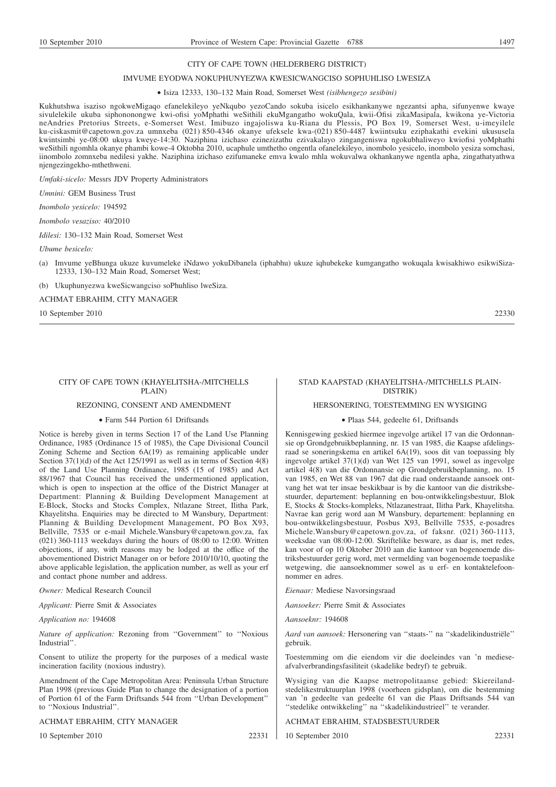#### CITY OF CAPE TOWN (HELDERBERG DISTRICT)

#### IMVUME EYODWA NOKUPHUNYEZWA KWESICWANGCISO SOPHUHLISO LWESIZA

#### Isiza 12333, 130–132 Main Road, Somerset West *(isibhengezo sesibini)*

Kukhutshwa isaziso ngokweMigaqo efanelekileyo yeNkqubo yezoCando sokuba isicelo esikhankanywe ngezantsi apha, sifunyenwe kwaye sivulelekile ukuba siphononongwe kwi-ofisi yoMphathi weSithili ekuMgangatho wokuQala, kwii-Ofisi zikaMasipala, kwikona ye-Victoria neAndries Pretorius Streets, e-Somerset West. Imibuzo ingajoliswa ku-Riana du Plessis, PO Box 19, Somerset West, u-imeyilele ku-ciskasmit@capetown.gov.za umnxeba (021) 850-4346 okanye ufeksele kwa-(021) 850-4487 kwiintsuku eziphakathi evekini ukususela kwintsimbi ye-08:00 ukuya kweye-14:30. Naziphina izichaso ezinezizathu ezivakalayo zingangeniswa ngokubhaliweyo kwiofisi yoMphathi weSithili ngomhla okanye phambi kowe-4 Oktobha 2010, ucaphule umthetho ongentla ofanelekileyo, inombolo yesicelo, inombolo yesiza somchasi, iinombolo zomnxeba nedilesi yakhe. Naziphina izichaso ezifumaneke emva kwalo mhla wokuvalwa okhankanywe ngentla apha, zingathatyathwa njengezingekho-mthethweni.

*Umfaki-sicelo:* Messrs JDV Property Administrators

*Umnini:* GEM Business Trust

*Inombolo yesicelo:* 194592

*Inombolo vesaziso:* 40/2010

*Idilesi:* 130–132 Main Road, Somerset West

*Ubume besicelo:*

- (a) Imvume yeBhunga ukuze kuvumeleke iNdawo yokuDibanela (iphabhu) ukuze iqhubekeke kumgangatho wokuqala kwisakhiwo esikwiSiza-12333, 130–132 Main Road, Somerset West;
- (b) Ukuphunyezwa kweSicwangciso soPhuhliso lweSiza.

ACHMAT EBRAHIM, CITY MANAGER

10 September 2010 22330

#### CITY OF CAPE TOWN (KHAYELITSHA-/MITCHELLS PLAIN)

# REZONING, CONSENT AND AMENDMENT

#### Farm 544 Portion 61 Driftsands

Notice is hereby given in terms Section 17 of the Land Use Planning Ordinance, 1985 (Ordinance 15 of 1985), the Cape Divisional Council Zoning Scheme and Section 6A(19) as remaining applicable under Section 37(1)(d) of the Act 125/1991 as well as in terms of Section 4(8) of the Land Use Planning Ordinance, 1985 (15 of 1985) and Act 88/1967 that Council has received the undermentioned application, which is open to inspection at the office of the District Manager at Department: Planning & Building Development Management at E-Block, Stocks and Stocks Complex, Ntlazane Street, Ilitha Park, Khayelitsha. Enquiries may be directed to M Wansbury, Department: Planning & Building Development Management, PO Box X93, Bellville, 7535 or e-mail Michele.Wansbury@capetown.gov.za, fax  $(021)$  360-1113 weekdays during the hours of 08:00 to 12:00. Written objections, if any, with reasons may be lodged at the office of the abovementioned District Manager on or before 2010/10/10, quoting the above applicable legislation, the application number, as well as your erf and contact phone number and address.

*Owner:* Medical Research Council

*Applicant:* Pierre Smit & Associates

*Application no:* 194608

*Nature of application:* Rezoning from ''Government'' to ''Noxious Industrial''.

Consent to utilize the property for the purposes of a medical waste incineration facility (noxious industry).

Amendment of the Cape Metropolitan Area: Peninsula Urban Structure Plan 1998 (previous Guide Plan to change the designation of a portion of Portion 61 of the Farm Driftsands 544 from ''Urban Development'' to ''Noxious Industrial''.

# ACHMAT EBRAHIM, CITY MANAGER

10 September 2010 22331

#### STAD KAAPSTAD (KHAYELITSHA-/MITCHELLS PLAIN-DISTRIK)

# HERSONERING, TOESTEMMING EN WYSIGING

#### Plaas 544, gedeelte 61, Driftsands

Kennisgewing geskied hiermee ingevolge artikel 17 van die Ordonnansie op Grondgebruikbeplanning, nr. 15 van 1985, die Kaapse afdelingsraad se soneringskema en artikel 6A(19), soos dit van toepassing bly ingevolge artikel 37(1)(d) van Wet 125 van 1991, sowel as ingevolge artikel 4(8) van die Ordonnansie op Grondgebruikbeplanning, no. 15 van 1985, en Wet 88 van 1967 dat die raad onderstaande aansoek ontvang het wat ter insae beskikbaar is by die kantoor van die distriksbestuurder, departement: beplanning en bou-ontwikkelingsbestuur, Blok E, Stocks & Stocks-kompleks, Ntlazanestraat, Ilitha Park, Khayelitsha. Navrae kan gerig word aan M Wansbury, departement: beplanning en bou-ontwikkelingsbestuur, Posbus X93, Bellville 7535, e-posadres Michele.Wansbury@capetown.gov.za, of faksnr. (021) 360-1113, weeksdae van 08:00-12:00. Skriftelike besware, as daar is, met redes, kan voor of op 10 Oktober 2010 aan die kantoor van bogenoemde distriksbestuurder gerig word, met vermelding van bogenoemde toepaslike wetgewing, die aansoeknommer sowel as u erf- en kontaktelefoonnommer en adres.

*Eienaar:* Mediese Navorsingsraad

*Aansoeker:* Pierre Smit & Associates

*Aansoeknr:* 194608

*Aard van aansoek:* Hersonering van ''staats-'' na ''skadelikindustriële'' gebruik.

Toestemming om die eiendom vir die doeleindes van 'n medieseafvalverbrandingsfasiliteit (skadelike bedryf) te gebruik.

Wysiging van die Kaapse metropolitaanse gebied: Skiereilandstedelikestruktuurplan 1998 (voorheen gidsplan), om die bestemming van 'n gedeelte van gedeelte 61 van die Plaas Driftsands 544 van ''stedelike ontwikkeling'' na ''skadelikindustrieel'' te verander.

ACHMAT EBRAHIM, STADSBESTUURDER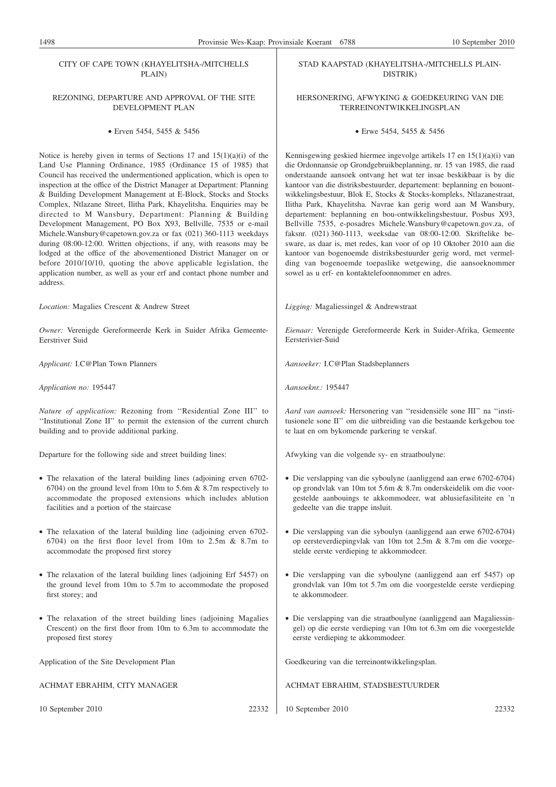CITY OF CAPE TOWN (KHAYELITSHA-/MITCHELLS PLAIN)

# REZONING, DEPARTURE AND APPROVAL OF THE SITE DEVELOPMENT PLAN

# Erven 5454, 5455 & 5456

Notice is hereby given in terms of Sections 17 and 15(1)(a)(i) of the Land Use Planning Ordinance, 1985 (Ordinance 15 of 1985) that Council has received the undermentioned application, which is open to inspection at the office of the District Manager at Department: Planning & Building Development Management at E-Block, Stocks and Stocks Complex, Ntlazane Street, Ilitha Park, Khayelitsha. Enquiries may be directed to M Wansbury, Department: Planning & Building Development Management, PO Box X93, Bellville, 7535 or e-mail Michele.Wansbury@capetown.gov.za or fax (021) 360-1113 weekdays during 08:00-12:00. Written objections, if any, with reasons may be lodged at the office of the abovementioned District Manager on or before 2010/10/10, quoting the above applicable legislation, the application number, as well as your erf and contact phone number and address.

*Location:* Magalies Crescent & Andrew Street

*Owner:* Verenigde Gereformeerde Kerk in Suider Afrika Gemeente-Eerstriver Suid

*Applicant:* I.C@Plan Town Planners

*Application no:* 195447

*Nature of application:* Rezoning from ''Residential Zone III'' to ''Institutional Zone II'' to permit the extension of the current church building and to provide additional parking.

Departure for the following side and street building lines:

- The relaxation of the lateral building lines (adjoining erven 6702- 6704) on the ground level from 10m to 5.6m & 8.7m respectively to accommodate the proposed extensions which includes ablution facilities and a portion of the staircase
- The relaxation of the lateral building line (adjoining erven 6702- 6704) on the first floor level from 10m to 2.5m & 8.7m to accommodate the proposed first storey
- The relaxation of the lateral building lines (adjoining Erf 5457) on the ground level from 10m to 5.7m to accommodate the proposed first storey; and
- The relaxation of the street building lines (adjoining Magalies Crescent) on the first floor from 10m to 6.3m to accommodate the proposed first storey

Application of the Site Development Plan

ACHMAT EBRAHIM, CITY MANAGER

10 September 2010 22332

STAD KAAPSTAD (KHAYELITSHA-/MITCHELLS PLAIN-DISTRIK)

# HERSONERING, AFWYKING & GOEDKEURING VAN DIE TERREINONTWIKKELINGSPLAN

Erwe 5454, 5455 & 5456

Kennisgewing geskied hiermee ingevolge artikels 17 en 15(1)(a)(i) van die Ordonnansie op Grondgebruikbeplanning, nr. 15 van 1985, die raad onderstaande aansoek ontvang het wat ter insae beskikbaar is by die kantoor van die distriksbestuurder, departement: beplanning en bouontwikkelingsbestuur, Blok E, Stocks & Stocks-kompleks, Ntlazanestraat, Ilitha Park, Khayelitsha. Navrae kan gerig word aan M Wansbury, departement: beplanning en bou-ontwikkelingsbestuur, Posbus X93, Bellville 7535, e-posadres Michele.Wansbury@capetown.gov.za, of faksnr. (021) 360-1113, weeksdae van 08:00-12:00. Skriftelike besware, as daar is, met redes, kan voor of op 10 Oktober 2010 aan die kantoor van bogenoemde distriksbestuurder gerig word, met vermelding van bogenoemde toepaslike wetgewing, die aansoeknommer sowel as u erf- en kontaktelefoonnommer en adres.

*Ligging:* Magaliessingel & Andrewstraat

*Eienaar:* Verenigde Gereformeerde Kerk in Suider-Afrika, Gemeente Eersterivier-Suid

*Aansoeker:* I.C@Plan Stadsbeplanners

*Aansoeknr.:* 195447

*Aard van aansoek:* Hersonering van ''residensiële sone III'' na ''institusionele sone II'' om die uitbreiding van die bestaande kerkgebou toe te laat en om bykomende parkering te verskaf.

Afwyking van die volgende sy- en straatboulyne:

- Die verslapping van die syboulyne (aanliggend aan erwe 6702-6704) op grondvlak van 10m tot 5.6m & 8.7m onderskeidelik om die voorgestelde aanbouings te akkommodeer, wat ablusiefasiliteite en 'n gedeelte van die trappe insluit.
- Die verslapping van die syboulyn (aanliggend aan erwe 6702-6704) op eersteverdiepingvlak van 10m tot 2.5m & 8.7m om die voorgestelde eerste verdieping te akkommodeer.
- Die verslapping van die syboulyne (aanliggend aan erf 5457) op grondvlak van 10m tot 5.7m om die voorgestelde eerste verdieping te akkommodeer.
- Die verslapping van die straatboulyne (aanliggend aan Magaliessingel) op die eerste verdieping van 10m tot 6.3m om die voorgestelde eerste verdieping te akkommodeer.

Goedkeuring van die terreinontwikkelingsplan.

ACHMAT EBRAHIM, STADSBESTUURDER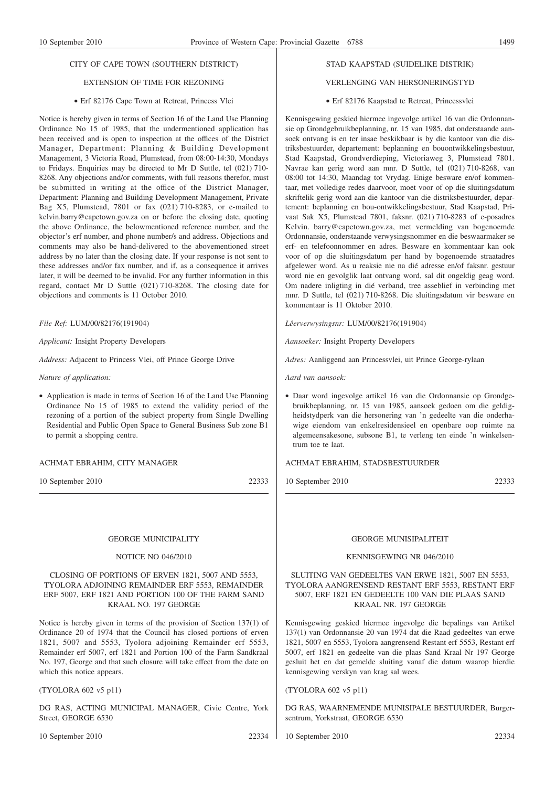# CITY OF CAPE TOWN (SOUTHERN DISTRICT)

# EXTENSION OF TIME FOR REZONING

# Erf 82176 Cape Town at Retreat, Princess Vlei

Notice is hereby given in terms of Section 16 of the Land Use Planning Ordinance No 15 of 1985, that the undermentioned application has been received and is open to inspection at the offices of the District Manager, Department: Planning & Building Development Management, 3 Victoria Road, Plumstead, from 08:00-14:30, Mondays to Fridays. Enquiries may be directed to Mr D Suttle, tel (021) 710- 8268. Any objections and/or comments, with full reasons therefor, must be submitted in writing at the office of the District Manager, Department: Planning and Building Development Management, Private Bag X5, Plumstead, 7801 or fax (021) 710-8283, or e-mailed to kelvin.barry@capetown.gov.za on or before the closing date, quoting the above Ordinance, the belowmentioned reference number, and the objector's erf number, and phone number/s and address. Objections and comments may also be hand-delivered to the abovementioned street address by no later than the closing date. If your response is not sent to these addresses and/or fax number, and if, as a consequence it arrives later, it will be deemed to be invalid. For any further information in this regard, contact Mr D Suttle (021) 710-8268. The closing date for objections and comments is 11 October 2010.

## *File Ref:* LUM/00/82176(191904)

*Applicant:* Insight Property Developers

*Address:* Adjacent to Princess Vlei, off Prince George Drive

*Nature of application:*

• Application is made in terms of Section 16 of the Land Use Planning Ordinance No 15 of 1985 to extend the validity period of the rezoning of a portion of the subject property from Single Dwelling Residential and Public Open Space to General Business Sub zone B1 to permit a shopping centre.

# ACHMAT EBRAHIM, CITY MANAGER

10 September 2010 22333

# GEORGE MUNICIPALITY

# NOTICE NO 046/2010

CLOSING OF PORTIONS OF ERVEN 1821, 5007 AND 5553, TYOLORA ADJOINING REMAINDER ERF 5553, REMAINDER ERF 5007, ERF 1821 AND PORTION 100 OF THE FARM SAND KRAAL NO. 197 GEORGE

Notice is hereby given in terms of the provision of Section 137(1) of Ordinance 20 of 1974 that the Council has closed portions of erven 1821, 5007 and 5553, Tyolora adjoining Remainder erf 5553, Remainder erf 5007, erf 1821 and Portion 100 of the Farm Sandkraal No. 197, George and that such closure will take effect from the date on which this notice appears.

(TYOLORA 602 v5 p11)

DG RAS, ACTING MUNICIPAL MANAGER, Civic Centre, York Street, GEORGE 6530

10 September 2010 22334

# STAD KAAPSTAD (SUIDELIKE DISTRIK)

# VERLENGING VAN HERSONERINGSTYD

# Erf 82176 Kaapstad te Retreat, Princessvlei

Kennisgewing geskied hiermee ingevolge artikel 16 van die Ordonnansie op Grondgebruikbeplanning, nr. 15 van 1985, dat onderstaande aansoek ontvang is en ter insae beskikbaar is by die kantoor van die distriksbestuurder, departement: beplanning en bouontwikkelingsbestuur, Stad Kaapstad, Grondverdieping, Victoriaweg 3, Plumstead 7801. Navrae kan gerig word aan mnr. D Suttle, tel (021) 710-8268, van 08:00 tot 14:30, Maandag tot Vrydag. Enige besware en/of kommentaar, met volledige redes daarvoor, moet voor of op die sluitingsdatum skriftelik gerig word aan die kantoor van die distriksbestuurder, departement: beplanning en bou-ontwikkelingsbestuur, Stad Kaapstad, Privaat Sak X5, Plumstead 7801, faksnr. (021) 710-8283 of e-posadres Kelvin. barry@capetown.gov.za, met vermelding van bogenoemde Ordonnansie, onderstaande verwysingsnommer en die beswaarmaker se erf- en telefoonnommer en adres. Besware en kommentaar kan ook voor of op die sluitingsdatum per hand by bogenoemde straatadres afgelewer word. As u reaksie nie na dié adresse en/of faksnr. gestuur word nie en gevolglik laat ontvang word, sal dit ongeldig geag word. Om nadere inligting in dié verband, tree asseblief in verbinding met mnr. D Suttle, tel (021) 710-8268. Die sluitingsdatum vir besware en kommentaar is 11 Oktober 2010.

*Lêerverwysingsnr:* LUM/00/82176(191904)

*Aansoeker:* Insight Property Developers

*Adres:* Aanliggend aan Princessvlei, uit Prince George-rylaan

*Aard van aansoek:*

• Daar word ingevolge artikel 16 van die Ordonnansie op Grondgebruikbeplanning, nr. 15 van 1985, aansoek gedoen om die geldigheidstydperk van die hersonering van 'n gedeelte van die onderhawige eiendom van enkelresidensieel en openbare oop ruimte na algemeensakesone, subsone B1, te verleng ten einde 'n winkelsentrum toe te laat.

# ACHMAT EBRAHIM, STADSBESTUURDER

10 September 2010 22333

# GEORGE MUNISIPALITEIT

# KENNISGEWING NR 046/2010

# SLUITING VAN GEDEELTES VAN ERWE 1821, 5007 EN 5553, TYOLORA AANGRENSEND RESTANT ERF 5553, RESTANT ERF 5007, ERF 1821 EN GEDEELTE 100 VAN DIE PLAAS SAND KRAAL NR. 197 GEORGE

Kennisgewing geskied hiermee ingevolge die bepalings van Artikel 137(1) van Ordonnansie 20 van 1974 dat die Raad gedeeltes van erwe 1821, 5007 en 5553, Tyolora aangrensend Restant erf 5553, Restant erf 5007, erf 1821 en gedeelte van die plaas Sand Kraal Nr 197 George gesluit het en dat gemelde sluiting vanaf die datum waarop hierdie kennisgewing verskyn van krag sal wees.

(TYOLORA 602 v5 p11)

DG RAS, WAARNEMENDE MUNISIPALE BESTUURDER, Burgersentrum, Yorkstraat, GEORGE 6530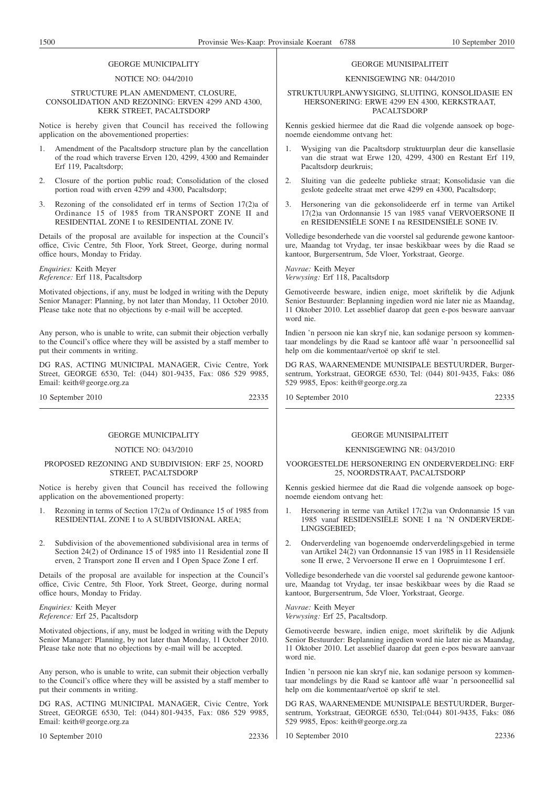# GEORGE MUNICIPALITY

#### NOTICE NO: 044/2010

#### STRUCTURE PLAN AMENDMENT, CLOSURE, CONSOLIDATION AND REZONING: ERVEN 4299 AND 4300, KERK STREET, PACALTSDORP

Notice is hereby given that Council has received the following application on the abovementioned properties:

- 1. Amendment of the Pacaltsdorp structure plan by the cancellation of the road which traverse Erven 120, 4299, 4300 and Remainder Erf 119, Pacaltsdorp;
- 2. Closure of the portion public road; Consolidation of the closed portion road with erven 4299 and 4300, Pacaltsdorp;
- 3. Rezoning of the consolidated erf in terms of Section 17(2)a of Ordinance 15 of 1985 from TRANSPORT ZONE II and RESIDENTIAL ZONE I to RESIDENTIAL ZONE IV.

Details of the proposal are available for inspection at the Council's office, Civic Centre, 5th Floor, York Street, George, during normal office hours, Monday to Friday.

*Enquiries:* Keith Meyer *Reference:* Erf 118, Pacaltsdorp

Motivated objections, if any, must be lodged in writing with the Deputy Senior Manager: Planning, by not later than Monday, 11 October 2010. Please take note that no objections by e-mail will be accepted.

Any person, who is unable to write, can submit their objection verbally to the Council's office where they will be assisted by a staff member to put their comments in writing.

DG RAS, ACTING MUNICIPAL MANAGER, Civic Centre, York Street, GEORGE 6530, Tel: (044) 801-9435, Fax: 086 529 9985, Email: keith@george.org.za

10 September 2010 22335

# GEORGE MUNICIPALITY

# NOTICE NO: 043/2010

#### PROPOSED REZONING AND SUBDIVISION: ERF 25, NOORD STREET, PACALTSDORP

Notice is hereby given that Council has received the following application on the abovementioned property:

- 1. Rezoning in terms of Section 17(2)a of Ordinance 15 of 1985 from RESIDENTIAL ZONE I to A SUBDIVISIONAL AREA;
- 2. Subdivision of the abovementioned subdivisional area in terms of Section 24(2) of Ordinance 15 of 1985 into 11 Residential zone II erven, 2 Transport zone II erven and I Open Space Zone I erf.

Details of the proposal are available for inspection at the Council's office, Civic Centre, 5th Floor, York Street, George, during normal office hours, Monday to Friday.

*Enquiries:* Keith Meyer *Reference:* Erf 25, Pacaltsdorp

Motivated objections, if any, must be lodged in writing with the Deputy Senior Manager: Planning, by not later than Monday, 11 October 2010. Please take note that no objections by e-mail will be accepted.

Any person, who is unable to write, can submit their objection verbally to the Council's office where they will be assisted by a staff member to put their comments in writing.

DG RAS, ACTING MUNICIPAL MANAGER, Civic Centre, York Street, GEORGE 6530, Tel: (044) 801-9435, Fax: 086 529 9985, Email: keith@george.org.za

10 September 2010 22336

#### GEORGE MUNISIPALITEIT

# KENNISGEWING NR: 044/2010

#### STRUKTUURPLANWYSIGING, SLUITING, KONSOLIDASIE EN HERSONERING: ERWE 4299 EN 4300, KERKSTRAAT, **PACALTSDORP**

Kennis geskied hiermee dat die Raad die volgende aansoek op bogenoemde eiendomme ontvang het:

- 1. Wysiging van die Pacaltsdorp struktuurplan deur die kansellasie van die straat wat Erwe 120, 4299, 4300 en Restant Erf 119, Pacaltsdorp deurkruis;
- 2. Sluiting van die gedeelte publieke straat; Konsolidasie van die geslote gedeelte straat met erwe 4299 en 4300, Pacaltsdorp;
- 3. Hersonering van die gekonsolideerde erf in terme van Artikel 17(2)a van Ordonnansie 15 van 1985 vanaf VERVOERSONE II en RESIDENSIËLE SONE I na RESIDENSIËLE SONE IV.

Volledige besonderhede van die voorstel sal gedurende gewone kantoorure, Maandag tot Vrydag, ter insae beskikbaar wees by die Raad se kantoor, Burgersentrum, 5de Vloer, Yorkstraat, George.

*Navrae:* Keith Meyer *Verwysing:* Erf 118, Pacaltsdorp

Gemotiveerde besware, indien enige, moet skriftelik by die Adjunk Senior Bestuurder: Beplanning ingedien word nie later nie as Maandag, 11 Oktober 2010. Let asseblief daarop dat geen e-pos besware aanvaar word nie.

Indien 'n persoon nie kan skryf nie, kan sodanige persoon sy kommentaar mondelings by die Raad se kantoor aflê waar 'n persooneellid sal help om die kommentaar/vertoë op skrif te stel.

DG RAS, WAARNEMENDE MUNISIPALE BESTUURDER, Burgersentrum, Yorkstraat, GEORGE 6530, Tel: (044) 801-9435, Faks: 086 529 9985, Epos: keith@george.org.za

10 September 2010 22335

# GEORGE MUNISIPALITEIT

# KENNISGEWING NR: 043/2010

VOORGESTELDE HERSONERING EN ONDERVERDELING: ERF 25, NOORDSTRAAT, PACALTSDORP

Kennis geskied hiermee dat die Raad die volgende aansoek op bogenoemde eiendom ontvang het:

- 1. Hersonering in terme van Artikel 17(2)a van Ordonnansie 15 van 1985 vanaf RESIDENSIËLE SONE I na 'N ONDERVERDE-LINGSGEBIED;
- 2. Onderverdeling van bogenoemde onderverdelingsgebied in terme van Artikel 24(2) van Ordonnansie 15 van 1985 in 11 Residensiële sone II erwe, 2 Vervoersone II erwe en 1 Oopruimtesone I erf.

Volledige besonderhede van die voorstel sal gedurende gewone kantoorure, Maandag tot Vrydag, ter insae beskikbaar wees by die Raad se kantoor, Burgersentrum, 5de Vloer, Yorkstraat, George.

*Navrae:* Keith Meyer *Verwysing:* Erf 25, Pacaltsdorp.

Gemotiveerde besware, indien enige, moet skriftelik by die Adjunk Senior Bestuurder: Beplanning ingedien word nie later nie as Maandag, 11 Oktober 2010. Let asseblief daarop dat geen e-pos besware aanvaar word nie.

Indien 'n persoon nie kan skryf nie, kan sodanige persoon sy kommentaar mondelings by die Raad se kantoor aflê waar 'n persooneellid sal help om die kommentaar/vertoë op skrif te stel.

DG RAS, WAARNEMENDE MUNISIPALE BESTUURDER, Burgersentrum, Yorkstraat, GEORGE 6530, Tel:(044) 801-9435, Faks: 086 529 9985, Epos: keith@george.org.za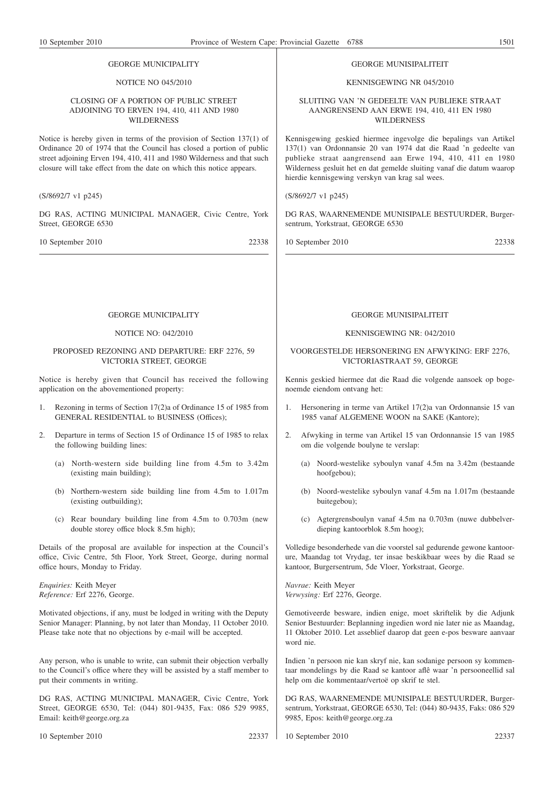#### GEORGE MUNICIPALITY

# NOTICE NO 045/2010

# CLOSING OF A PORTION OF PUBLIC STREET ADJOINING TO ERVEN 194, 410, 411 AND 1980 WILDERNESS

Notice is hereby given in terms of the provision of Section 137(1) of Ordinance 20 of 1974 that the Council has closed a portion of public street adjoining Erven 194, 410, 411 and 1980 Wilderness and that such closure will take effect from the date on which this notice appears.

(S/8692/7 v1 p245)

DG RAS, ACTING MUNICIPAL MANAGER, Civic Centre, York Street, GEORGE 6530

10 September 2010 22338

#### GEORGE MUNISIPALITEIT

#### KENNISGEWING NR 045/2010

SLUITING VAN 'N GEDEELTE VAN PUBLIEKE STRAAT AANGRENSEND AAN ERWE 194, 410, 411 EN 1980 **WILDERNESS** 

Kennisgewing geskied hiermee ingevolge die bepalings van Artikel 137(1) van Ordonnansie 20 van 1974 dat die Raad 'n gedeelte van publieke straat aangrensend aan Erwe 194, 410, 411 en 1980 Wilderness gesluit het en dat gemelde sluiting vanaf die datum waarop hierdie kennisgewing verskyn van krag sal wees.

(S/8692/7 v1 p245)

DG RAS, WAARNEMENDE MUNISIPALE BESTUURDER, Burgersentrum, Yorkstraat, GEORGE 6530

10 September 2010 22338

# GEORGE MUNICIPALITY

# NOTICE NO: 042/2010

# PROPOSED REZONING AND DEPARTURE: ERF 2276, 59 VICTORIA STREET, GEORGE

Notice is hereby given that Council has received the following application on the abovementioned property:

- 1. Rezoning in terms of Section 17(2)a of Ordinance 15 of 1985 from GENERAL RESIDENTIAL to BUSINESS (Offices);
- 2. Departure in terms of Section 15 of Ordinance 15 of 1985 to relax the following building lines:
	- (a) North-western side building line from 4.5m to 3.42m (existing main building);
	- (b) Northern-western side building line from 4.5m to 1.017m (existing outbuilding);
	- (c) Rear boundary building line from 4.5m to 0.703m (new double storey office block 8.5m high);

Details of the proposal are available for inspection at the Council's office, Civic Centre, 5th Floor, York Street, George, during normal office hours, Monday to Friday.

*Enquiries:* Keith Meyer *Reference:* Erf 2276, George.

Motivated objections, if any, must be lodged in writing with the Deputy Senior Manager: Planning, by not later than Monday, 11 October 2010. Please take note that no objections by e-mail will be accepted.

Any person, who is unable to write, can submit their objection verbally to the Council's office where they will be assisted by a staff member to put their comments in writing.

DG RAS, ACTING MUNICIPAL MANAGER, Civic Centre, York Street, GEORGE 6530, Tel: (044) 801-9435, Fax: 086 529 9985, Email: keith@george.org.za

10 September 2010 22337

# GEORGE MUNISIPALITEIT

#### KENNISGEWING NR: 042/2010

# VOORGESTELDE HERSONERING EN AFWYKING: ERF 2276, VICTORIASTRAAT 59, GEORGE

Kennis geskied hiermee dat die Raad die volgende aansoek op bogenoemde eiendom ontvang het:

- 1. Hersonering in terme van Artikel 17(2)a van Ordonnansie 15 van 1985 vanaf ALGEMENE WOON na SAKE (Kantore);
- 2. Afwyking in terme van Artikel 15 van Ordonnansie 15 van 1985 om die volgende boulyne te verslap:
	- (a) Noord-westelike syboulyn vanaf 4.5m na 3.42m (bestaande hoofgebou);
	- (b) Noord-westelike syboulyn vanaf 4.5m na 1.017m (bestaande buitegebou);
	- (c) Agtergrensboulyn vanaf 4.5m na 0.703m (nuwe dubbelverdieping kantoorblok 8.5m hoog);

Volledige besonderhede van die voorstel sal gedurende gewone kantoorure, Maandag tot Vrydag, ter insae beskikbaar wees by die Raad se kantoor, Burgersentrum, 5de Vloer, Yorkstraat, George.

*Navrae:* Keith Meyer *Verwysing:* Erf 2276, George.

Gemotiveerde besware, indien enige, moet skriftelik by die Adjunk Senior Bestuurder: Beplanning ingedien word nie later nie as Maandag, 11 Oktober 2010. Let asseblief daarop dat geen e-pos besware aanvaar word nie.

Indien 'n persoon nie kan skryf nie, kan sodanige persoon sy kommentaar mondelings by die Raad se kantoor aflê waar 'n persooneellid sal help om die kommentaar/vertoë op skrif te stel.

DG RAS, WAARNEMENDE MUNISIPALE BESTUURDER, Burgersentrum, Yorkstraat, GEORGE 6530, Tel: (044) 80-9435, Faks: 086 529 9985, Epos: keith@george.org.za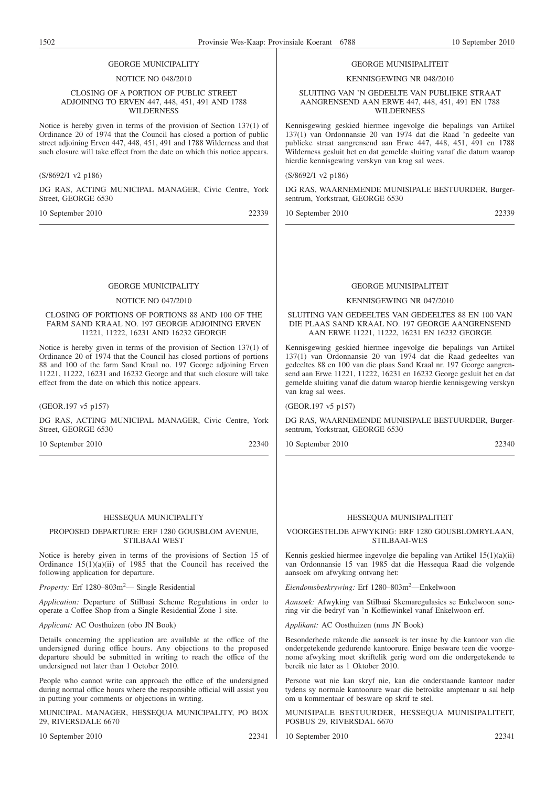# GEORGE MUNICIPALITY

#### NOTICE NO 048/2010

#### CLOSING OF A PORTION OF PUBLIC STREET ADJOINING TO ERVEN 447, 448, 451, 491 AND 1788 **WILDERNESS**

Notice is hereby given in terms of the provision of Section 137(1) of Ordinance 20 of 1974 that the Council has closed a portion of public street adjoining Erven 447, 448, 451, 491 and 1788 Wilderness and that such closure will take effect from the date on which this notice appears.

#### (S/8692/1 v2 p186)

DG RAS, ACTING MUNICIPAL MANAGER, Civic Centre, York Street, GEORGE 6530

10 September 2010 22339

# GEORGE MUNICIPALITY

# NOTICE NO 047/2010

#### CLOSING OF PORTIONS OF PORTIONS 88 AND 100 OF THE FARM SAND KRAAL NO. 197 GEORGE ADJOINING ERVEN 11221, 11222, 16231 AND 16232 GEORGE

Notice is hereby given in terms of the provision of Section 137(1) of Ordinance 20 of 1974 that the Council has closed portions of portions 88 and 100 of the farm Sand Kraal no. 197 George adjoining Erven 11221, 11222, 16231 and 16232 George and that such closure will take effect from the date on which this notice appears.

(GEOR.197 v5 p157)

DG RAS, ACTING MUNICIPAL MANAGER, Civic Centre, York Street, GEORGE 6530

10 September 2010 22340

#### HESSEQUA MUNICIPALITY

# PROPOSED DEPARTURE: ERF 1280 GOUSBLOM AVENUE, STILBAAI WEST

Notice is hereby given in terms of the provisions of Section 15 of Ordinance  $15(1)(a)(ii)$  of 1985 that the Council has received the following application for departure.

Property: Erf 1280-803m<sup>2</sup> - Single Residential

*Application:* Departure of Stilbaai Scheme Regulations in order to operate a Coffee Shop from a Single Residential Zone 1 site.

*Applicant:* AC Oosthuizen (obo JN Book)

Details concerning the application are available at the office of the undersigned during office hours. Any objections to the proposed departure should be submitted in writing to reach the office of the undersigned not later than 1 October 2010.

People who cannot write can approach the office of the undersigned during normal office hours where the responsible official will assist you in putting your comments or objections in writing.

MUNICIPAL MANAGER, HESSEQUA MUNICIPALITY, PO BOX 29, RIVERSDALE 6670

10 September 2010 22341

#### GEORGE MUNISIPALITEIT

KENNISGEWING NR 048/2010

SLUITING VAN 'N GEDEELTE VAN PUBLIEKE STRAAT AANGRENSEND AAN ERWE 447, 448, 451, 491 EN 1788 **WILDERNESS** 

Kennisgewing geskied hiermee ingevolge die bepalings van Artikel 137(1) van Ordonnansie 20 van 1974 dat die Raad 'n gedeelte van publieke straat aangrensend aan Erwe 447, 448, 451, 491 en 1788 Wilderness gesluit het en dat gemelde sluiting vanaf die datum waarop hierdie kennisgewing verskyn van krag sal wees.

#### (S/8692/1 v2 p186)

DG RAS, WAARNEMENDE MUNISIPALE BESTUURDER, Burgersentrum, Yorkstraat, GEORGE 6530

10 September 2010 22339

# GEORGE MUNISIPALITEIT

#### KENNISGEWING NR 047/2010

SLUITING VAN GEDEELTES VAN GEDEELTES 88 EN 100 VAN DIE PLAAS SAND KRAAL NO. 197 GEORGE AANGRENSEND AAN ERWE 11221, 11222, 16231 EN 16232 GEORGE

Kennisgewing geskied hiermee ingevolge die bepalings van Artikel 137(1) van Ordonnansie 20 van 1974 dat die Raad gedeeltes van gedeeltes 88 en 100 van die plaas Sand Kraal nr. 197 George aangrensend aan Erwe 11221, 11222, 16231 en 16232 George gesluit het en dat gemelde sluiting vanaf die datum waarop hierdie kennisgewing verskyn van krag sal wees.

(GEOR.197 v5 p157)

DG RAS, WAARNEMENDE MUNISIPALE BESTUURDER, Burgersentrum, Yorkstraat, GEORGE 6530

10 September 2010 22340

# HESSEQUA MUNISIPALITEIT

VOORGESTELDE AFWYKING: ERF 1280 GOUSBLOMRYLAAN, STILBAAI-WES

Kennis geskied hiermee ingevolge die bepaling van Artikel 15(1)(a)(ii) van Ordonnansie 15 van 1985 dat die Hessequa Raad die volgende aansoek om afwyking ontvang het:

*Eiendomsbeskrywing:* Erf 1280–803m2 —Enkelwoon

*Aansoek:* Afwyking van Stilbaai Skemaregulasies se Enkelwoon sonering vir die bedryf van 'n Koffiewinkel vanaf Enkelwoon erf.

*Applikant:* AC Oosthuizen (nms JN Book)

Besonderhede rakende die aansoek is ter insae by die kantoor van die ondergetekende gedurende kantoorure. Enige besware teen die voorgenome afwyking moet skriftelik gerig word om die ondergetekende te bereik nie later as 1 Oktober 2010.

Persone wat nie kan skryf nie, kan die onderstaande kantoor nader tydens sy normale kantoorure waar die betrokke amptenaar u sal help om u kommentaar of besware op skrif te stel.

MUNISIPALE BESTUURDER, HESSEQUA MUNISIPALITEIT, POSBUS 29, RIVERSDAL 6670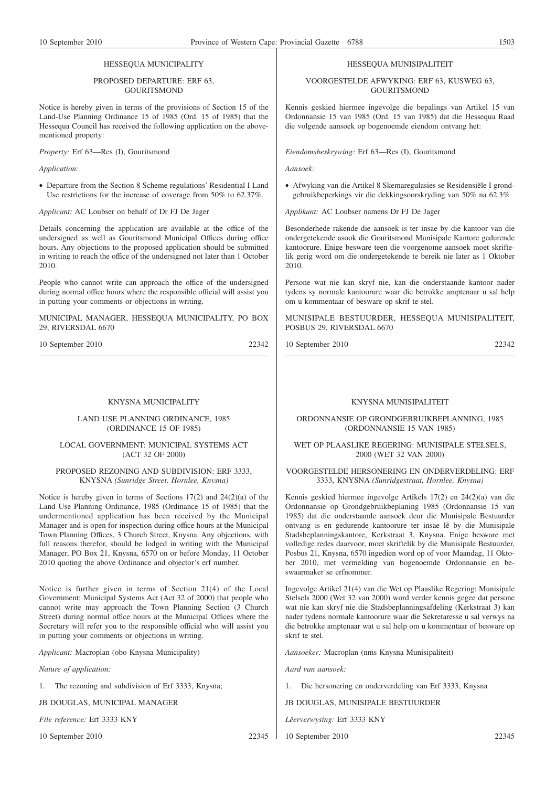# PROPOSED DEPARTURE: ERF 63, **GOURITSMOND**

Notice is hereby given in terms of the provisions of Section 15 of the Land-Use Planning Ordinance 15 of 1985 (Ord. 15 of 1985) that the Hessequa Council has received the following application on the abovementioned property:

*Property:* Erf 63—Res (I), Gouritsmond

#### *Application:*

• Departure from the Section 8 Scheme regulations' Residential I Land Use restrictions for the increase of coverage from 50% to 62.37%.

*Applicant:* AC Loubser on behalf of Dr FJ De Jager

Details concerning the application are available at the office of the undersigned as well as Gouritsmond Municipal Offices during office hours. Any objections to the proposed application should be submitted in writing to reach the office of the undersigned not later than 1 October 2010.

People who cannot write can approach the office of the undersigned during normal office hours where the responsible official will assist you in putting your comments or objections in writing.

MUNICIPAL MANAGER, HESSEQUA MUNICIPALITY, PO BOX 29, RIVERSDAL 6670

10 September 2010 22342

#### KNYSNA MUNICIPALITY

#### LAND USE PLANNING ORDINANCE, 1985 (ORDINANCE 15 OF 1985)

# LOCAL GOVERNMENT: MUNICIPAL SYSTEMS ACT (ACT 32 OF 2000)

# PROPOSED REZONING AND SUBDIVISION: ERF 3333, KNYSNA *(Sunridge Street, Hornlee, Knysna)*

Notice is hereby given in terms of Sections 17(2) and 24(2)(a) of the Land Use Planning Ordinance, 1985 (Ordinance 15 of 1985) that the undermentioned application has been received by the Municipal Manager and is open for inspection during office hours at the Municipal Town Planning Offices, 3 Church Street, Knysna. Any objections, with full reasons therefor, should be lodged in writing with the Municipal Manager, PO Box 21, Knysna, 6570 on or before Monday, 11 October 2010 quoting the above Ordinance and objector's erf number.

Notice is further given in terms of Section 21(4) of the Local Government: Municipal Systems Act (Act 32 of 2000) that people who cannot write may approach the Town Planning Section (3 Church Street) during normal office hours at the Municipal Offices where the Secretary will refer you to the responsible official who will assist you in putting your comments or objections in writing.

*Applicant:* Macroplan (obo Knysna Municipality)

*Nature of application:*

1. The rezoning and subdivision of Erf 3333, Knysna;

JB DOUGLAS, MUNICIPAL MANAGER

*File reference:* Erf 3333 KNY

10 September 2010 22345

# HESSEQUA MUNISIPALITEIT

#### VOORGESTELDE AFWYKING: ERF 63, KUSWEG 63, **GOURITSMOND**

Kennis geskied hiermee ingevolge die bepalings van Artikel 15 van Ordonnansie 15 van 1985 (Ord. 15 van 1985) dat die Hessequa Raad die volgende aansoek op bogenoemde eiendom ontvang het:

*Eiendomsbeskrywing:* Erf 63—Res (I), Gouritsmond

*Aansoek:*

• Afwyking van die Artikel 8 Skemaregulasies se Residensiële I grondgebruikbeperkings vir die dekkingsoorskryding van 50% na 62.3%

*Applikant:* AC Loubser namens Dr FJ De Jager

Besonderhede rakende die aansoek is ter insae by die kantoor van die ondergetekende asook die Gouritsmond Munisipale Kantore gedurende kantoorure. Enige besware teen die voorgenome aansoek moet skriftelik gerig word om die ondergetekende te bereik nie later as 1 Oktober 2010.

Persone wat nie kan skryf nie, kan die onderstaande kantoor nader tydens sy normale kantoorure waar die betrokke amptenaar u sal help om u kommentaar of besware op skrif te stel.

MUNISIPALE BESTUURDER, HESSEQUA MUNISIPALITEIT, POSBUS 29, RIVERSDAL 6670

10 September 2010 22342

### KNYSNA MUNISIPALITEIT

ORDONNANSIE OP GRONDGEBRUIKBEPLANNING, 1985 (ORDONNANSIE 15 VAN 1985)

# WET OP PLAASLIKE REGERING: MUNISIPALE STELSELS, 2000 (WET 32 VAN 2000)

# VOORGESTELDE HERSONERING EN ONDERVERDELING: ERF 3333, KNYSNA *(Sunridgestraat, Hornlee, Knysna)*

Kennis geskied hiermee ingevolge Artikels 17(2) en 24(2)(a) van die Ordonnansie op Grondgebruikbeplaning 1985 (Ordonnansie 15 van 1985) dat die onderstaande aansoek deur die Munisipale Bestuurder ontvang is en gedurende kantoorure ter insae lê by die Munisipale Stadsbeplanningskantore, Kerkstraat 3, Knysna. Enige besware met volledige redes daarvoor, moet skriftelik by die Munisipale Bestuurder, Posbus 21, Knysna, 6570 ingedien word op of voor Maandag, 11 Oktober 2010, met vermelding van bogenoemde Ordonnansie en beswaarmaker se erfnommer.

Ingevolge Artikel 21(4) van die Wet op Plaaslike Regering: Munisipale Stelsels 2000 (Wet 32 van 2000) word verder kennis gegee dat persone wat nie kan skryf nie die Stadsbeplanningsafdeling (Kerkstraat 3) kan nader tydens normale kantoorure waar die Sekretaresse u sal verwys na die betrokke amptenaar wat u sal help om u kommentaar of besware op skrif te stel.

*Aansoeker:* Macroplan (nms Knysna Munisipaliteit)

*Aard van aansoek:*

1. Die hersonering en onderverdeling van Erf 3333, Knysna

JB DOUGLAS, MUNISIPALE BESTUURDER

*Lêerverwysing:* Erf 3333 KNY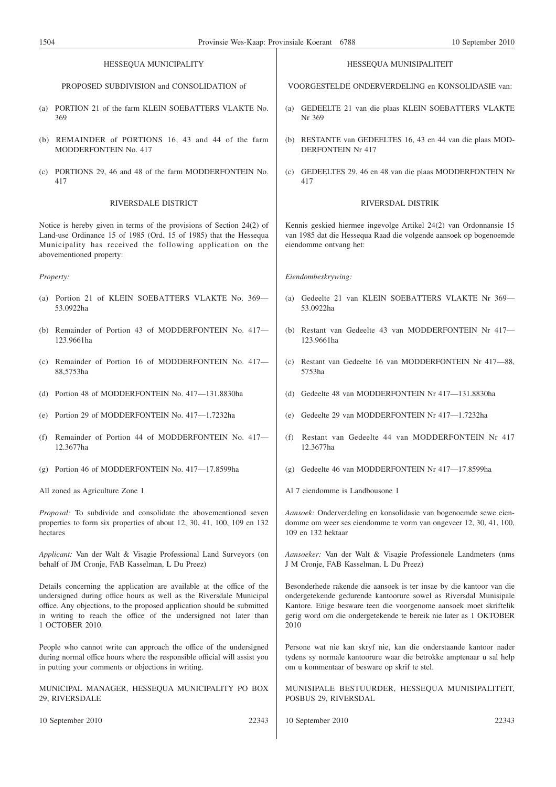| HESSEQUA MUNICIPALITY                                                                                                                                                                                                                                                                                          |                                                                                                                                                                                                                                      | HESSEQUA MUNISIPALITEIT                                                                                                                                                                                                                                                                      |
|----------------------------------------------------------------------------------------------------------------------------------------------------------------------------------------------------------------------------------------------------------------------------------------------------------------|--------------------------------------------------------------------------------------------------------------------------------------------------------------------------------------------------------------------------------------|----------------------------------------------------------------------------------------------------------------------------------------------------------------------------------------------------------------------------------------------------------------------------------------------|
|                                                                                                                                                                                                                                                                                                                | PROPOSED SUBDIVISION and CONSOLIDATION of                                                                                                                                                                                            | VOORGESTELDE ONDERVERDELING en KONSOLIDASIE van:                                                                                                                                                                                                                                             |
|                                                                                                                                                                                                                                                                                                                | (a) PORTION 21 of the farm KLEIN SOEBATTERS VLAKTE No.<br>369                                                                                                                                                                        | GEDEELTE 21 van die plaas KLEIN SOEBATTERS VLAKTE<br>(a)<br>Nr 369                                                                                                                                                                                                                           |
|                                                                                                                                                                                                                                                                                                                | (b) REMAINDER of PORTIONS 16, 43 and 44 of the farm<br>MODDERFONTEIN No. 417                                                                                                                                                         | (b) RESTANTE van GEDEELTES 16, 43 en 44 van die plaas MOD-<br><b>DERFONTEIN Nr 417</b>                                                                                                                                                                                                       |
|                                                                                                                                                                                                                                                                                                                | (c) PORTIONS 29, 46 and 48 of the farm MODDERFONTEIN No.<br>417                                                                                                                                                                      | (c) GEDEELTES 29, 46 en 48 van die plaas MODDERFONTEIN Nr<br>417                                                                                                                                                                                                                             |
|                                                                                                                                                                                                                                                                                                                | RIVERSDALE DISTRICT                                                                                                                                                                                                                  | RIVERSDAL DISTRIK                                                                                                                                                                                                                                                                            |
|                                                                                                                                                                                                                                                                                                                | Notice is hereby given in terms of the provisions of Section 24(2) of<br>Land-use Ordinance 15 of 1985 (Ord. 15 of 1985) that the Hessequa<br>Municipality has received the following application on the<br>abovementioned property: | Kennis geskied hiermee ingevolge Artikel 24(2) van Ordonnansie 15<br>van 1985 dat die Hessequa Raad die volgende aansoek op bogenoemde<br>eiendomme ontvang het:                                                                                                                             |
|                                                                                                                                                                                                                                                                                                                | Property:                                                                                                                                                                                                                            | Eiendombeskrywing:                                                                                                                                                                                                                                                                           |
|                                                                                                                                                                                                                                                                                                                | (a) Portion 21 of KLEIN SOEBATTERS VLAKTE No. 369—<br>53.0922ha                                                                                                                                                                      | Gedeelte 21 van KLEIN SOEBATTERS VLAKTE Nr 369-<br>(a)<br>53.0922ha                                                                                                                                                                                                                          |
|                                                                                                                                                                                                                                                                                                                | (b) Remainder of Portion 43 of MODDERFONTEIN No. 417-<br>123.9661ha                                                                                                                                                                  | (b) Restant van Gedeelte 43 van MODDERFONTEIN Nr 417-<br>123.9661ha                                                                                                                                                                                                                          |
|                                                                                                                                                                                                                                                                                                                | (c) Remainder of Portion 16 of MODDERFONTEIN No. 417-<br>88,5753ha                                                                                                                                                                   | (c) Restant van Gedeelte 16 van MODDERFONTEIN Nr 417-88,<br>5753ha                                                                                                                                                                                                                           |
| (d)                                                                                                                                                                                                                                                                                                            | Portion 48 of MODDERFONTEIN No. 417-131.8830ha                                                                                                                                                                                       | (d) Gedeelte 48 van MODDERFONTEIN Nr 417-131.8830ha                                                                                                                                                                                                                                          |
|                                                                                                                                                                                                                                                                                                                | (e) Portion 29 of MODDERFONTEIN No. 417-1.7232ha                                                                                                                                                                                     | Gedeelte 29 van MODDERFONTEIN Nr 417-1.7232ha<br>(e)                                                                                                                                                                                                                                         |
|                                                                                                                                                                                                                                                                                                                | (f) Remainder of Portion 44 of MODDERFONTEIN No. 417-<br>12.3677ha                                                                                                                                                                   | Restant van Gedeelte 44 van MODDERFONTEIN Nr 417<br>(f)<br>12.3677ha                                                                                                                                                                                                                         |
|                                                                                                                                                                                                                                                                                                                | (g) Portion 46 of MODDERFONTEIN No. $417-17.8599$ ha                                                                                                                                                                                 | $(g)$ Gedeelte 46 van MODDERFONTEIN Nr 417—17.8599ha                                                                                                                                                                                                                                         |
|                                                                                                                                                                                                                                                                                                                | All zoned as Agriculture Zone 1                                                                                                                                                                                                      | Al 7 eiendomme is Landbousone 1                                                                                                                                                                                                                                                              |
|                                                                                                                                                                                                                                                                                                                | Proposal: To subdivide and consolidate the abovementioned seven<br>properties to form six properties of about 12, 30, 41, 100, 109 en 132<br>hectares                                                                                | Aansoek: Onderverdeling en konsolidasie van bogenoemde sewe eien-<br>domme om weer ses eiendomme te vorm van ongeveer 12, 30, 41, 100,<br>109 en 132 hektaar                                                                                                                                 |
|                                                                                                                                                                                                                                                                                                                | Applicant: Van der Walt & Visagie Professional Land Surveyors (on<br>behalf of JM Cronje, FAB Kasselman, L Du Preez)                                                                                                                 | Aansoeker: Van der Walt & Visagie Professionele Landmeters (nms<br>J M Cronje, FAB Kasselman, L Du Preez)                                                                                                                                                                                    |
| Details concerning the application are available at the office of the<br>undersigned during office hours as well as the Riversdale Municipal<br>office. Any objections, to the proposed application should be submitted<br>in writing to reach the office of the undersigned not later than<br>1 OCTOBER 2010. |                                                                                                                                                                                                                                      | Besonderhede rakende die aansoek is ter insae by die kantoor van die<br>ondergetekende gedurende kantoorure sowel as Riversdal Munisipale<br>Kantore. Enige besware teen die voorgenome aansoek moet skriftelik<br>gerig word om die ondergetekende te bereik nie later as 1 OKTOBER<br>2010 |
|                                                                                                                                                                                                                                                                                                                | People who cannot write can approach the office of the undersigned<br>during normal office hours where the responsible official will assist you<br>in putting your comments or objections in writing.                                | Persone wat nie kan skryf nie, kan die onderstaande kantoor nader<br>tydens sy normale kantoorure waar die betrokke amptenaar u sal help<br>om u kommentaar of besware op skrif te stel.                                                                                                     |
|                                                                                                                                                                                                                                                                                                                | MUNICIPAL MANAGER, HESSEQUA MUNICIPALITY PO BOX<br>29, RIVERSDALE                                                                                                                                                                    | MUNISIPALE BESTUURDER, HESSEQUA MUNISIPALITEIT,<br>POSBUS 29, RIVERSDAL                                                                                                                                                                                                                      |
|                                                                                                                                                                                                                                                                                                                | 22343<br>10 September 2010                                                                                                                                                                                                           | 22343<br>10 September 2010                                                                                                                                                                                                                                                                   |

 $\overline{\phantom{a}}$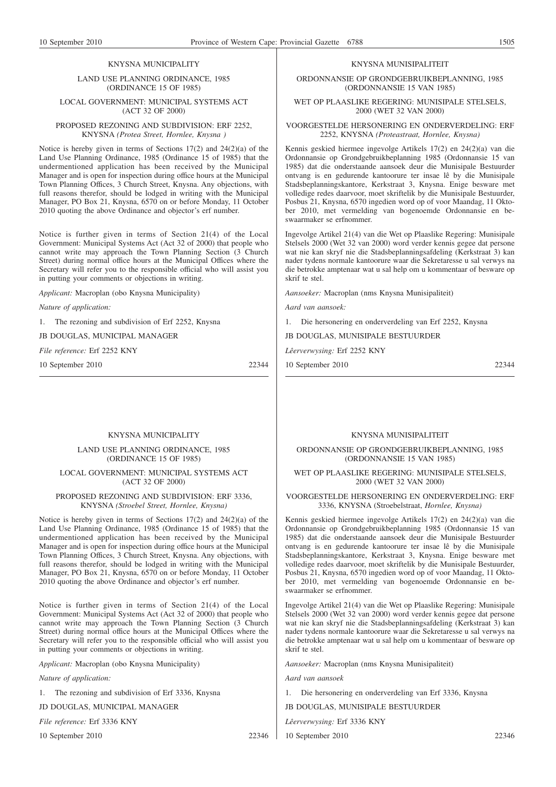#### KNYSNA MUNICIPALITY

### LAND USE PLANNING ORDINANCE, 1985 (ORDINANCE 15 OF 1985)

#### LOCAL GOVERNMENT: MUNICIPAL SYSTEMS ACT (ACT 32 OF 2000)

#### PROPOSED REZONING AND SUBDIVISION: ERF 2252, KNYSNA *(Protea Street, Hornlee, Knysna )*

Notice is hereby given in terms of Sections 17(2) and 24(2)(a) of the Land Use Planning Ordinance, 1985 (Ordinance 15 of 1985) that the undermentioned application has been received by the Municipal Manager and is open for inspection during office hours at the Municipal Town Planning Offices, 3 Church Street, Knysna. Any objections, with full reasons therefor, should be lodged in writing with the Municipal Manager, PO Box 21, Knysna, 6570 on or before Monday, 11 October 2010 quoting the above Ordinance and objector's erf number.

Notice is further given in terms of Section 21(4) of the Local Government: Municipal Systems Act (Act 32 of 2000) that people who cannot write may approach the Town Planning Section (3 Church Street) during normal office hours at the Municipal Offices where the Secretary will refer you to the responsible official who will assist you in putting your comments or objections in writing.

*Applicant:* Macroplan (obo Knysna Municipality)

*Nature of application:*

1. The rezoning and subdivision of Erf 2252, Knysna

JB DOUGLAS, MUNICIPAL MANAGER

*File reference:* Erf 2252 KNY

10 September 2010 22344

# KNYSNA MUNICIPALITY

#### LAND USE PLANNING ORDINANCE, 1985 (ORDINANCE 15 OF 1985)

# LOCAL GOVERNMENT: MUNICIPAL SYSTEMS ACT (ACT 32 OF 2000)

# PROPOSED REZONING AND SUBDIVISION: ERF 3336, KNYSNA *(Stroebel Street, Hornlee, Knysna)*

Notice is hereby given in terms of Sections 17(2) and 24(2)(a) of the Land Use Planning Ordinance, 1985 (Ordinance 15 of 1985) that the undermentioned application has been received by the Municipal Manager and is open for inspection during office hours at the Municipal Town Planning Offices, 3 Church Street, Knysna. Any objections, with full reasons therefor, should be lodged in writing with the Municipal Manager, PO Box 21, Knysna, 6570 on or before Monday, 11 October 2010 quoting the above Ordinance and objector's erf number.

Notice is further given in terms of Section 21(4) of the Local Government: Municipal Systems Act (Act 32 of 2000) that people who cannot write may approach the Town Planning Section (3 Church Street) during normal office hours at the Municipal Offices where the Secretary will refer you to the responsible official who will assist you in putting your comments or objections in writing.

*Applicant:* Macroplan (obo Knysna Municipality)

*Nature of application:*

1. The rezoning and subdivision of Erf 3336, Knysna

JD DOUGLAS, MUNICIPAL MANAGER

*File reference:* Erf 3336 KNY

10 September 2010 22346

# KNYSNA MUNISIPALITEIT

ORDONNANSIE OP GRONDGEBRUIKBEPLANNING, 1985 (ORDONNANSIE 15 VAN 1985)

# WET OP PLAASLIKE REGERING: MUNISIPALE STELSELS, 2000 (WET 32 VAN 2000)

#### VOORGESTELDE HERSONERING EN ONDERVERDELING: ERF 2252, KNYSNA *(Proteastraat, Hornlee, Knysna)*

Kennis geskied hiermee ingevolge Artikels 17(2) en 24(2)(a) van die Ordonnansie op Grondgebruikbeplanning 1985 (Ordonnansie 15 van 1985) dat die onderstaande aansoek deur die Munisipale Bestuurder ontvang is en gedurende kantoorure ter insae lê by die Munisipale Stadsbeplanningskantore, Kerkstraat 3, Knysna. Enige besware met volledige redes daarvoor, moet skriftelik by die Munisipale Bestuurder, Posbus 21, Knysna, 6570 ingedien word op of voor Maandag, 11 Oktober 2010, met vermelding van bogenoemde Ordonnansie en beswaarmaker se erfnommer.

Ingevolge Artikel 21(4) van die Wet op Plaaslike Regering: Munisipale Stelsels 2000 (Wet 32 van 2000) word verder kennis gegee dat persone wat nie kan skryf nie die Stadsbeplanningsafdeling (Kerkstraat 3) kan nader tydens normale kantoorure waar die Sekretaresse u sal verwys na die betrokke amptenaar wat u sal help om u kommentaar of besware op skrif te stel.

*Aansoeker:* Macroplan (nms Knysna Munisipaliteit)

*Aard van aansoek:*

1. Die hersonering en onderverdeling van Erf 2252, Knysna

JB DOUGLAS, MUNISIPALE BESTUURDER

*Lêerverwysing:* Erf 2252 KNY

10 September 2010 22344

KNYSNA MUNISIPALITEIT

# ORDONNANSIE OP GRONDGEBRUIKBEPLANNING, 1985 (ORDONNANSIE 15 VAN 1985)

#### WET OP PLAASLIKE REGERING: MUNISIPALE STELSELS. 2000 (WET 32 VAN 2000)

# VOORGESTELDE HERSONERING EN ONDERVERDELING: ERF 3336, KNYSNA (Stroebelstraat, *Hornlee, Knysna)*

Kennis geskied hiermee ingevolge Artikels 17(2) en 24(2)(a) van die Ordonnansie op Grondgebruikbeplanning 1985 (Ordonnansie 15 van 1985) dat die onderstaande aansoek deur die Munisipale Bestuurder ontvang is en gedurende kantoorure ter insae lê by die Munisipale Stadsbeplanningskantore, Kerkstraat 3, Knysna. Enige besware met volledige redes daarvoor, moet skriftelik by die Munisipale Bestuurder, Posbus 21, Knysna, 6570 ingedien word op of voor Maandag, 11 Oktober 2010, met vermelding van bogenoemde Ordonnansie en beswaarmaker se erfnommer.

Ingevolge Artikel 21(4) van die Wet op Plaaslike Regering: Munisipale Stelsels 2000 (Wet 32 van 2000) word verder kennis gegee dat persone wat nie kan skryf nie die Stadsbeplanningsafdeling (Kerkstraat 3) kan nader tydens normale kantoorure waar die Sekretaresse u sal verwys na die betrokke amptenaar wat u sal help om u kommentaar of besware op skrif te stel.

*Aansoeker:* Macroplan (nms Knysna Munisipaliteit)

*Aard van aansoek*

1. Die hersonering en onderverdeling van Erf 3336, Knysna

JB DOUGLAS, MUNISIPALE BESTUURDER

*Lêerverwysing:* Erf 3336 KNY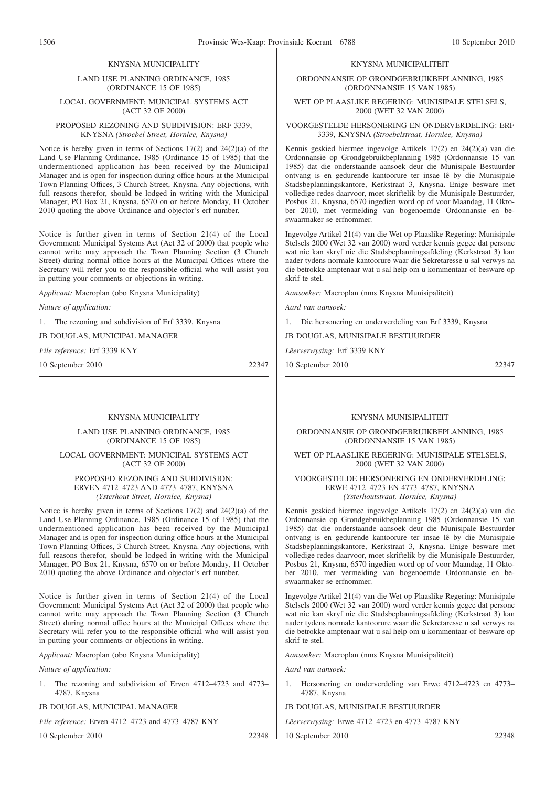#### KNYSNA MUNICIPALITY

#### LAND USE PLANNING ORDINANCE, 1985 (ORDINANCE 15 OF 1985)

## LOCAL GOVERNMENT: MUNICIPAL SYSTEMS ACT (ACT 32 OF 2000)

#### PROPOSED REZONING AND SUBDIVISION: ERF 3339, KNYSNA *(Stroebel Street, Hornlee, Knysna)*

Notice is hereby given in terms of Sections 17(2) and 24(2)(a) of the Land Use Planning Ordinance, 1985 (Ordinance 15 of 1985) that the undermentioned application has been received by the Municipal Manager and is open for inspection during office hours at the Municipal Town Planning Offices, 3 Church Street, Knysna. Any objections, with full reasons therefor, should be lodged in writing with the Municipal Manager, PO Box 21, Knysna, 6570 on or before Monday, 11 October 2010 quoting the above Ordinance and objector's erf number.

Notice is further given in terms of Section 21(4) of the Local Government: Municipal Systems Act (Act 32 of 2000) that people who cannot write may approach the Town Planning Section (3 Church Street) during normal office hours at the Municipal Offices where the Secretary will refer you to the responsible official who will assist you in putting your comments or objections in writing.

*Applicant:* Macroplan (obo Knysna Municipality)

*Nature of application:*

1. The rezoning and subdivision of Erf 3339, Knysna

JB DOUGLAS, MUNICIPAL MANAGER

*File reference:* Erf 3339 KNY

10 September 2010 22347

#### KNYSNA MUNICIPALITY

LAND USE PLANNING ORDINANCE, 1985 (ORDINANCE 15 OF 1985)

# LOCAL GOVERNMENT: MUNICIPAL SYSTEMS ACT (ACT 32 OF 2000)

# PROPOSED REZONING AND SUBDIVISION: ERVEN 4712–4723 AND 4773–4787, KNYSNA *(Ysterhout Street, Hornlee, Knysna)*

Notice is hereby given in terms of Sections 17(2) and 24(2)(a) of the Land Use Planning Ordinance, 1985 (Ordinance 15 of 1985) that the undermentioned application has been received by the Municipal Manager and is open for inspection during office hours at the Municipal Town Planning Offices, 3 Church Street, Knysna. Any objections, with full reasons therefor, should be lodged in writing with the Municipal Manager, PO Box 21, Knysna, 6570 on or before Monday, 11 October 2010 quoting the above Ordinance and objector's erf number.

Notice is further given in terms of Section 21(4) of the Local Government: Municipal Systems Act (Act 32 of 2000) that people who cannot write may approach the Town Planning Section (3 Church Street) during normal office hours at the Municipal Offices where the Secretary will refer you to the responsible official who will assist you in putting your comments or objections in writing.

*Applicant:* Macroplan (obo Knysna Municipality)

*Nature of application:*

The rezoning and subdivision of Erven 4712–4723 and 4773– 4787, Knysna

#### JB DOUGLAS, MUNICIPAL MANAGER

*File reference:* Erven 4712–4723 and 4773–4787 KNY

10 September 2010 22348

#### KNYSNA MUNICIPALITEIT

ORDONNANSIE OP GRONDGEBRUIKBEPLANNING, 1985 (ORDONNANSIE 15 VAN 1985)

# WET OP PLAASLIKE REGERING: MUNISIPALE STELSELS, 2000 (WET 32 VAN 2000)

VOORGESTELDE HERSONERING EN ONDERVERDELING: ERF 3339, KNYSNA *(Stroebelstraat, Hornlee, Knysna)*

Kennis geskied hiermee ingevolge Artikels 17(2) en 24(2)(a) van die Ordonnansie op Grondgebruikbeplanning 1985 (Ordonnansie 15 van 1985) dat die onderstaande aansoek deur die Munisipale Bestuurder ontvang is en gedurende kantoorure ter insae lê by die Munisipale Stadsbeplanningskantore, Kerkstraat 3, Knysna. Enige besware met volledige redes daarvoor, moet skriftelik by die Munisipale Bestuurder, Posbus 21, Knysna, 6570 ingedien word op of voor Maandag, 11 Oktober 2010, met vermelding van bogenoemde Ordonnansie en beswaarmaker se erfnommer.

Ingevolge Artikel 21(4) van die Wet op Plaaslike Regering: Munisipale Stelsels 2000 (Wet 32 van 2000) word verder kennis gegee dat persone wat nie kan skryf nie die Stadsbeplanningsafdeling (Kerkstraat 3) kan nader tydens normale kantoorure waar die Sekretaresse u sal verwys na die betrokke amptenaar wat u sal help om u kommentaar of besware op skrif te stel.

*Aansoeker:* Macroplan (nms Knysna Munisipaliteit)

*Aard van aansoek:*

1. Die hersonering en onderverdeling van Erf 3339, Knysna

JB DOUGLAS, MUNISIPALE BESTUURDER

*Lêerverwysing:* Erf 3339 KNY

10 September 2010 22347

#### KNYSNA MUNISIPALITEIT

ORDONNANSIE OP GRONDGEBRUIKBEPLANNING, 1985 (ORDONNANSIE 15 VAN 1985)

#### WET OP PLAASLIKE REGERING: MUNISIPALE STELSELS, 2000 (WET 32 VAN 2000)

#### VOORGESTELDE HERSONERING EN ONDERVERDELING: ERWE 4712–4723 EN 4773–4787, KNYSNA *(Ysterhoutstraat, Hornlee, Knysna)*

Kennis geskied hiermee ingevolge Artikels 17(2) en 24(2)(a) van die Ordonnansie op Grondgebruikbeplanning 1985 (Ordonnansie 15 van 1985) dat die onderstaande aansoek deur die Munisipale Bestuurder ontvang is en gedurende kantoorure ter insae lê by die Munisipale Stadsbeplanningskantore, Kerkstraat 3, Knysna. Enige besware met volledige redes daarvoor, moet skriftelik by die Munisipale Bestuurder, Posbus 21, Knysna, 6570 ingedien word op of voor Maandag, 11 Oktober 2010, met vermelding van bogenoemde Ordonnansie en beswaarmaker se erfnommer.

Ingevolge Artikel 21(4) van die Wet op Plaaslike Regering: Munisipale Stelsels 2000 (Wet 32 van 2000) word verder kennis gegee dat persone wat nie kan skryf nie die Stadsbeplanningsafdeling (Kerkstraat 3) kan nader tydens normale kantoorure waar die Sekretaresse u sal verwys na die betrokke amptenaar wat u sal help om u kommentaar of besware op skrif te stel.

*Aansoeker:* Macroplan (nms Knysna Munisipaliteit)

*Aard van aansoek:*

1. Hersonering en onderverdeling van Erwe 4712–4723 en 4773– 4787, Knysna

JB DOUGLAS, MUNISIPALE BESTUURDER

*Lêerverwysing:* Erwe 4712–4723 en 4773–4787 KNY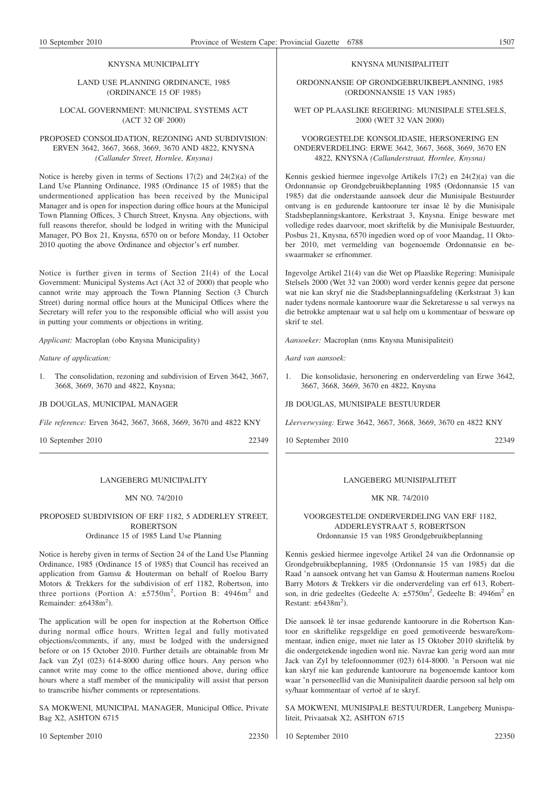# KNYSNA MUNICIPALITY

# LAND USE PLANNING ORDINANCE, 1985 (ORDINANCE 15 OF 1985)

# LOCAL GOVERNMENT: MUNICIPAL SYSTEMS ACT (ACT 32 OF 2000)

# PROPOSED CONSOLIDATION, REZONING AND SUBDIVISION: ERVEN 3642, 3667, 3668, 3669, 3670 AND 4822, KNYSNA *(Callander Street, Hornlee, Knysna)*

Notice is hereby given in terms of Sections 17(2) and 24(2)(a) of the Land Use Planning Ordinance, 1985 (Ordinance 15 of 1985) that the undermentioned application has been received by the Municipal Manager and is open for inspection during office hours at the Municipal Town Planning Offices, 3 Church Street, Knysna. Any objections, with full reasons therefor, should be lodged in writing with the Municipal Manager, PO Box 21, Knysna, 6570 on or before Monday, 11 October 2010 quoting the above Ordinance and objector's erf number.

Notice is further given in terms of Section 21(4) of the Local Government: Municipal Systems Act (Act 32 of 2000) that people who cannot write may approach the Town Planning Section (3 Church Street) during normal office hours at the Municipal Offices where the Secretary will refer you to the responsible official who will assist you in putting your comments or objections in writing.

*Applicant:* Macroplan (obo Knysna Municipality)

*Nature of application:*

1. The consolidation, rezoning and subdivision of Erven 3642, 3667, 3668, 3669, 3670 and 4822, Knysna;

# JB DOUGLAS, MUNICIPAL MANAGER

*File reference:* Erven 3642, 3667, 3668, 3669, 3670 and 4822 KNY

10 September 2010 22349

# LANGEBERG MUNICIPALITY

# MN NO. 74/2010

# PROPOSED SUBDIVISION OF ERF 1182, 5 ADDERLEY STREET, ROBERTSON Ordinance 15 of 1985 Land Use Planning

Notice is hereby given in terms of Section 24 of the Land Use Planning Ordinance, 1985 (Ordinance 15 of 1985) that Council has received an application from Gamsu & Houterman on behalf of Roelou Barry Motors & Trekkers for the subdivision of erf 1182, Robertson, into three portions (Portion A:  $\pm 5750$ m<sup>2</sup>, Portion B: 4946m<sup>2</sup> and Remainder:  $\pm 6438 \text{m}^2$ ).

The application will be open for inspection at the Robertson Office during normal office hours. Written legal and fully motivated objections/comments, if any, must be lodged with the undersigned before or on 15 October 2010. Further details are obtainable from Mr Jack van Zyl (023) 614-8000 during office hours. Any person who cannot write may come to the office mentioned above, during office hours where a staff member of the municipality will assist that person to transcribe his/her comments or representations.

SA MOKWENI, MUNICIPAL MANAGER, Municipal Office, Private Bag X2, ASHTON 6715

# KNYSNA MUNISIPALITEIT

# ORDONNANSIE OP GRONDGEBRUIKBEPLANNING, 1985 (ORDONNANSIE 15 VAN 1985)

# WET OP PLAASLIKE REGERING: MUNISIPALE STELSELS, 2000 (WET 32 VAN 2000)

# VOORGESTELDE KONSOLIDASIE, HERSONERING EN ONDERVERDELING: ERWE 3642, 3667, 3668, 3669, 3670 EN 4822, KNYSNA *(Callanderstraat, Hornlee, Knysna)*

Kennis geskied hiermee ingevolge Artikels 17(2) en 24(2)(a) van die Ordonnansie op Grondgebruikbeplanning 1985 (Ordonnansie 15 van 1985) dat die onderstaande aansoek deur die Munisipale Bestuurder ontvang is en gedurende kantoorure ter insae lê by die Munisipale Stadsbeplanningskantore, Kerkstraat 3, Knysna. Enige besware met volledige redes daarvoor, moet skriftelik by die Munisipale Bestuurder, Posbus 21, Knysna, 6570 ingedien word op of voor Maandag, 11 Oktober 2010, met vermelding van bogenoemde Ordonnansie en beswaarmaker se erfnommer.

Ingevolge Artikel 21(4) van die Wet op Plaaslike Regering: Munisipale Stelsels 2000 (Wet 32 van 2000) word verder kennis gegee dat persone wat nie kan skryf nie die Stadsbeplanningsafdeling (Kerkstraat 3) kan nader tydens normale kantoorure waar die Sekretaresse u sal verwys na die betrokke amptenaar wat u sal help om u kommentaar of besware op skrif te stel.

*Aansoeker:* Macroplan (nms Knysna Munisipaliteit)

*Aard van aansoek:*

1. Die konsolidasie, hersonering en onderverdeling van Erwe 3642, 3667, 3668, 3669, 3670 en 4822, Knysna

JB DOUGLAS, MUNISIPALE BESTUURDER

*Lêerverwysing:* Erwe 3642, 3667, 3668, 3669, 3670 en 4822 KNY

10 September 2010 22349

# LANGEBERG MUNISIPALITEIT

# MK NR. 74/2010

# VOORGESTELDE ONDERVERDELING VAN ERF 1182, ADDERLEYSTRAAT 5, ROBERTSON Ordonnansie 15 van 1985 Grondgebruikbeplanning

Kennis geskied hiermee ingevolge Artikel 24 van die Ordonnansie op Grondgebruikbeplanning, 1985 (Ordonnansie 15 van 1985) dat die Raad 'n aansoek ontvang het van Gamsu & Houterman namens Roelou Barry Motors & Trekkers vir die onderverdeling van erf 613, Robertson, in drie gedeeltes (Gedeelte A:  $\pm 5750$ m<sup>2</sup>, Gedeelte B: 4946m<sup>2</sup> en Restant:  $\pm 6438 \text{m}^2$ ).

Die aansoek lê ter insae gedurende kantoorure in die Robertson Kantoor en skriftelike regsgeldige en goed gemotiveerde besware/kommentaar, indien enige, moet nie later as 15 Oktober 2010 skriftelik by die ondergetekende ingedien word nie. Navrae kan gerig word aan mnr Jack van Zyl by telefoonnommer (023) 614-8000. 'n Persoon wat nie kan skryf nie kan gedurende kantoorure na bogenoemde kantoor kom waar 'n personeellid van die Munisipaliteit daardie persoon sal help om sy/haar kommentaar of vertoë af te skryf.

SA MOKWENI, MUNISIPALE BESTUURDER, Langeberg Munispaliteit, Privaatsak X2, ASHTON 6715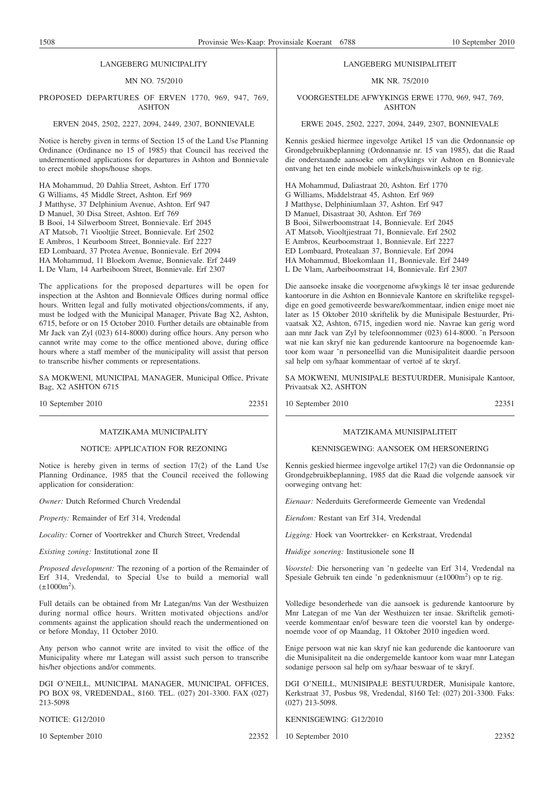#### LANGEBERG MUNICIPALITY

# MN NO. 75/2010

# PROPOSED DEPARTURES OF ERVEN 1770, 969, 947, 769, ASHTON

#### ERVEN 2045, 2502, 2227, 2094, 2449, 2307, BONNIEVALE

Notice is hereby given in terms of Section 15 of the Land Use Planning Ordinance (Ordinance no 15 of 1985) that Council has received the undermentioned applications for departures in Ashton and Bonnievale to erect mobile shops/house shops.

HA Mohammud, 20 Dahlia Street, Ashton. Erf 1770 G Williams, 45 Middle Street, Ashton. Erf 969 J Matthyse, 37 Delphinium Avenue, Ashton. Erf 947 D Manuel, 30 Disa Street, Ashton. Erf 769 B Booi, 14 Silwerboom Street, Bonnievale. Erf 2045 AT Matsob, 71 Viooltjie Street, Bonnievale. Erf 2502 E Ambros, 1 Keurboom Street, Bonnievale. Erf 2227 ED Lombaard, 37 Protea Avenue, Bonnievale. Erf 2094 HA Mohammud, 11 Bloekom Avenue, Bonnievale. Erf 2449 L De Vlam, 14 Aarbeiboom Street, Bonnievale. Erf 2307

The applications for the proposed departures will be open for inspection at the Ashton and Bonnievale Offices during normal office hours. Written legal and fully motivated objections/comments, if any, must be lodged with the Municipal Manager, Private Bag X2, Ashton, 6715, before or on 15 October 2010. Further details are obtainable from Mr Jack van Zyl (023) 614-8000) during office hours. Any person who cannot write may come to the office mentioned above, during office hours where a staff member of the municipality will assist that person to transcribe his/her comments or representations.

SA MOKWENI, MUNICIPAL MANAGER, Municipal Office, Private Bag, X2 ASHTON 6715

10 September 2010 22351

#### MATZIKAMA MUNICIPALITY

#### NOTICE: APPLICATION FOR REZONING

Notice is hereby given in terms of section 17(2) of the Land Use Planning Ordinance, 1985 that the Council received the following application for consideration:

*Owner:* Dutch Reformed Church Vredendal

*Property:* Remainder of Erf 314, Vredendal

*Locality:* Corner of Voortrekker and Church Street, Vredendal

*Existing zoning:* Institutional zone II

*Proposed development:* The rezoning of a portion of the Remainder of Erf 314, Vredendal, to Special Use to build a memorial wall  $(\pm 1000 \text{m}^2)$ .

Full details can be obtained from Mr Lategan/ms Van der Westhuizen during normal office hours. Written motivated objections and/or comments against the application should reach the undermentioned on or before Monday, 11 October 2010.

Any person who cannot write are invited to visit the office of the Municipality where mr Lategan will assist such person to transcribe his/her objections and/or comments.

DGI O'NEILL, MUNICIPAL MANAGER, MUNICIPAL OFFICES, PO BOX 98, VREDENDAL, 8160. TEL. (027) 201-3300. FAX (027) 213-5098

NOTICE: G12/2010

10 September 2010 22352

#### LANGEBERG MUNISIPALITEIT

#### MK NR. 75/2010

VOORGESTELDE AFWYKINGS ERWE 1770, 969, 947, 769, ASHTON

#### ERWE 2045, 2502, 2227, 2094, 2449, 2307, BONNIEVALE

Kennis geskied hiermee ingevolge Artikel 15 van die Ordonnansie op Grondgebruikbeplanning (Ordonnansie nr. 15 van 1985), dat die Raad die onderstaande aansoeke om afwykings vir Ashton en Bonnievale ontvang het ten einde mobiele winkels/huiswinkels op te rig.

HA Mohammud, Daliastraat 20, Ashton. Erf 1770 G Williams, Middelstraat 45, Ashton. Erf 969 J Matthyse, Delphiniumlaan 37, Ashton. Erf 947 D Manuel, Disastraat 30, Ashton. Erf 769 B Booi, Silwerboomstraat 14, Bonnievale. Erf 2045 AT Matsob, Viooltjiestraat 71, Bonnievale. Erf 2502 E Ambros, Keurboomstraat 1, Bonnievale. Erf 2227 ED Lombaard, Protealaan 37, Bonnievale. Erf 2094 HA Mohammud, Bloekomlaan 11, Bonnievale. Erf 2449 L De Vlam, Aarbeiboomstraat 14, Bonnievale. Erf 2307

Die aansoeke insake die voorgenome afwykings lê ter insae gedurende kantoorure in die Ashton en Bonnievale Kantore en skriftelike regsgeldige en goed gemotiveerde besware/kommentaar, indien enige moet nie later as 15 Oktober 2010 skriftelik by die Munisipale Bestuurder, Privaatsak X2, Ashton, 6715, ingedien word nie. Navrae kan gerig word aan mnr Jack van Zyl by telefoonnommer (023) 614-8000. 'n Persoon wat nie kan skryf nie kan gedurende kantoorure na bogenoemde kantoor kom waar 'n personeellid van die Munisipaliteit daardie persoon sal help om sy/haar kommentaar of vertoë af te skryf.

SA MOKWENI, MUNISIPALE BESTUURDER, Munisipale Kantoor, Privaatsak X2, ASHTON

10 September 2010 22351

# MATZIKAMA MUNISIPALITEIT

#### KENNISGEWING: AANSOEK OM HERSONERING

Kennis geskied hiermee ingevolge artikel 17(2) van die Ordonnansie op Grondgebruikbeplanning, 1985 dat die Raad die volgende aansoek vir oorweging ontvang het:

*Eienaar:* Nederduits Gereformeerde Gemeente van Vredendal

*Eiendom:* Restant van Erf 314, Vredendal

*Ligging:* Hoek van Voortrekker- en Kerkstraat, Vredendal

*Huidige sonering:* Institusionele sone II

*Voorstel:* Die hersonering van 'n gedeelte van Erf 314, Vredendal na Spesiale Gebruik ten einde 'n gedenknismuur (±1000m<sup>2</sup>) op te rig.

Volledige besonderhede van die aansoek is gedurende kantoorure by Mnr Lategan of me Van der Westhuizen ter insae. Skriftelik gemotiveerde kommentaar en/of besware teen die voorstel kan by ondergenoemde voor of op Maandag, 11 Oktober 2010 ingedien word.

Enige persoon wat nie kan skryf nie kan gedurende die kantoorure van die Munisipaliteit na die ondergemelde kantoor kom waar mnr Lategan sodanige persoon sal help om sy/haar beswaar of te skryf.

DGI O'NEILL, MUNISIPALE BESTUURDER, Munisipale kantore, Kerkstraat 37, Posbus 98, Vredendal, 8160 Tel: (027) 201-3300. Faks: (027) 213-5098.

KENNISGEWING: G12/2010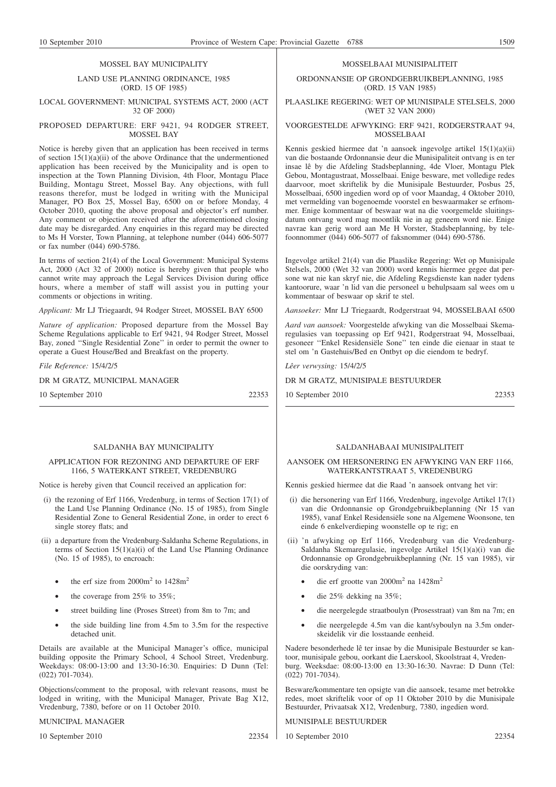#### MOSSEL BAY MUNICIPALITY

#### LAND USE PLANNING ORDINANCE, 1985 (ORD. 15 OF 1985)

#### LOCAL GOVERNMENT: MUNICIPAL SYSTEMS ACT, 2000 (ACT 32 OF 2000)

#### PROPOSED DEPARTURE: ERF 9421, 94 RODGER STREET, MOSSEL BAY

Notice is hereby given that an application has been received in terms of section  $15(1)(a)(ii)$  of the above Ordinance that the undermentioned application has been received by the Municipality and is open to inspection at the Town Planning Division, 4th Floor, Montagu Place Building, Montagu Street, Mossel Bay. Any objections, with full reasons therefor, must be lodged in writing with the Municipal Manager, PO Box 25, Mossel Bay, 6500 on or before Monday, 4 October 2010, quoting the above proposal and objector's erf number. Any comment or objection received after the aforementioned closing date may be disregarded. Any enquiries in this regard may be directed to Ms H Vorster, Town Planning, at telephone number (044) 606-5077 or fax number (044) 690-5786.

In terms of section 21(4) of the Local Government: Municipal Systems Act, 2000 (Act 32 of 2000) notice is hereby given that people who cannot write may approach the Legal Services Division during office hours, where a member of staff will assist you in putting your comments or objections in writing.

*Applicant:* Mr LJ Triegaardt, 94 Rodger Street, MOSSEL BAY 6500

*Nature of application:* Proposed departure from the Mossel Bay Scheme Regulations applicable to Erf 9421, 94 Rodger Street, Mossel Bay, zoned ''Single Residential Zone'' in order to permit the owner to operate a Guest House/Bed and Breakfast on the property.

*File Reference:* 15/4/2/5

DR M GRATZ, MUNICIPAL MANAGER

10 September 2010 22353

# SALDANHA BAY MUNICIPALITY

#### APPLICATION FOR REZONING AND DEPARTURE OF ERF 1166, 5 WATERKANT STREET, VREDENBURG

Notice is hereby given that Council received an application for:

- (i) the rezoning of Erf 1166, Vredenburg, in terms of Section 17(1) of the Land Use Planning Ordinance (No. 15 of 1985), from Single Residential Zone to General Residential Zone, in order to erect 6 single storey flats; and
- (ii) a departure from the Vredenburg-Saldanha Scheme Regulations, in terms of Section  $15(1)(a)(i)$  of the Land Use Planning Ordinance (No. 15 of 1985), to encroach:
	- the erf size from  $2000m^2$  to  $1428m^2$
	- the coverage from 25% to 35%;
	- street building line (Proses Street) from 8m to 7m; and
	- the side building line from 4.5m to 3.5m for the respective detached unit.

Details are available at the Municipal Manager's office, municipal building opposite the Primary School, 4 School Street, Vredenburg. Weekdays: 08:00-13:00 and 13:30-16:30. Enquiries: D Dunn (Tel: (022) 701-7034).

Objections/comment to the proposal, with relevant reasons, must be lodged in writing, with the Municipal Manager, Private Bag X12, Vredenburg, 7380, before or on 11 October 2010.

# MUNICIPAL MANAGER

10 September 2010 22354

#### MOSSELBAAI MUNISIPALITEIT

ORDONNANSIE OP GRONDGEBRUIKBEPLANNING, 1985 (ORD. 15 VAN 1985)

PLAASLIKE REGERING: WET OP MUNISIPALE STELSELS, 2000 (WET 32 VAN 2000)

#### VOORGESTELDE AFWYKING: ERF 9421, RODGERSTRAAT 94, MOSSELBAAI

Kennis geskied hiermee dat 'n aansoek ingevolge artikel 15(1)(a)(ii) van die bostaande Ordonnansie deur die Munisipaliteit ontvang is en ter insae lê by die Afdeling Stadsbeplanning, 4de Vloer, Montagu Plek Gebou, Montagustraat, Mosselbaai. Enige besware, met volledige redes daarvoor, moet skriftelik by die Munisipale Bestuurder, Posbus 25, Mosselbaai, 6500 ingedien word op of voor Maandag, 4 Oktober 2010, met vermelding van bogenoemde voorstel en beswaarmaker se erfnommer. Enige kommentaar of beswaar wat na die voorgemelde sluitingsdatum ontvang word mag moontlik nie in ag geneem word nie. Enige navrae kan gerig word aan Me H Vorster, Stadsbeplanning, by telefoonnommer (044) 606-5077 of faksnommer (044) 690-5786.

Ingevolge artikel 21(4) van die Plaaslike Regering: Wet op Munisipale Stelsels, 2000 (Wet 32 van 2000) word kennis hiermee gegee dat persone wat nie kan skryf nie, die Afdeling Regsdienste kan nader tydens kantoorure, waar 'n lid van die personeel u behulpsaam sal wees om u kommentaar of beswaar op skrif te stel.

*Aansoeker:* Mnr LJ Triegaardt, Rodgerstraat 94, MOSSELBAAI 6500

*Aard van aansoek:* Voorgestelde afwyking van die Mosselbaai Skemaregulasies van toepassing op Erf 9421, Rodgerstraat 94, Mosselbaai, gesoneer ''Enkel Residensiële Sone'' ten einde die eienaar in staat te stel om 'n Gastehuis/Bed en Ontbyt op die eiendom te bedryf.

*Lêer verwysing:* 15/4/2/5

DR M GRATZ, MUNISIPALE BESTUURDER

10 September 2010 22353

#### SALDANHABAAI MUNISIPALITEIT

#### AANSOEK OM HERSONERING EN AFWYKING VAN ERF 1166, WATERKANTSTRAAT 5, VREDENBURG

Kennis geskied hiermee dat die Raad 'n aansoek ontvang het vir:

- (i) die hersonering van Erf 1166, Vredenburg, ingevolge Artikel 17(1) van die Ordonnansie op Grondgebruikbeplanning (Nr 15 van 1985), vanaf Enkel Residensiële sone na Algemene Woonsone, ten einde 6 enkelverdieping woonstelle op te rig; en
- (ii) 'n afwyking op Erf 1166, Vredenburg van die Vredenburg-Saldanha Skemaregulasie, ingevolge Artikel 15(1)(a)(i) van die Ordonnansie op Grondgebruikbeplanning (Nr. 15 van 1985), vir die oorskryding van:
	- die erf grootte van 2000m<sup>2</sup> na 1428m<sup>2</sup>
	- die 25% dekking na 35%;
	- die neergelegde straatboulyn (Prosesstraat) van 8m na 7m; en
	- die neergelegde 4.5m van die kant/syboulyn na 3.5m onderskeidelik vir die losstaande eenheid.

Nadere besonderhede lê ter insae by die Munisipale Bestuurder se kantoor, munisipale gebou, oorkant die Laerskool, Skoolstraat 4, Vredenburg. Weeksdae: 08:00-13:00 en 13:30-16:30. Navrae: D Dunn (Tel: (022) 701-7034).

Besware/kommentare ten opsigte van die aansoek, tesame met betrokke redes, moet skriftelik voor of op 11 Oktober 2010 by die Munisipale Bestuurder, Privaatsak X12, Vredenburg, 7380, ingedien word.

MUNISIPALE BESTUURDER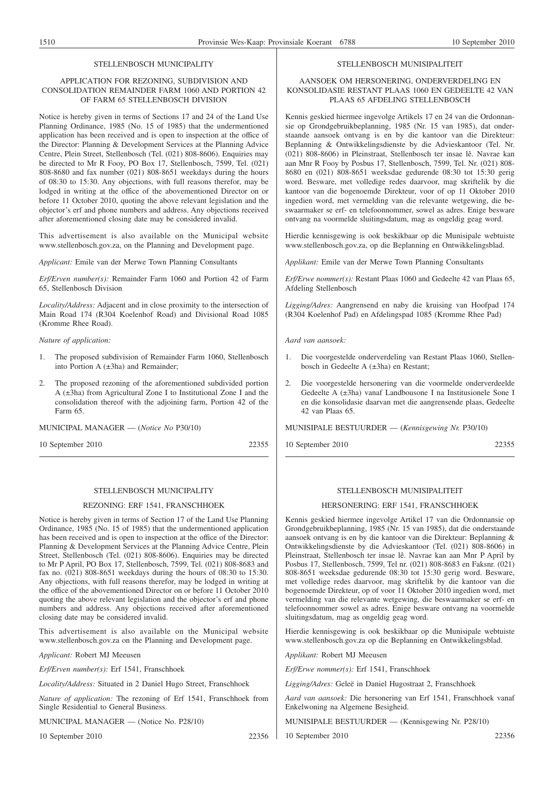#### STELLENBOSCH MUNICIPALITY

# APPLICATION FOR REZONING, SUBDIVISION AND CONSOLIDATION REMAINDER FARM 1060 AND PORTION 42 OF FARM 65 STELLENBOSCH DIVISION

Notice is hereby given in terms of Sections 17 and 24 of the Land Use Planning Ordinance, 1985 (No. 15 of 1985) that the undermentioned application has been received and is open to inspection at the office of the Director: Planning & Development Services at the Planning Advice Centre, Plein Street, Stellenbosch (Tel. (021) 808-8606). Enquiries may be directed to Mr R Fooy, PO Box 17, Stellenbosch, 7599, Tel. (021) 808-8680 and fax number (021) 808-8651 weekdays during the hours of 08:30 to 15:30. Any objections, with full reasons therefor, may be lodged in writing at the office of the abovementioned Director on or before 11 October 2010, quoting the above relevant legislation and the objector's erf and phone numbers and address. Any objections received after aforementioned closing date may be considered invalid.

This advertisement is also available on the Municipal website www.stellenbosch.gov.za, on the Planning and Development page.

*Applicant:* Emile van der Merwe Town Planning Consultants

*Erf/Erven number(s):* Remainder Farm 1060 and Portion 42 of Farm 65, Stellenbosch Division

*Locality/Address:* Adjacent and in close proximity to the intersection of Main Road 174 (R304 Koelenhof Road) and Divisional Road 1085 (Kromme Rhee Road).

#### *Nature of application:*

- 1. The proposed subdivision of Remainder Farm 1060, Stellenbosch into Portion A (±3ha) and Remainder;
- 2. The proposed rezoning of the aforementioned subdivided portion A (±3ha) from Agricultural Zone I to Institutional Zone I and the consolidation thereof with the adjoining farm, Portion 42 of the Farm 65.

MUNICIPAL MANAGER — (*Notice No* P30/10)

10 September 2010 22355

# STELLENBOSCH MUNICIPALITY

#### REZONING: ERF 1541, FRANSCHHOEK

Notice is hereby given in terms of Section 17 of the Land Use Planning Ordinance, 1985 (No. 15 of 1985) that the undermentioned application has been received and is open to inspection at the office of the Director: Planning & Development Services at the Planning Advice Centre, Plein Street, Stellenbosch (Tel. (021) 808-8606). Enquiries may be directed to Mr P April, PO Box 17, Stellenbosch, 7599, Tel. (021) 808-8683 and fax no. (021) 808-8651 weekdays during the hours of 08:30 to 15:30. Any objections, with full reasons therefor, may be lodged in writing at the office of the abovementioned Director on or before 11 October 2010 quoting the above relevant legislation and the objector's erf and phone numbers and address. Any objections received after aforementioned closing date may be considered invalid.

This advertisement is also available on the Municipal website www.stellenbosch.gov.za on the Planning and Development page.

*Applicant:* Robert MJ Meeusen

*Erf/Erven number(s):* Erf 1541, Franschhoek

*Locality/Address:* Situated in 2 Daniel Hugo Street, Franschhoek

*Nature of application:* The rezoning of Erf 1541, Franschhoek from Single Residential to General Business.

MUNICIPAL MANAGER — (Notice No. P28/10)

10 September 2010 22356

#### STELLENBOSCH MUNISIPALITEIT

# AANSOEK OM HERSONERING, ONDERVERDELING EN KONSOLIDASIE RESTANT PLAAS 1060 EN GEDEELTE 42 VAN PLAAS 65 AFDELING STELLENBOSCH

Kennis geskied hiermee ingevolge Artikels 17 en 24 van die Ordonnansie op Grondgebruikbeplanning, 1985 (Nr. 15 van 1985), dat onderstaande aansoek ontvang is en by die kantoor van die Direkteur: Beplanning & Ontwikkelingsdienste by die Advieskantoor (Tel. Nr. (021) 808-8606) in Pleinstraat, Stellenbosch ter insae lê. Navrae kan aan Mnr R Fooy by Posbus 17, Stellenbosch, 7599, Tel. Nr. (021) 808- 8680 en (021) 808-8651 weeksdae gedurende 08:30 tot 15:30 gerig word. Besware, met volledige redes daarvoor, mag skriftelik by die kantoor van die bogenoemde Direkteur, voor of op 11 Oktober 2010 ingedien word, met vermelding van die relevante wetgewing, die beswaarmaker se erf- en telefoonnommer, sowel as adres. Enige besware ontvang na voormelde sluitingsdatum, mag as ongeldig geag word.

Hierdie kennisgewing is ook beskikbaar op die Munisipale webtuiste www.stellenbosch.gov.za, op die Beplanning en Ontwikkelingsblad.

*Applikant:* Emile van der Merwe Town Planning Consultants

*Erf/Erwe nommer(s):* Restant Plaas 1060 and Gedeelte 42 van Plaas 65, Afdeling Stellenbosch

*Ligging/Adres:* Aangrensend en naby die kruising van Hoofpad 174 (R304 Koelenhof Pad) en Afdelingspad 1085 (Kromme Rhee Pad)

*Aard van aansoek:*

- 1. Die voorgestelde onderverdeling van Restant Plaas 1060, Stellenbosch in Gedeelte A (±3ha) en Restant;
- 2. Die voorgestelde hersonering van die voormelde onderverdeelde Gedeelte A (±3ha) vanaf Landbousone I na Institusionele Sone I en die konsolidasie daarvan met die aangrensende plaas, Gedeelte 42 van Plaas 65.

MUNISIPALE BESTUURDER — (*Kennisgewing Nr.* P30/10)

10 September 2010 22355

# STELLENBOSCH MUNISIPALITEIT

# HERSONERING: ERF 1541, FRANSCHHOEK

Kennis geskied hiermee ingevolge Artikel 17 van die Ordonnansie op Grondgebruikbeplanning, 1985 (Nr. 15 van 1985), dat die onderstaande aansoek ontvang is en by die kantoor van die Direkteur: Beplanning & Ontwikkelingsdienste by die Advieskantoor (Tel. (021) 808-8606) in Pleinstraat, Stellenbosch ter insae lê. Navrae kan aan Mnr P April by Posbus 17, Stellenbosch, 7599, Tel nr. (021) 808-8683 en Faksnr. (021) 808-8651 weeksdae gedurende 08:30 tot 15:30 gerig word. Besware, met volledige redes daarvoor, mag skriftelik by die kantoor van die bogenoemde Direkteur, op of voor 11 Oktober 2010 ingedien word, met vermelding van die relevante wetgewing, die beswaarmaker se erf- en telefoonnommer sowel as adres. Enige besware ontvang na voormelde sluitingsdatum, mag as ongeldig geag word.

Hierdie kennisgewing is ook beskikbaar op die Munisipale webtuiste www.stellenbosch.gov.za op die Beplanning en Ontwikkelingsblad.

*Applikant:* Robert MJ Meeusen

*Erf/Erwe nommer(s):* Erf 1541, Franschhoek

*Ligging/Adres:* Geleë in Daniel Hugostraat 2, Franschhoek

*Aard van aansoek:* Die hersonering van Erf 1541, Franschhoek vanaf Enkelwoning na Algemene Besigheid.

MUNISIPALE BESTUURDER — (Kennisgewing Nr. P28/10)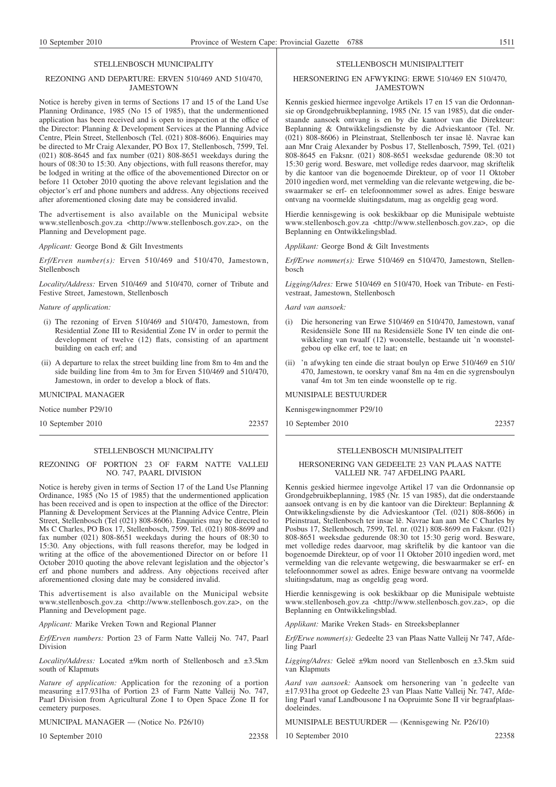#### STELLENBOSCH MUNICIPALITY

### REZONING AND DEPARTURE: ERVEN 510/469 AND 510/470, JAMESTOWN

Notice is hereby given in terms of Sections 17 and 15 of the Land Use Planning Ordinance, 1985 (No 15 of 1985), that the undermentioned application has been received and is open to inspection at the office of the Director: Planning & Development Services at the Planning Advice Centre, Plein Street, Stellenbosch (Tel. (021) 808-8606). Enquiries may be directed to Mr Craig Alexander, PO Box 17, Stellenbosch, 7599, Tel. (021) 808-8645 and fax number (021) 808-8651 weekdays during the hours of 08:30 to 15:30. Any objections, with full reasons therefor, may be lodged in writing at the office of the abovementioned Director on or before 11 October 2010 quoting the above relevant legislation and the objector's erf and phone numbers and address. Any objections received after aforementioned closing date may be considered invalid.

The advertisement is also available on the Municipal website www.stellenbosch.gov.za <http://www.stellenbosch.gov.za>, on the Planning and Development page.

*Applicant:* George Bond & Gilt Investments

*Erf/Erven number(s):* Erven 510/469 and 510/470, Jamestown, Stellenbosch

*Locality/Address:* Erven 510/469 and 510/470, corner of Tribute and Festive Street, Jamestown, Stellenbosch

#### *Nature of application:*

- (i) The rezoning of Erven 510/469 and 510/470, Jamestown, from Residential Zone III to Residential Zone IV in order to permit the development of twelve (12) flats, consisting of an apartment building on each erf; and
- (ii) A departure to relax the street building line from 8m to 4m and the side building line from 4m to 3m for Erven 510/469 and 510/470, Jamestown, in order to develop a block of flats.

MUNICIPAL MANAGER

Notice number P29/10

10 September 2010 22357

# STELLENBOSCH MUNICIPALITY

# REZONING OF PORTION 23 OF FARM NATTE VALLEIJ NO. 747, PAARL DIVISION

Notice is hereby given in terms of Section 17 of the Land Use Planning Ordinance, 1985 (No 15 of 1985) that the undermentioned application has been received and is open to inspection at the office of the Director: Planning & Development Services at the Planning Advice Centre, Plein Street, Stellenbosch (Tel (021) 808-8606). Enquiries may be directed to Ms C Charles, PO Box 17, Stellenbosch, 7599. Tel. (021) 808-8699 and fax number (021) 808-8651 weekdays during the hours of 08:30 to 15:30. Any objections, with full reasons therefor, may be lodged in writing at the office of the abovementioned Director on or before 11 October 2010 quoting the above relevant legislation and the objector's erf and phone numbers and address. Any objections received after aforementioned closing date may be considered invalid.

This advertisement is also available on the Municipal website www.stellenbosch.gov.za <http://www.stellenbosch.gov.za>, on the Planning and Development page.

*Applicant:* Marike Vreken Town and Regional Planner

*Erf/Erven numbers:* Portion 23 of Farm Natte Valleij No. 747, Paarl Division

*Locality/Address:* Located ±9km north of Stellenbosch and ±3.5km south of Klapmuts

*Nature of application:* Application for the rezoning of a portion measuring ±17.931ha of Portion 23 of Farm Natte Valleij No. 747, Paarl Division from Agricultural Zone I to Open Space Zone II for cemetery purposes.

MUNICIPAL MANAGER — (Notice No. P26/10)

10 September 2010 22358

#### STELLENBOSCH MUNISIPALTTEIT

#### HERSONERING EN AFWYKING: ERWE 510/469 EN 510/470, **JAMESTOWN**

Kennis geskied hiermee ingevolge Artikels 17 en 15 van die Ordonnansie op Grondgebruikbeplanning, 1985 (Nr. 15 van 1985), dat die onderstaande aansoek ontvang is en by die kantoor van die Direkteur: Beplanning & Ontwikkelingsdienste by die Advieskantoor (Tel. Nr. (021) 808-8606) in Pleinstraat, Stellenbosch ter insae lê. Navrae kan aan Mnr Craig Alexander by Posbus 17, Stellenbosch, 7599, Tel. (021) 808-8645 en Faksnr. (021) 808-8651 weeksdae gedurende 08:30 tot 15:30 gerig word. Besware, met volledige redes daarvoor, mag skriftelik by die kantoor van die bogenoemde Direkteur, op of voor 11 Oktober 2010 ingedien word, met vermelding van die relevante wetgewing, die beswaarmaker se erf- en telefoonnommer sowel as adres. Enige besware ontvang na voormelde sluitingsdatum, mag as ongeldig geag word.

Hierdie kennisgewing is ook beskikbaar op die Munisipale webtuiste www.stellenbosch.gov.za <http://www.stellenbosch.gov.za>, op die Beplanning en Ontwikkelingsblad.

*Applikant:* George Bond & Gilt Investments

*Erf/Erwe nommer(s):* Erwe 510/469 en 510/470, Jamestown, Stellenbosch

*Ligging/Adres:* Erwe 510/469 en 510/470, Hoek van Tribute- en Festivestraat, Jamestown, Stellenbosch

*Aard van aansoek:*

- (i) Die hersonering van Erwe 510/469 en 510/470, Jamestown, vanaf Residensiële Sone III na Residensiële Sone IV ten einde die ontwikkeling van twaalf (12) woonstelle, bestaande uit 'n woonstelgebou op elke erf, toe te laat; en
- (ii) 'n afwyking ten einde die straat boulyn op Erwe 510/469 en 510/ 470, Jamestown, te oorskry vanaf 8m na 4m en die sygrensboulyn vanaf 4m tot 3m ten einde woonstelle op te rig.

# MUNISIPALE BESTUURDER

Kennisgewingnommer P29/10

10 September 2010 22357

#### STELLENBOSCH MUNISIPALITEIT

#### HERSONERING VAN GEDEELTE 23 VAN PLAAS NATTE VALLEIJ NR. 747 AFDELING PAARL

Kennis geskied hiermee ingevolge Artikel 17 van die Ordonnansie op Grondgebruikbeplanning, 1985 (Nr. 15 van 1985), dat die onderstaande aansoek ontvang is en by die kantoor van die Direkteur: Beplanning & Ontwikkelingsdienste by die Advieskantoor (Tel. (021) 808-8606) in Pleinstraat, Stellenbosch ter insae lê. Navrae kan aan Me C Charles by Posbus 17, Stellenbosch, 7599, Tel. nr. (021) 808-8699 en Faksnr. (021) 808-8651 weeksdae gedurende 08:30 tot 15:30 gerig word. Besware, met volledige redes daarvoor, mag skriftelik by die kantoor van die bogenoemde Direkteur, op of voor 11 Oktober 2010 ingedien word, met vermelding van die relevante wetgewing, die beswaarmaker se erf- en telefoonnommer sowel as adres. Enige besware ontvang na voormelde sluitingsdatum, mag as ongeldig geag word.

Hierdie kennisgewing is ook beskikbaar op die Munisipale webtuiste www.stellenboseh.gov.za <http://www.stellenbosch.gov.za>, op die Beplanning en Ontwikkelingsblad.

*Applikant:* Marike Vreken Stads- en Streeksbeplanner

*Erf/Erwe nommer(s):* Gedeelte 23 van Plaas Natte Valleij Nr 747, Afdeling Paarl

*Ligging/Adres:* Geleë ±9km noord van Stellenbosch en ±3.5km suid van Klapmuts

*Aard van aansoek:* Aansoek om hersonering van 'n gedeelte van ±17.931ha groot op Gedeelte 23 van Plaas Natte Valleij Nr. 747, Afdeling Paarl vanaf Landbousone I na Oopruimte Sone II vir begraafplaasdoeleindes.

MUNISIPALE BESTUURDER — (Kennisgewing Nr. P26/10)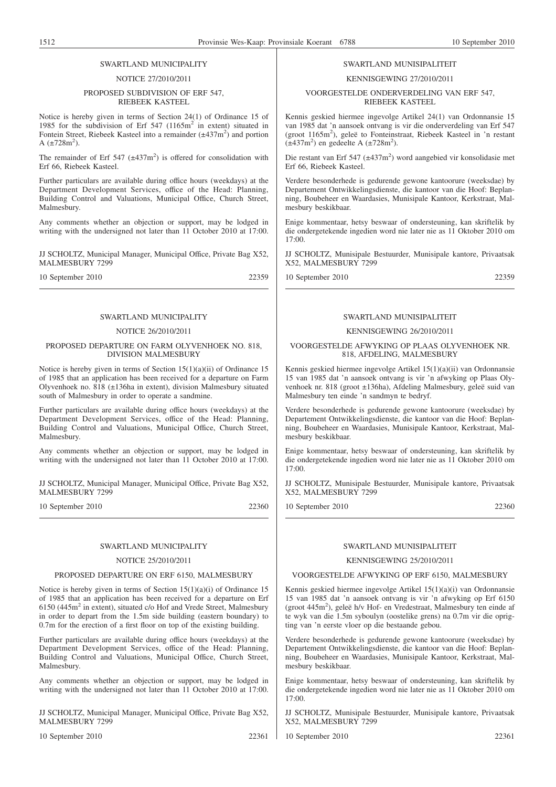# SWARTLAND MUNICIPALITY

#### NOTICE 27/2010/2011

#### PROPOSED SUBDIVISION OF ERF 547, RIEBEEK KASTEEL

Notice is hereby given in terms of Section 24(1) of Ordinance 15 of 1985 for the subdivision of Erf 547 (1165m<sup>2</sup> in extent) situated in Fontein Street, Riebeek Kasteel into a remainder  $(\pm 437 \text{m}^2)$  and portion A  $(\pm 728 \text{m}^2)$ .

The remainder of Erf 547  $(\pm 437 \text{ m}^2)$  is offered for consolidation with Erf 66, Riebeek Kasteel.

Further particulars are available during office hours (weekdays) at the Department Development Services, office of the Head: Planning, Building Control and Valuations, Municipal Office, Church Street, Malmesbury.

Any comments whether an objection or support, may be lodged in writing with the undersigned not later than 11 October 2010 at 17:00.

JJ SCHOLTZ, Municipal Manager, Municipal Office, Private Bag X52, MALMESBURY 7299

10 September 2010 22359

# SWARTLAND MUNICIPALITY

# NOTICE 26/2010/2011

# PROPOSED DEPARTURE ON FARM OLYVENHOEK NO. 818, DIVISION MALMESBURY

Notice is hereby given in terms of Section 15(1)(a)(ii) of Ordinance 15 of 1985 that an application has been received for a departure on Farm Olyvenhoek no. 818 (±136ha in extent), division Malmesbury situated south of Malmesbury in order to operate a sandmine.

Further particulars are available during office hours (weekdays) at the Department Development Services, office of the Head: Planning, Building Control and Valuations, Municipal Office, Church Street, Malmesbury.

Any comments whether an objection or support, may be lodged in writing with the undersigned not later than 11 October 2010 at 17:00.

JJ SCHOLTZ, Municipal Manager, Municipal Office, Private Bag X52, MALMESBURY 7299

10 September 2010 22360

# SWARTLAND MUNICIPALITY

# NOTICE 25/2010/2011

#### PROPOSED DEPARTURE ON ERF 6150, MALMESBURY

Notice is hereby given in terms of Section 15(1)(a)(i) of Ordinance 15 of 1985 that an application has been received for a departure on Erf 6150 (445m<sup>2</sup> in extent), situated c/o Hof and Vrede Street, Malmesbury in order to depart from the 1.5m side building (eastern boundary) to 0.7m for the erection of a first floor on top of the existing building.

Further particulars are available during office hours (weekdays) at the Department Development Services, office of the Head: Planning, Building Control and Valuations, Municipal Office, Church Street, Malmesbury.

Any comments whether an objection or support, may be lodged in writing with the undersigned not later than 11 October 2010 at 17:00.

JJ SCHOLTZ, Municipal Manager, Municipal Office, Private Bag X52, MALMESBURY 7299

10 September 2010 22361

# SWARTLAND MUNISIPALITEIT

#### KENNISGEWING 27/2010/2011

# VOORGESTELDE ONDERVERDELING VAN ERF 547, RIEBEEK KASTEEL

Kennis geskied hiermee ingevolge Artikel 24(1) van Ordonnansie 15 van 1985 dat 'n aansoek ontvang is vir die onderverdeling van Erf 547 (groot 1165m<sup>2</sup>), geleë to Fonteinstraat, Riebeek Kasteel in 'n restant  $(\pm 437 \text{m}^2)$  en gedeelte A ( $\pm 728 \text{m}^2$ ).

Die restant van Erf 547 (±437m<sup>2</sup>) word aangebied vir konsolidasie met Erf 66, Riebeek Kasteel.

Verdere besonderhede is gedurende gewone kantoorure (weeksdae) by Departement Ontwikkelingsdienste, die kantoor van die Hoof: Beplanning, Boubeheer en Waardasies, Munisipale Kantoor, Kerkstraat, Malmesbury beskikbaar.

Enige kommentaar, hetsy beswaar of ondersteuning, kan skriftelik by die ondergetekende ingedien word nie later nie as 11 Oktober 2010 om 17:00.

JJ SCHOLTZ, Munisipale Bestuurder, Munisipale kantore, Privaatsak X52, MALMESBURY 7299

10 September 2010 22359

# SWARTLAND MUNISIPALITEIT

# KENNISGEWING 26/2010/2011

#### VOORGESTELDE AFWYKING OP PLAAS OLYVENHOEK NR. 818, AFDELING, MALMESBURY

Kennis geskied hiermee ingevolge Artikel 15(1)(a)(ii) van Ordonnansie 15 van 1985 dat 'n aansoek ontvang is vir 'n afwyking op Plaas Olyvenhoek nr. 818 (groot ±136ha), Afdeling Malmesbury, geleë suid van Malmesbury ten einde 'n sandmyn te bedryf.

Verdere besonderhede is gedurende gewone kantoorure (weeksdae) by Departement Ontwikkelingsdienste, die kantoor van die Hoof: Beplanning, Boubeheer en Waardasies, Munisipale Kantoor, Kerkstraat, Malmesbury beskikbaar.

Enige kommentaar, hetsy beswaar of ondersteuning, kan skriftelik by die ondergetekende ingedien word nie later nie as 11 Oktober 2010 om 17:00.

JJ SCHOLTZ, Munisipale Bestuurder, Munisipale kantore, Privaatsak X52, MALMESBURY 7299

10 September 2010 22360

# SWARTLAND MUNISIPALITEIT

# KENNISGEWING 25/2010/2011

# VOORGESTELDE AFWYKING OP ERF 6150, MALMESBURY

Kennis geskied hiermee ingevolge Artikel 15(1)(a)(i) van Ordonnansie 15 van 1985 dat 'n aansoek ontvang is vir 'n afwyking op Erf 6150 (groot 445m<sup>2</sup>), geleë h/v Hof- en Vredestraat, Malmesbury ten einde af te wyk van die 1.5m syboulyn (oostelike grens) na 0.7m vir die oprigting van 'n eerste vloer op die bestaande gebou.

Verdere besonderhede is gedurende gewone kantoorure (weeksdae) by Departement Ontwikkelingsdienste, die kantoor van die Hoof: Beplanning, Boubeheer en Waardasies, Munisipale Kantoor, Kerkstraat, Malmesbury beskikbaar.

Enige kommentaar, hetsy beswaar of ondersteuning, kan skriftelik by die ondergetekende ingedien word nie later nie as 11 Oktober 2010 om 17:00.

JJ SCHOLTZ, Munisipale Bestuurder, Munisipale kantore, Privaatsak X52, MALMESBURY 7299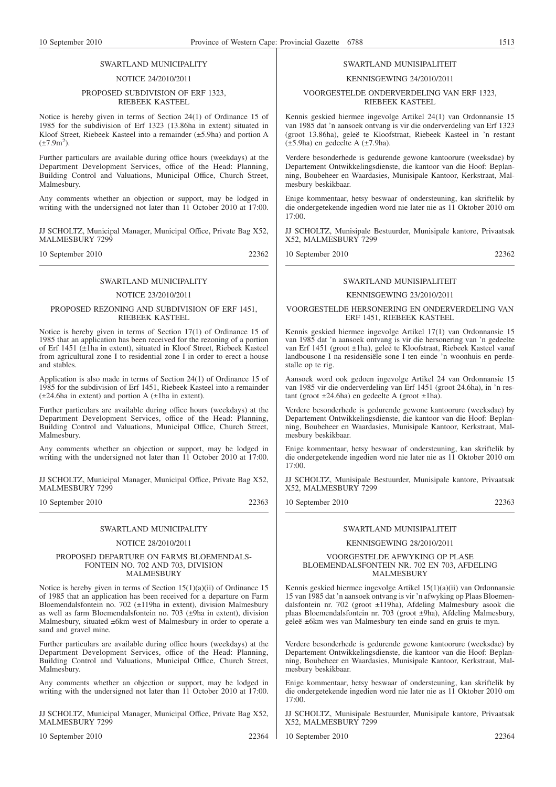# SWARTLAND MUNICIPALITY

#### NOTICE 24/2010/2011

## PROPOSED SUBDIVISION OF ERF 1323, RIEBEEK KASTEEL

Notice is hereby given in terms of Section 24(1) of Ordinance 15 of 1985 for the subdivision of Erf 1323 (13.86ha in extent) situated in Kloof Street, Riebeek Kasteel into a remainder (±5.9ha) and portion A  $(\pm 7.9 \text{m}^2)$ .

Further particulars are available during office hours (weekdays) at the Department Development Services, office of the Head: Planning, Building Control and Valuations, Municipal Office, Church Street, Malmesbury.

Any comments whether an objection or support, may be lodged in writing with the undersigned not later than 11 October 2010 at 17:00.

JJ SCHOLTZ, Municipal Manager, Municipal Office, Private Bag X52, MALMESBURY 7299

10 September 2010 22362

# SWARTLAND MUNICIPALITY

# NOTICE 23/2010/2011

### PROPOSED REZONING AND SUBDIVISION OF ERF 1451, RIEBEEK KASTEEL

Notice is hereby given in terms of Section 17(1) of Ordinance 15 of 1985 that an application has been received for the rezoning of a portion of Erf 1451 (±1ha in extent), situated in Kloof Street, Riebeek Kasteel from agricultural zone I to residential zone I in order to erect a house and stables.

Application is also made in terms of Section 24(1) of Ordinance 15 of 1985 for the subdivision of Erf 1451, Riebeek Kasteel into a remainder (±24.6ha in extent) and portion A (±1ha in extent).

Further particulars are available during office hours (weekdays) at the Department Development Services, office of the Head: Planning, Building Control and Valuations, Municipal Office, Church Street, Malmesbury.

Any comments whether an objection or support, may be lodged in writing with the undersigned not later than 11 October 2010 at 17:00.

JJ SCHOLTZ, Municipal Manager, Municipal Office, Private Bag X52, MALMESBURY 7299

10 September 2010 22363

## SWARTLAND MUNICIPALITY

### NOTICE 28/2010/2011

### PROPOSED DEPARTURE ON FARMS BLOEMENDALS-FONTEIN NO. 702 AND 703, DIVISION MALMESBURY

Notice is hereby given in terms of Section  $15(1)(a)(ii)$  of Ordinance 15 of 1985 that an application has been received for a departure on Farm Bloemendalsfontein no. 702 (±119ha in extent), division Malmesbury as well as farm Bloemendalsfontein no. 703 (±9ha in extent), division Malmesbury, situated ±6km west of Malmesbury in order to operate a sand and gravel mine.

Further particulars are available during office hours (weekdays) at the Department Development Services, office of the Head: Planning, Building Control and Valuations, Municipal Office, Church Street, Malmesbury.

Any comments whether an objection or support, may be lodged in writing with the undersigned not later than 11 October 2010 at 17:00.

JJ SCHOLTZ, Municipal Manager, Municipal Office, Private Bag X52, MALMESBURY 7299

10 September 2010 22364

### SWARTLAND MUNISIPALITEIT

## KENNISGEWING 24/2010/2011

## VOORGESTELDE ONDERVERDELING VAN ERF 1323, RIEBEEK KASTEEL

Kennis geskied hiermee ingevolge Artikel 24(1) van Ordonnansie 15 van 1985 dat 'n aansoek ontvang is vir die onderverdeling van Erf 1323 (groot 13.86ha), geleë te Kloofstraat, Riebeek Kasteel in 'n restant (±5.9ha) en gedeelte A (±7.9ha).

Verdere besonderhede is gedurende gewone kantoorure (weeksdae) by Departement Ontwikkelingsdienste, die kantoor van die Hoof: Beplanning, Boubeheer en Waardasies, Munisipale Kantoor, Kerkstraat, Malmesbury beskikbaar.

Enige kommentaar, hetsy beswaar of ondersteuning, kan skriftelik by die ondergetekende ingedien word nie later nie as 11 Oktober 2010 om 17:00.

JJ SCHOLTZ, Munisipale Bestuurder, Munisipale kantore, Privaatsak X52, MALMESBURY 7299

10 September 2010 22362

# SWARTLAND MUNISIPALITEIT

### KENNISGEWING 23/2010/2011

### VOORGESTELDE HERSONERING EN ONDERVERDELING VAN ERF 1451, RIEBEEK KASTEEL

Kennis geskied hiermee ingevolge Artikel 17(1) van Ordonnansie 15 van 1985 dat 'n aansoek ontvang is vir die hersonering van 'n gedeelte van Erf 1451 (groot ±1ha), geleë te Kloofstraat, Riebeek Kasteel vanaf landbousone I na residensiële sone I ten einde 'n woonhuis en perdestalle op te rig.

Aansoek word ook gedoen ingevolge Artikel 24 van Ordonnansie 15 van 1985 vir die onderverdeling van Erf 1451 (groot 24.6ha), in 'n restant (groot  $\pm 24.6$ ha) en gedeelte A (groot  $\pm 1$ ha).

Verdere besonderhede is gedurende gewone kantoorure (weeksdae) by Departement Ontwikkelingsdienste, die kantoor van die Hoof: Beplanning, Boubeheer en Waardasies, Munisipale Kantoor, Kerkstraat, Malmesbury beskikbaar.

Enige kommentaar, hetsy beswaar of ondersteuning, kan skriftelik by die ondergetekende ingedien word nie later nie as 11 Oktober 2010 om 17:00.

JJ SCHOLTZ, Munisipale Bestuurder, Munisipale kantore, Privaatsak X52, MALMESBURY 7299

10 September 2010 22363

## SWARTLAND MUNISIPALITEIT

# KENNISGEWING 28/2010/2011

### VOORGESTELDE AFWYKING OP PLASE BLOEMENDALSFONTEIN NR. 702 EN 703, AFDELING MALMESBURY

Kennis geskied hiermee ingevolge Artikel 15(1)(a)(ii) van Ordonnansie 15 van 1985 dat 'n aansoek ontvang is vir 'n afwyking op Plaas Bloemendalsfontein nr. 702 (groot ±119ha), Afdeling Malmesbury asook die plaas Bloemendalsfontein nr. 703 (groot ±9ha), Afdeling Malmesbury, geleë ±6km wes van Malmesbury ten einde sand en gruis te myn.

Verdere besonderhede is gedurende gewone kantoorure (weeksdae) by Departement Ontwikkelingsdienste, die kantoor van die Hoof: Beplanning, Boubeheer en Waardasies, Munisipale Kantoor, Kerkstraat, Malmesbury beskikbaar.

Enige kommentaar, hetsy beswaar of ondersteuning, kan skriftelik by die ondergetekende ingedien word nie later nie as 11 Oktober 2010 om 17:00.

JJ SCHOLTZ, Munisipale Bestuurder, Munisipale kantore, Privaatsak X52, MALMESBURY 7299

10 September 2010 22364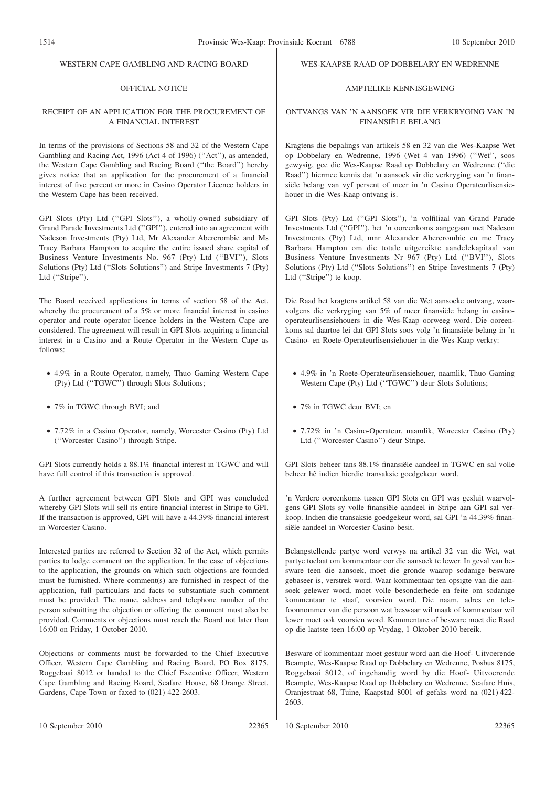### WESTERN CAPE GAMBLING AND RACING BOARD

# OFFICIAL NOTICE

## RECEIPT OF AN APPLICATION FOR THE PROCUREMENT OF A FINANCIAL INTEREST

In terms of the provisions of Sections 58 and 32 of the Western Cape Gambling and Racing Act, 1996 (Act 4 of 1996) (''Act''), as amended, the Western Cape Gambling and Racing Board (''the Board'') hereby gives notice that an application for the procurement of a financial interest of five percent or more in Casino Operator Licence holders in the Western Cape has been received.

GPI Slots (Pty) Ltd (''GPI Slots''), a wholly-owned subsidiary of Grand Parade Investments Ltd (''GPI''), entered into an agreement with Nadeson Investments (Pty) Ltd, Mr Alexander Abercrombie and Ms Tracy Barbara Hampton to acquire the entire issued share capital of Business Venture Investments No. 967 (Pty) Ltd (''BVI''), Slots Solutions (Pty) Ltd (''Slots Solutions'') and Stripe Investments 7 (Pty) Ltd ("Stripe").

The Board received applications in terms of section 58 of the Act, whereby the procurement of a 5% or more financial interest in casino operator and route operator licence holders in the Western Cape are considered. The agreement will result in GPI Slots acquiring a financial interest in a Casino and a Route Operator in the Western Cape as follows:

- 4.9% in a Route Operator, namely, Thuo Gaming Western Cape (Pty) Ltd (''TGWC'') through Slots Solutions;
- 7% in TGWC through BVI; and
- 7.72% in a Casino Operator, namely, Worcester Casino (Pty) Ltd (''Worcester Casino'') through Stripe.

GPI Slots currently holds a 88.1% financial interest in TGWC and will have full control if this transaction is approved.

A further agreement between GPI Slots and GPI was concluded whereby GPI Slots will sell its entire financial interest in Stripe to GPI. If the transaction is approved, GPI will have a 44.39% financial interest in Worcester Casino.

Interested parties are referred to Section 32 of the Act, which permits parties to lodge comment on the application. In the case of objections to the application, the grounds on which such objections are founded must be furnished. Where comment(s) are furnished in respect of the application, full particulars and facts to substantiate such comment must be provided. The name, address and telephone number of the person submitting the objection or offering the comment must also be provided. Comments or objections must reach the Board not later than 16:00 on Friday, 1 October 2010.

Objections or comments must be forwarded to the Chief Executive Officer, Western Cape Gambling and Racing Board, PO Box 8175, Roggebaai 8012 or handed to the Chief Executive Officer, Western Cape Gambling and Racing Board, Seafare House, 68 Orange Street, Gardens, Cape Town or faxed to (021) 422-2603.

### WES-KAAPSE RAAD OP DOBBELARY EN WEDRENNE

# AMPTELIKE KENNISGEWING

## ONTVANGS VAN 'N AANSOEK VIR DIE VERKRYGING VAN 'N FINANSIËLE BELANG

Kragtens die bepalings van artikels 58 en 32 van die Wes-Kaapse Wet op Dobbelary en Wedrenne, 1996 (Wet 4 van 1996) (''Wet'', soos gewysig, gee die Wes-Kaapse Raad op Dobbelary en Wedrenne (''die Raad'') hiermee kennis dat 'n aansoek vir die verkryging van 'n finansiële belang van vyf persent of meer in 'n Casino Operateurlisensiehouer in die Wes-Kaap ontvang is.

GPI Slots (Pty) Ltd (''GPI Slots''), 'n volfiliaal van Grand Parade Investments Ltd (''GPI''), het 'n ooreenkoms aangegaan met Nadeson Investments (Pty) Ltd, mnr Alexander Abercrombie en me Tracy Barbara Hampton om die totale uitgereikte aandelekapitaal van Business Venture Investments Nr 967 (Pty) Ltd (''BVI''), Slots Solutions (Pty) Ltd (''Slots Solutions'') en Stripe Investments 7 (Pty) Ltd (''Stripe'') te koop.

Die Raad het kragtens artikel 58 van die Wet aansoeke ontvang, waarvolgens die verkryging van 5% of meer finansiële belang in casinooperateurlisensiehouers in die Wes-Kaap oorweeg word. Die ooreenkoms sal daartoe lei dat GPI Slots soos volg 'n finansiële belang in 'n Casino- en Roete-Operateurlisensiehouer in die Wes-Kaap verkry:

- 4.9% in 'n Roete-Operateurlisensiehouer, naamlik, Thuo Gaming Western Cape (Pty) Ltd ("TGWC") deur Slots Solutions;
- 7% in TGWC deur BVI; en
- 7.72% in 'n Casino-Operateur, naamlik, Worcester Casino (Pty) Ltd (''Worcester Casino'') deur Stripe.

GPI Slots beheer tans 88.1% finansiële aandeel in TGWC en sal volle beheer hê indien hierdie transaksie goedgekeur word.

'n Verdere ooreenkoms tussen GPI Slots en GPI was gesluit waarvolgens GPI Slots sy volle finansiële aandeel in Stripe aan GPI sal verkoop. Indien die transaksie goedgekeur word, sal GPI 'n 44.39% finansiële aandeel in Worcester Casino besit.

Belangstellende partye word verwys na artikel 32 van die Wet, wat partye toelaat om kommentaar oor die aansoek te lewer. In geval van besware teen die aansoek, moet die gronde waarop sodanige besware gebaseer is, verstrek word. Waar kommentaar ten opsigte van die aansoek gelewer word, moet volle besonderhede en feite om sodanige kommentaar te staaf, voorsien word. Die naam, adres en telefoonnommer van die persoon wat beswaar wil maak of kommentaar wil lewer moet ook voorsien word. Kommentare of besware moet die Raad op die laatste teen 16:00 op Vrydag, 1 Oktober 2010 bereik.

Besware of kommentaar moet gestuur word aan die Hoof- Uitvoerende Beampte, Wes-Kaapse Raad op Dobbelary en Wedrenne, Posbus 8175, Roggebaai 8012, of ingehandig word by die Hoof- Uitvoerende Beampte, Wes-Kaapse Raad op Dobbelary en Wedrenne, Seafare Huis, Oranjestraat 68, Tuine, Kaapstad 8001 of gefaks word na (021) 422- 2603.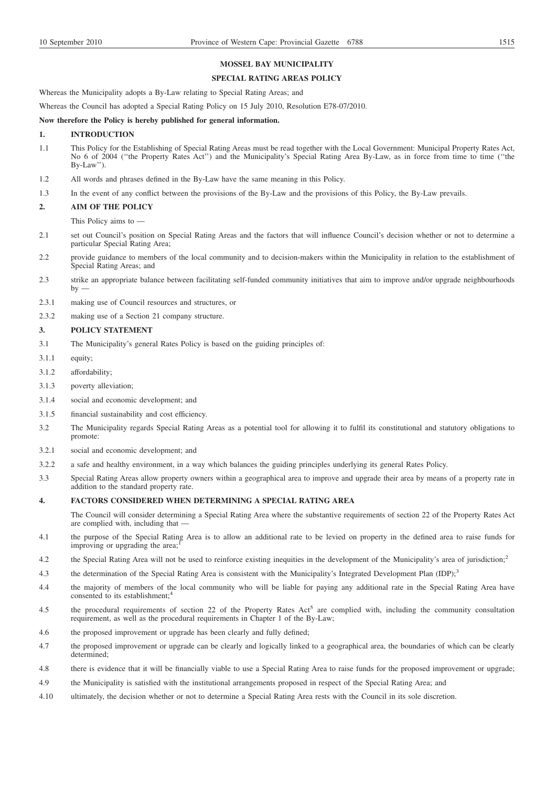# **MOSSEL BAY MUNICIPALITY**

### **SPECIAL RATING AREAS POLICY**

Whereas the Municipality adopts a By-Law relating to Special Rating Areas; and

Whereas the Council has adopted a Special Rating Policy on 15 July 2010, Resolution E78-07/2010.

### **Now therefore the Policy is hereby published for general information.**

## **1. INTRODUCTION**

- 1.1 This Policy for the Establishing of Special Rating Areas must be read together with the Local Government: Municipal Property Rates Act, No 6 of 2004 (''the Property Rates Act'') and the Municipality's Special Rating Area By-Law, as in force from time to time (''the  $Bv-I.aw$ ").
- 1.2 All words and phrases defined in the By-Law have the same meaning in this Policy.
- 1.3 In the event of any conflict between the provisions of the By-Law and the provisions of this Policy, the By-Law prevails.

#### **2. AIM OF THE POLICY**

This Policy aims to —

- 2.1 set out Council's position on Special Rating Areas and the factors that will influence Council's decision whether or not to determine a particular Special Rating Area;
- 2.2 provide guidance to members of the local community and to decision-makers within the Municipality in relation to the establishment of Special Rating Areas; and
- 2.3 strike an appropriate balance between facilitating self-funded community initiatives that aim to improve and/or upgrade neighbourhoods  $by$
- 2.3.1 making use of Council resources and structures, or
- 2.3.2 making use of a Section 21 company structure.

## **3. POLICY STATEMENT**

- 3.1 The Municipality's general Rates Policy is based on the guiding principles of:
- 3.1.1 equity;
- 3.1.2 affordability;
- 3.1.3 poverty alleviation;
- 3.1.4 social and economic development; and
- 3.1.5 financial sustainability and cost efficiency.
- 3.2 The Municipality regards Special Rating Areas as a potential tool for allowing it to fulfil its constitutional and statutory obligations to promote:
- 3.2.1 social and economic development; and
- 3.2.2 a safe and healthy environment, in a way which balances the guiding principles underlying its general Rates Policy.
- 3.3 Special Rating Areas allow property owners within a geographical area to improve and upgrade their area by means of a property rate in addition to the standard property rate.

## **4. FACTORS CONSIDERED WHEN DETERMINING A SPECIAL RATING AREA**

The Council will consider determining a Special Rating Area where the substantive requirements of section 22 of the Property Rates Act are complied with, including that

- 4.1 the purpose of the Special Rating Area is to allow an additional rate to be levied on property in the defined area to raise funds for improving or upgrading the area;
- 4.2 the Special Rating Area will not be used to reinforce existing inequities in the development of the Municipality's area of jurisdiction;<sup>2</sup>
- 4.3 the determination of the Special Rating Area is consistent with the Municipality's Integrated Development Plan (IDP);<sup>3</sup>
- 4.4 the majority of members of the local community who will be liable for paying any additional rate in the Special Rating Area have consented to its establishment;<sup>4</sup>
- 4.5 the procedural requirements of section 22 of the Property Rates Act<sup>5</sup> are complied with, including the community consultation requirement, as well as the procedural requirements in Chapter 1 of the By-Law;
- 4.6 the proposed improvement or upgrade has been clearly and fully defined;
- 4.7 the proposed improvement or upgrade can be clearly and logically linked to a geographical area, the boundaries of which can be clearly determined;
- 4.8 there is evidence that it will be financially viable to use a Special Rating Area to raise funds for the proposed improvement or upgrade;
- 4.9 the Municipality is satisfied with the institutional arrangements proposed in respect of the Special Rating Area; and
- 4.10 ultimately, the decision whether or not to determine a Special Rating Area rests with the Council in its sole discretion.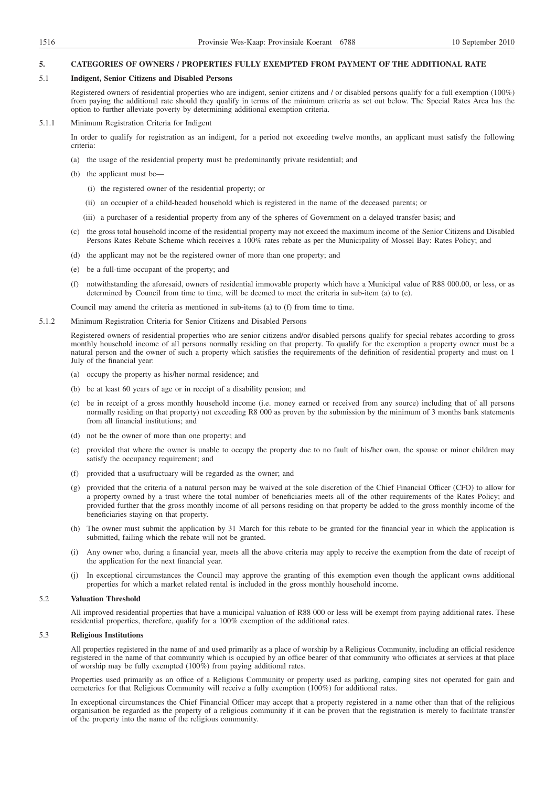### **5. CATEGORIES OF OWNERS / PROPERTIES FULLY EXEMPTED FROM PAYMENT OF THE ADDITIONAL RATE**

#### 5.1 **Indigent, Senior Citizens and Disabled Persons**

Registered owners of residential properties who are indigent, senior citizens and / or disabled persons qualify for a full exemption (100%) from paying the additional rate should they qualify in terms of the minimum criteria as set out below. The Special Rates Area has the option to further alleviate poverty by determining additional exemption criteria.

### 5.1.1 Minimum Registration Criteria for Indigent

In order to qualify for registration as an indigent, for a period not exceeding twelve months, an applicant must satisfy the following criteria:

- (a) the usage of the residential property must be predominantly private residential; and
- (b) the applicant must be—
	- (i) the registered owner of the residential property; or
	- (ii) an occupier of a child-headed household which is registered in the name of the deceased parents; or
	- (iii) a purchaser of a residential property from any of the spheres of Government on a delayed transfer basis; and
- (c) the gross total household income of the residential property may not exceed the maximum income of the Senior Citizens and Disabled Persons Rates Rebate Scheme which receives a 100% rates rebate as per the Municipality of Mossel Bay: Rates Policy; and
- (d) the applicant may not be the registered owner of more than one property; and
- (e) be a full-time occupant of the property; and
- (f) notwithstanding the aforesaid, owners of residential immovable property which have a Municipal value of R88 000.00, or less, or as determined by Council from time to time, will be deemed to meet the criteria in sub-item (a) to (e).

Council may amend the criteria as mentioned in sub-items (a) to (f) from time to time.

5.1.2 Minimum Registration Criteria for Senior Citizens and Disabled Persons

Registered owners of residential properties who are senior citizens and/or disabled persons qualify for special rebates according to gross monthly household income of all persons normally residing on that property. To qualify for the exemption a property owner must be a natural person and the owner of such a property which satisfies the requirements of the definition of residential property and must on 1 July of the financial year:

- (a) occupy the property as his/her normal residence; and
- (b) be at least 60 years of age or in receipt of a disability pension; and
- (c) be in receipt of a gross monthly household income (i.e. money earned or received from any source) including that of all persons normally residing on that property) not exceeding R8 000 as proven by the submission by the minimum of 3 months bank statements from all financial institutions; and
- (d) not be the owner of more than one property; and
- (e) provided that where the owner is unable to occupy the property due to no fault of his/her own, the spouse or minor children may satisfy the occupancy requirement; and
- (f) provided that a usufructuary will be regarded as the owner; and
- (g) provided that the criteria of a natural person may be waived at the sole discretion of the Chief Financial Officer (CFO) to allow for a property owned by a trust where the total number of beneficiaries meets all of the other requirements of the Rates Policy; and provided further that the gross monthly income of all persons residing on that property be added to the gross monthly income of the beneficiaries staying on that property.
- (h) The owner must submit the application by 31 March for this rebate to be granted for the financial year in which the application is submitted, failing which the rebate will not be granted.
- (i) Any owner who, during a financial year, meets all the above criteria may apply to receive the exemption from the date of receipt of the application for the next financial year.
- (j) In exceptional circumstances the Council may approve the granting of this exemption even though the applicant owns additional properties for which a market related rental is included in the gross monthly household income.

# 5.2 **Valuation Threshold**

All improved residential properties that have a municipal valuation of R88 000 or less will be exempt from paying additional rates. These residential properties, therefore, qualify for a 100% exemption of the additional rates.

## 5.3 **Religious Institutions**

All properties registered in the name of and used primarily as a place of worship by a Religious Community, including an official residence registered in the name of that community which is occupied by an office bearer of that community who officiates at services at that place of worship may be fully exempted (100%) from paying additional rates.

Properties used primarily as an office of a Religious Community or property used as parking, camping sites not operated for gain and cemeteries for that Religious Community will receive a fully exemption (100%) for additional rates.

In exceptional circumstances the Chief Financial Officer may accept that a property registered in a name other than that of the religious organisation be regarded as the property of a religious community if it can be proven that the registration is merely to facilitate transfer of the property into the name of the religious community.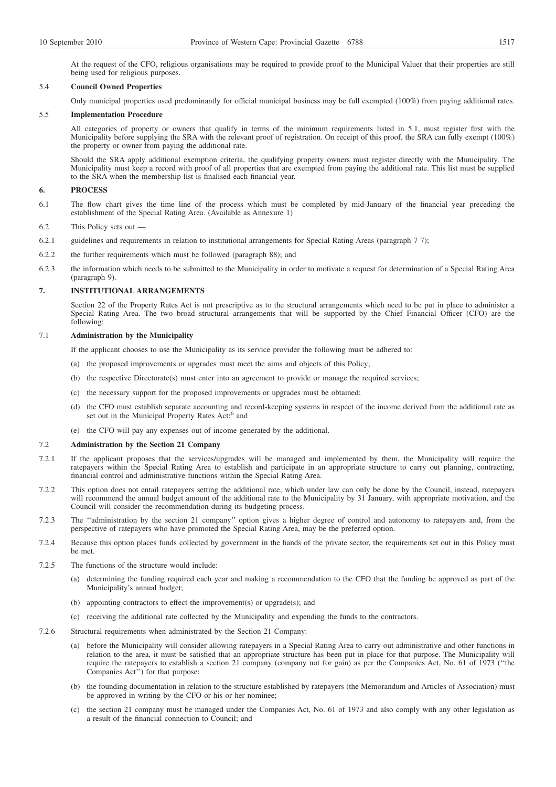At the request of the CFO, religious organisations may be required to provide proof to the Municipal Valuer that their properties are still being used for religious purposes.

## 5.4 **Council Owned Properties**

Only municipal properties used predominantly for official municipal business may be full exempted (100%) from paying additional rates.

#### 5.5 **Implementation Procedure**

All categories of property or owners that qualify in terms of the minimum requirements listed in 5.1, must register first with the Municipality before supplying the SRA with the relevant proof of registration. On receipt of this proof, the SRA can fully exempt (100%) the property or owner from paying the additional rate.

Should the SRA apply additional exemption criteria, the qualifying property owners must register directly with the Municipality. The Municipality must keep a record with proof of all properties that are exempted from paying the additional rate. This list must be supplied to the SRA when the membership list is finalised each financial year.

### **6. PROCESS**

- 6.1 The flow chart gives the time line of the process which must be completed by mid-January of the financial year preceding the establishment of the Special Rating Area. (Available as Annexure 1)
- 6.2 This Policy sets out —
- 6.2.1 guidelines and requirements in relation to institutional arrangements for Special Rating Areas (paragraph 7 7);
- 6.2.2 the further requirements which must be followed (paragraph 88); and
- 6.2.3 the information which needs to be submitted to the Municipality in order to motivate a request for determination of a Special Rating Area (paragraph 9).

### **7. INSTITUTIONAL ARRANGEMENTS**

Section 22 of the Property Rates Act is not prescriptive as to the structural arrangements which need to be put in place to administer a Special Rating Area. The two broad structural arrangements that will be supported by the Chief Financial Officer (CFO) are the following:

## 7.1 **Administration by the Municipality**

If the applicant chooses to use the Municipality as its service provider the following must be adhered to:

- (a) the proposed improvements or upgrades must meet the aims and objects of this Policy;
- (b) the respective Directorate(s) must enter into an agreement to provide or manage the required services;
- (c) the necessary support for the proposed improvements or upgrades must be obtained;
- (d) the CFO must establish separate accounting and record-keeping systems in respect of the income derived from the additional rate as set out in the Municipal Property Rates Act;<sup>6</sup> and
- (e) the CFO will pay any expenses out of income generated by the additional.

## 7.2 **Administration by the Section 21 Company**

- 7.2.1 If the applicant proposes that the services/upgrades will be managed and implemented by them, the Municipality will require the ratepayers within the Special Rating Area to establish and participate in an appropriate structure to carry out planning, contracting, financial control and administrative functions within the Special Rating Area.
- 7.2.2 This option does not entail ratepayers setting the additional rate, which under law can only be done by the Council, instead, ratepayers will recommend the annual budget amount of the additional rate to the Municipality by 31 January, with appropriate motivation, and the Council will consider the recommendation during its budgeting process.
- 7.2.3 The ''administration by the section 21 company'' option gives a higher degree of control and autonomy to ratepayers and, from the perspective of ratepayers who have promoted the Special Rating Area, may be the preferred option.
- 7.2.4 Because this option places funds collected by government in the hands of the private sector, the requirements set out in this Policy must be met.
- 7.2.5 The functions of the structure would include:
	- (a) determining the funding required each year and making a recommendation to the CFO that the funding be approved as part of the Municipality's annual budget;
	- (b) appointing contractors to effect the improvement(s) or upgrade(s); and
	- (c) receiving the additional rate collected by the Municipality and expending the funds to the contractors.
- 7.2.6 Structural requirements when administrated by the Section 21 Company:
	- (a) before the Municipality will consider allowing ratepayers in a Special Rating Area to carry out administrative and other functions in relation to the area, it must be satisfied that an appropriate structure has been put in place for that purpose. The Municipality will require the ratepayers to establish a section 21 company (company not for gain) as per the Companies Act, No. 61 of 1973 (''the Companies Act'') for that purpose;
	- (b) the founding documentation in relation to the structure established by ratepayers (the Memorandum and Articles of Association) must be approved in writing by the CFO or his or her nominee;
	- (c) the section 21 company must be managed under the Companies Act, No. 61 of 1973 and also comply with any other legislation as a result of the financial connection to Council; and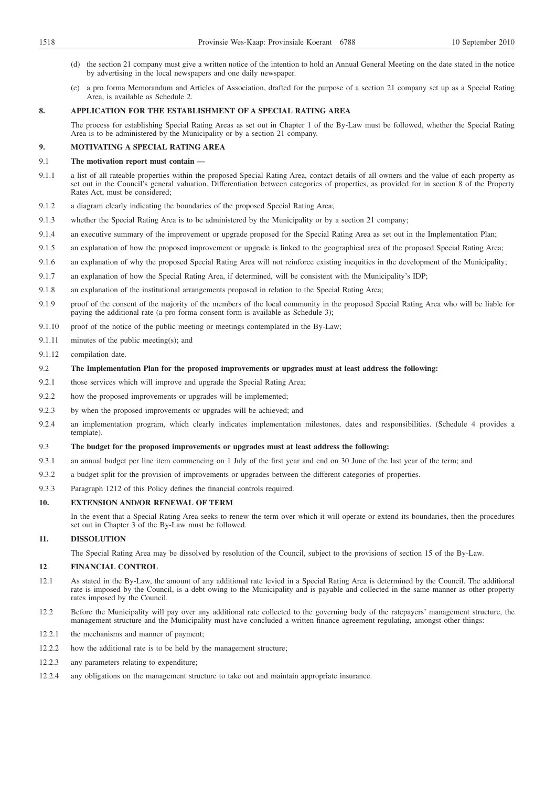- (d) the section 21 company must give a written notice of the intention to hold an Annual General Meeting on the date stated in the notice by advertising in the local newspapers and one daily newspaper.
- (e) a pro forma Memorandum and Articles of Association, drafted for the purpose of a section 21 company set up as a Special Rating Area, is available as Schedule 2.

# **8. APPLICATION FOR THE ESTABLISHMENT OF A SPECIAL RATING AREA**

The process for establishing Special Rating Areas as set out in Chapter 1 of the By-Law must be followed, whether the Special Rating Area is to be administered by the Municipality or by a section 21 company.

# **9. MOTIVATING A SPECIAL RATING AREA**

## 9.1 **The motivation report must contain —**

- 9.1.1 a list of all rateable properties within the proposed Special Rating Area, contact details of all owners and the value of each property as set out in the Council's general valuation. Differentiation between categories of properties, as provided for in section 8 of the Property Rates Act, must be considered;
- 9.1.2 a diagram clearly indicating the boundaries of the proposed Special Rating Area;
- 9.1.3 whether the Special Rating Area is to be administered by the Municipality or by a section 21 company;
- 9.1.4 an executive summary of the improvement or upgrade proposed for the Special Rating Area as set out in the Implementation Plan;
- 9.1.5 an explanation of how the proposed improvement or upgrade is linked to the geographical area of the proposed Special Rating Area;
- 9.1.6 an explanation of why the proposed Special Rating Area will not reinforce existing inequities in the development of the Municipality;
- 9.1.7 an explanation of how the Special Rating Area, if determined, will be consistent with the Municipality's IDP;
- 9.1.8 an explanation of the institutional arrangements proposed in relation to the Special Rating Area;
- 9.1.9 proof of the consent of the majority of the members of the local community in the proposed Special Rating Area who will be liable for paying the additional rate (a pro forma consent form is available as Schedule 3);
- 9.1.10 proof of the notice of the public meeting or meetings contemplated in the By-Law;
- 9.1.11 minutes of the public meeting(s); and
- 9.1.12 compilation date.

## 9.2 **The Implementation Plan for the proposed improvements or upgrades must at least address the following:**

- 9.2.1 those services which will improve and upgrade the Special Rating Area;
- 9.2.2 how the proposed improvements or upgrades will be implemented;
- 9.2.3 by when the proposed improvements or upgrades will be achieved; and
- 9.2.4 an implementation program, which clearly indicates implementation milestones, dates and responsibilities. (Schedule 4 provides a template).

## 9.3 **The budget for the proposed improvements or upgrades must at least address the following:**

- 9.3.1 an annual budget per line item commencing on 1 July of the first year and end on 30 June of the last year of the term; and
- 9.3.2 a budget split for the provision of improvements or upgrades between the different categories of properties.
- 9.3.3 Paragraph 1212 of this Policy defines the financial controls required.

### **10. EXTENSION AND/OR RENEWAL OF TERM**

In the event that a Special Rating Area seeks to renew the term over which it will operate or extend its boundaries, then the procedures set out in Chapter 3 of the By-Law must be followed.

# **11. DISSOLUTION**

The Special Rating Area may be dissolved by resolution of the Council, subject to the provisions of section 15 of the By-Law.

## **12**. **FINANCIAL CONTROL**

- 12.1 As stated in the By-Law, the amount of any additional rate levied in a Special Rating Area is determined by the Council. The additional rate is imposed by the Council, is a debt owing to the Municipality and is payable and collected in the same manner as other property rates imposed by the Council.
- 12.2 Before the Municipality will pay over any additional rate collected to the governing body of the ratepayers' management structure, the management structure and the Municipality must have concluded a written finance agreement regulating, amongst other things:
- 12.2.1 the mechanisms and manner of payment;
- 12.2.2 how the additional rate is to be held by the management structure;
- 12.2.3 any parameters relating to expenditure;
- 12.2.4 any obligations on the management structure to take out and maintain appropriate insurance.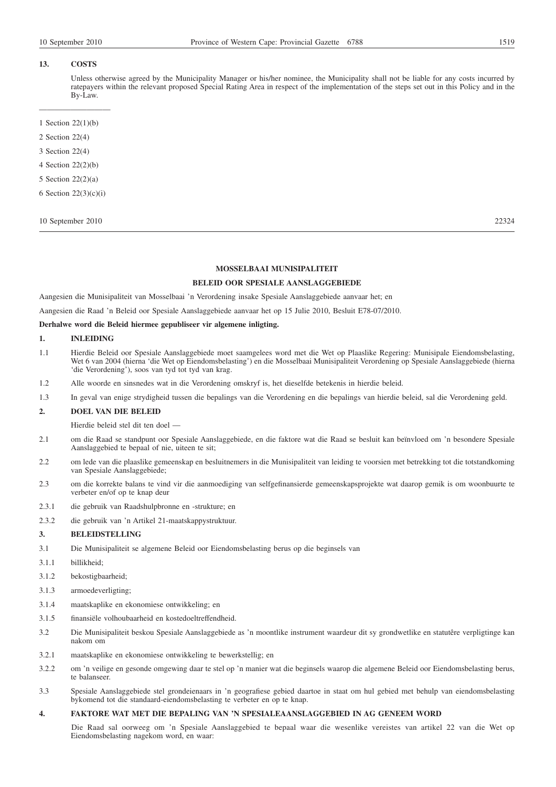Unless otherwise agreed by the Municipality Manager or his/her nominee, the Municipality shall not be liable for any costs incurred by ratepayers within the relevant proposed Special Rating Area in respect of the implementation of the steps set out in this Policy and in the By-Law.

- ————————— 1 Section 22(1)(b)
- 2 Section 22(4)
- 3 Section 22(4)
- 4 Section 22(2)(b)
- 5 Section 22(2)(a)
- 6 Section 22(3)(c)(i)

## 10 September 2010 22324

## **MOSSELBAAI MUNISIPALITEIT**

# **BELEID OOR SPESIALE AANSLAGGEBIEDE**

Aangesien die Munisipaliteit van Mosselbaai 'n Verordening insake Spesiale Aanslaggebiede aanvaar het; en

Aangesien die Raad 'n Beleid oor Spesiale Aanslaggebiede aanvaar het op 15 Julie 2010, Besluit E78-07/2010.

# **Derhalwe word die Beleid hiermee gepubliseer vir algemene inligting.**

## **1. INLEIDING**

- 1.1 Hierdie Beleid oor Spesiale Aanslaggebiede moet saamgelees word met die Wet op Plaaslike Regering: Munisipale Eiendomsbelasting, Wet 6 van 2004 (hierna 'die Wet op Eiendomsbelasting') en die Mosselbaai Munisipaliteit Verordening op Spesiale Aanslaggebiede (hierna 'die Verordening'), soos van tyd tot tyd van krag.
- 1.2 Alle woorde en sinsnedes wat in die Verordening omskryf is, het dieselfde betekenis in hierdie beleid.
- 1.3 In geval van enige strydigheid tussen die bepalings van die Verordening en die bepalings van hierdie beleid, sal die Verordening geld.

#### **2. DOEL VAN DIE BELEID**

Hierdie beleid stel dit ten doel —

- 2.1 om die Raad se standpunt oor Spesiale Aanslaggebiede, en die faktore wat die Raad se besluit kan beïnvloed om 'n besondere Spesiale Aanslaggebied te bepaal of nie, uiteen te sit;
- 2.2 om lede van die plaaslike gemeenskap en besluitnemers in die Munisipaliteit van leiding te voorsien met betrekking tot die totstandkoming van Spesiale Aanslaggebiede;
- 2.3 om die korrekte balans te vind vir die aanmoediging van selfgefinansierde gemeenskapsprojekte wat daarop gemik is om woonbuurte te verbeter en/of op te knap deur
- 2.3.1 die gebruik van Raadshulpbronne en -strukture; en
- 2.3.2 die gebruik van 'n Artikel 21-maatskappystruktuur.

### **3. BELEIDSTELLING**

- 3.1 Die Munisipaliteit se algemene Beleid oor Eiendomsbelasting berus op die beginsels van
- 3.1.1 billikheid;
- 3.1.2 bekostigbaarheid;
- 3.1.3 armoedeverligting;
- 3.1.4 maatskaplike en ekonomiese ontwikkeling; en
- 3.1.5 finansiële volhoubaarheid en kostedoeltreffendheid.
- 3.2 Die Munisipaliteit beskou Spesiale Aanslaggebiede as 'n moontlike instrument waardeur dit sy grondwetlike en statutêre verpligtinge kan nakom om
- 3.2.1 maatskaplike en ekonomiese ontwikkeling te bewerkstellig; en
- 3.2.2 om 'n veilige en gesonde omgewing daar te stel op 'n manier wat die beginsels waarop die algemene Beleid oor Eiendomsbelasting berus, te balanseer.
- 3.3 Spesiale Aanslaggebiede stel grondeienaars in 'n geografiese gebied daartoe in staat om hul gebied met behulp van eiendomsbelasting bykomend tot die standaard-eiendomsbelasting te verbeter en op te knap.

## **4. FAKTORE WAT MET DIE BEPALING VAN 'N SPESIALEAANSLAGGEBIED IN AG GENEEM WORD**

Die Raad sal oorweeg om 'n Spesiale Aanslaggebied te bepaal waar die wesenlike vereistes van artikel 22 van die Wet op Eiendomsbelasting nagekom word, en waar: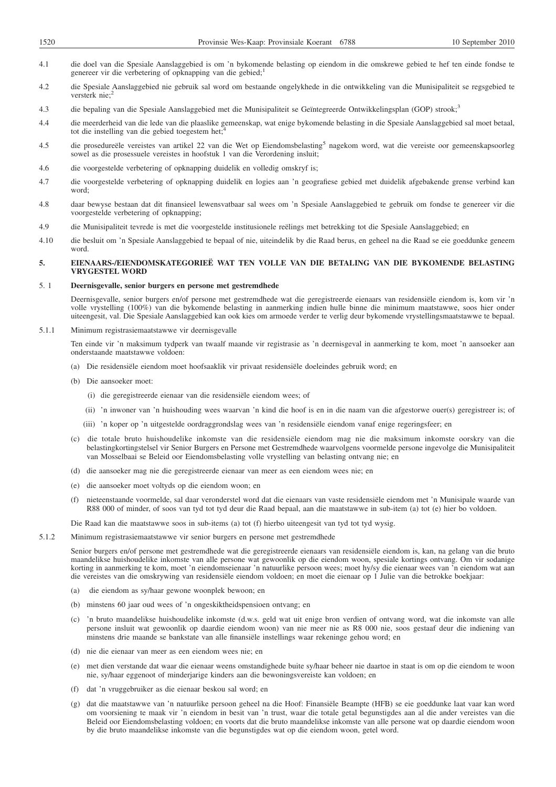- 4.1 die doel van die Spesiale Aanslaggebied is om 'n bykomende belasting op eiendom in die omskrewe gebied te hef ten einde fondse te genereer vir die verbetering of opknapping van die gebied;<sup>1</sup>
- 4.2 die Spesiale Aanslaggebied nie gebruik sal word om bestaande ongelykhede in die ontwikkeling van die Munisipaliteit se regsgebied te versterk nie;<sup>2</sup>
- 4.3 die bepaling van die Spesiale Aanslaggebied met die Munisipaliteit se Geïntegreerde Ontwikkelingsplan (GOP) strook;<sup>3</sup>
- 4.4 die meerderheid van die lede van die plaaslike gemeenskap, wat enige bykomende belasting in die Spesiale Aanslaggebied sal moet betaal, tot die instelling van die gebied toegestem het;
- 4.5 die prosedureële vereistes van artikel 22 van die Wet op Eiendomsbelasting<sup>5</sup> nagekom word, wat die vereiste oor gemeenskapsoorleg sowel as die prosessuele vereistes in hoofstuk 1 van die Verordening insluit;
- 4.6 die voorgestelde verbetering of opknapping duidelik en volledig omskryf is;
- 4.7 die voorgestelde verbetering of opknapping duidelik en logies aan 'n geografiese gebied met duidelik afgebakende grense verbind kan word;
- 4.8 daar bewyse bestaan dat dit finansieel lewensvatbaar sal wees om 'n Spesiale Aanslaggebied te gebruik om fondse te genereer vir die voorgestelde verbetering of opknapping;
- 4.9 die Munisipaliteit tevrede is met die voorgestelde institusionele reëlings met betrekking tot die Spesiale Aanslaggebied; en
- 4.10 die besluit om 'n Spesiale Aanslaggebied te bepaal of nie, uiteindelik by die Raad berus, en geheel na die Raad se eie goeddunke geneem word.

## **5. EIENAARS-/EIENDOMSKATEGORIEË WAT TEN VOLLE VAN DIE BETALING VAN DIE BYKOMENDE BELASTING VRYGESTEL WORD**

# 5. 1 **Deernisgevalle, senior burgers en persone met gestremdhede**

Deernisgevalle, senior burgers en/of persone met gestremdhede wat die geregistreerde eienaars van residensiële eiendom is, kom vir 'n volle vrystelling (100%) van die bykomende belasting in aanmerking indien hulle binne die minimum maatstawwe, soos hier onder uiteengesit, val. Die Spesiale Aanslaggebied kan ook kies om armoede verder te verlig deur bykomende vrystellingsmaatstawwe te bepaal.

5.1.1 Minimum registrasiemaatstawwe vir deernisgevalle

Ten einde vir 'n maksimum tydperk van twaalf maande vir registrasie as 'n deernisgeval in aanmerking te kom, moet 'n aansoeker aan onderstaande maatstawwe voldoen:

- (a) Die residensiële eiendom moet hoofsaaklik vir privaat residensiële doeleindes gebruik word; en
- (b) Die aansoeker moet:
	- (i) die geregistreerde eienaar van die residensiële eiendom wees; of
	- (ii) 'n inwoner van 'n huishouding wees waarvan 'n kind die hoof is en in die naam van die afgestorwe ouer(s) geregistreer is; of
	- (iii) 'n koper op 'n uitgestelde oordraggrondslag wees van 'n residensiële eiendom vanaf enige regeringsfeer; en
- (c) die totale bruto huishoudelike inkomste van die residensiële eiendom mag nie die maksimum inkomste oorskry van die belastingkortingstelsel vir Senior Burgers en Persone met Gestremdhede waarvolgens voormelde persone ingevolge die Munisipaliteit van Mosselbaai se Beleid oor Eiendomsbelasting volle vrystelling van belasting ontvang nie; en
- (d) die aansoeker mag nie die geregistreerde eienaar van meer as een eiendom wees nie; en
- (e) die aansoeker moet voltyds op die eiendom woon; en
- (f) nieteenstaande voormelde, sal daar veronderstel word dat die eienaars van vaste residensiële eiendom met 'n Munisipale waarde van R88 000 of minder, of soos van tyd tot tyd deur die Raad bepaal, aan die maatstawwe in sub-item (a) tot (e) hier bo voldoen.

Die Raad kan die maatstawwe soos in sub-items (a) tot (f) hierbo uiteengesit van tyd tot tyd wysig.

### 5.1.2 Minimum registrasiemaatstawwe vir senior burgers en persone met gestremdhede

Senior burgers en/of persone met gestremdhede wat die geregistreerde eienaars van residensiële eiendom is, kan, na gelang van die bruto maandelikse huishoudelike inkomste van alle persone wat gewoonlik op die eiendom woon, spesiale kortings ontvang. Om vir sodanige korting in aanmerking te kom, moet 'n eiendomseienaar 'n natuurlike persoon wees; moet hy/sy die eienaar wees van 'n eiendom wat aan die vereistes van die omskrywing van residensiële eiendom voldoen; en moet die eienaar op 1 Julie van die betrokke boekjaar:

- (a) die eiendom as sy/haar gewone woonplek bewoon; en
- (b) minstens 60 jaar oud wees of 'n ongeskiktheidspensioen ontvang; en
- (c) 'n bruto maandelikse huishoudelike inkomste (d.w.s. geld wat uit enige bron verdien of ontvang word, wat die inkomste van alle persone insluit wat gewoonlik op daardie eiendom woon) van nie meer nie as R8 000 nie, soos gestaaf deur die indiening van minstens drie maande se bankstate van alle finansiële instellings waar rekeninge gehou word; en
- (d) nie die eienaar van meer as een eiendom wees nie; en
- (e) met dien verstande dat waar die eienaar weens omstandighede buite sy/haar beheer nie daartoe in staat is om op die eiendom te woon nie, sy/haar eggenoot of minderjarige kinders aan die bewoningsvereiste kan voldoen; en
- (f) dat 'n vruggebruiker as die eienaar beskou sal word; en
- (g) dat die maatstawwe van 'n natuurlike persoon geheel na die Hoof: Finansiële Beampte (HFB) se eie goeddunke laat vaar kan word om voorsiening te maak vir 'n eiendom in besit van 'n trust, waar die totale getal begunstigdes aan al die ander vereistes van die Beleid oor Eiendomsbelasting voldoen; en voorts dat die bruto maandelikse inkomste van alle persone wat op daardie eiendom woon by die bruto maandelikse inkomste van die begunstigdes wat op die eiendom woon, getel word.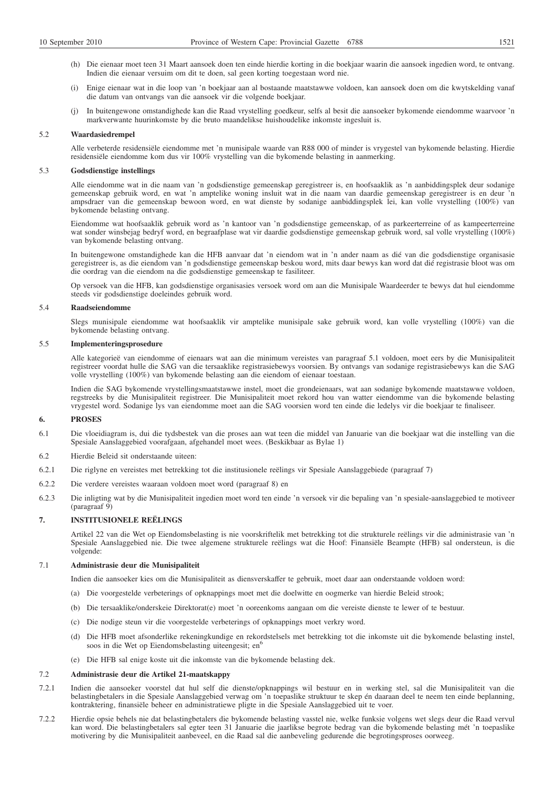- (h) Die eienaar moet teen 31 Maart aansoek doen ten einde hierdie korting in die boekjaar waarin die aansoek ingedien word, te ontvang. Indien die eienaar versuim om dit te doen, sal geen korting toegestaan word nie.
- (i) Enige eienaar wat in die loop van 'n boekjaar aan al bostaande maatstawwe voldoen, kan aansoek doen om die kwytskelding vanaf die datum van ontvangs van die aansoek vir die volgende boekjaar.
- (j) In buitengewone omstandighede kan die Raad vrystelling goedkeur, selfs al besit die aansoeker bykomende eiendomme waarvoor 'n markverwante huurinkomste by die bruto maandelikse huishoudelike inkomste ingesluit is.

#### 5.2 **Waardasiedrempel**

Alle verbeterde residensiële eiendomme met 'n munisipale waarde van R88 000 of minder is vrygestel van bykomende belasting. Hierdie residensiële eiendomme kom dus vir 100% vrystelling van die bykomende belasting in aanmerking.

## 5.3 **Godsdienstige instellings**

Alle eiendomme wat in die naam van 'n godsdienstige gemeenskap geregistreer is, en hoofsaaklik as 'n aanbiddingsplek deur sodanige gemeenskap gebruik word, en wat 'n amptelike woning insluit wat in die naam van daardie gemeenskap geregistreer is en deur 'n ampsdraer van die gemeenskap bewoon word, en wat dienste by sodanige aanbiddingsplek lei, kan volle vrystelling (100%) van bykomende belasting ontvang.

Eiendomme wat hoofsaaklik gebruik word as 'n kantoor van 'n godsdienstige gemeenskap, of as parkeerterreine of as kampeerterreine wat sonder winsbejag bedryf word, en begraafplase wat vir daardie godsdienstige gemeenskap gebruik word, sal volle vrystelling (100%) van bykomende belasting ontvang.

In buitengewone omstandighede kan die HFB aanvaar dat 'n eiendom wat in 'n ander naam as dié van die godsdienstige organisasie geregistreer is, as die eiendom van 'n godsdienstige gemeenskap beskou word, mits daar bewys kan word dat dié registrasie bloot was om die oordrag van die eiendom na die godsdienstige gemeenskap te fasiliteer.

Op versoek van die HFB, kan godsdienstige organisasies versoek word om aan die Munisipale Waardeerder te bewys dat hul eiendomme steeds vir godsdienstige doeleindes gebruik word.

### 5.4 **Raadseiendomme**

Slegs munisipale eiendomme wat hoofsaaklik vir amptelike munisipale sake gebruik word, kan volle vrystelling (100%) van die bykomende belasting ontvang.

# 5.5 **Implementeringsprosedure**

Alle kategorieë van eiendomme of eienaars wat aan die minimum vereistes van paragraaf 5.1 voldoen, moet eers by die Munisipaliteit registreer voordat hulle die SAG van die tersaaklike registrasiebewys voorsien. By ontvangs van sodanige registrasiebewys kan die SAG volle vrystelling (100%) van bykomende belasting aan die eiendom of eienaar toestaan.

Indien die SAG bykomende vrystellingsmaatstawwe instel, moet die grondeienaars, wat aan sodanige bykomende maatstawwe voldoen, regstreeks by die Munisipaliteit registreer. Die Munisipaliteit moet rekord hou van watter eiendomme van die bykomende belasting vrygestel word. Sodanige lys van eiendomme moet aan die SAG voorsien word ten einde die ledelys vir die boekjaar te finaliseer.

### **6. PROSES**

- 6.1 Die vloeidiagram is, dui die tydsbestek van die proses aan wat teen die middel van Januarie van die boekjaar wat die instelling van die Spesiale Aanslaggebied voorafgaan, afgehandel moet wees. (Beskikbaar as Bylae 1)
- 6.2 Hierdie Beleid sit onderstaande uiteen:
- 6.2.1 Die riglyne en vereistes met betrekking tot die institusionele reëlings vir Spesiale Aanslaggebiede (paragraaf 7)
- 6.2.2 Die verdere vereistes waaraan voldoen moet word (paragraaf 8) en
- 6.2.3 Die inligting wat by die Munisipaliteit ingedien moet word ten einde 'n versoek vir die bepaling van 'n spesiale-aanslaggebied te motiveer  $(paragraaf 9)$

## **7. INSTITUSIONELE REËLINGS**

Artikel 22 van die Wet op Eiendomsbelasting is nie voorskriftelik met betrekking tot die strukturele reëlings vir die administrasie van 'n Spesiale Aanslaggebied nie. Die twee algemene strukturele reëlings wat die Hoof: Finansiële Beampte (HFB) sal ondersteun, is die volgende:

### 7.1 **Administrasie deur die Munisipaliteit**

Indien die aansoeker kies om die Munisipaliteit as diensverskaffer te gebruik, moet daar aan onderstaande voldoen word:

- (a) Die voorgestelde verbeterings of opknappings moet met die doelwitte en oogmerke van hierdie Beleid strook;
- (b) Die tersaaklike/onderskeie Direktorat(e) moet 'n ooreenkoms aangaan om die vereiste dienste te lewer of te bestuur.
- (c) Die nodige steun vir die voorgestelde verbeterings of opknappings moet verkry word.
- (d) Die HFB moet afsonderlike rekeningkundige en rekordstelsels met betrekking tot die inkomste uit die bykomende belasting instel, soos in die Wet op Eiendomsbelasting uiteengesit; en<sup>6</sup>
- (e) Die HFB sal enige koste uit die inkomste van die bykomende belasting dek.

## 7.2 **Administrasie deur die Artikel 21-maatskappy**

- 7.2.1 Indien die aansoeker voorstel dat hul self die dienste/opknappings wil bestuur en in werking stel, sal die Munisipaliteit van die belastingbetalers in die Spesiale Aanslaggebied verwag om 'n toepaslike struktuur te skep én daaraan deel te neem ten einde beplanning, kontraktering, finansiële beheer en administratiewe pligte in die Spesiale Aanslaggebied uit te voer.
- 7.2.2 Hierdie opsie behels nie dat belastingbetalers die bykomende belasting vasstel nie, welke funksie volgens wet slegs deur die Raad vervul kan word. Die belastingbetalers sal egter teen 31 Januarie die jaarlikse begrote bedrag van die bykomende belasting mét 'n toepaslike motivering by die Munisipaliteit aanbeveel, en die Raad sal die aanbeveling gedurende die begrotingsproses oorweeg.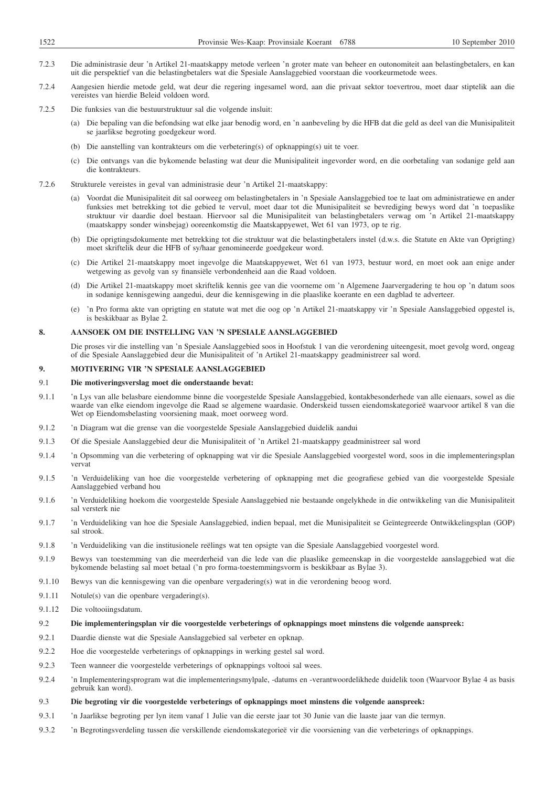- 7.2.3 Die administrasie deur 'n Artikel 21-maatskappy metode verleen 'n groter mate van beheer en outonomiteit aan belastingbetalers, en kan uit die perspektief van die belastingbetalers wat die Spesiale Aanslaggebied voorstaan die voorkeurmetode wees.
- 7.2.4 Aangesien hierdie metode geld, wat deur die regering ingesamel word, aan die privaat sektor toevertrou, moet daar stiptelik aan die vereistes van hierdie Beleid voldoen word.
- 7.2.5 Die funksies van die bestuurstruktuur sal die volgende insluit:
	- (a) Die bepaling van die befondsing wat elke jaar benodig word, en 'n aanbeveling by die HFB dat die geld as deel van die Munisipaliteit se jaarlikse begroting goedgekeur word.
	- (b) Die aanstelling van kontrakteurs om die verbetering(s) of opknapping(s) uit te voer.
	- (c) Die ontvangs van die bykomende belasting wat deur die Munisipaliteit ingevorder word, en die oorbetaling van sodanige geld aan die kontrakteurs.
- 7.2.6 Strukturele vereistes in geval van administrasie deur 'n Artikel 21-maatskappy:
	- Voordat die Munisipaliteit dit sal oorweeg om belastingbetalers in 'n Spesiale Aanslaggebied toe te laat om administratiewe en ander funksies met betrekking tot die gebied te vervul, moet daar tot die Munisipaliteit se bevrediging bewys word dat 'n toepaslike struktuur vir daardie doel bestaan. Hiervoor sal die Munisipaliteit van belastingbetalers verwag om 'n Artikel 21-maatskappy (maatskappy sonder winsbejag) ooreenkomstig die Maatskappyewet, Wet 61 van 1973, op te rig.
	- (b) Die oprigtingsdokumente met betrekking tot die struktuur wat die belastingbetalers instel (d.w.s. die Statute en Akte van Oprigting) moet skriftelik deur die HFB of sy/haar genomineerde goedgekeur word.
	- (c) Die Artikel 21-maatskappy moet ingevolge die Maatskappyewet, Wet 61 van 1973, bestuur word, en moet ook aan enige ander wetgewing as gevolg van sy finansiële verbondenheid aan die Raad voldoen.
	- (d) Die Artikel 21-maatskappy moet skriftelik kennis gee van die voorneme om 'n Algemene Jaarvergadering te hou op 'n datum soos in sodanige kennisgewing aangedui, deur die kennisgewing in die plaaslike koerante en een dagblad te adverteer.
	- (e) 'n Pro forma akte van oprigting en statute wat met die oog op 'n Artikel 21-maatskappy vir 'n Spesiale Aanslaggebied opgestel is, is beskikbaar as Bylae 2.

## **8. AANSOEK OM DIE INSTELLING VAN 'N SPESIALE AANSLAGGEBIED**

Die proses vir die instelling van 'n Spesiale Aanslaggebied soos in Hoofstuk 1 van die verordening uiteengesit, moet gevolg word, ongeag of die Spesiale Aanslaggebied deur die Munisipaliteit of 'n Artikel 21-maatskappy geadministreer sal word.

### **9. MOTIVERING VIR 'N SPESIALE AANSLAGGEBIED**

## 9.1 **Die motiveringsverslag moet die onderstaande bevat:**

- 9.1.1 'n Lys van alle belasbare eiendomme binne die voorgestelde Spesiale Aanslaggebied, kontakbesonderhede van alle eienaars, sowel as die waarde van elke eiendom ingevolge die Raad se algemene waardasie. Onderskeid tussen eiendomskategorieë waarvoor artikel 8 van die Wet op Eiendomsbelasting voorsiening maak, moet oorweeg word.
- 9.1.2 'n Diagram wat die grense van die voorgestelde Spesiale Aanslaggebied duidelik aandui
- 9.1.3 Of die Spesiale Aanslaggebied deur die Munisipaliteit of 'n Artikel 21-maatskappy geadministreer sal word
- 9.1.4 'n Opsomming van die verbetering of opknapping wat vir die Spesiale Aanslaggebied voorgestel word, soos in die implementeringsplan vervat
- 9.1.5 'n Verduideliking van hoe die voorgestelde verbetering of opknapping met die geografiese gebied van die voorgestelde Spesiale Aanslaggebied verband hou
- 9.1.6 'n Verduideliking hoekom die voorgestelde Spesiale Aanslaggebied nie bestaande ongelykhede in die ontwikkeling van die Munisipaliteit sal versterk nie
- 9.1.7 'n Verduideliking van hoe die Spesiale Aanslaggebied, indien bepaal, met die Munisipaliteit se Geïntegreerde Ontwikkelingsplan (GOP) sal strook.
- 9.1.8 'n Verduideliking van die institusionele reëlings wat ten opsigte van die Spesiale Aanslaggebied voorgestel word.
- 9.1.9 Bewys van toestemming van die meerderheid van die lede van die plaaslike gemeenskap in die voorgestelde aanslaggebied wat die bykomende belasting sal moet betaal ('n pro forma-toestemmingsvorm is beskikbaar as Bylae 3).
- 9.1.10 Bewys van die kennisgewing van die openbare vergadering(s) wat in die verordening beoog word.
- 9.1.11 Notule(s) van die openbare vergadering(s).
- 9.1.12 Die voltooiingsdatum.
- 9.2 **Die implementeringsplan vir die voorgestelde verbeterings of opknappings moet minstens die volgende aanspreek:**
- 9.2.1 Daardie dienste wat die Spesiale Aanslaggebied sal verbeter en opknap.
- 9.2.2 Hoe die voorgestelde verbeterings of opknappings in werking gestel sal word.
- 9.2.3 Teen wanneer die voorgestelde verbeterings of opknappings voltooi sal wees.
- 9.2.4 'n Implementeringsprogram wat die implementeringsmylpale, -datums en -verantwoordelikhede duidelik toon (Waarvoor Bylae 4 as basis gebruik kan word).
- 9.3 **Die begroting vir die voorgestelde verbeterings of opknappings moet minstens die volgende aanspreek:**
- 9.3.1 'n Jaarlikse begroting per lyn item vanaf 1 Julie van die eerste jaar tot 30 Junie van die laaste jaar van die termyn.
- 9.3.2 'n Begrotingsverdeling tussen die verskillende eiendomskategorieë vir die voorsiening van die verbeterings of opknappings.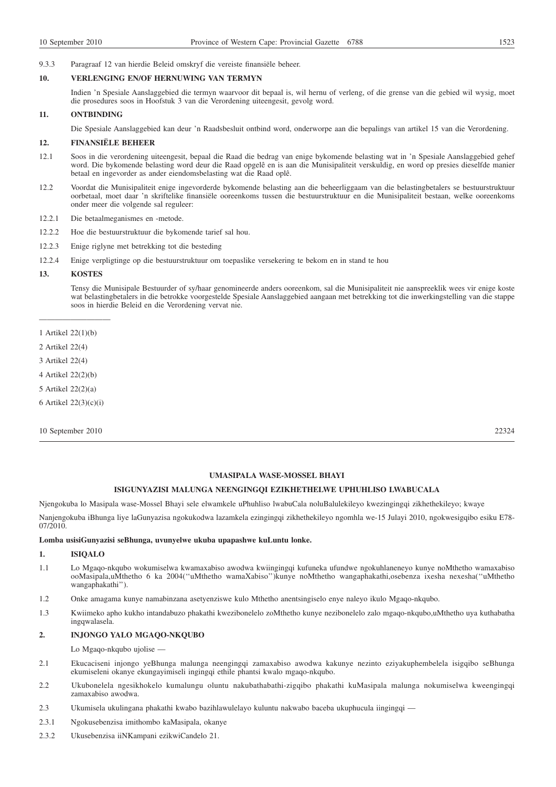# 9.3.3 Paragraaf 12 van hierdie Beleid omskryf die vereiste finansiële beheer.

## **10. VERLENGING EN/OF HERNUWING VAN TERMYN**

Indien 'n Spesiale Aanslaggebied die termyn waarvoor dit bepaal is, wil hernu of verleng, of die grense van die gebied wil wysig, moet die prosedures soos in Hoofstuk 3 van die Verordening uiteengesit, gevolg word.

## **11. ONTBINDING**

Die Spesiale Aanslaggebied kan deur 'n Raadsbesluit ontbind word, onderworpe aan die bepalings van artikel 15 van die Verordening.

## **12. FINANSIËLE BEHEER**

- 12.1 Soos in die verordening uiteengesit, bepaal die Raad die bedrag van enige bykomende belasting wat in 'n Spesiale Aanslaggebied gehef word. Die bykomende belasting word deur die Raad opgelê en is aan die Munisipaliteit verskuldig, en word op presies dieselfde manier betaal en ingevorder as ander eiendomsbelasting wat die Raad oplê.
- 12.2 Voordat die Munisipaliteit enige ingevorderde bykomende belasting aan die beheerliggaam van die belastingbetalers se bestuurstruktuur oorbetaal, moet daar 'n skriftelike finansiële ooreenkoms tussen die bestuurstruktuur en die Munisipaliteit bestaan, welke ooreenkoms onder meer die volgende sal reguleer:
- 12.2.1 Die betaalmeganismes en -metode.
- 12.2.2 Hoe die bestuurstruktuur die bykomende tarief sal hou.
- 12.2.3 Enige riglyne met betrekking tot die besteding
- 12.2.4 Enige verpligtinge op die bestuurstruktuur om toepaslike versekering te bekom en in stand te hou

# **13. KOSTES**

Tensy die Munisipale Bestuurder of sy/haar genomineerde anders ooreenkom, sal die Munisipaliteit nie aanspreeklik wees vir enige koste wat belastingbetalers in die betrokke voorgestelde Spesiale Aanslaggebied aangaan met betrekking tot die inwerkingstelling van die stappe soos in hierdie Beleid en die Verordening vervat nie.

—————————

- 2 Artikel 22(4)
- 3 Artikel 22(4)
- 4 Artikel 22(2)(b)
- 5 Artikel 22(2)(a)
- 6 Artikel 22(3)(c)(i)

10 September 2010 22324

# **UMASIPALA WASE-MOSSEL BHAYI**

### **ISIGUNYAZISI MALUNGA NEENGINGQI EZIKHETHELWE UPHUHLISO LWABUCALA**

Njengokuba lo Masipala wase-Mossel Bhayi sele elwamkele uPhuhliso lwabuCala noluBalulekileyo kwezingingqi zikhethekileyo; kwaye

Nanjengokuba iBhunga liye laGunyazisa ngokukodwa lazamkela ezingingqi zikhethekileyo ngomhla we-15 Julayi 2010, ngokwesigqibo esiku E78- 07/2010.

### **Lomba usisiGunyazisi seBhunga, uvunyelwe ukuba upapashwe kuLuntu lonke.**

#### **1. ISIQALO**

- 1.1 Lo Mgaqo-nkqubo wokumiselwa kwamaxabiso awodwa kwiingingqi kufuneka ufundwe ngokuhlaneneyo kunye noMthetho wamaxabiso ooMasipala,uMthetho 6 ka 2004(''uMthetho wamaXabiso'')kunye noMthetho wangaphakathi,osebenza ixesha nexesha(''uMthetho wangaphakathi'').
- 1.2 Onke amagama kunye namabinzana asetyenziswe kulo Mthetho anentsingiselo enye naleyo ikulo Mgaqo-nkqubo.
- 1.3 Kwiimeko apho kukho intandabuzo phakathi kwezibonelelo zoMthetho kunye nezibonelelo zalo mgaqo-nkqubo,uMthetho uya kuthabatha ingqwalasela.

### **2. INJONGO YALO MGAQO-NKQUBO**

Lo Mgaqo-nkqubo ujolise —

- 2.1 Ekucaciseni injongo yeBhunga malunga neengingqi zamaxabiso awodwa kakunye nezinto eziyakuphembelela isigqibo seBhunga ekumiseleni okanye ekungayimiseli ingingqi ethile phantsi kwalo mgaqo-nkqubo.
- 2.2 Ukubonelela ngesikhokelo kumalungu oluntu nakubathabathi-zigqibo phakathi kuMasipala malunga nokumiselwa kweengingqi zamaxabiso awodwa.
- 2.3 Ukumisela ukulingana phakathi kwabo bazihlawulelayo kuluntu nakwabo baceba ukuphucula iingingqi —
- 2.3.1 Ngokusebenzisa imithombo kaMasipala, okanye
- 2.3.2 Ukusebenzisa iiNKampani ezikwiCandelo 21.

<sup>1</sup> Artikel 22(1)(b)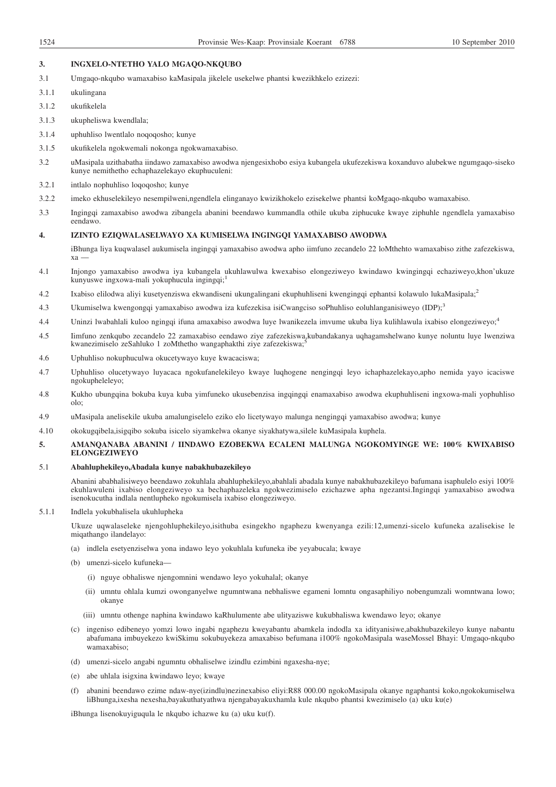## **3. INGXELO-NTETHO YALO MGAQO-NKQUBO**

- 3.1 Umgaqo-nkqubo wamaxabiso kaMasipala jikelele usekelwe phantsi kwezikhkelo ezizezi:
- 3.1.1 ukulingana
- 3.1.2 ukufikelela
- 3.1.3 ukupheliswa kwendlala;
- 3.1.4 uphuhliso lwentlalo noqoqosho; kunye
- 3.1.5 ukufikelela ngokwemali nokonga ngokwamaxabiso.
- 3.2 uMasipala uzithabatha iindawo zamaxabiso awodwa njengesixhobo esiya kubangela ukufezekiswa koxanduvo alubekwe ngumgaqo-siseko kunye nemithetho echaphazelekayo ekuphuculeni:
- 3.2.1 intlalo nophuhliso loqoqosho; kunye
- 3.2.2 imeko ekhuselekileyo nesempilweni,ngendlela elinganayo kwizikhokelo ezisekelwe phantsi koMgaqo-nkqubo wamaxabiso.
- 3.3 Ingingqi zamaxabiso awodwa zibangela abanini beendawo kummandla othile ukuba ziphucuke kwaye ziphuhle ngendlela yamaxabiso eendawo.

### **4. IZINTO EZIQWALASELWAYO XA KUMISELWA INGINGQI YAMAXABISO AWODWA**

iBhunga liya kuqwalasel aukumisela ingingqi yamaxabiso awodwa apho iimfuno zecandelo 22 loMthehto wamaxabiso zithe zafezekiswa, xa —

- 4.1 Injongo yamaxabiso awodwa iya kubangela ukuhlawulwa kwexabiso elongeziweyo kwindawo kwingingqi echaziweyo,khon'ukuze kunyuswe ingxowa-mali yokuphucula ingingqi;<sup>1</sup>
- 4.2 Ixabiso elilodwa aliyi kusetyenziswa ekwandiseni ukungalingani ekuphuhliseni kwengingqi ephantsi kolawulo lukaMasipala;<sup>2</sup>
- 4.3 Ukumiselwa kwengongqi yamaxabiso awodwa iza kufezekisa isiCwangciso soPhuhliso eoluhlanganisiweyo (IDP);<sup>3</sup>
- 4.4 Uninzi lwabahlali kuloo ngingqi ifuna amaxabiso awodwa luye lwanikezela imvume ukuba liya kulihlawula ixabiso elongeziweyo;<sup>4</sup>
- 4.5 Iimfuno zenkqubo zecandelo 22 zamaxabiso eendawo ziye zafezekiswa,kubandakanya uqhagamshelwano kunye noluntu luye lwenziwa kwanezimiselo zeSahluko 1 zoMthetho wangaphakthi ziye zafezekiswa;
- 4.6 Uphuhliso nokuphuculwa okucetywayo kuye kwacaciswa;
- 4.7 Uphuhliso olucetywayo luyacaca ngokufanelekileyo kwaye luqhogene nengingqi leyo ichaphazelekayo,apho nemida yayo icaciswe ngokupheleleyo;
- 4.8 Kukho ubungqina bokuba kuya kuba yimfuneko ukusebenzisa ingqingqi enamaxabiso awodwa ekuphuhliseni ingxowa-mali yophuhliso olo;
- 4.9 uMasipala anelisekile ukuba amalungiselelo eziko elo licetywayo malunga nengingqi yamaxabiso awodwa; kunye
- 4.10 okokugqibela,isigqibo sokuba isicelo siyamkelwa okanye siyakhatywa,silele kuMasipala kuphela.

# **5. AMANQANABA ABANINI / IINDAWO EZOBEKWA ECALENI MALUNGA NGOKOMYINGE WE: 100% KWIXABISO ELONGEZIWEYO**

# 5.1 **Abahluphekileyo,Abadala kunye nabakhubazekileyo**

Abanini ababhalisiweyo beendawo zokuhlala abahluphekileyo,abahlali abadala kunye nabakhubazekileyo bafumana isaphulelo esiyi 100% ekuhlawuleni ixabiso elongeziweyo xa bechaphazeleka ngokwezimiselo ezichazwe apha ngezantsi.Ingingqi yamaxabiso awodwa isenokucutha indlala nentlupheko ngokumisela ixabiso elongeziweyo.

## 5.1.1 Indlela yokubhalisela ukuhlupheka

Ukuze uqwalaseleke njengohluphekileyo,isithuba esingekho ngaphezu kwenyanga ezili:12,umenzi-sicelo kufuneka azalisekise le miqathango ilandelayo:

- (a) indlela esetyenziselwa yona indawo leyo yokuhlala kufuneka ibe yeyabucala; kwaye
- (b) umenzi-sicelo kufuneka—
	- (i) nguye obhaliswe njengomnini wendawo leyo yokuhalal; okanye
	- (ii) umntu ohlala kumzi owonganyelwe ngumntwana nebhaliswe egameni lomntu ongasaphiliyo nobengumzali womntwana lowo; okanye
	- (iii) umntu othenge naphina kwindawo kaRhulumente abe ulityaziswe kukubhaliswa kwendawo leyo; okanye
- (c) ingeniso edibeneyo yomzi lowo ingabi ngaphezu kweyabantu abamkela indodla xa idityanisiwe,abakhubazekileyo kunye nabantu abafumana imbuyekezo kwiSkimu sokubuyekeza amaxabiso befumana i100% ngokoMasipala waseMossel Bhayi: Umgaqo-nkqubo wamaxabiso;
- (d) umenzi-sicelo angabi ngumntu obhaliselwe izindlu ezimbini ngaxesha-nye;
- (e) abe uhlala isigxina kwindawo leyo; kwaye
- (f) abanini beendawo ezime ndaw-nye(izindlu)nezinexabiso eliyi:R88 000.00 ngokoMasipala okanye ngaphantsi koko,ngokokumiselwa liBhunga,ixesha nexesha,bayakuthatyathwa njengabayakuxhamla kule nkqubo phantsi kwezimiselo (a) uku ku(e)

iBhunga lisenokuyiguqula le nkqubo ichazwe ku (a) uku ku(f).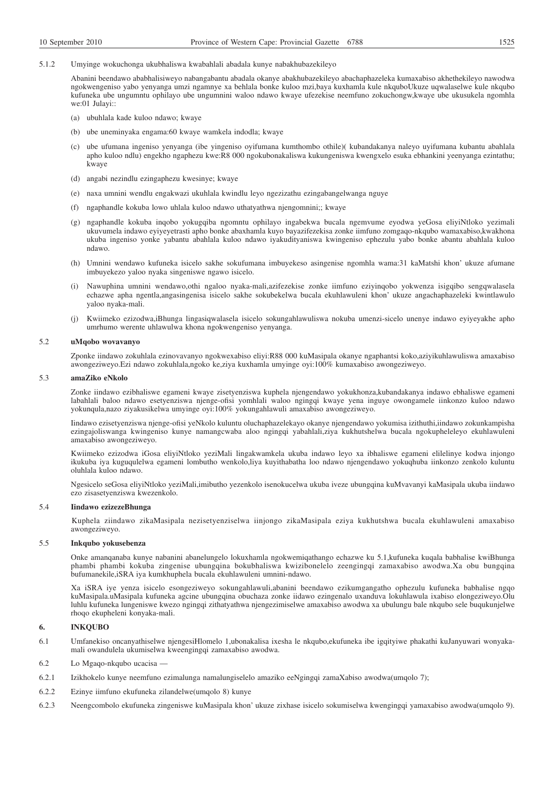5.1.2 Umyinge wokuchonga ukubhaliswa kwabahlali abadala kunye nabakhubazekileyo

Abanini beendawo ababhalisiweyo nabangabantu abadala okanye abakhubazekileyo abachaphazeleka kumaxabiso akhethekileyo nawodwa ngokwengeniso yabo yenyanga umzi ngamnye xa behlala bonke kuloo mzi,baya kuxhamla kule nkquboUkuze uqwalaselwe kule nkqubo kufuneka ube ungumntu ophilayo ube ungumnini waloo ndawo kwaye ufezekise neemfuno zokuchongw,kwaye ube ukusukela ngomhla we:01 Julayi::

- (a) ubuhlala kade kuloo ndawo; kwaye
- (b) ube uneminyaka engama:60 kwaye wamkela indodla; kwaye
- (c) ube ufumana ingeniso yenyanga (ibe yingeniso oyifumana kumthombo othile)( kubandakanya naleyo uyifumana kubantu abahlala apho kuloo ndlu) engekho ngaphezu kwe:R8 000 ngokubonakaliswa kukungeniswa kwengxelo esuka ebhankini yeenyanga ezintathu; kwaye
- (d) angabi nezindlu ezingaphezu kwesinye; kwaye
- (e) naxa umnini wendlu engakwazi ukuhlala kwindlu leyo ngezizathu ezingabangelwanga nguye
- (f) ngaphandle kokuba lowo uhlala kuloo ndawo uthatyathwa njengomnini;; kwaye
- (g) ngaphandle kokuba inqobo yokugqiba ngomntu ophilayo ingabekwa bucala ngemvume eyodwa yeGosa eliyiNtloko yezimali ukuvumela indawo eyiyeyetrasti apho bonke abaxhamla kuyo bayazifezekisa zonke iimfuno zomgaqo-nkqubo wamaxabiso,kwakhona ukuba ingeniso yonke yabantu abahlala kuloo ndawo iyakudityaniswa kwingeniso ephezulu yabo bonke abantu abahlala kuloo ndawo.
- (h) Umnini wendawo kufuneka isicelo sakhe sokufumana imbuyekeso asingenise ngomhla wama:31 kaMatshi khon' ukuze afumane imbuyekezo yaloo nyaka singeniswe ngawo isicelo.
- (i) Nawuphina umnini wendawo,othi ngaloo nyaka-mali,azifezekise zonke iimfuno eziyinqobo yokwenza isigqibo sengqwalasela echazwe apha ngentla,angasingenisa isicelo sakhe sokubekelwa bucala ekuhlawuleni khon' ukuze angachaphazeleki kwintlawulo yaloo nyaka-mali.
- (j) Kwiimeko ezizodwa,iBhunga lingasiqwalasela isicelo sokungahlawuliswa nokuba umenzi-sicelo unenye indawo eyiyeyakhe apho umrhumo werente uhlawulwa khona ngokwengeniso yenyanga.

## 5.2 **uMqobo wovavanyo**

Zponke iindawo zokuhlala ezinovavanyo ngokwexabiso eliyi:R88 000 kuMasipala okanye ngaphantsi koko,aziyikuhlawuliswa amaxabiso awongeziweyo.Ezi ndawo zokuhlala,ngoko ke,ziya kuxhamla umyinge oyi:100% kumaxabiso awongeziweyo.

## 5.3 **amaZiko eNkolo**

Zonke iindawo ezibhaliswe egameni kwaye zisetyenziswa kuphela njengendawo yokukhonza,kubandakanya indawo ebhaliswe egameni labahlali baloo ndawo esetyenziswa njenge-ofisi yomhlali waloo ngingqi kwaye yena inguye owongamele iinkonzo kuloo ndawo yokunqula,nazo ziyakusikelwa umyinge oyi:100% yokungahlawuli amaxabiso awongeziweyo.

Iindawo ezisetyenziswa njenge-ofisi yeNkolo kuluntu oluchaphazelekayo okanye njengendawo yokumisa izithuthi,iindawo zokunkampisha ezingajoliswanga kwingeniso kunye namangcwaba aloo ngingqi yabahlali,ziya kukhutshelwa bucala ngokupheleleyo ekuhlawuleni amaxabiso awongeziweyo.

Kwiimeko ezizodwa iGosa eliyiNtloko yeziMali lingakwamkela ukuba indawo leyo xa ibhaliswe egameni elilelinye kodwa injongo ikukuba iya kuguqulelwa egameni lombutho wenkolo,liya kuyithabatha loo ndawo njengendawo yokuqhuba iinkonzo zenkolo kuluntu oluhlala kuloo ndawo.

Ngesicelo seGosa eliyiNtloko yeziMali,imibutho yezenkolo isenokucelwa ukuba iveze ubungqina kuMvavanyi kaMasipala ukuba iindawo ezo zisasetyenziswa kwezenkolo.

# 5.4 **Iindawo ezizezeBhunga**

Kuphela ziindawo zikaMasipala nezisetyenziselwa iinjongo zikaMasipala eziya kukhutshwa bucala ekuhlawuleni amaxabiso awongeziweyo.

## 5.5 **Inkqubo yokusebenza**

Onke amanqanaba kunye nabanini abanelungelo lokuxhamla ngokwemiqathango echazwe ku 5.1,kufuneka kuqala babhalise kwiBhunga phambi phambi kokuba zingenise ubungqina bokubhaliswa kwizibonelelo zeengingqi zamaxabiso awodwa.Xa obu bungqina bufumanekile,iSRA iya kumkhuphela bucala ekuhlawuleni umnini-ndawo.

Xa iSRA iye yenza isicelo esongeziweyo sokungahlawuli,abanini beendawo ezikumgangatho ophezulu kufuneka babhalise ngqo kuMasipala.uMasipala kufuneka agcine ubungqina obuchaza zonke iidawo ezingenalo uxanduva lokuhlawula ixabiso elongeziweyo.Olu luhlu kufuneka lungeniswe kwezo ngingqi zithatyathwa njengezimiselwe amaxabiso awodwa xa ubulungu bale nkqubo sele buqukunjelwe rhoqo ekupheleni konyaka-mali.

# **6. INKQUBO**

- 6.1 Umfanekiso oncanyathiselwe njengesiHlomelo 1,ubonakalisa ixesha le nkqubo,ekufuneka ibe igqityiwe phakathi kuJanyuwari wonyakamali owandulela ukumiselwa kweengingqi zamaxabiso awodwa.
- 6.2 Lo Mgaqo-nkqubo ucacisa —
- 6.2.1 Izikhokelo kunye neemfuno ezimalunga namalungiselelo amaziko eeNgingqi zamaXabiso awodwa(umqolo 7);
- 6.2.2 Ezinye iimfuno ekufuneka zilandelwe(umqolo 8) kunye
- 6.2.3 Neengcombolo ekufuneka zingeniswe kuMasipala khon' ukuze zixhase isicelo sokumiselwa kwengingqi yamaxabiso awodwa(umqolo 9).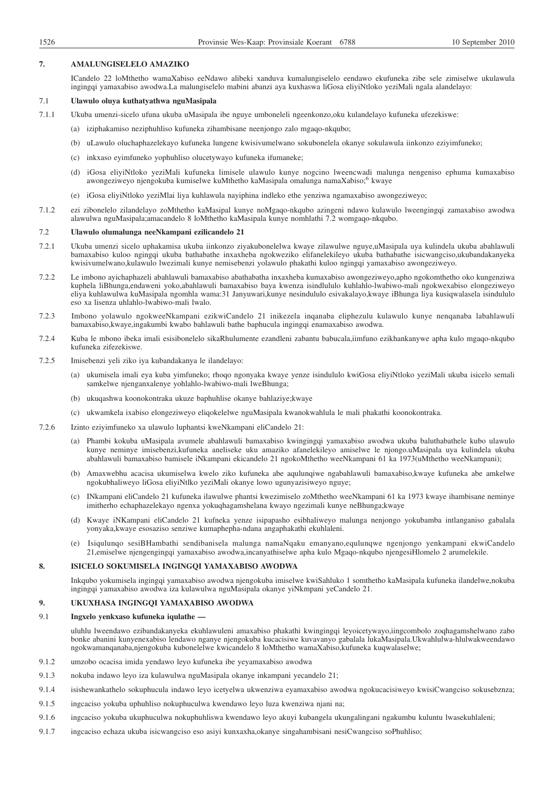## **7. AMALUNGISELELO AMAZIKO**

ICandelo 22 loMthetho wamaXabiso eeNdawo alibeki xanduva kumalungiselelo eendawo ekufuneka zibe sele zimiselwe ukulawula ingingqi yamaxabiso awodwa.La malungiselelo mabini abanzi aya kuxhaswa liGosa eliyiNtloko yeziMali ngala alandelayo:

### 7.1 **Ulawulo oluya kuthatyathwa nguMasipala**

- 7.1.1 Ukuba umenzi-sicelo ufuna ukuba uMasipala ibe nguye umboneleli ngeenkonzo,oku kulandelayo kufuneka ufezekiswe:
	- (a) iziphakamiso neziphuhliso kufuneka zihambisane neenjongo zalo mgaqo-nkqubo;
	- (b) uLawulo oluchaphazelekayo kufuneka lungene kwisivumelwano sokubonelela okanye sokulawula iinkonzo eziyimfuneko;
	- (c) inkxaso eyimfuneko yophuhliso olucetywayo kufuneka ifumaneke;
	- (d) iGosa eliyiNtloko yeziMali kufuneka limisele ulawulo kunye nogcino lweencwadi malunga nengeniso ephuma kumaxabiso awongeziweyo njengokuba kumiselwe kuMthetho kaMasipala omalunga namaXabiso;<sup>6</sup> kwaye
	- (e) iGosa eliyiNtloko yeziMlai liya kuhlawula nayiphina indleko ethe yenziwa ngamaxabiso awongeziweyo;
- 7.1.2 ezi zibonelelo zilandelayo zoMthetho kaMasipal kunye noMgaqo-nkqubo azingeni ndawo kulawulo lweengingqi zamaxabiso awodwa alawulwa nguMasipala;amacandelo 8 loMthetho kaMasipala kunye nomhlathi 7.2 womgaqo-nkqubo.

## 7.2 **Ulawulo olumalunga neeNkampani ezilicandelo 21**

- 7.2.1 Ukuba umenzi sicelo uphakamisa ukuba iinkonzo ziyakubonelelwa kwaye zilawulwe nguye,uMasipala uya kulindela ukuba abahlawuli bamaxabiso kuloo ngingqi ukuba bathabathe inxaxheba ngokweziko elifanelekileyo ukuba bathabathe isicwangciso,ukubandakanyeka kwisivumelwano,kulawulo lwezimali kunye nemisebenzi yolawulo phakathi kuloo ngingqi yamaxabiso awongeziweyo.
- 7.2.2 Le imbono ayichaphazeli abahlawuli bamaxabiso abathabatha inxaxheba kumaxabiso awongeziweyo,apho ngokomthetho oko kungenziwa kuphela liBhunga,endaweni yoko,abahlawuli bamaxabiso baya kwenza isindlululo kuhlahlo-lwabiwo-mali ngokwexabiso elongeziweyo eliya kuhlawulwa kuMasipala ngomhla wama:31 Janyuwari,kunye nesindululo esivakalayo,kwaye iBhunga liya kusiqwalasela isindululo eso xa lisenza uhlahlo-lwabiwo-mali lwalo.
- 7.2.3 Imbono yolawulo ngokweeNkampani ezikwiCandelo 21 inikezela inqanaba eliphezulu kulawulo kunye nenqanaba labahlawuli bamaxabiso,kwaye,ingakumbi kwabo bahlawuli bathe baphucula ingingqi enamaxabiso awodwa.
- 7.2.4 Kuba le mbono ibeka imali esisibonelelo sikaRhulumente ezandleni zabantu babucala,iimfuno ezikhankanywe apha kulo mgaqo-nkqubo kufuneka zifezekiswe.
- 7.2.5 Imisebenzi yeli ziko iya kubandakanya le ilandelayo:
	- (a) ukumisela imali eya kuba yimfuneko; rhoqo ngonyaka kwaye yenze isindululo kwiGosa eliyiNtloko yeziMali ukuba isicelo semali samkelwe njenganxalenye yohlahlo-lwabiwo-mali lweBhunga;
	- (b) ukuqashwa koonokontraka ukuze baphuhlise okanye bahlaziye;kwaye
	- (c) ukwamkela ixabiso elongeziweyo eliqokelelwe nguMasipala kwanokwahlula le mali phakathi koonokontraka.
- 7.2.6 Izinto eziyimfuneko xa ulawulo luphantsi kweNkampani eliCandelo 21:
	- (a) Phambi kokuba uMasipala avumele abahlawuli bamaxabiso kwingingqi yamaxabiso awodwa ukuba baluthabathele kubo ulawulo kunye neminye imisebenzi,kufuneka aneliseke uku amaziko afanelekileyo amiselwe le njongo.uMasipala uya kulindela ukuba abahlawuli bamaxabiso bamisele iNkampani ekicandelo 21 ngokoMthetho weeNkampani 61 ka 1973(uMthetho weeNkampani);
	- (b) Amaxwebhu acacisa ukumiselwa kwelo ziko kufuneka abe aqulunqiwe ngabahlawuli bamaxabiso,kwaye kufuneka abe amkelwe ngokubhaliweyo liGosa eliyiNtlko yeziMali okanye lowo ugunyazisiweyo nguye;
	- (c) INkampani eliCandelo 21 kufuneka ilawulwe phantsi kwezimiselo zoMthetho weeNkampani 61 ka 1973 kwaye ihambisane neminye imitherho echaphazelekayo ngenxa yokuqhagamshelana kwayo ngezimali kunye neBhunga;kwaye
	- (d) Kwaye iNKampani eliCandelo 21 kufneka yenze isipapasho esibhaliweyo malunga nenjongo yokubamba intlanganiso gabalala yonyaka,kwaye esosaziso senziwe kumaphepha-ndana angaphakathi ekuhlaleni.
	- (e) Isiqulunqo sesiBHambathi sendibanisela malunga namaNqaku emanyano,equlunqwe ngenjongo yenkampani ekwiCandelo 21,emiselwe njengengingqi yamaxabiso awodwa,incanyathiselwe apha kulo Mgaqo-nkqubo njengesiHlomelo 2 arumelekile.

## **8. ISICELO SOKUMISELA INGINGQI YAMAXABISO AWODWA**

Inkqubo yokumisela ingingqi yamaxabiso awodwa njengokuba imiselwe kwiSahluko 1 somthetho kaMasipala kufuneka ilandelwe,nokuba ingingqi yamaxabiso awodwa iza kulawulwa nguMasipala okanye yiNkmpani yeCandelo 21.

## **9. UKUXHASA INGINGQI YAMAXABISO AWODWA**

# 9.1 **Ingxelo yenkxaso kufuneka iqulathe —**

uluhlu lweendawo ezibandakanyeka ekuhlawuleni amaxabiso phakathi kwingingqi leyoicetywayo,iingcombolo zoqhagamshelwano zabo bonke abanini kunyenexabiso lendawo nganye njengokuba kucacisiwe kuvavanyo gabalala lukaMasipala.Ukwahlulwa-hlulwakweendawo ngokwamanqanaba,njengokuba kubonelelwe kwicandelo 8 loMthetho wamaXabiso,kufuneka kuqwalaselwe;

- 9.1.2 umzobo ocacisa imida yendawo leyo kufuneka ibe yeyamaxabiso awodwa
- 9.1.3 nokuba indawo leyo iza kulawulwa nguMasipala okanye inkampani yecandelo 21;
- 9.1.4 isishewankathelo sokuphucula indawo leyo icetyelwa ukwenziwa eyamaxabiso awodwa ngokucacisiweyo kwisiCwangciso sokusebznza;
- 9.1.5 ingcaciso yokuba uphuhliso nokuphuculwa kwendawo leyo luza kwenziwa njani na;
- 9.1.6 ingcaciso yokuba ukuphuculwa nokuphuhliswa kwendawo leyo akuyi kubangela ukungalingani ngakumbu kuluntu lwasekuhlaleni;
- 9.1.7 ingcaciso echaza ukuba isicwangciso eso asiyi kunxaxha,okanye singahambisani nesiCwangciso soPhuhliso;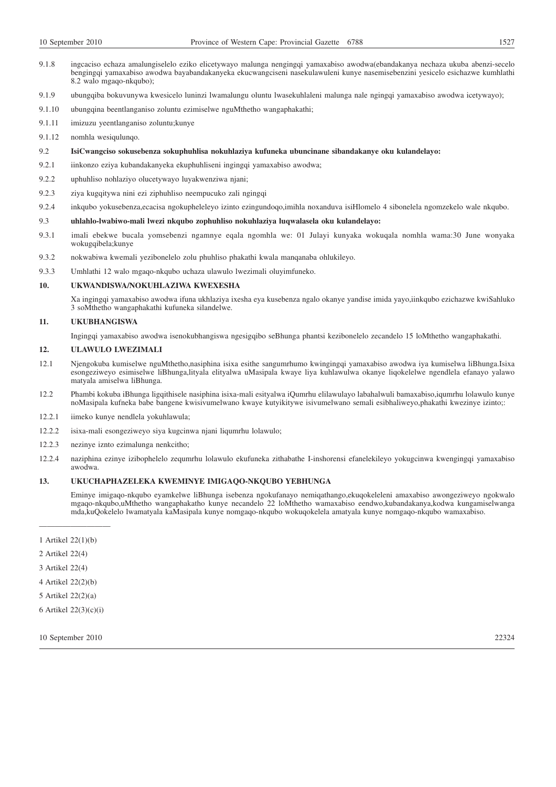- 9.1.8 ingcaciso echaza amalungiselelo eziko elicetywayo malunga nengingqi yamaxabiso awodwa(ebandakanya nechaza ukuba abenzi-secelo bengingqi yamaxabiso awodwa bayabandakanyeka ekucwangciseni nasekulawuleni kunye nasemisebenzini yesicelo esichazwe kumhlathi 8.2 walo mgaqo-nkqubo);
- 9.1.9 ubungqiba bokuvunywa kwesicelo luninzi lwamalungu oluntu lwasekuhlaleni malunga nale ngingqi yamaxabiso awodwa icetywayo);
- 9.1.10 ubungqina beentlanganiso zoluntu ezimiselwe nguMthetho wangaphakathi;
- 9.1.11 imizuzu yeentlanganiso zoluntu;kunye
- 9.1.12 nomhla wesiqulunqo.
- 9.2 **IsiCwangciso sokusebenza sokuphuhlisa nokuhlaziya kufuneka ubuncinane sibandakanye oku kulandelayo:**
- 9.2.1 iinkonzo eziya kubandakanyeka ekuphuhliseni ingingqi yamaxabiso awodwa;
- 9.2.2 uphuhliso nohlaziyo olucetywayo luyakwenziwa njani;
- 9.2.3 ziya kugqitywa nini ezi ziphuhliso neempucuko zali ngingqi
- 9.2.4 inkqubo yokusebenza,ecacisa ngokupheleleyo izinto ezingundoqo,imihla noxanduva isiHlomelo 4 sibonelela ngomzekelo wale nkqubo.
- 9.3 **uhlahlo-lwabiwo-mali lwezi nkqubo zophuhliso nokuhlaziya luqwalasela oku kulandelayo:**
- 9.3.1 imali ebekwe bucala yomsebenzi ngamnye eqala ngomhla we: 01 Julayi kunyaka wokuqala nomhla wama:30 June wonyaka wokugqibela;kunye
- 9.3.2 nokwabiwa kwemali yezibonelelo zolu phuhliso phakathi kwala manqanaba ohlukileyo.
- 9.3.3 Umhlathi 12 walo mgaqo-nkqubo uchaza ulawulo lwezimali oluyimfuneko.

### **10. UKWANDISWA/NOKUHLAZIWA KWEXESHA**

Xa ingingqi yamaxabiso awodwa ifuna ukhlaziya ixesha eya kusebenza ngalo okanye yandise imida yayo,iinkqubo ezichazwe kwiSahluko 3 soMthetho wangaphakathi kufuneka silandelwe.

### **11. UKUBHANGISWA**

Ingingqi yamaxabiso awodwa isenokubhangiswa ngesigqibo seBhunga phantsi kezibonelelo zecandelo 15 loMthetho wangaphakathi.

## **12. ULAWULO LWEZIMALI**

- 12.1 Njengokuba kumiselwe nguMthetho,nasiphina isixa esithe sangumrhumo kwingingqi yamaxabiso awodwa iya kumiselwa liBhunga.Isixa esongeziweyo esimiselwe liBhunga,lityala elityalwa uMasipala kwaye liya kuhlawulwa okanye liqokelelwe ngendlela efanayo yalawo matyala amiselwa liBhunga.
- 12.2 Phambi kokuba iBhunga ligqithisele nasiphina isixa-mali esityalwa iQumrhu elilawulayo labahalwuli bamaxabiso,iqumrhu lolawulo kunye noMasipala kufneka babe bangene kwisivumelwano kwaye kutyikitywe isivumelwano semali esibhaliweyo,phakathi kwezinye izinto;:
- 12.2.1 iimeko kunye nendlela yokuhlawula;
- 12.2.2 isixa-mali esongeziweyo siya kugcinwa njani liqumrhu lolawulo;
- 12.2.3 nezinye iznto ezimalunga nenkcitho;
- 12.2.4 naziphina ezinye izibophelelo zequmrhu lolawulo ekufuneka zithabathe I-inshorensi efanelekileyo yokugcinwa kwengingqi yamaxabiso awodwa.

## **13. UKUCHAPHAZELEKA KWEMINYE IMIGAQO-NKQUBO YEBHUNGA**

Eminye imigaqo-nkqubo eyamkelwe liBhunga isebenza ngokufanayo nemiqathango,ekuqokeleleni amaxabiso awongeziweyo ngokwalo mgaqo-nkqubo,uMthetho wangaphakatho kunye necandelo 22 loMthetho wamaxabiso eendwo,kubandakanya,kodwa kungamiselwanga mda,kuQokelelo lwamatyala kaMasipala kunye nomgaqo-nkqubo wokuqokelela amatyala kunye nomgaqo-nkqubo wamaxabiso.

- ————————— 1 Artikel 22(1)(b)
- 2 Artikel 22(4)
- 3 Artikel 22(4)
- 4 Artikel 22(2)(b)
- 5 Artikel 22(2)(a)
- 6 Artikel 22(3)(c)(i)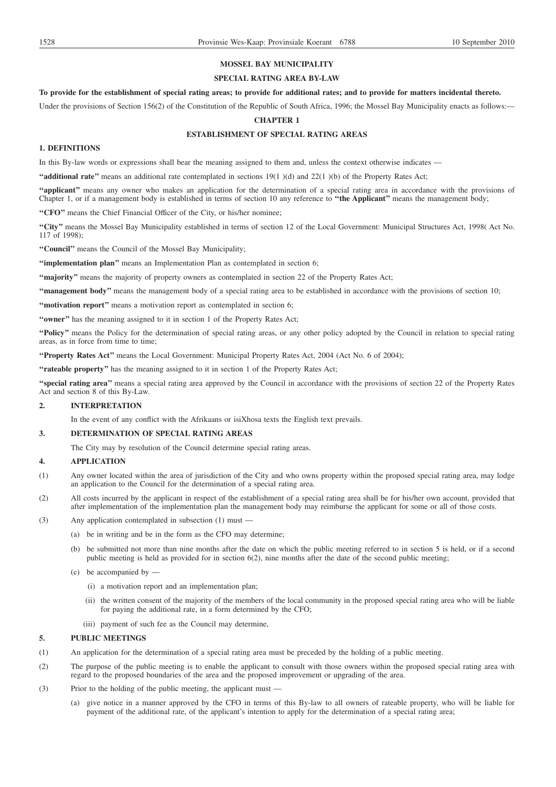# **MOSSEL BAY MUNICIPALITY**

### **SPECIAL RATING AREA BY-LAW**

# **To provide for the establishment of special rating areas; to provide for additional rates; and to provide for matters incidental thereto.**

Under the provisions of Section 156(2) of the Constitution of the Republic of South Africa, 1996; the Mossel Bay Municipality enacts as follows:—

## **CHAPTER 1**

# **ESTABLISHMENT OF SPECIAL RATING AREAS**

# **1. DEFINITIONS**

In this By-law words or expressions shall bear the meaning assigned to them and, unless the context otherwise indicates —

**''additional rate''** means an additional rate contemplated in sections 19(1 )(d) and 22(1 )(b) of the Property Rates Act;

"applicant" means any owner who makes an application for the determination of a special rating area in accordance with the provisions of Chapter 1, or if a management body is established in terms of section 10 any reference to **''the Applicant''** means the management body;

**''CFO''** means the Chief Financial Officer of the City, or his/her nominee;

**''City''** means the Mossel Bay Municipality established in terms of section 12 of the Local Government: Municipal Structures Act, 1998( Act No. 117 of 1998);

**''Council''** means the Council of the Mossel Bay Municipality;

**''implementation plan''** means an Implementation Plan as contemplated in section 6;

**''majority''** means the majority of property owners as contemplated in section 22 of the Property Rates Act;

**''management body''** means the management body of a special rating area to be established in accordance with the provisions of section 10;

**"motivation report"** means a motivation report as contemplated in section 6;

**''owner''** has the meaning assigned to it in section 1 of the Property Rates Act;

**''Policy''** means the Policy for the determination of special rating areas, or any other policy adopted by the Council in relation to special rating areas, as in force from time to time;

**''Property Rates Act''** means the Local Government: Municipal Property Rates Act, 2004 (Act No. 6 of 2004);

**''rateable property''** has the meaning assigned to it in section 1 of the Property Rates Act;

**''special rating area''** means a special rating area approved by the Council in accordance with the provisions of section 22 of the Property Rates Act and section 8 of this By-Law.

## **2. INTERPRETATION**

In the event of any conflict with the Afrikaans or isiXhosa texts the English text prevails.

# **3. DETERMINATION OF SPECIAL RATING AREAS**

The City may by resolution of the Council determine special rating areas.

## **4. APPLICATION**

- (1) Any owner located within the area of jurisdiction of the City and who owns property within the proposed special rating area, may lodge an application to the Council for the determination of a special rating area.
- (2) All costs incurred by the applicant in respect of the establishment of a special rating area shall be for his/her own account, provided that after implementation of the implementation plan the management body may reimburse the applicant for some or all of those costs.
- (3) Any application contemplated in subsection (1) must
	- (a) be in writing and be in the form as the CFO may determine;
	- (b) be submitted not more than nine months after the date on which the public meeting referred to in section 5 is held, or if a second public meeting is held as provided for in section 6(2), nine months after the date of the second public meeting;
	- (c) be accompanied by
		- (i) a motivation report and an implementation plan;
		- (ii) the written consent of the majority of the members of the local community in the proposed special rating area who will be liable for paying the additional rate, in a form determined by the CFO;

(iii) payment of such fee as the Council may determine,

# **5. PUBLIC MEETINGS**

- (1) An application for the determination of a special rating area must be preceded by the holding of a public meeting.
- (2) The purpose of the public meeting is to enable the applicant to consult with those owners within the proposed special rating area with regard to the proposed boundaries of the area and the proposed improvement or upgrading of the area.
- (3) Prior to the holding of the public meeting, the applicant must
	- (a) give notice in a manner approved by the CFO in terms of this By-law to all owners of rateable property, who will be liable for payment of the additional rate, of the applicant's intention to apply for the determination of a special rating area;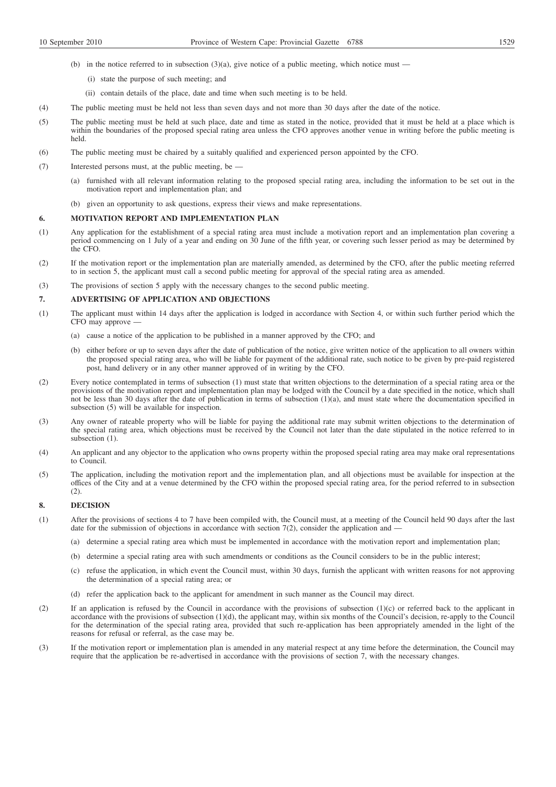- (b) in the notice referred to in subsection  $(3)(a)$ , give notice of a public meeting, which notice must
	- (i) state the purpose of such meeting; and
	- (ii) contain details of the place, date and time when such meeting is to be held.
- (4) The public meeting must be held not less than seven days and not more than 30 days after the date of the notice.
- (5) The public meeting must be held at such place, date and time as stated in the notice, provided that it must be held at a place which is within the boundaries of the proposed special rating area unless the CFO approves another venue in writing before the public meeting is held.
- (6) The public meeting must be chaired by a suitably qualified and experienced person appointed by the CFO.
- (7) Interested persons must, at the public meeting, be
	- (a) furnished with all relevant information relating to the proposed special rating area, including the information to be set out in the motivation report and implementation plan; and
	- (b) given an opportunity to ask questions, express their views and make representations.

### **6. MOTIVATION REPORT AND IMPLEMENTATION PLAN**

- (1) Any application for the establishment of a special rating area must include a motivation report and an implementation plan covering a period commencing on 1 July of a year and ending on 30 June of the fifth year, or covering such lesser period as may be determined by the CFO.
- (2) If the motivation report or the implementation plan are materially amended, as determined by the CFO, after the public meeting referred to in section 5, the applicant must call a second public meeting for approval of the special rating area as amended.
- (3) The provisions of section 5 apply with the necessary changes to the second public meeting.

### **7. ADVERTISING OF APPLICATION AND OBJECTIONS**

- (1) The applicant must within 14 days after the application is lodged in accordance with Section 4, or within such further period which the CFO may approve —
	- (a) cause a notice of the application to be published in a manner approved by the CFO; and
	- (b) either before or up to seven days after the date of publication of the notice, give written notice of the application to all owners within the proposed special rating area, who will be liable for payment of the additional rate, such notice to be given by pre-paid registered post, hand delivery or in any other manner approved of in writing by the CFO.
- (2) Every notice contemplated in terms of subsection (1) must state that written objections to the determination of a special rating area or the provisions of the motivation report and implementation plan may be lodged with the Council by a date specified in the notice, which shall not be less than 30 days after the date of publication in terms of subsection (1)(a), and must state where the documentation specified in subsection (5) will be available for inspection.
- (3) Any owner of rateable property who will be liable for paying the additional rate may submit written objections to the determination of the special rating area, which objections must be received by the Council not later than the date stipulated in the notice referred to in subsection (1).
- (4) An applicant and any objector to the application who owns property within the proposed special rating area may make oral representations to Council.
- (5) The application, including the motivation report and the implementation plan, and all objections must be available for inspection at the offices of the City and at a venue determined by the CFO within the proposed special rating area, for the period referred to in subsection (2).

### **8. DECISION**

- (1) After the provisions of sections 4 to 7 have been compiled with, the Council must, at a meeting of the Council held 90 days after the last date for the submission of objections in accordance with section 7(2), consider the application and –
	- (a) determine a special rating area which must be implemented in accordance with the motivation report and implementation plan;
	- (b) determine a special rating area with such amendments or conditions as the Council considers to be in the public interest;
	- (c) refuse the application, in which event the Council must, within 30 days, furnish the applicant with written reasons for not approving the determination of a special rating area; or
	- (d) refer the application back to the applicant for amendment in such manner as the Council may direct.
- (2) If an application is refused by the Council in accordance with the provisions of subsection  $(1)(c)$  or referred back to the applicant in accordance with the provisions of subsection (1)(d), the applicant may, within six months of the Council's decision, re-apply to the Council for the determination of the special rating area, provided that such re-application has been appropriately amended in the light of the reasons for refusal or referral, as the case may be.
- (3) If the motivation report or implementation plan is amended in any material respect at any time before the determination, the Council may require that the application be re-advertised in accordance with the provisions of section 7, with the necessary changes.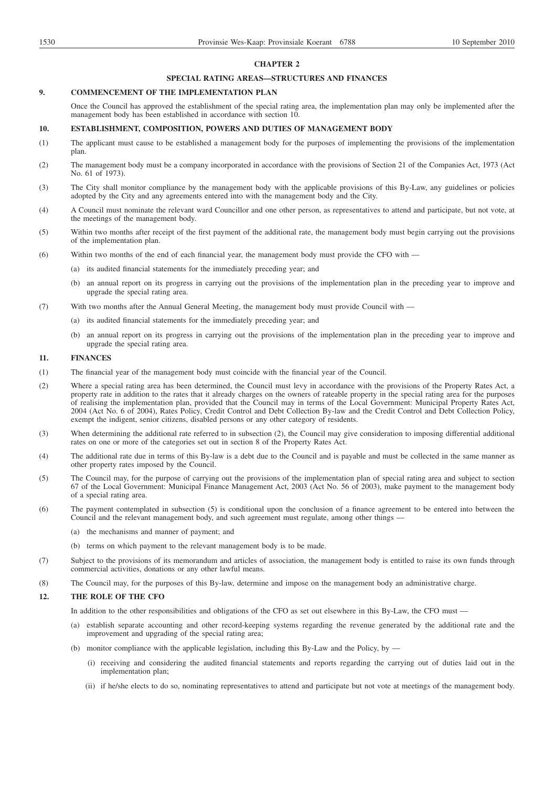### **CHAPTER 2**

## **SPECIAL RATING AREAS—STRUCTURES AND FINANCES**

## **9. COMMENCEMENT OF THE IMPLEMENTATION PLAN**

Once the Council has approved the establishment of the special rating area, the implementation plan may only be implemented after the management body has been established in accordance with section 10.

## **10. ESTABLISHMENT, COMPOSITION, POWERS AND DUTIES OF MANAGEMENT BODY**

- (1) The applicant must cause to be established a management body for the purposes of implementing the provisions of the implementation plan.
- (2) The management body must be a company incorporated in accordance with the provisions of Section 21 of the Companies Act, 1973 (Act No. 61 of 1973).
- (3) The City shall monitor compliance by the management body with the applicable provisions of this By-Law, any guidelines or policies adopted by the City and any agreements entered into with the management body and the City.
- (4) A Council must nominate the relevant ward Councillor and one other person, as representatives to attend and participate, but not vote, at the meetings of the management body.
- (5) Within two months after receipt of the first payment of the additional rate, the management body must begin carrying out the provisions of the implementation plan.
- (6) Within two months of the end of each financial year, the management body must provide the CFO with
	- (a) its audited financial statements for the immediately preceding year; and
	- (b) an annual report on its progress in carrying out the provisions of the implementation plan in the preceding year to improve and upgrade the special rating area.
- (7) With two months after the Annual General Meeting, the management body must provide Council with
	- (a) its audited financial statements for the immediately preceding year; and
		- (b) an annual report on its progress in carrying out the provisions of the implementation plan in the preceding year to improve and upgrade the special rating area.

### **11. FINANCES**

- (1) The financial year of the management body must coincide with the financial year of the Council.
- (2) Where a special rating area has been determined, the Council must levy in accordance with the provisions of the Property Rates Act, a property rate in addition to the rates that it already charges on the owners of rateable property in the special rating area for the purposes of realising the implementation plan, provided that the Council may in terms of the Local Government: Municipal Property Rates Act, 2004 (Act No. 6 of 2004), Rates Policy, Credit Control and Debt Collection By-law and the Credit Control and Debt Collection Policy, exempt the indigent, senior citizens, disabled persons or any other category of residents.
- (3) When determining the additional rate referred to in subsection (2), the Council may give consideration to imposing differential additional rates on one or more of the categories set out in section 8 of the Property Rates Act.
- (4) The additional rate due in terms of this By-law is a debt due to the Council and is payable and must be collected in the same manner as other property rates imposed by the Council.
- (5) The Council may, for the purpose of carrying out the provisions of the implementation plan of special rating area and subject to section 67 of the Local Government: Municipal Finance Management Act, 2003 (Act No. 56 of 2003), make payment to the management body of a special rating area.
- (6) The payment contemplated in subsection (5) is conditional upon the conclusion of a finance agreement to be entered into between the Council and the relevant management body, and such agreement must regulate, among other things –
	- (a) the mechanisms and manner of payment; and
	- (b) terms on which payment to the relevant management body is to be made.
- (7) Subject to the provisions of its memorandum and articles of association, the management body is entitled to raise its own funds through commercial activities, donations or any other lawful means.
- (8) The Council may, for the purposes of this By-law, determine and impose on the management body an administrative charge.

## **12. THE ROLE OF THE CFO**

In addition to the other responsibilities and obligations of the CFO as set out elsewhere in this By-Law, the CFO must —

- (a) establish separate accounting and other record-keeping systems regarding the revenue generated by the additional rate and the improvement and upgrading of the special rating area;
- (b) monitor compliance with the applicable legislation, including this By-Law and the Policy, by
	- (i) receiving and considering the audited financial statements and reports regarding the carrying out of duties laid out in the implementation plan;
	- (ii) if he/she elects to do so, nominating representatives to attend and participate but not vote at meetings of the management body.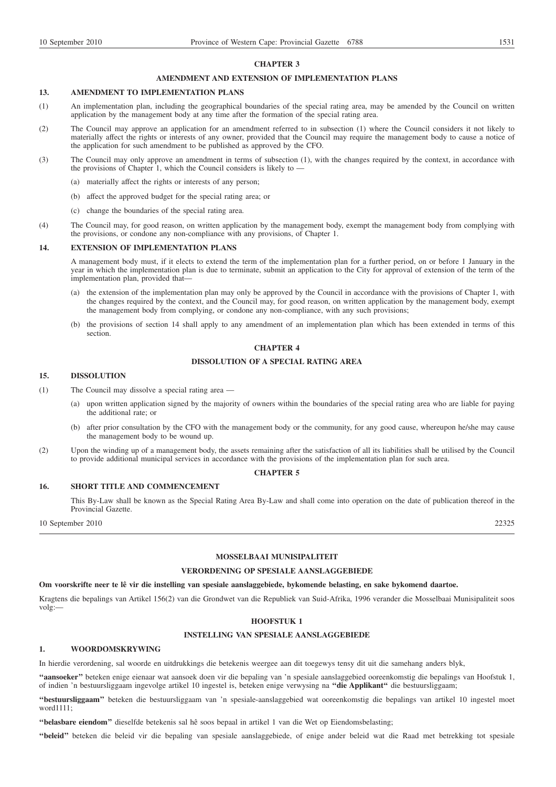### **CHAPTER 3**

### **AMENDMENT AND EXTENSION OF IMPLEMENTATION PLANS**

# **13. AMENDMENT TO IMPLEMENTATION PLANS**

- (1) An implementation plan, including the geographical boundaries of the special rating area, may be amended by the Council on written application by the management body at any time after the formation of the special rating area.
- (2) The Council may approve an application for an amendment referred to in subsection (1) where the Council considers it not likely to materially affect the rights or interests of any owner, provided that the Council may require the management body to cause a notice of the application for such amendment to be published as approved by the CFO.
- (3) The Council may only approve an amendment in terms of subsection (1), with the changes required by the context, in accordance with the provisions of Chapter 1, which the Council considers is likely to —
	- (a) materially affect the rights or interests of any person;
	- (b) affect the approved budget for the special rating area; or
	- (c) change the boundaries of the special rating area.
- (4) The Council may, for good reason, on written application by the management body, exempt the management body from complying with the provisions, or condone any non-compliance with any provisions, of Chapter 1.

### **14. EXTENSION OF IMPLEMENTATION PLANS**

A management body must, if it elects to extend the term of the implementation plan for a further period, on or before 1 January in the year in which the implementation plan is due to terminate, submit an application to the City for approval of extension of the term of the implementation plan, provided that—

- (a) the extension of the implementation plan may only be approved by the Council in accordance with the provisions of Chapter 1, with the changes required by the context, and the Council may, for good reason, on written application by the management body, exempt the management body from complying, or condone any non-compliance, with any such provisions;
- (b) the provisions of section 14 shall apply to any amendment of an implementation plan which has been extended in terms of this section.

# **CHAPTER 4**

## **DISSOLUTION OF A SPECIAL RATING AREA**

# **15. DISSOLUTION**

- (1) The Council may dissolve a special rating area
	- (a) upon written application signed by the majority of owners within the boundaries of the special rating area who are liable for paying the additional rate; or
	- (b) after prior consultation by the CFO with the management body or the community, for any good cause, whereupon he/she may cause the management body to be wound up.
- (2) Upon the winding up of a management body, the assets remaining after the satisfaction of all its liabilities shall be utilised by the Council to provide additional municipal services in accordance with the provisions of the implementation plan for such area.

## **CHAPTER 5**

### **16. SHORT TITLE AND COMMENCEMENT**

This By-Law shall be known as the Special Rating Area By-Law and shall come into operation on the date of publication thereof in the Provincial Gazette.

10 September 2010 22325

# **MOSSELBAAI MUNISIPALITEIT**

# **VERORDENING OP SPESIALE AANSLAGGEBIEDE**

### **Om voorskrifte neer te lê vir die instelling van spesiale aanslaggebiede, bykomende belasting, en sake bykomend daartoe.**

Kragtens die bepalings van Artikel 156(2) van die Grondwet van die Republiek van Suid-Afrika, 1996 verander die Mosselbaai Munisipaliteit soos volg:—

### **HOOFSTUK 1**

## **INSTELLING VAN SPESIALE AANSLAGGEBIEDE**

# **1. WOORDOMSKRYWING**

In hierdie verordening, sal woorde en uitdrukkings die betekenis weergee aan dit toegewys tensy dit uit die samehang anders blyk,

**''aansoeker''** beteken enige eienaar wat aansoek doen vir die bepaling van 'n spesiale aanslaggebied ooreenkomstig die bepalings van Hoofstuk 1, of indien 'n bestuursliggaam ingevolge artikel 10 ingestel is, beteken enige verwysing na **''die Applikant''** die bestuursliggaam;

**''bestuursliggaam''** beteken die bestuursliggaam van 'n spesiale-aanslaggebied wat ooreenkomstig die bepalings van artikel 10 ingestel moet word1111;

**''belasbare eiendom''** dieselfde betekenis sal hê soos bepaal in artikel 1 van die Wet op Eiendomsbelasting;

**''beleid''** beteken die beleid vir die bepaling van spesiale aanslaggebiede, of enige ander beleid wat die Raad met betrekking tot spesiale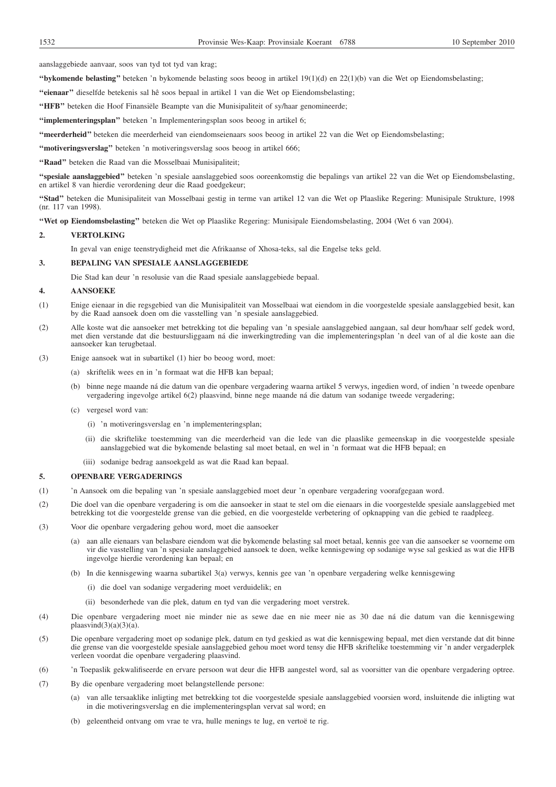aanslaggebiede aanvaar, soos van tyd tot tyd van krag;

**''bykomende belasting''** beteken 'n bykomende belasting soos beoog in artikel 19(1)(d) en 22(1)(b) van die Wet op Eiendomsbelasting;

**''eienaar''** dieselfde betekenis sal hê soos bepaal in artikel 1 van die Wet op Eiendomsbelasting;

**''HFB''** beteken die Hoof Finansiële Beampte van die Munisipaliteit of sy/haar genomineerde;

**''implementeringsplan''** beteken 'n Implementeringsplan soos beoog in artikel 6;

**''meerderheid''** beteken die meerderheid van eiendomseienaars soos beoog in artikel 22 van die Wet op Eiendomsbelasting;

"motiveringsverslag" beteken 'n motiveringsverslag soos beoog in artikel 666;

**''Raad''** beteken die Raad van die Mosselbaai Munisipaliteit;

**''spesiale aanslaggebied''** beteken 'n spesiale aanslaggebied soos ooreenkomstig die bepalings van artikel 22 van die Wet op Eiendomsbelasting, en artikel 8 van hierdie verordening deur die Raad goedgekeur;

**''Stad''** beteken die Munisipaliteit van Mosselbaai gestig in terme van artikel 12 van die Wet op Plaaslike Regering: Munisipale Strukture, 1998 (nr. 117 van 1998).

**''Wet op Eiendomsbelasting''** beteken die Wet op Plaaslike Regering: Munisipale Eiendomsbelasting, 2004 (Wet 6 van 2004).

## **2. VERTOLKING**

In geval van enige teenstrydigheid met die Afrikaanse of Xhosa-teks, sal die Engelse teks geld.

## **3. BEPALING VAN SPESIALE AANSLAGGEBIEDE**

Die Stad kan deur 'n resolusie van die Raad spesiale aanslaggebiede bepaal.

# **4. AANSOEKE**

- (1) Enige eienaar in die regsgebied van die Munisipaliteit van Mosselbaai wat eiendom in die voorgestelde spesiale aanslaggebied besit, kan by die Raad aansoek doen om die vasstelling van 'n spesiale aanslaggebied.
- (2) Alle koste wat die aansoeker met betrekking tot die bepaling van 'n spesiale aanslaggebied aangaan, sal deur hom/haar self gedek word, met dien verstande dat die bestuursliggaam ná die inwerkingtreding van die implementeringsplan 'n deel van of al die koste aan die aansoeker kan terugbetaal.
- (3) Enige aansoek wat in subartikel (1) hier bo beoog word, moet:
	- (a) skriftelik wees en in 'n formaat wat die HFB kan bepaal;
	- (b) binne nege maande ná die datum van die openbare vergadering waarna artikel 5 verwys, ingedien word, of indien 'n tweede openbare vergadering ingevolge artikel 6(2) plaasvind, binne nege maande ná die datum van sodanige tweede vergadering;
	- (c) vergesel word van:
		- (i) 'n motiveringsverslag en 'n implementeringsplan;
		- (ii) die skriftelike toestemming van die meerderheid van die lede van die plaaslike gemeenskap in die voorgestelde spesiale aanslaggebied wat die bykomende belasting sal moet betaal, en wel in 'n formaat wat die HFB bepaal; en
		- (iii) sodanige bedrag aansoekgeld as wat die Raad kan bepaal.

### **5. OPENBARE VERGADERINGS**

- (1) 'n Aansoek om die bepaling van 'n spesiale aanslaggebied moet deur 'n openbare vergadering voorafgegaan word.
- (2) Die doel van die openbare vergadering is om die aansoeker in staat te stel om die eienaars in die voorgestelde spesiale aanslaggebied met betrekking tot die voorgestelde grense van die gebied, en die voorgestelde verbetering of opknapping van die gebied te raadpleeg.
- (3) Voor die openbare vergadering gehou word, moet die aansoeker
	- (a) aan alle eienaars van belasbare eiendom wat die bykomende belasting sal moet betaal, kennis gee van die aansoeker se voorneme om vir die vasstelling van 'n spesiale aanslaggebied aansoek te doen, welke kennisgewing op sodanige wyse sal geskied as wat die HFB ingevolge hierdie verordening kan bepaal; en
	- (b) In die kennisgewing waarna subartikel 3(a) verwys, kennis gee van 'n openbare vergadering welke kennisgewing
		- (i) die doel van sodanige vergadering moet verduidelik; en
		- (ii) besonderhede van die plek, datum en tyd van die vergadering moet verstrek.
- (4) Die openbare vergadering moet nie minder nie as sewe dae en nie meer nie as 30 dae ná die datum van die kennisgewing plaasvind $(3)(a)(3)(a)$ .
- (5) Die openbare vergadering moet op sodanige plek, datum en tyd geskied as wat die kennisgewing bepaal, met dien verstande dat dit binne die grense van die voorgestelde spesiale aanslaggebied gehou moet word tensy die HFB skriftelike toestemming vir 'n ander vergaderplek verleen voordat die openbare vergadering plaasvind.
- (6) 'n Toepaslik gekwalifiseerde en ervare persoon wat deur die HFB aangestel word, sal as voorsitter van die openbare vergadering optree.
- (7) By die openbare vergadering moet belangstellende persone:
	- van alle tersaaklike inligting met betrekking tot die voorgestelde spesiale aanslaggebied voorsien word, insluitende die inligting wat in die motiveringsverslag en die implementeringsplan vervat sal word; en
	- (b) geleentheid ontvang om vrae te vra, hulle menings te lug, en vertoë te rig.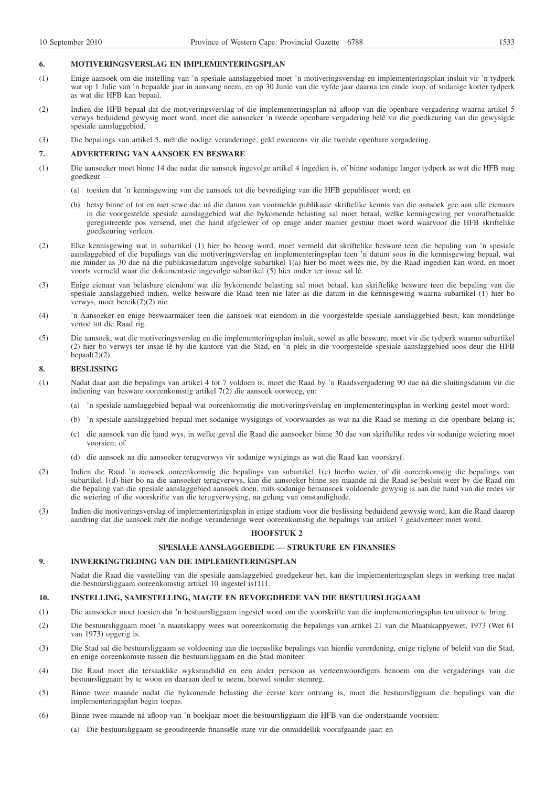### **6. MOTIVERINGSVERSLAG EN IMPLEMENTERINGSPLAN**

- (1) Enige aansoek om die instelling van 'n spesiale aanslaggebied moet 'n motiveringsverslag en implementeringsplan insluit vir 'n tydperk wat op 1 Julie van 'n bepaalde jaar in aanvang neem, en op 30 Junie van die vyfde jaar daarna ten einde loop, of sodanige korter tydperk as wat die HFB kan bepaal.
- (2) Indien die HFB bepaal dat die motiveringsverslag of die implementeringsplan ná afloop van die openbare vergadering waarna artikel 5 verwys beduidend gewysig moet word, moet die aansoeker 'n tweede openbare vergadering belê vir die goedkeuring van die gewysigde spesiale aanslaggebied.
- (3) Die bepalings van artikel 5, mét die nodige veranderinge, geld eweneens vir die tweede openbare vergadering.

#### **7. ADVERTERING VAN AANSOEK EN BESWARE**

- (1) Die aansoeker moet binne 14 dae nadat die aansoek ingevolge artikel 4 ingedien is, of binne sodanige langer tydperk as wat die HFB mag goedkeur —
	- (a) toesien dat 'n kennisgewing van die aansoek tot die bevrediging van die HFB gepubliseer word; en
	- (b) hetsy binne of tot en met sewe dae ná die datum van voormelde publikasie skriftelike kennis van die aansoek gee aan alle eienaars in die voorgestelde spesiale aanslaggebied wat die bykomende belasting sal moet betaal, welke kennisgewing per voorafbetaalde geregistreerde pos versend, met die hand afgelewer of op enige ander manier gestuur moet word waarvoor die HFB skriftelike goedkeuring verleen.
- (2) Elke kennisgewing wat in subartikel (1) hier bo beoog word, moet vermeld dat skriftelike besware teen die bepaling van 'n spesiale aanslaggebied of die bepalings van die motiveringsverslag en implementeringsplan teen 'n datum soos in die kennisgewing bepaal, wat nie minder as 30 dae ná die publikasiedatum ingevolge subartikel 1(a) hier bo moet wees nie, by die Raad ingedien kan word, en moet voorts vermeld waar die dokumentasie ingevolge subartikel (5) hier onder ter insae sal lê.
- (3) Enige eienaar van belasbare eiendom wat die bykomende belasting sal moet betaal, kan skriftelike besware teen die bepaling van die spesiale aanslaggebied indien, welke besware die Raad teen nie later as die datum in die kennisgewing waarna subartikel (1) hier bo verwys, moet bereik(2)(2) nie
- (4) 'n Aansoeker en enige beswaarmaker teen die aansoek wat eiendom in die voorgestelde spesiale aanslaggebied besit, kan mondelinge vertoë tot die Raad rig.
- (5) Die aansoek, wat die motiveringsverslag en die implementeringsplan insluit, sowel as alle besware, moet vir die tydperk waarna subartikel (2) hier bo verwys ter insae lê by die kantore van die Stad, en 'n plek in die voorgestelde spesiale aanslaggebied soos deur die HFB  $benaal(2)(2)$ .

### **8. BESLISSING**

- (1) Nadat daar aan die bepalings van artikel 4 tot 7 voldoen is, moet die Raad by 'n Raadsvergadering 90 dae ná die sluitingsdatum vir die indiening van besware ooreenkomstig artikel 7(2) die aansoek oorweeg, en:
	- (a) 'n spesiale aanslaggebied bepaal wat ooreenkomstig die motiveringsverslag en implementeringsplan in werking gestel moet word;
	- (b) 'n spesiale aanslaggebied bepaal met sodanige wysigings of voorwaardes as wat na die Raad se mening in die openbare belang is;
	- (c) die aansoek van die hand wys, in welke geval die Raad die aansoeker binne 30 dae van skriftelike redes vir sodanige weiering moet voorsien; of
	- (d) die aansoek na die aansoeker terugverwys vir sodanige wysigings as wat die Raad kan voorskryf.
- (2) Indien die Raad 'n aansoek ooreenkomstig die bepalings van subartikel 1(c) hierbo weier, of dit ooreenkomstig die bepalings van subartikel 1(d) hier bo na die aansoeker terugverwys, kan die aansoeker binne ses maande ná die Raad se besluit weer by die Raad om die bepaling van die spesiale aanslaggebied aansoek doen, mits sodanige heraansoek voldoende gewysig is aan die hand van die redes vir die weiering of die voorskrifte van die terugverwysing, na gelang van omstandighede.
- (3) Indien die motiveringsverslag of implementerinigsplan in enige stadium voor die beslissing beduidend gewysig word, kan die Raad daarop aandring dat die aansoek mét die nodige veranderinge weer ooreenkomstig die bepalings van artikel 7 geadverteer moet word.

## **HOOFSTUK 2**

## **SPESIALE AANSLAGGEBIEDE — STRUKTURE EN FINANSIES**

## **9. INWERKINGTREDING VAN DIE IMPLEMENTERINGSPLAN**

Nadat die Raad die vasstelling van die spesiale aanslaggebied goedgekeur het, kan die implementeringsplan slegs in werking tree nadat die bestuursliggaam ooreenkomstig artikel 10 ingestel is1111.

## **10. INSTELLING, SAMESTELLING, MAGTE EN BEVOEGDHEDE VAN DIE BESTUURSLIGGAAM**

- (1) Die aansoeker moet toesien dat 'n bestuursliggaam ingestel word om die voorskrifte van die implementeringsplan ten uitvoer te bring.
- (2) Die bestuursliggaam moet 'n maatskappy wees wat ooreenkomstig die bepalings van artikel 21 van die Maatskappyewet, 1973 (Wet 61 van 1973) opgerig is.
- (3) Die Stad sal die bestuursliggaam se voldoening aan die toepaslike bepalings van hierdie verordening, enige riglyne of beleid van die Stad, en enige ooreenkomste tussen die bestuursliggaam en die Stad moniteer.
- (4) Die Raad moet die tersaaklike wyksraadslid en een ander persoon as verteenwoordigers benoem om die vergaderings van die bestuursliggaam by te woon en daaraan deel te neem, hoewel sonder stemreg.
- (5) Binne twee maande nadat die bykomende belasting die eerste keer ontvang is, moet die bestuursliggaam die bepalings van die implementeringsplan begin toepas.
- (6) Binne twee maande ná afloop van 'n boekjaar moet die bestuursliggaam die HFB van die onderstaande voorsien:
	- (a) Die bestuursliggaam se geouditeerde finansiële state vir die onmiddellik voorafgaande jaar; en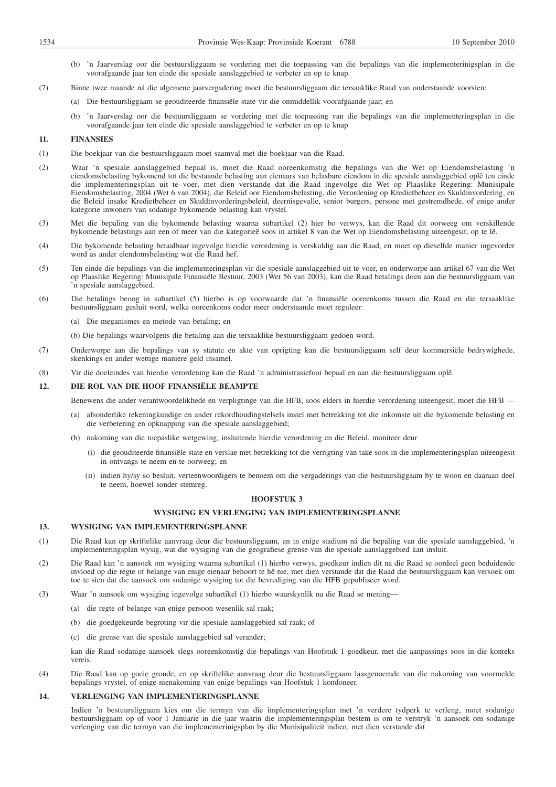- (b) 'n Jaarverslag oor die bestuursliggaam se vordering met die toepassing van die bepalings van die implementerinigsplan in die voorafgaande jaar ten einde die spesiale aanslaggebied te verbeter en op te knap.
- (7) Binne twee maande ná die algemene jaarvergadering moet die bestuursliggaam die tersaaklike Raad van onderstaande voorsien:
	- (a) Die bestuursliggaam se geouditeerde finansiële state vir die onmiddellik voorafgaande jaar; en
	- (b) 'n Jaarverslag oor die bestuursliggaam se vordering met die toepassing van die bepalings van die implementeringsplan in die voorafgaande jaar ten einde die spesiale aanslaggebied te verbeter en op te knap

# **11. FINANSIES**

- (1) Die boekjaar van die bestuursliggaam moet saamval met die boekjaar van die Raad.
- (2) Waar 'n spesiale aanslaggebied bepaal is, moet die Raad ooreenkomstig die bepalings van die Wet op Eiendomsbelasting 'n eiendomsbelasting bykomend tot die bestaande belasting aan eienaars van belasbare eiendom in die spesiale aanslaggebied oplê ten einde die implementeringsplan uit te voer, met dien verstande dat die Raad ingevolge die Wet op Plaaslike Regering: Munisipale Eiendomsbelasting, 2004 (Wet 6 van 2004), die Beleid oor Eiendomsbelasting, die Verordening op Kredietbeheer en Skuldinvordering, en die Beleid insake Kredietbeheer en Skuldinvorderingsbeleid, deernisgevalle, senior burgers, persone met gestremdhede, of enige ander kategorie inwoners van sodanige bykomende belasting kan vrystel.
- (3) Met die bepaling van die bykomende belasting waarna subartikel (2) hier bo verwys, kan die Raad dit oorweeg om verskillende bykomende belastings aan een of meer van die kategorieë soos in artikel 8 van die Wet op Eiendomsbelasting uiteengesit, op te lê.
- (4) Die bykomende belasting betaalbaar ingevolge hierdie verordening is verskuldig aan die Raad, en moet op dieselfde manier ingevorder word as ander eiendomsbelasting wat die Raad hef.
- (5) Ten einde die bepalings van die implementeringsplan vir die spesiale aanslaggebied uit te voer, en onderworpe aan artikel 67 van die Wet op Plaaslike Regering: Munisipale Finansiële Bestuur, 2003 (Wet 56 van 2003), kan die Raad betalings doen aan die bestuursliggaam van 'n spesiale aanslaggebied.
- (6) Die betalings beoog in subartikel (5) hierbo is op voorwaarde dat 'n finansiële ooreenkoms tussen die Raad en die tersaaklike bestuursliggaam gesluit word, welke ooreenkoms onder meer onderstaande moet reguleer:
	- (a) Die meganismes en metode van betaling; en
	- (b) Die bepalings waarvolgens die betaling aan die tersaaklike bestuursliggaam gedoen word.
- (7) Onderworpe aan die bepalings van sy statute en akte van oprigting kan die bestuursliggaam self deur kommersiële bedrywighede, skenkings en ander wettige maniere geld insamel.
- (8) Vir die doeleindes van hierdie verordening kan die Raad 'n administrasiefooi bepaal en aan die bestuursliggaam oplê.

## **12. DIE ROL VAN DIE HOOF FINANSIËLE BEAMPTE**

Benewens die ander verantwoordelikhede en verpligtinge van die HFB, soos elders in hierdie verordening uiteengesit, moet die HFB —

- afsonderlike rekeningkundige en ander rekordhoudingstelsels instel met betrekking tot die inkomste uit die bykomende belasting en die verbetering en opknapping van die spesiale aanslaggebied;
- (b) nakoming van die toepaslike wetgewing, insluitende hierdie verordening en die Beleid, moniteer deur
	- (i) die geouditeerde finansiële state en verslae met betrekking tot die verrigting van take soos in die implementeringsplan uiteengesit in ontvangs te neem en te oorweeg; en
	- (ii) indien hy/sy so besluit, verteenwoordigers te benoem om die vergaderings van die bestuursliggaam by te woon en daaraan deel te neem, hoewel sonder stemreg.

# **HOOFSTUK 3**

## **WYSIGING EN VERLENGING VAN IMPLEMENTERINGSPLANNE**

## **13. WYSIGING VAN IMPLEMENTERINGSPLANNE**

- (1) Die Raad kan op skriftelike aanvraag deur die bestuursliggaam, en in enige stadium ná die bepaling van die spesiale aanslaggebied, 'n implementeringsplan wysig, wat die wysiging van die geografiese grense van die spesiale aanslaggebied kan insluit.
- (2) Die Raad kan 'n aansoek om wysiging waarna subartikel (1) hierbo verwys, goedkeur indien dit na die Raad se oordeel geen beduidende invloed op die regte of belange van enige eienaar behoort te hê nie, met dien verstande dat die Raad die bestuursliggaam kan versoek om toe te sien dat die aansoek om sodanige wysiging tot die bevrediging van die HFB gepubliseer word.
- (3) Waar 'n aansoek om wysiging ingevolge subartikel (1) hierbo waarskynlik na die Raad se mening—
	- (a) die regte of belange van enige persoon wesenlik sal raak;
	- (b) die goedgekeurde begroting vir die spesiale aanslaggebied sal raak; of
	- (c) die grense van die spesiale aanslaggebied sal verander;

kan die Raad sodanige aansoek slegs ooreenkomstig die bepalings van Hoofstuk 1 goedkeur, met die aanpassings soos in die konteks vereis.

(4) Die Raad kan op goeie gronde, en op skriftelike aanvraag deur die bestuursliggaam laasgenoemde van die nakoming van voormelde bepalings vrystel, of enige nienakoming van enige bepalings van Hoofstuk 1 kondoneer.

# **14. VERLENGING VAN IMPLEMENTERINGSPLANNE**

Indien 'n bestuursliggaam kies om die termyn van die implementeringsplan met 'n verdere tydperk te verleng, moet sodanige bestuursliggaam op of voor 1 Januarie in die jaar waarin die implementeringsplan bestem is om te verstryk 'n aansoek om sodanige verlenging van die termyn van die implementerinigsplan by die Munisipaliteit indien, met dien verstande dat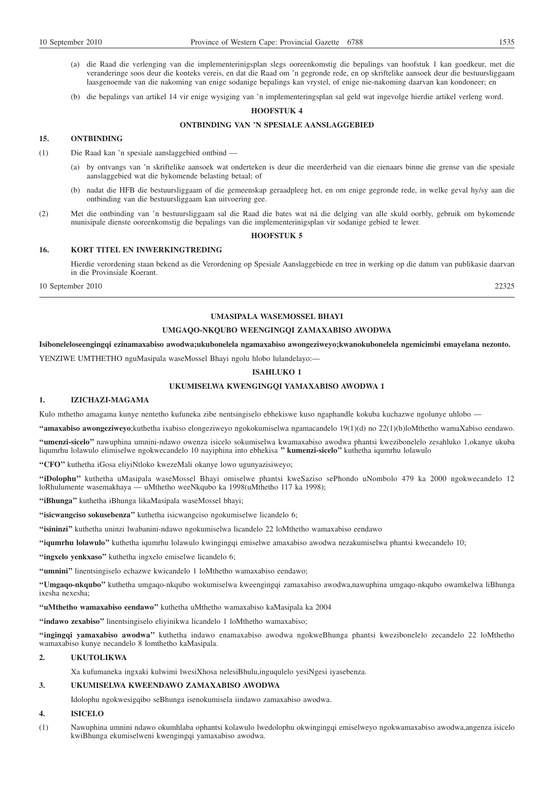- 
- (a) die Raad die verlenging van die implementerinigsplan slegs ooreenkomstig die bepalings van hoofstuk 1 kan goedkeur, met die veranderinge soos deur die konteks vereis, en dat die Raad om 'n gegronde rede, en op skriftelike aansoek deur die bestuursliggaam laasgenoemde van die nakoming van enige sodanige bepalings kan vrystel, of enige nie-nakoming daarvan kan kondoneer; en
- (b) die bepalings van artikel 14 vir enige wysiging van 'n implementeringsplan sal geld wat ingevolge hierdie artikel verleng word.

## **HOOFSTUK 4**

### **ONTBINDING VAN 'N SPESIALE AANSLAGGEBIED**

### **15. ONTBINDING**

(1) Die Raad kan 'n spesiale aanslaggebied ontbind —

- (a) by ontvangs van 'n skriftelike aansoek wat onderteken is deur die meerderheid van die eienaars binne die grense van die spesiale aanslaggebied wat die bykomende belasting betaal; of
- (b) nadat die HFB die bestuursliggaam of die gemeenskap geraadpleeg het, en om enige gegronde rede, in welke geval hy/sy aan die ontbinding van die bestuursliggaam kan uitvoering gee.
- (2) Met die ontbinding van 'n bestuursliggaam sal die Raad die bates wat ná die delging van alle skuld oorbly, gebruik om bykomende munisipale dienste ooreenkomstig die bepalings van die implementerinigsplan vir sodanige gebied te lewer.

### **HOOFSTUK 5**

## **16. KORT TITEL EN INWERKINGTREDING**

Hierdie verordening staan bekend as die Verordening op Spesiale Aanslaggebiede en tree in werking op die datum van publikasie daarvan in die Provinsiale Koerant.

10 September 2010 22325

### **UMASIPALA WASEMOSSEL BHAYI**

## **UMGAQO-NKQUBO WEENGINGQI ZAMAXABISO AWODWA**

**Isiboneleloseengingqi ezinamaxabiso awodwa;ukubonelela ngamaxabiso awongeziweyo;kwanokubonelela ngemicimbi emayelana nezonto.**

YENZIWE UMTHETHO nguMasipala waseMossel Bhayi ngolu hlobo lulandelayo:—

## **ISAHLUKO 1**

# **UKUMISELWA KWENGINGQI YAMAXABISO AWODWA 1**

#### **1. IZICHAZI-MAGAMA**

Kulo mthetho amagama kunye nentetho kufuneka zibe nentsingiselo ebhekiswe kuso ngaphandle kokuba kuchazwe ngolunye uhlobo —

**''amaxabiso awongeziweyo**;kuthetha ixabiso elongeziweyo ngokokumiselwa ngamacandelo 19(1)(d) no 22(1)(b)loMthetho wamaXabiso eendawo.

**''umenzi-sicelo''** nawuphina umnini-ndawo owenza isicelo sokumiselwa kwamaxabiso awodwa phantsi kwezibonelelo zesahluko 1,okanye ukuba liqumrhu lolawulo elimiselwe ngokwecandelo 10 nayiphina into ebhekisa **'' kumenzi-sicelo''** kuthetha iqumrhu lolawulo

**''CFO''** kuthetha iGosa eliyiNtloko kwezeMali okanye lowo ugunyazisiweyo;

**''iDolophu''** kuthetha uMasipala waseMossel Bhayi omiselwe phantsi kweSaziso sePhondo uNombolo 479 ka 2000 ngokwecandelo 12 loRhulumente wasemakhaya — uMthetho weeNkqubo ka 1998(uMthetho 117 ka 1998);

**''iBhunga''** kuthetha iBhunga likaMasipala waseMossel bhayi;

**''isicwangciso sokusebenza''** kuthetha isicwangciso ngokumiselwe licandelo 6;

**''isininzi''** kuthetha uninzi lwabanini-ndawo ngokumiselwa licandelo 22 loMthetho wamaxabiso eendawo

**''iqumrhu lolawulo''** kuthetha iqumrhu lolawulo kwingingqi emiselwe amaxabiso awodwa nezakumiselwa phantsi kwecandelo 10;

"ingxelo yenkxaso" kuthetha ingxelo emiselwe licandelo 6;

**''umnini''** linentsingiselo echazwe kwicandelo 1 loMthetho wamaxabiso eendawo;

**''Umgaqo-nkqubo''** kuthetha umgaqo-nkqubo wokumiselwa kweengingqi zamaxabiso awodwa,nawuphina umgaqo-nkqubo owamkelwa liBhunga ixesha nexesha;

**''uMthetho wamaxabiso eendawo''** kuthetha uMthetho wamaxabiso kaMasipala ka 2004

**''indawo zexabiso''** linentsingiselo eliyinikwa licandelo 1 loMthetho wamaxabiso;

**''ingingqi yamaxabiso awodwa''** kuthetha indawo enamaxabiso awodwa ngokweBhunga phantsi kwezibonelelo zecandelo 22 loMthetho wamaxabiso kunye necandelo 8 lomthetho kaMasipala.

## **2. UKUTOLIKWA**

Xa kufumaneka ingxaki kulwimi lwesiXhosa nelesiBhulu,inguqulelo yesiNgesi iyasebenza.

## **3. UKUMISELWA KWEENDAWO ZAMAXABISO AWODWA**

Idolophu ngokwesigqibo seBhunga isenokumisela iindawo zamaxabiso awodwa.

# **4. ISICELO**

(1) Nawuphina umnini ndawo okumhlaba ophantsi kolawulo lwedolophu okwingingqi emiselweyo ngokwamaxabiso awodwa,angenza isicelo kwiBhunga ekumiselweni kwengingqi yamaxabiso awodwa.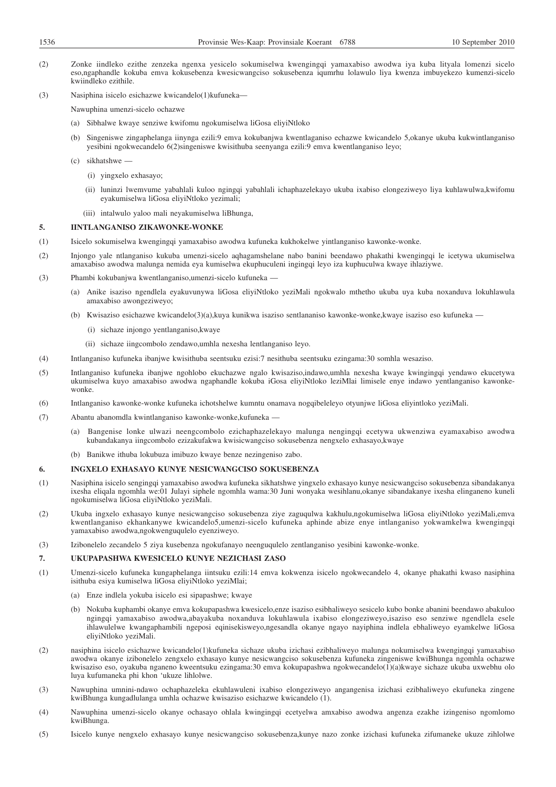- (2) Zonke iindleko ezithe zenzeka ngenxa yesicelo sokumiselwa kwengingqi yamaxabiso awodwa iya kuba lityala lomenzi sicelo eso,ngaphandle kokuba emva kokusebenza kwesicwangciso sokusebenza iqumrhu lolawulo liya kwenza imbuyekezo kumenzi-sicelo kwiindleko ezithile.
- (3) Nasiphina isicelo esichazwe kwicandelo(1)kufuneka—
	- Nawuphina umenzi-sicelo ochazwe
	- (a) Sibhalwe kwaye senziwe kwifomu ngokumiselwa liGosa eliyiNtloko
	- (b) Singeniswe zingaphelanga iinynga ezili:9 emva kokubanjwa kwentlaganiso echazwe kwicandelo 5,okanye ukuba kukwintlanganiso yesibini ngokwecandelo 6(2)singeniswe kwisithuba seenyanga ezili:9 emva kwentlanganiso leyo;
	- (c) sikhatshwe
		- (i) yingxelo exhasayo;
		- (ii) luninzi lwemvume yabahlali kuloo ngingqi yabahlali ichaphazelekayo ukuba ixabiso elongeziweyo liya kuhlawulwa,kwifomu eyakumiselwa liGosa eliyiNtloko yezimali;
		- (iii) intalwulo yaloo mali neyakumiselwa liBhunga,

### **5. IINTLANGANISO ZIKAWONKE-WONKE**

- (1) Isicelo sokumiselwa kwengingqi yamaxabiso awodwa kufuneka kukhokelwe yintlanganiso kawonke-wonke.
- (2) Injongo yale ntlanganiso kukuba umenzi-sicelo aqhagamshelane nabo banini beendawo phakathi kwengingqi le icetywa ukumiselwa amaxabiso awodwa malunga nemida eya kumiselwa ekuphuculeni ingingqi leyo iza kuphuculwa kwaye ihlaziywe.
- (3) Phambi kokubanjwa kwentlanganiso,umenzi-sicelo kufuneka
	- (a) Anike isaziso ngendlela eyakuvunywa liGosa eliyiNtloko yeziMali ngokwalo mthetho ukuba uya kuba noxanduva lokuhlawula amaxabiso awongeziweyo;
	- (b) Kwisaziso esichazwe kwicandelo(3)(a),kuya kunikwa isaziso sentlananiso kawonke-wonke,kwaye isaziso eso kufuneka
		- (i) sichaze injongo yentlanganiso,kwaye
		- (ii) sichaze iingcombolo zendawo,umhla nexesha lentlanganiso leyo.
- (4) Intlanganiso kufuneka ibanjwe kwisithuba seentsuku ezisi:7 nesithuba seentsuku ezingama:30 somhla wesaziso.
- (5) Intlanganiso kufuneka ibanjwe ngohlobo ekuchazwe ngalo kwisaziso,indawo,umhla nexesha kwaye kwingingqi yendawo ekucetywa ukumiselwa kuyo amaxabiso awodwa ngaphandle kokuba iGosa eliyiNtloko leziMlai limisele enye indawo yentlanganiso kawonkewonke.
- (6) Intlanganiso kawonke-wonke kufuneka ichotshelwe kumntu onamava nogqibeleleyo otyunjwe liGosa eliyintloko yeziMali.
- (7) Abantu abanomdla kwintlanganiso kawonke-wonke,kufuneka
	- (a) Bangenise lonke ulwazi neengcombolo ezichaphazelekayo malunga nengingqi ecetywa ukwenziwa eyamaxabiso awodwa kubandakanya iingcombolo ezizakufakwa kwisicwangciso sokusebenza nengxelo exhasayo,kwaye
	- (b) Banikwe ithuba lokubuza imibuzo kwaye benze nezingeniso zabo.

### **6. INGXELO EXHASAYO KUNYE NESICWANGCISO SOKUSEBENZA**

- (1) Nasiphina isicelo sengingqi yamaxabiso awodwa kufuneka sikhatshwe yingxelo exhasayo kunye nesicwangciso sokusebenza sibandakanya ixesha eliqala ngomhla we:01 Julayi siphele ngomhla wama:30 Juni wonyaka wesihlanu,okanye sibandakanye ixesha elinganeno kuneli ngokumiselwa liGosa eliyiNtloko yeziMali.
- (2) Ukuba ingxelo exhasayo kunye nesicwangciso sokusebenza ziye zaguqulwa kakhulu,ngokumiselwa liGosa eliyiNtloko yeziMali,emva kwentlanganiso ekhankanywe kwicandelo5,umenzi-sicelo kufuneka aphinde abize enye intlanganiso yokwamkelwa kwengingqi yamaxabiso awodwa,ngokwenguqulelo eyenziweyo.
- (3) Izibonelelo zecandelo 5 ziya kusebenza ngokufanayo neenguqulelo zentlanganiso yesibini kawonke-wonke.

# **7. UKUPAPASHWA KWESICELO KUNYE NEZICHASI ZASO**

- (1) Umenzi-sicelo kufuneka kungaphelanga iintsuku ezili:14 emva kokwenza isicelo ngokwecandelo 4, okanye phakathi kwaso nasiphina isithuba esiya kumiselwa liGosa eliyiNtloko yeziMlai;
	- (a) Enze indlela yokuba isicelo esi sipapashwe; kwaye
	- (b) Nokuba kuphambi okanye emva kokupapashwa kwesicelo,enze isaziso esibhaliweyo sesicelo kubo bonke abanini beendawo abakuloo ngingqi yamaxabiso awodwa,abayakuba noxanduva lokuhlawula ixabiso elongeziweyo,isaziso eso senziwe ngendlela esele ihlawulelwe kwangaphambili ngeposi eqinisekisweyo,ngesandla okanye ngayo nayiphina indlela ebhaliweyo eyamkelwe liGosa eliyiNtloko yeziMali.
- (2) nasiphina isicelo esichazwe kwicandelo(1)kufuneka sichaze ukuba izichasi ezibhaliweyo malunga nokumiselwa kwengingqi yamaxabiso awodwa okanye izibonelelo zengxelo exhasayo kunye nesicwangciso sokusebenza kufuneka zingeniswe kwiBhunga ngomhla ochazwe kwisaziso eso, oyakuba nganeno kweentsuku ezingama:30 emva kokupapashwa ngokwecandelo(1)(a)kwaye sichaze ukuba uxwebhu olo luya kufumaneka phi khon 'ukuze lihlolwe.
- (3) Nawuphina umnini-ndawo ochaphazeleka ekuhlawuleni ixabiso elongeziweyo angangenisa izichasi ezibhaliweyo ekufuneka zingene kwiBhunga kungadlulanga umhla ochazwe kwisaziso esichazwe kwicandelo (1).
- (4) Nawuphina umenzi-sicelo okanye ochasayo ohlala kwingingqi ecetyelwa amxabiso awodwa angenza ezakhe izingeniso ngomlomo kwiBhunga.
- (5) Isicelo kunye nengxelo exhasayo kunye nesicwangciso sokusebenza,kunye nazo zonke izichasi kufuneka zifumaneke ukuze zihlolwe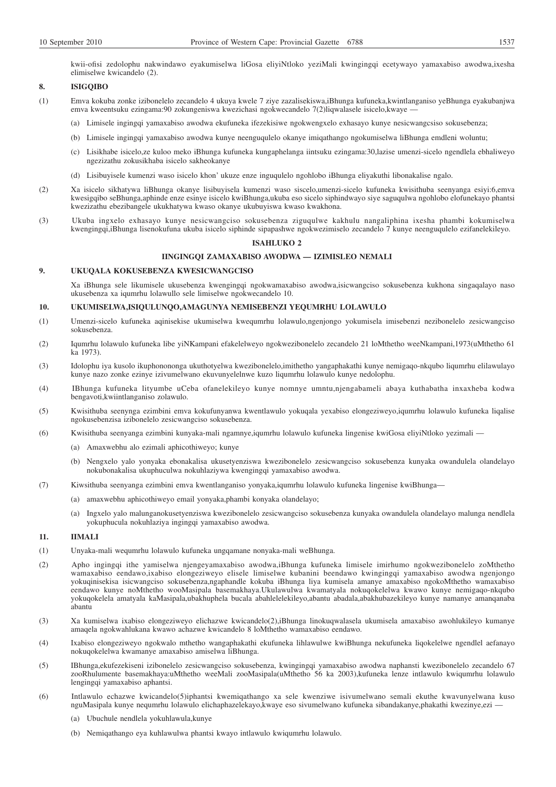kwii-ofisi zedolophu nakwindawo eyakumiselwa liGosa eliyiNtloko yeziMali kwingingqi ecetywayo yamaxabiso awodwa,ixesha elimiselwe kwicandelo (2).

# **8. ISIGQIBO**

- (1) Emva kokuba zonke izibonelelo zecandelo 4 ukuya kwele 7 ziye zazalisekiswa,iBhunga kufuneka,kwintlanganiso yeBhunga eyakubanjwa emva kweentsuku ezingama:90 zokungeniswa kwezichasi ngokwecandelo 7(2)liqwalasele isicelo,kwaye -
	- (a) Limisele ingingqi yamaxabiso awodwa ekufuneka ifezekisiwe ngokwengxelo exhasayo kunye nesicwangcsiso sokusebenza;
	- (b) Limisele ingingqi yamaxabiso awodwa kunye neenguqulelo okanye imiqathango ngokumiselwa liBhunga emdleni woluntu;
	- (c) Lisikhabe isicelo,ze kuloo meko iBhunga kufuneka kungaphelanga iintsuku ezingama:30,lazise umenzi-sicelo ngendlela ebhaliweyo ngezizathu zokusikhaba isicelo sakheokanye
	- (d) Lisibuyisele kumenzi waso isicelo khon' ukuze enze inguqulelo ngohlobo iBhunga eliyakuthi libonakalise ngalo.
- (2) Xa isicelo sikhatywa liBhunga okanye lisibuyisela kumenzi waso siscelo,umenzi-sicelo kufuneka kwisithuba seenyanga esiyi:6,emva kwesigqibo seBhunga,aphinde enze esinye isicelo kwiBhunga,ukuba eso sicelo siphindwayo siye saguqulwa ngohlobo elofunekayo phantsi kwezizathu ebezibangele ukukhatywa kwaso okanye ukubuyiswa kwaso kwakhona.
- (3) Ukuba ingxelo exhasayo kunye nesicwangciso sokusebenza ziguqulwe kakhulu nangaliphina ixesha phambi kokumiselwa kwengingqi,iBhunga lisenokufuna ukuba isicelo siphinde sipapashwe ngokwezimiselo zecandelo 7 kunye neenguqulelo ezifanelekileyo.

## **ISAHLUKO 2**

## **IINGINGQI ZAMAXABISO AWODWA — IZIMISLEO NEMALI**

## **9. UKUQALA KOKUSEBENZA KWESICWANGCISO**

Xa iBhunga sele likumisele ukusebenza kwengingqi ngokwamaxabiso awodwa,isicwangciso sokusebenza kukhona singaqalayo naso ukusebenza xa iqumrhu lolawullo sele limiselwe ngokwecandelo 10.

## **10. UKUMISELWA,ISIQULUNQO,AMAGUNYA NEMISEBENZI YEQUMRHU LOLAWULO**

- (1) Umenzi-sicelo kufuneka aqinisekise ukumiselwa kwequmrhu lolawulo,ngenjongo yokumisela imisebenzi nezibonelelo zesicwangciso sokusebenza.
- (2) Iqumrhu lolawulo kufuneka libe yiNKampani efakelelweyo ngokwezibonelelo zecandelo 21 loMthetho weeNkampani,1973(uMthetho 61 ka 1973).
- (3) Idolophu iya kusolo ikuphonononga ukuthotyelwa kwezibonelelo,imithetho yangaphakathi kunye nemigaqo-nkqubo liqumrhu elilawulayo kunye nazo zonke ezinye izivumelwano ekuvunyelelnwe kuzo liqumrhu lolawulo kunye nedolophu.
- (4) IBhunga kufuneka lityumbe uCeba ofanelekileyo kunye nomnye umntu,njengabameli abaya kuthabatha inxaxheba kodwa bengavoti,kwiintlanganiso zolawulo.
- (5) Kwisithuba seenynga ezimbini emva kokufunyanwa kwentlawulo yokuqala yexabiso elongeziweyo,iqumrhu lolawulo kufuneka liqalise ngokusebenzisa izibonelelo zesicwangciso sokusebenza.
- (6) Kwisithuba seenyanga ezimbini kunyaka-mali ngamnye,iqumrhu lolawulo kufuneka lingenise kwiGosa eliyiNtloko yezimali
	- (a) Amaxwebhu alo ezimali aphicothiweyo; kunye
	- (b) Nengxelo yalo yonyaka ebonakalisa ukusetyenziswa kwezibonelelo zesicwangciso sokusebenza kunyaka owandulela olandelayo nokubonakalisa ukuphuculwa nokuhlaziywa kwengingqi yamaxabiso awodwa.
- (7) Kiwsithuba seenyanga ezimbini emva kwentlanganiso yonyaka,iqumrhu lolawulo kufuneka lingenise kwiBhunga—
	- (a) amaxwebhu aphicothiweyo email yonyaka,phambi konyaka olandelayo;
	- (a) Ingxelo yalo malunganokusetyenziswa kwezibonelelo zesicwangciso sokusebenza kunyaka owandulela olandelayo malunga nendlela yokuphucula nokuhlaziya ingingqi yamaxabiso awodwa.

### **11. IIMALI**

- (1) Unyaka-mali wequmrhu lolawulo kufuneka ungqamane nonyaka-mali weBhunga.
- (2) Apho ingingqi ithe yamiselwa njengeyamaxabiso awodwa,iBhunga kufuneka limisele imirhumo ngokwezibonelelo zoMthetho wamaxabiso eendawo,ixabiso elongeziweyo elisele limiselwe kubanini beendawo kwingingqi yamaxabiso awodwa ngenjongo yokuqinisekisa isicwangciso sokusebenza,ngaphandle kokuba iBhunga liya kumisela amanye amaxabiso ngokoMthetho wamaxabiso eendawo kunye noMthetho wooMasipala basemakhaya.Ukulawulwa kwamatyala nokuqokelelwa kwawo kunye nemigaqo-nkqubo yokuqokelela amatyala kaMasipala,ubakhuphela bucala abahlelelekileyo,abantu abadala,abakhubazekileyo kunye namanye amanqanaba abantu
- (3) Xa kumiselwa ixabiso elongeziweyo elichazwe kwicandelo(2),iBhunga linokuqwalasela ukumisela amaxabiso awohlukileyo kumanye amaqela ngokwahlukana kwawo achazwe kwicandelo 8 loMthetho wamaxabiso eendawo.
- (4) Ixabiso elongeziweyo ngokwalo mthetho wangaphakathi ekufuneka lihlawulwe kwiBhunga nekufuneka liqokelelwe ngendlel aefanayo nokuqokelelwa kwamanye amaxabiso amiselwa liBhunga.
- (5) IBhunga,ekufezekiseni izibonelelo zesicwangciso sokusebenza, kwingingqi yamaxabiso awodwa naphansti kwezibonelelo zecandelo 67 zooRhulumente basemakhaya:uMthetho weeMali zooMasipala(uMthetho 56 ka 2003),kufuneka lenze intlawulo kwiqumrhu lolawulo lengingqi yamaxabiso aphantsi.
- (6) Intlawulo echazwe kwicandelo(5)iphantsi kwemiqathango xa sele kwenziwe isivumelwano semali ekuthe kwavunyelwana kuso nguMasipala kunye nequmrhu lolawulo elichaphazelekayo,kwaye eso sivumelwano kufuneka sibandakanye,phakathi kwezinye,ezi —
	- (a) Ubuchule nendlela yokuhlawula,kunye
	- (b) Nemiqathango eya kuhlawulwa phantsi kwayo intlawulo kwiqumrhu lolawulo.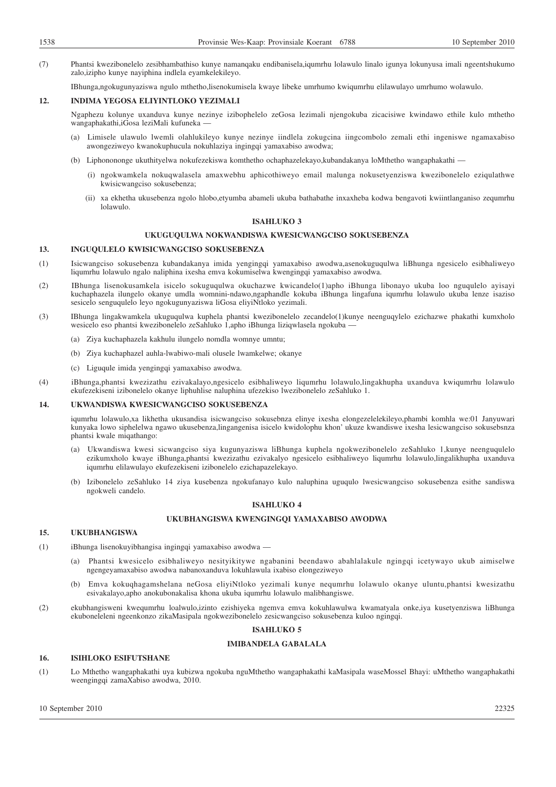(7) Phantsi kwezibonelelo zesibhambathiso kunye namanqaku endibanisela,iqumrhu lolawulo linalo igunya lokunyusa imali ngeentshukumo zalo,izipho kunye nayiphina indlela eyamkelekileyo.

IBhunga,ngokugunyaziswa ngulo mthetho,lisenokumisela kwaye libeke umrhumo kwiqumrhu elilawulayo umrhumo wolawulo.

## **12. INDIMA YEGOSA ELIYINTLOKO YEZIMALI**

Ngaphezu kolunye uxanduva kunye nezinye izibophelelo zeGosa lezimali njengokuba zicacisiwe kwindawo ethile kulo mthetho wangaphakathi,iGosa leziMali kufuneka —

- (a) Limisele ulawulo lwemli olahlukileyo kunye nezinye iindlela zokugcina iingcombolo zemali ethi ingeniswe ngamaxabiso awongeziweyo kwanokuphucula nokuhlaziya ingingqi yamaxabiso awodwa;
- (b) Liphonononge ukuthityelwa nokufezekiswa komthetho ochaphazelekayo,kubandakanya loMthetho wangaphakathi
	- (i) ngokwamkela nokuqwalasela amaxwebhu aphicothiweyo email malunga nokusetyenziswa kwezibonelelo eziqulathwe kwisicwangciso sokusebenza;
	- (ii) xa ekhetha ukusebenza ngolo hlobo,etyumba abameli ukuba bathabathe inxaxheba kodwa bengavoti kwiintlanganiso zequmrhu lolawulo.

# **ISAHLUKO 3**

### **UKUGUQULWA NOKWANDISWA KWESICWANGCISO SOKUSEBENZA**

## **13. INGUQULELO KWISICWANGCISO SOKUSEBENZA**

- (1) Isicwangciso sokusebenza kubandakanya imida yengingqi yamaxabiso awodwa,asenokuguqulwa liBhunga ngesicelo esibhaliweyo liqumrhu lolawulo ngalo naliphina ixesha emva kokumiselwa kwengingqi yamaxabiso awodwa.
- (2) IBhunga lisenokusamkela isicelo sokuguqulwa okuchazwe kwicandelo(1)apho iBhunga libonayo ukuba loo nguqulelo ayisayi kuchaphazela ilungelo okanye umdla womnini-ndawo,ngaphandle kokuba iBhunga lingafuna iqumrhu lolawulo ukuba lenze isaziso sesicelo senguqulelo leyo ngokugunyaziswa liGosa eliyiNtloko yezimali.
- (3) IBhunga lingakwamkela ukuguqulwa kuphela phantsi kwezibonelelo zecandelo(1)kunye neenguqylelo ezichazwe phakathi kumxholo wesicelo eso phantsi kwezibonelelo zeSahluko 1,apho iBhunga liziqwlasela ngokuba —
	- (a) Ziya kuchaphazela kakhulu ilungelo nomdla womnye umntu;
	- (b) Ziya kuchaphazel auhla-lwabiwo-mali olusele lwamkelwe; okanye
	- (c) Liguqule imida yengingqi yamaxabiso awodwa.
- (4) iBhunga,phantsi kwezizathu ezivakalayo,ngesicelo esibhaliweyo liqumrhu lolawulo,lingakhupha uxanduva kwiqumrhu lolawulo ekufezekiseni izibonelelo okanye liphuhlise naluphina ufezekiso lwezibonelelo zeSahluko 1.

## **14. UKWANDISWA KWESICWANGCISO SOKUSEBENZA**

iqumrhu lolawulo,xa likhetha ukusandisa isicwangciso sokusebnza elinye ixesha elongezelelekileyo,phambi komhla we:01 Janyuwari kunyaka lowo siphelelwa ngawo ukusebenza,lingangenisa isicelo kwidolophu khon' ukuze kwandiswe ixesha lesicwangciso sokusebsnza phantsi kwale miqathango:

- (a) Ukwandiswa kwesi sicwangciso siya kugunyaziswa liBhunga kuphela ngokwezibonelelo zeSahluko 1,kunye neenguqulelo ezikumxholo kwaye iBhunga,phantsi kwezizathu ezivakalyo ngesicelo esibhaliweyo liqumrhu lolawulo,lingalikhupha uxanduva iqumrhu elilawulayo ekufezekiseni izibonelelo ezichapazelekayo.
- (b) Izibonelelo zeSahluko 14 ziya kusebenza ngokufanayo kulo naluphina uguqulo lwesicwangciso sokusebenza esithe sandiswa ngokweli candelo.

# **ISAHLUKO 4**

#### **UKUBHANGISWA KWENGINGQI YAMAXABISO AWODWA**

## **15. UKUBHANGISWA**

- (1) iBhunga lisenokuyibhangisa ingingqi yamaxabiso awodwa
	- Phantsi kwesicelo esibhaliweyo nesityikitywe ngabanini beendawo abahlalakule ngingqi icetywayo ukub aimiselwe ngengeyamaxabiso awodwa nabanoxanduva lokuhlawula ixabiso elongeziweyo
	- (b) Emva kokuqhagamshelana neGosa eliyiNtloko yezimali kunye nequmrhu lolawulo okanye uluntu,phantsi kwesizathu esivakalayo,apho anokubonakalisa khona ukuba iqumrhu lolawulo malibhangiswe.
- (2) ekubhangisweni kwequmrhu loalwulo,izinto ezishiyeka ngemva emva kokuhlawulwa kwamatyala onke,iya kusetyenziswa liBhunga ekuboneleleni ngeenkonzo zikaMasipala ngokwezibonelelo zesicwangciso sokusebenza kuloo ngingqi.

# **ISAHLUKO 5**

## **IMIBANDELA GABALALA**

### **16. ISIHLOKO ESIFUTSHANE**

(1) Lo Mthetho wangaphakathi uya kubizwa ngokuba nguMthetho wangaphakathi kaMasipala waseMossel Bhayi: uMthetho wangaphakathi weengingqi zamaXabiso awodwa, 2010.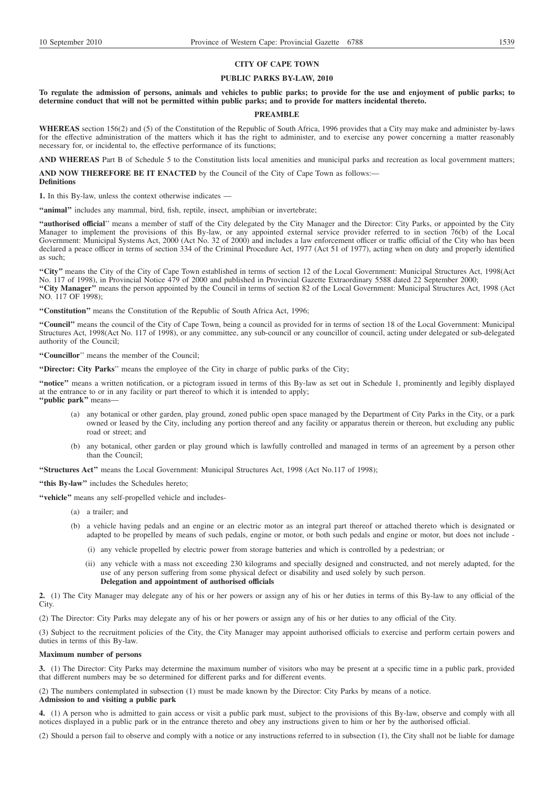### **CITY OF CAPE TOWN**

### **PUBLIC PARKS BY-LAW, 2010**

## **To regulate the admission of persons, animals and vehicles to public parks; to provide for the use and enjoyment of public parks; to determine conduct that will not be permitted within public parks; and to provide for matters incidental thereto.**

#### **PREAMBLE**

**WHEREAS** section 156(2) and (5) of the Constitution of the Republic of South Africa, 1996 provides that a City may make and administer by-laws for the effective administration of the matters which it has the right to administer, and to exercise any power concerning a matter reasonably necessary for, or incidental to, the effective performance of its functions;

**AND WHEREAS** Part B of Schedule 5 to the Constitution lists local amenities and municipal parks and recreation as local government matters;

**AND NOW THEREFORE BE IT ENACTED** by the Council of the City of Cape Town as follows:— **Definitions**

**1.** In this By-law, unless the context otherwise indicates —

"animal" includes any mammal, bird, fish, reptile, insect, amphibian or invertebrate;

**''authorised official**'' means a member of staff of the City delegated by the City Manager and the Director: City Parks, or appointed by the City Manager to implement the provisions of this By-law, or any appointed external service provider referred to in section 76(b) of the Local Government: Municipal Systems Act, 2000 (Act No. 32 of 2000) and includes a law enforcement officer or traffic official of the City who has been declared a peace officer in terms of section 334 of the Criminal Procedure Act, 1977 (Act 51 of 1977), acting when on duty and properly identified as such;

"City" means the City of the City of Cape Town established in terms of section 12 of the Local Government: Municipal Structures Act, 1998(Act No. 117 of 1998), in Provincial Notice 479 of 2000 and published in Provincial Gazette Extraordinary 5588 dated 22 September 2000; **''City Manager''** means the person appointed by the Council in terms of section 82 of the Local Government: Municipal Structures Act, 1998 (Act NO. 117 OF 1998);

**''Constitution''** means the Constitution of the Republic of South Africa Act, 1996;

**''Council''** means the council of the City of Cape Town, being a council as provided for in terms of section 18 of the Local Government: Municipal Structures Act, 1998(Act No. 117 of 1998), or any committee, any sub-council or any councillor of council, acting under delegated or sub-delegated authority of the Council;

**''Councillor**'' means the member of the Council;

**''Director: City Parks**'' means the employee of the City in charge of public parks of the City;

**''notice''** means a written notification, or a pictogram issued in terms of this By-law as set out in Schedule 1, prominently and legibly displayed at the entrance to or in any facility or part thereof to which it is intended to apply; **''public park''** means—

- (a) any botanical or other garden, play ground, zoned public open space managed by the Department of City Parks in the City, or a park owned or leased by the City, including any portion thereof and any facility or apparatus therein or thereon, but excluding any public road or street; and
- (b) any botanical, other garden or play ground which is lawfully controlled and managed in terms of an agreement by a person other than the Council;

**''Structures Act''** means the Local Government: Municipal Structures Act, 1998 (Act No.117 of 1998);

**''this By-law''** includes the Schedules hereto;

**''vehicle''** means any self-propelled vehicle and includes-

- (a) a trailer; and
- (b) a vehicle having pedals and an engine or an electric motor as an integral part thereof or attached thereto which is designated or adapted to be propelled by means of such pedals, engine or motor, or both such pedals and engine or motor, but does not include -
	- (i) any vehicle propelled by electric power from storage batteries and which is controlled by a pedestrian; or
	- (ii) any vehicle with a mass not exceeding 230 kilograms and specially designed and constructed, and not merely adapted, for the use of any person suffering from some physical defect or disability and used solely by such person. **Delegation and appointment of authorised officials**

**2.** (1) The City Manager may delegate any of his or her powers or assign any of his or her duties in terms of this By-law to any official of the City.

(2) The Director: City Parks may delegate any of his or her powers or assign any of his or her duties to any official of the City.

(3) Subject to the recruitment policies of the City, the City Manager may appoint authorised officials to exercise and perform certain powers and duties in terms of this By-law.

### **Maximum number of persons**

**3.** (1) The Director: City Parks may determine the maximum number of visitors who may be present at a specific time in a public park, provided that different numbers may be so determined for different parks and for different events.

(2) The numbers contemplated in subsection (1) must be made known by the Director: City Parks by means of a notice.

## **Admission to and visiting a public park**

**4.** (1) A person who is admitted to gain access or visit a public park must, subject to the provisions of this By-law, observe and comply with all notices displayed in a public park or in the entrance thereto and obey any instructions given to him or her by the authorised official.

(2) Should a person fail to observe and comply with a notice or any instructions referred to in subsection (1), the City shall not be liable for damage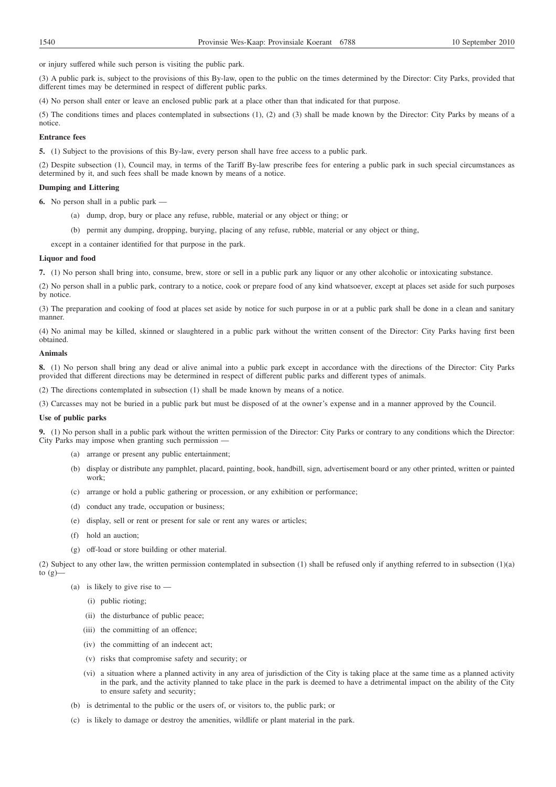or injury suffered while such person is visiting the public park.

(3) A public park is, subject to the provisions of this By-law, open to the public on the times determined by the Director: City Parks, provided that different times may be determined in respect of different public parks.

(4) No person shall enter or leave an enclosed public park at a place other than that indicated for that purpose.

(5) The conditions times and places contemplated in subsections (1), (2) and (3) shall be made known by the Director: City Parks by means of a notice.

## **Entrance fees**

**5.** (1) Subject to the provisions of this By-law, every person shall have free access to a public park.

(2) Despite subsection (1), Council may, in terms of the Tariff By-law prescribe fees for entering a public park in such special circumstances as determined by it, and such fees shall be made known by means of a notice.

## **Dumping and Littering**

**6.** No person shall in a public park —

- (a) dump, drop, bury or place any refuse, rubble, material or any object or thing; or
- (b) permit any dumping, dropping, burying, placing of any refuse, rubble, material or any object or thing,
- except in a container identified for that purpose in the park.

### **Liquor and food**

**7.** (1) No person shall bring into, consume, brew, store or sell in a public park any liquor or any other alcoholic or intoxicating substance.

(2) No person shall in a public park, contrary to a notice, cook or prepare food of any kind whatsoever, except at places set aside for such purposes by notice.

(3) The preparation and cooking of food at places set aside by notice for such purpose in or at a public park shall be done in a clean and sanitary manner.

(4) No animal may be killed, skinned or slaughtered in a public park without the written consent of the Director: City Parks having first been obtained.

## **Animals**

**8.** (1) No person shall bring any dead or alive animal into a public park except in accordance with the directions of the Director: City Parks provided that different directions may be determined in respect of different public parks and different types of animals.

(2) The directions contemplated in subsection (1) shall be made known by means of a notice.

(3) Carcasses may not be buried in a public park but must be disposed of at the owner's expense and in a manner approved by the Council.

### **Use of public parks**

**9.** (1) No person shall in a public park without the written permission of the Director: City Parks or contrary to any conditions which the Director: City Parks may impose when granting such permission

- (a) arrange or present any public entertainment;
- (b) display or distribute any pamphlet, placard, painting, book, handbill, sign, advertisement board or any other printed, written or painted work;
- (c) arrange or hold a public gathering or procession, or any exhibition or performance;
- (d) conduct any trade, occupation or business;
- (e) display, sell or rent or present for sale or rent any wares or articles;
- (f) hold an auction;
- (g) off-load or store building or other material.

(2) Subject to any other law, the written permission contemplated in subsection (1) shall be refused only if anything referred to in subsection (1)(a) to  $(g)$ 

- (a) is likely to give rise to  $-$ 
	- (i) public rioting;
	- (ii) the disturbance of public peace;
	- (iii) the committing of an offence;
	- (iv) the committing of an indecent act;
	- (v) risks that compromise safety and security; or
	- (vi) a situation where a planned activity in any area of jurisdiction of the City is taking place at the same time as a planned activity in the park, and the activity planned to take place in the park is deemed to have a detrimental impact on the ability of the City to ensure safety and security;
- (b) is detrimental to the public or the users of, or visitors to, the public park; or
- (c) is likely to damage or destroy the amenities, wildlife or plant material in the park.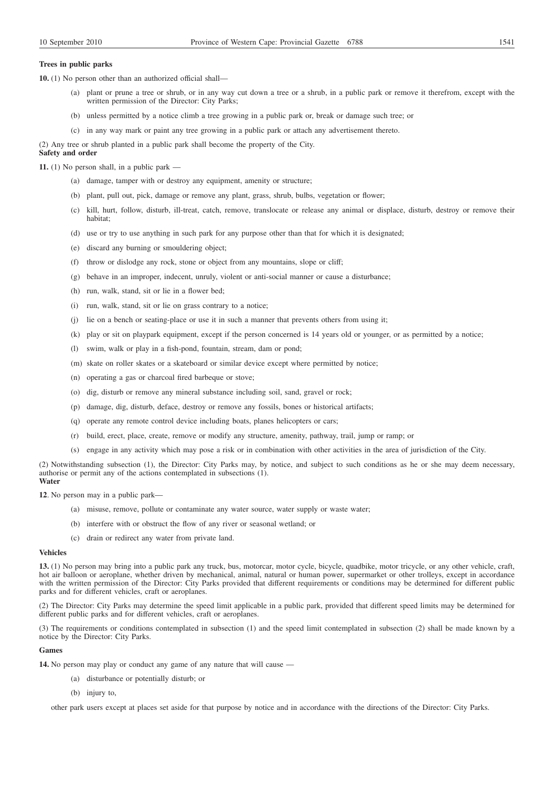## **Trees in public parks**

**10.** (1) No person other than an authorized official shall—

- (a) plant or prune a tree or shrub, or in any way cut down a tree or a shrub, in a public park or remove it therefrom, except with the written permission of the Director: City Parks;
- (b) unless permitted by a notice climb a tree growing in a public park or, break or damage such tree; or
- (c) in any way mark or paint any tree growing in a public park or attach any advertisement thereto.

(2) Any tree or shrub planted in a public park shall become the property of the City.

#### **Safety and order**

**11.** (1) No person shall, in a public park —

- (a) damage, tamper with or destroy any equipment, amenity or structure;
- (b) plant, pull out, pick, damage or remove any plant, grass, shrub, bulbs, vegetation or flower;
- (c) kill, hurt, follow, disturb, ill-treat, catch, remove, translocate or release any animal or displace, disturb, destroy or remove their habitat;
- (d) use or try to use anything in such park for any purpose other than that for which it is designated;
- (e) discard any burning or smouldering object;
- (f) throw or dislodge any rock, stone or object from any mountains, slope or cliff;
- (g) behave in an improper, indecent, unruly, violent or anti-social manner or cause a disturbance;
- (h) run, walk, stand, sit or lie in a flower bed;
- (i) run, walk, stand, sit or lie on grass contrary to a notice;
- (j) lie on a bench or seating-place or use it in such a manner that prevents others from using it;
- (k) play or sit on playpark equipment, except if the person concerned is 14 years old or younger, or as permitted by a notice;
- (l) swim, walk or play in a fish-pond, fountain, stream, dam or pond;
- (m) skate on roller skates or a skateboard or similar device except where permitted by notice;
- (n) operating a gas or charcoal fired barbeque or stove;
- (o) dig, disturb or remove any mineral substance including soil, sand, gravel or rock;
- (p) damage, dig, disturb, deface, destroy or remove any fossils, bones or historical artifacts;
- (q) operate any remote control device including boats, planes helicopters or cars;
- (r) build, erect, place, create, remove or modify any structure, amenity, pathway, trail, jump or ramp; or
- (s) engage in any activity which may pose a risk or in combination with other activities in the area of jurisdiction of the City.

(2) Notwithstanding subsection (1), the Director: City Parks may, by notice, and subject to such conditions as he or she may deem necessary, authorise or permit any of the actions contemplated in subsections (1). **Water**

**12**. No person may in a public park—

- (a) misuse, remove, pollute or contaminate any water source, water supply or waste water;
- (b) interfere with or obstruct the flow of any river or seasonal wetland; or
- (c) drain or redirect any water from private land.

### **Vehicles**

**13.** (1) No person may bring into a public park any truck, bus, motorcar, motor cycle, bicycle, quadbike, motor tricycle, or any other vehicle, craft, hot air balloon or aeroplane, whether driven by mechanical, animal, natural or human power, supermarket or other trolleys, except in accordance with the written permission of the Director: City Parks provided that different requirements or conditions may be determined for different public parks and for different vehicles, craft or aeroplanes.

(2) The Director: City Parks may determine the speed limit applicable in a public park, provided that different speed limits may be determined for different public parks and for different vehicles, craft or aeroplanes.

(3) The requirements or conditions contemplated in subsection (1) and the speed limit contemplated in subsection (2) shall be made known by a notice by the Director: City Parks.

#### **Games**

**14.** No person may play or conduct any game of any nature that will cause —

- (a) disturbance or potentially disturb; or
- (b) injury to,

other park users except at places set aside for that purpose by notice and in accordance with the directions of the Director: City Parks.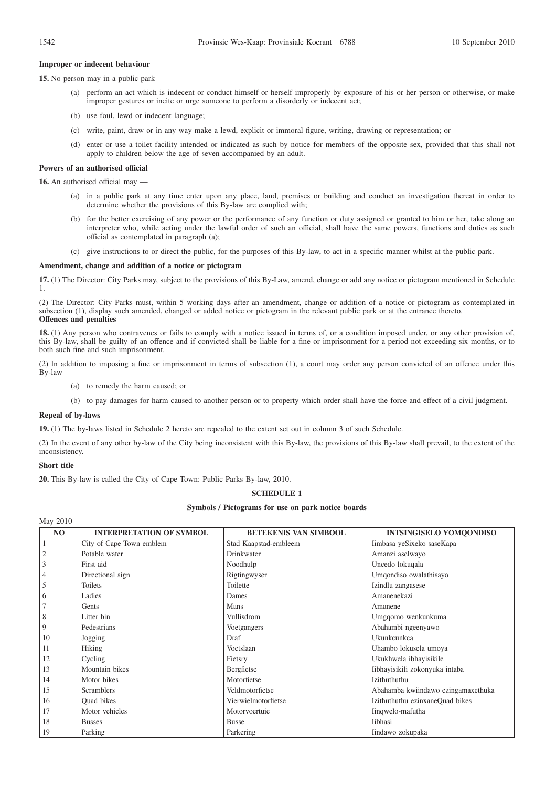## **Improper or indecent behaviour**

**15.** No person may in a public park —

- (a) perform an act which is indecent or conduct himself or herself improperly by exposure of his or her person or otherwise, or make improper gestures or incite or urge someone to perform a disorderly or indecent act;
- (b) use foul, lewd or indecent language;
- (c) write, paint, draw or in any way make a lewd, explicit or immoral figure, writing, drawing or representation; or
- (d) enter or use a toilet facility intended or indicated as such by notice for members of the opposite sex, provided that this shall not apply to children below the age of seven accompanied by an adult.

## **Powers of an authorised official**

**16.** An authorised official may —

- (a) in a public park at any time enter upon any place, land, premises or building and conduct an investigation thereat in order to determine whether the provisions of this By-law are complied with;
- (b) for the better exercising of any power or the performance of any function or duty assigned or granted to him or her, take along an interpreter who, while acting under the lawful order of such an official, shall have the same powers, functions and duties as such official as contemplated in paragraph (a);
- (c) give instructions to or direct the public, for the purposes of this By-law, to act in a specific manner whilst at the public park.

### **Amendment, change and addition of a notice or pictogram**

**17.** (1) The Director: City Parks may, subject to the provisions of this By-Law, amend, change or add any notice or pictogram mentioned in Schedule 1.

(2) The Director: City Parks must, within 5 working days after an amendment, change or addition of a notice or pictogram as contemplated in subsection (1), display such amended, changed or added notice or pictogram in the relevant public park or at the entrance thereto. **Offences and penalties**

**18.** (1) Any person who contravenes or fails to comply with a notice issued in terms of, or a condition imposed under, or any other provision of, this By-law, shall be guilty of an offence and if convicted shall be liable for a fine or imprisonment for a period not exceeding six months, or to both such fine and such imprisonment.

(2) In addition to imposing a fine or imprisonment in terms of subsection (1), a court may order any person convicted of an offence under this By-law —

- (a) to remedy the harm caused; or
- (b) to pay damages for harm caused to another person or to property which order shall have the force and effect of a civil judgment.

### **Repeal of by-laws**

**19.** (1) The by-laws listed in Schedule 2 hereto are repealed to the extent set out in column 3 of such Schedule.

(2) In the event of any other by-law of the City being inconsistent with this By-law, the provisions of this By-law shall prevail, to the extent of the inconsistency.

## **Short title**

May 2010

**20.** This By-law is called the City of Cape Town: Public Parks By-law, 2010.

## **SCHEDULE 1**

## **Symbols / Pictograms for use on park notice boards**

| NO             | <b>INTERPRETATION OF SYMBOL</b> | BETEKENIS VAN SIMBOOL | <b>INTSINGISELO YOMOONDISO</b>     |
|----------------|---------------------------------|-----------------------|------------------------------------|
| $\mathbf{1}$   | City of Cape Town emblem        | Stad Kaapstad-embleem | Iimbasa yeSixeko saseKapa          |
| $\mathfrak{2}$ | Potable water                   | Drinkwater            | Amanzi aselwayo                    |
| 3              | First aid                       | Noodhulp              | Uncedo lokuqala                    |
| 4              | Directional sign                | Rigtingwyser          | Umqondiso owalathisayo             |
| 5              | Toilets                         | Toilette              | Izindlu zangasese                  |
| 6              | Ladies                          | Dames                 | Amanenekazi                        |
|                | Gents                           | Mans                  | Amanene                            |
| $8\phantom{1}$ | Litter bin                      | Vullisdrom            | Umgqomo wenkunkuma                 |
| 9              | Pedestrians                     | Voetgangers           | Abahambi ngeenyawo                 |
| 10             | Jogging                         | Draf                  | Ukunkcunkca                        |
| 11             | Hiking                          | Voetslaan             | Uhambo lokusela umoya              |
| 12             | Cycling                         | Fietsry               | Ukukhwela ibhayisikile             |
| 13             | Mountain bikes                  | Bergfietse            | Iibhayisikili zokonyuka intaba     |
| 14             | Motor bikes                     | Motorfietse           | <b>Izithuthuthu</b>                |
| 15             | <b>Scramblers</b>               | Veldmotorfietse       | Abahamba kwiindawo ezingamaxethuka |
| 16             | Quad bikes                      | Vierwielmotorfietse   | Izithuthuthu ezinxaneQuad bikes    |
| 17             | Motor vehicles                  | Motorvoertuie         | Iinqwelo-mafutha                   |
| 18             | <b>Busses</b>                   | <b>Busse</b>          | Iibhasi                            |
| 19             | Parking                         | Parkering             | Iindawo zokupaka                   |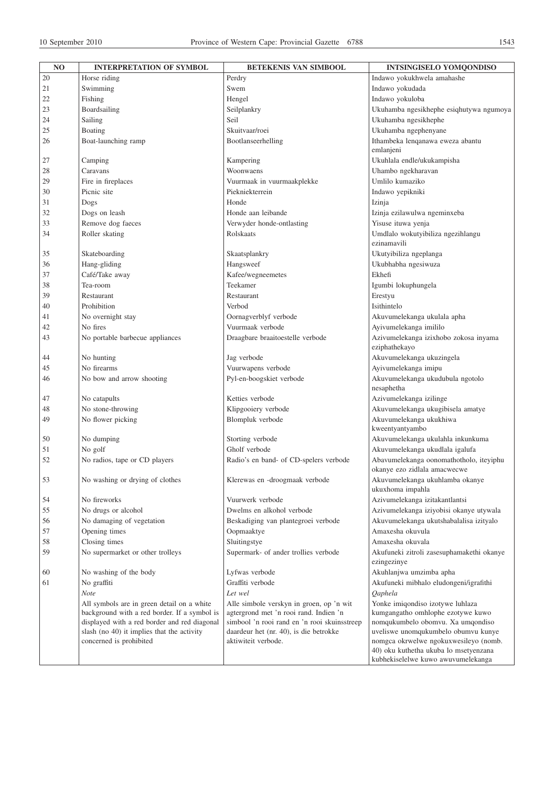| M.<br>٦<br>$\sim$<br>۰.<br>× |  |
|------------------------------|--|
|------------------------------|--|

| NO       | <b>INTERPRETATION OF SYMBOL</b>              | <b>BETEKENIS VAN SIMBOOL</b>                 | <b>INTSINGISELO YOMQONDISO</b>                                              |
|----------|----------------------------------------------|----------------------------------------------|-----------------------------------------------------------------------------|
| 20       | Horse riding                                 | Perdry                                       | Indawo yokukhwela amahashe                                                  |
| 21       | Swimming                                     | Swem                                         | Indawo yokudada                                                             |
| 22       | Fishing                                      | Hengel                                       | Indawo yokuloba                                                             |
| 23       | Boardsailing                                 | Seilplankry                                  | Ukuhamba ngesikhephe esiqhutywa ngumoya                                     |
| 24       | Sailing                                      | Seil                                         | Ukuhamba ngesikhephe                                                        |
| 25       | Boating                                      | Skuitvaar/roei                               | Ukuhamba ngephenyane                                                        |
| 26       | Boat-launching ramp                          | Bootlanseerhelling                           | Ithambeka lenqanawa eweza abantu                                            |
|          |                                              |                                              | emlanjeni                                                                   |
| 27       | Camping                                      | Kampering                                    | Ukuhlala endle/ukukampisha                                                  |
| 28       | Caravans                                     | Woonwaens                                    | Uhambo ngekharavan                                                          |
| 29       | Fire in fireplaces                           | Vuurmaak in vuurmaakplekke                   | Umlilo kumaziko                                                             |
| 30       | Picnic site                                  | Piekniekterrein                              | Indawo yepikniki                                                            |
| 31       | Dogs                                         | Honde                                        | Izinja                                                                      |
| 32       | Dogs on leash                                | Honde aan leibande                           | Izinja ezilawulwa ngeminxeba                                                |
| 33       | Remove dog faeces                            | Verwyder honde-ontlasting                    | Yisuse ituwa yenja                                                          |
| 34       |                                              | Rolskaats                                    | Umdlalo wokutyibiliza ngezihlangu                                           |
|          | Roller skating                               |                                              | ezinamavili                                                                 |
| 35       | Skateboarding                                | Skaatsplankry                                |                                                                             |
|          | Hang-gliding                                 | Hangsweef                                    | Ukutyibiliza ngeplanga<br>Ukubhabha ngesiwuza                               |
| 36<br>37 | Café/Take away                               |                                              | Ekhefi                                                                      |
|          |                                              | Kafee/wegneemetes                            |                                                                             |
| 38       | Tea-room                                     | Teekamer                                     | Igumbi lokuphungela                                                         |
| 39       | Restaurant                                   | Restaurant                                   | Erestyu                                                                     |
| 40       | Prohibition                                  | Verbod                                       | Isithintelo                                                                 |
| 41       | No overnight stay                            | Oornagverblyf verbode                        | Akuvumelekanga ukulala apha                                                 |
| 42       | No fires                                     | Vuurmaak verbode                             | Ayivumelekanga imililo                                                      |
| 43       | No portable barbecue appliances              | Draagbare braaitoestelle verbode             | Azivumelekanga izixhobo zokosa inyama<br>eziphathekayo                      |
| 44       | No hunting                                   | Jag verbode                                  | Akuvumelekanga ukuzingela                                                   |
| 45       | No firearms                                  | Vuurwapens verbode                           | Ayivumelekanga imipu                                                        |
| 46       | No bow and arrow shooting                    | Pyl-en-boogskiet verbode                     | Akuvumelekanga ukudubula ngotolo<br>nesaphetha                              |
| 47       | No catapults                                 | Ketties verbode                              | Azivumelekanga izilinge                                                     |
| 48       | No stone-throwing                            | Klipgooiery verbode                          | Akuvumelekanga ukugibisela amatye                                           |
| 49       | No flower picking                            | Blompluk verbode                             | Akuvumelekanga ukukhiwa<br>kweentyantyambo                                  |
| 50       | No dumping                                   | Storting verbode                             | Akuvumelekanga ukulahla inkunkuma                                           |
| 51       | No golf                                      | Gholf verbode                                | Akuvumelekanga ukudlala igalufa                                             |
| 52       | No radios, tape or CD players                | Radio's en band- of CD-spelers verbode       | Abavumelekanga oonomathotholo, iteyiphu<br>okanye ezo zidlala amacwecwe     |
| 53       | No washing or drying of clothes              | Klerewas en -droogmaak verbode               | Akuvumelekanga ukuhlamba okanye<br>ukuxhoma impahla                         |
| 54       | No fireworks                                 | Vuurwerk verbode                             | Azivumelekanga izitakantlantsi                                              |
| 55       | No drugs or alcohol                          | Dwelms en alkohol verbode                    | Azivumelekanga iziyobisi okanye utywala                                     |
| 56       | No damaging of vegetation                    | Beskadiging van plantegroei verbode          | Akuvumelekanga ukutshabalalisa izityalo                                     |
| 57       | Opening times                                | Oopmaaktye                                   | Amaxesha okuvula                                                            |
| 58       | Closing times                                | Sluitingstye                                 | Amaxesha okuvala                                                            |
| 59       | No supermarket or other trolleys             | Supermark- of ander trollies verbode         | Akufuneki zitroli zasesuphamakethi okanye                                   |
|          |                                              |                                              | ezingezinye                                                                 |
| 60       | No washing of the body                       | Lyfwas verbode                               | Akuhlanjwa umzimba apha                                                     |
| 61       | No graffiti                                  | Graffiti verbode                             | Akufuneki mibhalo eludongeni/igrafithi                                      |
|          | Note                                         | Let wel                                      | Qaphela                                                                     |
|          | All symbols are in green detail on a white   | Alle simbole verskyn in groen, op 'n wit     | Yonke imiqondiso izotywe luhlaza                                            |
|          | background with a red border. If a symbol is | agtergrond met 'n rooi rand. Indien 'n       | kumgangatho omhlophe ezotywe kuwo                                           |
|          | displayed with a red border and red diagonal | simbool 'n rooi rand en 'n rooi skuinsstreep | nomqukumbelo obomvu. Xa umqondiso                                           |
|          | slash (no 40) it implies that the activity   | daardeur het (nr. 40), is die betrokke       | uveliswe unomqukumbelo obumvu kunye                                         |
|          | concerned is prohibited                      | aktiwiteit verbode.                          | nomgca okrwelwe ngokuxwesileyo (nomb.                                       |
|          |                                              |                                              | 40) oku kuthetha ukuba lo msetyenzana<br>kubhekiselelwe kuwo awuvumelekanga |
|          |                                              |                                              |                                                                             |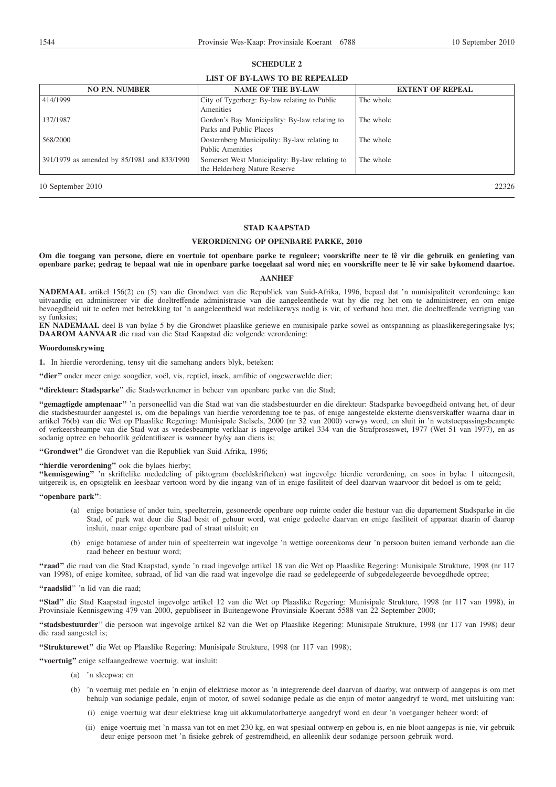### **SCHEDULE 2**

# **LIST OF BY-LAWS TO BE REPEALED**

| <b>NO P.N. NUMBER</b>                       | <b>NAME OF THE BY-LAW</b>                                                       | <b>EXTENT OF REPEAL</b> |
|---------------------------------------------|---------------------------------------------------------------------------------|-------------------------|
| 414/1999                                    | City of Tygerberg: By-law relating to Public<br>Amenities                       | The whole               |
| 137/1987                                    | Gordon's Bay Municipality: By-law relating to<br>Parks and Public Places        | The whole               |
| 568/2000                                    | Oosternberg Municipality: By-law relating to<br>Public Amenities                | The whole               |
| 391/1979 as amended by 85/1981 and 833/1990 | Somerset West Municipality: By-law relating to<br>the Helderberg Nature Reserve | The whole               |

10 September 2010 22326

## **STAD KAAPSTAD**

## **VERORDENING OP OPENBARE PARKE, 2010**

**Om die toegang van persone, diere en voertuie tot openbare parke te reguleer; voorskrifte neer te lê vir die gebruik en genieting van openbare parke; gedrag te bepaal wat nie in openbare parke toegelaat sal word nie; en voorskrifte neer te lê vir sake bykomend daartoe.**

## **AANHEF**

**NADEMAAL** artikel 156(2) en (5) van die Grondwet van die Republiek van Suid-Afrika, 1996, bepaal dat 'n munisipaliteit verordeninge kan uitvaardig en administreer vir die doeltreffende administrasie van die aangeleenthede wat hy die reg het om te administreer, en om enige bevoegdheid uit te oefen met betrekking tot 'n aangeleentheid wat redelikerwys nodig is vir, of verband hou met, die doeltreffende verrigting van sy funksies;

**EN NADEMAAL** deel B van bylae 5 by die Grondwet plaaslike geriewe en munisipale parke sowel as ontspanning as plaaslikeregeringsake lys; **DAAROM AANVAAR** die raad van die Stad Kaapstad die volgende verordening:

#### **Woordomskrywing**

**1.** In hierdie verordening, tensy uit die samehang anders blyk, beteken:

"dier" onder meer enige soogdier, voël, vis, reptiel, insek, amfibie of ongewerwelde dier;

**''direkteur: Stadsparke**'' die Stadswerknemer in beheer van openbare parke van die Stad;

**''gemagtigde amptenaar''** 'n personeellid van die Stad wat van die stadsbestuurder en die direkteur: Stadsparke bevoegdheid ontvang het, of deur die stadsbestuurder aangestel is, om die bepalings van hierdie verordening toe te pas, of enige aangestelde eksterne diensverskaffer waarna daar in artikel 76(b) van die Wet op Plaaslike Regering: Munisipale Stelsels, 2000 (nr 32 van 2000) verwys word, en sluit in 'n wetstoepassingsbeampte of verkeersbeampe van die Stad wat as vredesbeampte verklaar is ingevolge artikel 334 van die Strafproseswet, 1977 (Wet 51 van 1977), en as sodanig optree en behoorlik geïdentifiseer is wanneer hy/sy aan diens is;

**''Grondwet''** die Grondwet van die Republiek van Suid-Afrika, 1996;

## "hierdie verordening" ook die bylaes hierby;

**''kennisgewing''** 'n skriftelike mededeling of piktogram (beeldskrifteken) wat ingevolge hierdie verordening, en soos in bylae 1 uiteengesit, uitgereik is, en opsigtelik en leesbaar vertoon word by die ingang van of in enige fasiliteit of deel daarvan waarvoor dit bedoel is om te geld;

### **''openbare park''**:

- (a) enige botaniese of ander tuin, speelterrein, gesoneerde openbare oop ruimte onder die bestuur van die departement Stadsparke in die Stad, of park wat deur die Stad besit of gehuur word, wat enige gedeelte daarvan en enige fasiliteit of apparaat daarin of daarop insluit, maar enige openbare pad of straat uitsluit; en
- (b) enige botaniese of ander tuin of speelterrein wat ingevolge 'n wettige ooreenkoms deur 'n persoon buiten iemand verbonde aan die raad beheer en bestuur word;

**''raad''** die raad van die Stad Kaapstad, synde 'n raad ingevolge artikel 18 van die Wet op Plaaslike Regering: Munisipale Strukture, 1998 (nr 117 van 1998), of enige komitee, subraad, of lid van die raad wat ingevolge die raad se gedelegeerde of subgedelegeerde bevoegdhede optree;

**''raadslid**'' 'n lid van die raad;

**''Stad''** die Stad Kaapstad ingestel ingevolge artikel 12 van die Wet op Plaaslike Regering: Munisipale Strukture, 1998 (nr 117 van 1998), in Provinsiale Kennisgewing 479 van 2000, gepubliseer in Buitengewone Provinsiale Koerant 5588 van 22 September 2000;

**''stadsbestuurder**'' die persoon wat ingevolge artikel 82 van die Wet op Plaaslike Regering: Munisipale Strukture, 1998 (nr 117 van 1998) deur die raad aangestel is:

**''Strukturewet''** die Wet op Plaaslike Regering: Munisipale Strukture, 1998 (nr 117 van 1998);

**''voertuig''** enige selfaangedrewe voertuig, wat insluit:

- (a) 'n sleepwa; en
- (b) 'n voertuig met pedale en 'n enjin of elektriese motor as 'n integrerende deel daarvan of daarby, wat ontwerp of aangepas is om met behulp van sodanige pedale, enjin of motor, of sowel sodanige pedale as die enjin of motor aangedryf te word, met uitsluiting van:
	- (i) enige voertuig wat deur elektriese krag uit akkumulatorbatterye aangedryf word en deur 'n voetganger beheer word; of
	- (ii) enige voertuig met 'n massa van tot en met 230 kg, en wat spesiaal ontwerp en gebou is, en nie bloot aangepas is nie, vir gebruik deur enige persoon met 'n fisieke gebrek of gestremdheid, en alleenlik deur sodanige persoon gebruik word.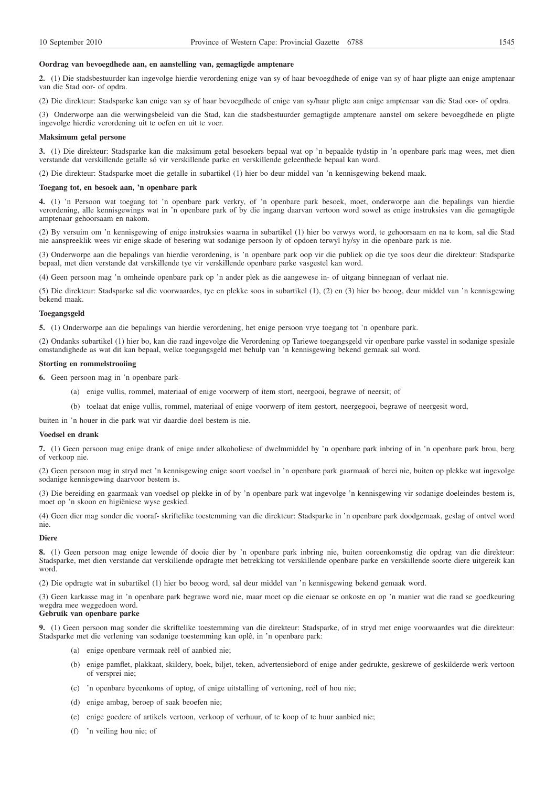### **Oordrag van bevoegdhede aan, en aanstelling van, gemagtigde amptenare**

**2.** (1) Die stadsbestuurder kan ingevolge hierdie verordening enige van sy of haar bevoegdhede of enige van sy of haar pligte aan enige amptenaar van die Stad oor- of opdra.

(2) Die direkteur: Stadsparke kan enige van sy of haar bevoegdhede of enige van sy/haar pligte aan enige amptenaar van die Stad oor- of opdra.

(3) Onderworpe aan die werwingsbeleid van die Stad, kan die stadsbestuurder gemagtigde amptenare aanstel om sekere bevoegdhede en pligte ingevolge hierdie verordening uit te oefen en uit te voer.

#### **Maksimum getal persone**

**3.** (1) Die direkteur: Stadsparke kan die maksimum getal besoekers bepaal wat op 'n bepaalde tydstip in 'n openbare park mag wees, met dien verstande dat verskillende getalle só vir verskillende parke en verskillende geleenthede bepaal kan word.

(2) Die direkteur: Stadsparke moet die getalle in subartikel (1) hier bo deur middel van 'n kennisgewing bekend maak.

### **Toegang tot, en besoek aan, 'n openbare park**

**4.** (1) 'n Persoon wat toegang tot 'n openbare park verkry, of 'n openbare park besoek, moet, onderworpe aan die bepalings van hierdie verordening, alle kennisgewings wat in 'n openbare park of by die ingang daarvan vertoon word sowel as enige instruksies van die gemagtigde amptenaar gehoorsaam en nakom.

(2) By versuim om 'n kennisgewing of enige instruksies waarna in subartikel (1) hier bo verwys word, te gehoorsaam en na te kom, sal die Stad nie aanspreeklik wees vir enige skade of besering wat sodanige persoon ly of opdoen terwyl hy/sy in die openbare park is nie.

(3) Onderworpe aan die bepalings van hierdie verordening, is 'n openbare park oop vir die publiek op die tye soos deur die direkteur: Stadsparke bepaal, met dien verstande dat verskillende tye vir verskillende openbare parke vasgestel kan word.

(4) Geen persoon mag 'n omheinde openbare park op 'n ander plek as die aangewese in- of uitgang binnegaan of verlaat nie.

(5) Die direkteur: Stadsparke sal die voorwaardes, tye en plekke soos in subartikel (1), (2) en (3) hier bo beoog, deur middel van 'n kennisgewing bekend maak.

#### **Toegangsgeld**

**5.** (1) Onderworpe aan die bepalings van hierdie verordening, het enige persoon vrye toegang tot 'n openbare park.

(2) Ondanks subartikel (1) hier bo, kan die raad ingevolge die Verordening op Tariewe toegangsgeld vir openbare parke vasstel in sodanige spesiale omstandighede as wat dit kan bepaal, welke toegangsgeld met behulp van 'n kennisgewing bekend gemaak sal word.

## **Storting en rommelstrooiing**

**6.** Geen persoon mag in 'n openbare park-

- (a) enige vullis, rommel, materiaal of enige voorwerp of item stort, neergooi, begrawe of neersit; of
- (b) toelaat dat enige vullis, rommel, materiaal of enige voorwerp of item gestort, neergegooi, begrawe of neergesit word,

buiten in 'n houer in die park wat vir daardie doel bestem is nie.

### **Voedsel en drank**

**7.** (1) Geen persoon mag enige drank of enige ander alkoholiese of dwelmmiddel by 'n openbare park inbring of in 'n openbare park brou, berg of verkoop nie.

(2) Geen persoon mag in stryd met 'n kennisgewing enige soort voedsel in 'n openbare park gaarmaak of berei nie, buiten op plekke wat ingevolge sodanige kennisgewing daarvoor bestem is.

(3) Die bereiding en gaarmaak van voedsel op plekke in of by 'n openbare park wat ingevolge 'n kennisgewing vir sodanige doeleindes bestem is, moet op 'n skoon en higiëniese wyse geskied.

(4) Geen dier mag sonder die vooraf- skriftelike toestemming van die direkteur: Stadsparke in 'n openbare park doodgemaak, geslag of ontvel word nie.

### **Diere**

**8.** (1) Geen persoon mag enige lewende óf dooie dier by 'n openbare park inbring nie, buiten ooreenkomstig die opdrag van die direkteur: Stadsparke, met dien verstande dat verskillende opdragte met betrekking tot verskillende openbare parke en verskillende soorte diere uitgereik kan word.

(2) Die opdragte wat in subartikel (1) hier bo beoog word, sal deur middel van 'n kennisgewing bekend gemaak word.

(3) Geen karkasse mag in 'n openbare park begrawe word nie, maar moet op die eienaar se onkoste en op 'n manier wat die raad se goedkeuring wegdra mee weggedoen word.

# **Gebruik van openbare parke**

**9.** (1) Geen persoon mag sonder die skriftelike toestemming van die direkteur: Stadsparke, of in stryd met enige voorwaardes wat die direkteur: Stadsparke met die verlening van sodanige toestemming kan oplê, in 'n openbare park:

- (a) enige openbare vermaak reël of aanbied nie;
- (b) enige pamflet, plakkaat, skildery, boek, biljet, teken, advertensiebord of enige ander gedrukte, geskrewe of geskilderde werk vertoon of versprei nie;
- (c) 'n openbare byeenkoms of optog, of enige uitstalling of vertoning, reël of hou nie;
- (d) enige ambag, beroep of saak beoefen nie;
- (e) enige goedere of artikels vertoon, verkoop of verhuur, of te koop of te huur aanbied nie;
- (f) 'n veiling hou nie; of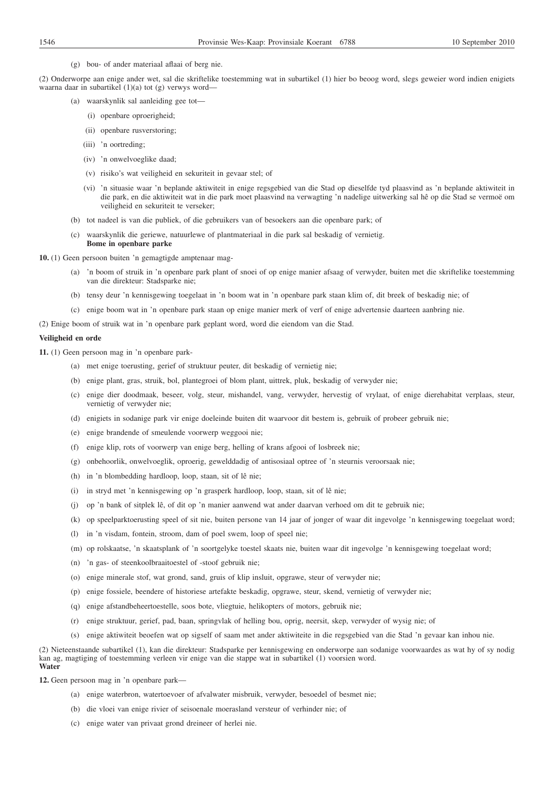(g) bou- of ander materiaal aflaai of berg nie.

(2) Onderworpe aan enige ander wet, sal die skriftelike toestemming wat in subartikel (1) hier bo beoog word, slegs geweier word indien enigiets waarna daar in subartikel (1)(a) tot (g) verwys word—

- (a) waarskynlik sal aanleiding gee tot—
	- (i) openbare oproerigheid;
	- (ii) openbare rusverstoring;
	- (iii) 'n oortreding;
	- (iv) 'n onwelvoeglike daad;
	- (v) risiko's wat veiligheid en sekuriteit in gevaar stel; of
	- (vi) 'n situasie waar 'n beplande aktiwiteit in enige regsgebied van die Stad op dieselfde tyd plaasvind as 'n beplande aktiwiteit in die park, en die aktiwiteit wat in die park moet plaasvind na verwagting 'n nadelige uitwerking sal hê op die Stad se vermoë om veiligheid en sekuriteit te verseker;
- (b) tot nadeel is van die publiek, of die gebruikers van of besoekers aan die openbare park; of
- (c) waarskynlik die geriewe, natuurlewe of plantmateriaal in die park sal beskadig of vernietig. **Bome in openbare parke**

**10.** (1) Geen persoon buiten 'n gemagtigde amptenaar mag-

- (a) 'n boom of struik in 'n openbare park plant of snoei of op enige manier afsaag of verwyder, buiten met die skriftelike toestemming van die direkteur: Stadsparke nie;
- (b) tensy deur 'n kennisgewing toegelaat in 'n boom wat in 'n openbare park staan klim of, dit breek of beskadig nie; of
- (c) enige boom wat in 'n openbare park staan op enige manier merk of verf of enige advertensie daarteen aanbring nie.

(2) Enige boom of struik wat in 'n openbare park geplant word, word die eiendom van die Stad.

### **Veiligheid en orde**

**11.** (1) Geen persoon mag in 'n openbare park-

- (a) met enige toerusting, gerief of struktuur peuter, dit beskadig of vernietig nie;
- (b) enige plant, gras, struik, bol, plantegroei of blom plant, uittrek, pluk, beskadig of verwyder nie;
- (c) enige dier doodmaak, beseer, volg, steur, mishandel, vang, verwyder, hervestig of vrylaat, of enige dierehabitat verplaas, steur, vernietig of verwyder nie;
- (d) enigiets in sodanige park vir enige doeleinde buiten dit waarvoor dit bestem is, gebruik of probeer gebruik nie;
- (e) enige brandende of smeulende voorwerp weggooi nie;
- (f) enige klip, rots of voorwerp van enige berg, helling of krans afgooi of losbreek nie;
- (g) onbehoorlik, onwelvoeglik, oproerig, gewelddadig of antisosiaal optree of 'n steurnis veroorsaak nie;
- (h) in 'n blombedding hardloop, loop, staan, sit of lê nie;
- (i) in stryd met 'n kennisgewing op 'n grasperk hardloop, loop, staan, sit of lê nie;
- (j) op 'n bank of sitplek lê, of dit op 'n manier aanwend wat ander daarvan verhoed om dit te gebruik nie;
- (k) op speelparktoerusting speel of sit nie, buiten persone van 14 jaar of jonger of waar dit ingevolge 'n kennisgewing toegelaat word;
- (l) in 'n visdam, fontein, stroom, dam of poel swem, loop of speel nie;
- (m) op rolskaatse, 'n skaatsplank of 'n soortgelyke toestel skaats nie, buiten waar dit ingevolge 'n kennisgewing toegelaat word;
- (n) 'n gas- of steenkoolbraaitoestel of -stoof gebruik nie;
- (o) enige minerale stof, wat grond, sand, gruis of klip insluit, opgrawe, steur of verwyder nie;
- (p) enige fossiele, beendere of historiese artefakte beskadig, opgrawe, steur, skend, vernietig of verwyder nie;
- (q) enige afstandbeheertoestelle, soos bote, vliegtuie, helikopters of motors, gebruik nie;
- (r) enige struktuur, gerief, pad, baan, springvlak of helling bou, oprig, neersit, skep, verwyder of wysig nie; of
- (s) enige aktiwiteit beoefen wat op sigself of saam met ander aktiwiteite in die regsgebied van die Stad 'n gevaar kan inhou nie.

(2) Nieteenstaande subartikel (1), kan die direkteur: Stadsparke per kennisgewing en onderworpe aan sodanige voorwaardes as wat hy of sy nodig kan ag, magtiging of toestemming verleen vir enige van die stappe wat in subartikel (1) voorsien word. **Water**

**12.** Geen persoon mag in 'n openbare park—

- (a) enige waterbron, watertoevoer of afvalwater misbruik, verwyder, besoedel of besmet nie;
- (b) die vloei van enige rivier of seisoenale moerasland versteur of verhinder nie; of
- (c) enige water van privaat grond dreineer of herlei nie.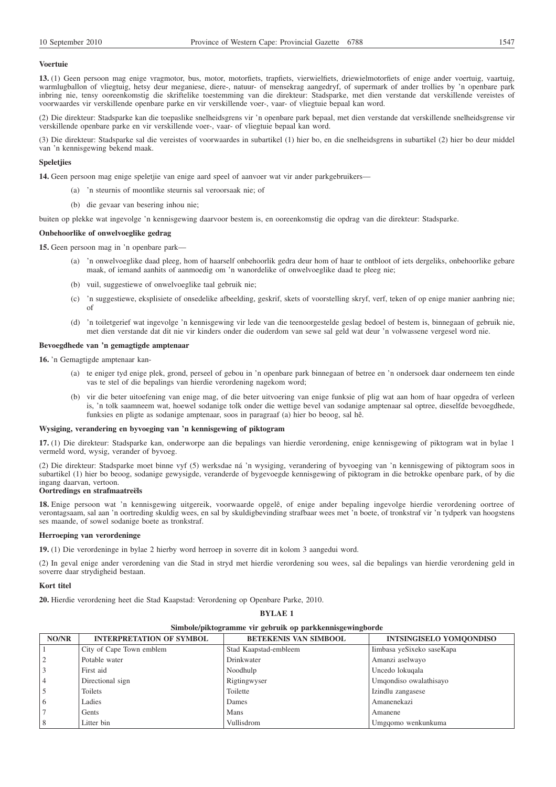## **Voertuie**

**13.** (1) Geen persoon mag enige vragmotor, bus, motor, motorfiets, trapfiets, vierwielfiets, driewielmotorfiets of enige ander voertuig, vaartuig, warmlugballon of vliegtuig, hetsy deur meganiese, diere-, natuur- of mensekrag aangedryf, of supermark of ander trollies by 'n openbare park inbring nie, tensy ooreenkomstig die skriftelike toestemming van die direkteur: Stadsparke, met dien verstande dat verskillende vereistes of voorwaardes vir verskillende openbare parke en vir verskillende voer-, vaar- of vliegtuie bepaal kan word.

(2) Die direkteur: Stadsparke kan die toepaslike snelheidsgrens vir 'n openbare park bepaal, met dien verstande dat verskillende snelheidsgrense vir verskillende openbare parke en vir verskillende voer-, vaar- of vliegtuie bepaal kan word.

(3) Die direkteur: Stadsparke sal die vereistes of voorwaardes in subartikel (1) hier bo, en die snelheidsgrens in subartikel (2) hier bo deur middel van 'n kennisgewing bekend maak.

### **Speletjies**

**14.** Geen persoon mag enige speletjie van enige aard speel of aanvoer wat vir ander parkgebruikers—

- (a) 'n steurnis of moontlike steurnis sal veroorsaak nie; of
- (b) die gevaar van besering inhou nie;

buiten op plekke wat ingevolge 'n kennisgewing daarvoor bestem is, en ooreenkomstig die opdrag van die direkteur: Stadsparke.

### **Onbehoorlike of onwelvoeglike gedrag**

**15.** Geen persoon mag in 'n openbare park—

- (a) 'n onwelvoeglike daad pleeg, hom of haarself onbehoorlik gedra deur hom of haar te ontbloot of iets dergeliks, onbehoorlike gebare maak, of iemand aanhits of aanmoedig om 'n wanordelike of onwelvoeglike daad te pleeg nie;
- (b) vuil, suggestiewe of onwelvoeglike taal gebruik nie;
- (c) 'n suggestiewe, eksplisiete of onsedelike afbeelding, geskrif, skets of voorstelling skryf, verf, teken of op enige manier aanbring nie; of
- (d) 'n toiletgerief wat ingevolge 'n kennisgewing vir lede van die teenoorgestelde geslag bedoel of bestem is, binnegaan of gebruik nie, met dien verstande dat dit nie vir kinders onder die ouderdom van sewe sal geld wat deur 'n volwassene vergesel word nie.

## **Bevoegdhede van 'n gemagtigde amptenaar**

**16.** 'n Gemagtigde amptenaar kan-

- (a) te eniger tyd enige plek, grond, perseel of gebou in 'n openbare park binnegaan of betree en 'n ondersoek daar onderneem ten einde vas te stel of die bepalings van hierdie verordening nagekom word;
- (b) vir die beter uitoefening van enige mag, of die beter uitvoering van enige funksie of plig wat aan hom of haar opgedra of verleen is, 'n tolk saamneem wat, hoewel sodanige tolk onder die wettige bevel van sodanige amptenaar sal optree, dieselfde bevoegdhede, funksies en pligte as sodanige amptenaar, soos in paragraaf (a) hier bo beoog, sal hê.

#### **Wysiging, verandering en byvoeging van 'n kennisgewing of piktogram**

**17.** (1) Die direkteur: Stadsparke kan, onderworpe aan die bepalings van hierdie verordening, enige kennisgewing of piktogram wat in bylae 1 vermeld word, wysig, verander of byvoeg.

(2) Die direkteur: Stadsparke moet binne vyf (5) werksdae ná 'n wysiging, verandering of byvoeging van 'n kennisgewing of piktogram soos in subartikel (1) hier bo beoog, sodanige gewysigde, veranderde of bygevoegde kennisgewing of piktogram in die betrokke openbare park, of by die ingang daarvan, vertoon.

## **Oortredings en strafmaatreëls**

**18.** Enige persoon wat 'n kennisgewing uitgereik, voorwaarde opgelê, of enige ander bepaling ingevolge hierdie verordening oortree of verontagsaam, sal aan 'n oortreding skuldig wees, en sal by skuldigbevinding strafbaar wees met 'n boete, of tronkstraf vir 'n tydperk van hoogstens ses maande, of sowel sodanige boete as tronkstraf.

## **Herroeping van verordeninge**

**19.** (1) Die verordeninge in bylae 2 hierby word herroep in soverre dit in kolom 3 aangedui word.

(2) In geval enige ander verordening van die Stad in stryd met hierdie verordening sou wees, sal die bepalings van hierdie verordening geld in soverre daar strydigheid bestaan.

**BYLAE 1**

## **Kort titel**

**20.** Hierdie verordening heet die Stad Kaapstad: Verordening op Openbare Parke, 2010.

| Simbole/piktogramme vir gebruik op parkkennisgewingborde |                                 |                              |                                |
|----------------------------------------------------------|---------------------------------|------------------------------|--------------------------------|
| NO/NR                                                    | <b>INTERPRETATION OF SYMBOL</b> | <b>BETEKENIS VAN SIMBOOL</b> | <b>INTSINGISELO YOMOONDISO</b> |
|                                                          | City of Cape Town emblem        | Stad Kaapstad-embleem        | Iimbasa yeSixeko saseKapa      |
|                                                          | Potable water                   | Drinkwater                   | Amanzi aselwayo                |
|                                                          | First aid                       | Noodhulp                     | Uncedo lokugala                |
| 4                                                        | Directional sign                | Rigtingwyser                 | Umgondiso owalathisayo         |
| 5                                                        | Toilets                         | Toilette                     | Izindlu zangasese              |
| 6                                                        | Ladies                          | Dames                        | Amanenekazi                    |
|                                                          | Gents                           | Mans                         | Amanene                        |
| 8                                                        | Litter bin                      | Vullisdrom                   | Umgqomo wenkunkuma             |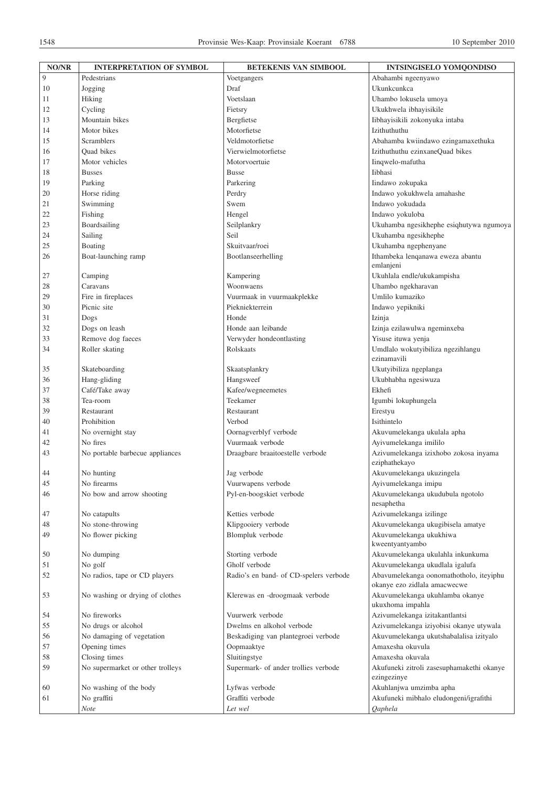| NO/NR    | <b>INTERPRETATION OF SYMBOL</b>  | <b>BETEKENIS VAN SIMBOOL</b>           | <b>INTSINGISELO YOMQONDISO</b>                                          |
|----------|----------------------------------|----------------------------------------|-------------------------------------------------------------------------|
| 9        | Pedestrians                      | Voetgangers                            | Abahambi ngeenyawo                                                      |
| 10       | Jogging                          | Draf                                   | Ukunkcunkca                                                             |
| 11       | Hiking                           | Voetslaan                              | Uhambo lokusela umoya                                                   |
| 12       | Cycling                          | Fietsry                                | Ukukhwela ibhayisikile                                                  |
| 13       | Mountain bikes                   | Bergfietse                             | Iibhayisikili zokonyuka intaba                                          |
| 14       | Motor bikes                      | Motorfietse                            | Izithuthuthu                                                            |
| 15       | <b>Scramblers</b>                | Veldmotorfietse                        | Abahamba kwiindawo ezingamaxethuka                                      |
| 16       | Quad bikes                       | Vierwielmotorfietse                    | Izithuthuthu ezinxaneQuad bikes                                         |
| 17       | Motor vehicles                   | Motorvoertuie                          | Iinqwelo-mafutha                                                        |
| 18       | <b>Busses</b>                    | <b>Busse</b>                           | Iibhasi                                                                 |
| 19       | Parking                          | Parkering                              | Iindawo zokupaka                                                        |
| 20       | Horse riding                     | Perdry                                 | Indawo yokukhwela amahashe                                              |
| 21       | Swimming                         | Swem                                   | Indawo yokudada                                                         |
| 22       | Fishing                          | Hengel                                 | Indawo yokuloba                                                         |
| 23       | Boardsailing                     | Seilplankry                            | Ukuhamba ngesikhephe esiqhutywa ngumoya                                 |
| 24       | Sailing                          | Seil                                   | Ukuhamba ngesikhephe                                                    |
|          |                                  | Skuitvaar/roei                         | Ukuhamba ngephenyane                                                    |
| 25<br>26 | Boating<br>Boat-launching ramp   | Bootlanseerhelling                     | Ithambeka lenqanawa eweza abantu                                        |
|          |                                  |                                        | emlanjeni                                                               |
| 27       | Camping                          | Kampering                              | Ukuhlala endle/ukukampisha                                              |
| 28       | Caravans                         | Woonwaens                              | Uhambo ngekharavan                                                      |
| 29       | Fire in fireplaces               | Vuurmaak in vuurmaakplekke             | Umlilo kumaziko                                                         |
| 30       | Picnic site                      | Piekniekterrein                        | Indawo yepikniki                                                        |
| 31       | Dogs                             | Honde                                  | Izinja                                                                  |
| 32       | Dogs on leash                    | Honde aan leibande                     | Izinja ezilawulwa ngeminxeba                                            |
| 33       | Remove dog faeces                | Verwyder hondeontlasting               | Yisuse ituwa yenja                                                      |
| 34       | Roller skating                   | Rolskaats                              | Umdlalo wokutyibiliza ngezihlangu                                       |
|          |                                  |                                        | ezinamavili                                                             |
| 35       | Skateboarding                    | Skaatsplankry                          | Ukutyibiliza ngeplanga                                                  |
| 36       | Hang-gliding                     | Hangsweef                              | Ukubhabha ngesiwuza                                                     |
| 37       | Café/Take away                   | Kafee/wegneemetes                      | Ekhefi                                                                  |
| 38       | Tea-room                         | Teekamer                               | Igumbi lokuphungela                                                     |
| 39       | Restaurant                       | Restaurant                             | Erestyu                                                                 |
| 40       | Prohibition                      | Verbod                                 | Isithintelo                                                             |
| 41       | No overnight stay                | Oornagverblyf verbode                  | Akuvumelekanga ukulala apha                                             |
| 42       | No fires                         | Vuurmaak verbode                       | Ayivumelekanga imililo                                                  |
| 43       | No portable barbecue appliances  | Draagbare braaitoestelle verbode       | Azivumelekanga izixhobo zokosa inyama<br>eziphathekayo                  |
| 44       | No hunting                       | Jag verbode                            | Akuvumelekanga ukuzingela                                               |
| 45       | No firearms                      | Vuurwapens verbode                     | Ayivumelekanga imipu                                                    |
| 46       | No bow and arrow shooting        | Pyl-en-boogskiet verbode               | Akuvumelekanga ukudubula ngotolo<br>nesaphetha                          |
| 47       | No catapults                     | Ketties verbode                        | Azivumelekanga izilinge                                                 |
| 48       | No stone-throwing                | Klipgooiery verbode                    | Akuvumelekanga ukugibisela amatye                                       |
| 49       | No flower picking                | Blompluk verbode                       | Akuvumelekanga ukukhiwa<br>kweentyantyambo                              |
| 50       | No dumping                       | Storting verbode                       | Akuvumelekanga ukulahla inkunkuma                                       |
| 51       | No golf                          | Gholf verbode                          | Akuvumelekanga ukudlala igalufa                                         |
| 52       | No radios, tape or CD players    | Radio's en band- of CD-spelers verbode | Abavumelekanga oonomathotholo, iteyiphu<br>okanye ezo zidlala amacwecwe |
| 53       | No washing or drying of clothes  | Klerewas en -droogmaak verbode         | Akuvumelekanga ukuhlamba okanye<br>ukuxhoma impahla                     |
| 54       | No fireworks                     | Vuurwerk verbode                       | Azivumelekanga izitakantlantsi                                          |
| 55       | No drugs or alcohol              | Dwelms en alkohol verbode              | Azivumelekanga iziyobisi okanye utywala                                 |
| 56       | No damaging of vegetation        | Beskadiging van plantegroei verbode    | Akuvumelekanga ukutshabalalisa izityalo                                 |
| 57       | Opening times                    | Oopmaaktye                             | Amaxesha okuvula                                                        |
| 58       | Closing times                    | Sluitingstye                           | Amaxesha okuvala                                                        |
| 59       | No supermarket or other trolleys | Supermark- of ander trollies verbode   | Akufuneki zitroli zasesuphamakethi okanye                               |
| 60       | No washing of the body           | Lyfwas verbode                         | ezingezinye<br>Akuhlanjwa umzimba apha                                  |
| 61       | No graffiti                      | Graffiti verbode                       | Akufuneki mibhalo eludongeni/igrafithi                                  |
|          | Note                             | Let wel                                | Qaphela                                                                 |
|          |                                  |                                        |                                                                         |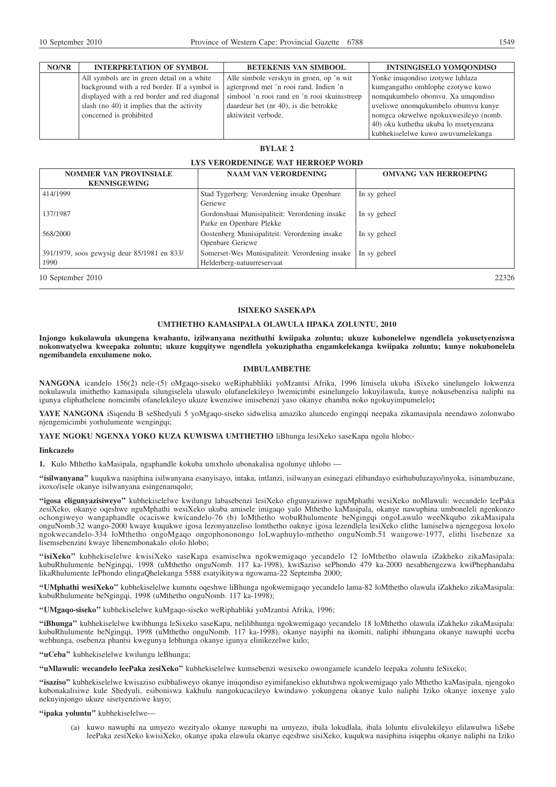| NO/NR | <b>INTERPRETATION OF SYMBOL</b>              | <b>BETEKENIS VAN SIMBOOL</b>                 | <b>INTSINGISELO YOMOONDISO</b>        |
|-------|----------------------------------------------|----------------------------------------------|---------------------------------------|
|       | All symbols are in green detail on a white   | Alle simbole verskyn in groen, op 'n wit     | Yonke imigondiso izotywe luhlaza      |
|       | background with a red border. If a symbol is | agtergrond met 'n rooi rand. Indien 'n       | kumgangatho omhlophe ezotywe kuwo     |
|       | displayed with a red border and red diagonal | simbool 'n rooi rand en 'n rooi skuinsstreep | nomqukumbelo obomvu. Xa umqondiso     |
|       | slash (no 40) it implies that the activity   | daardeur het (nr 40), is die betrokke        | uveliswe unomqukumbelo obumvu kunye   |
|       | concerned is prohibited                      | aktiwiteit verbode.                          | nomgca okrwelwe ngokuxwesileyo (nomb. |
|       |                                              |                                              | 40) oku kuthetha ukuba lo msetyenzana |
|       |                                              |                                              | kubbekiselelwe kuwo awuyumelekanga    |

## **BYLAE 2**

# **LYS VERORDENINGE WAT HERROEP WORD**

| <b>NOMMER VAN PROVINSIALE</b><br><b>KENNISGEWING</b> | <b>NAAM VAN VERORDENING</b>                                                   | <b>OMVANG VAN HERROEPING</b> |
|------------------------------------------------------|-------------------------------------------------------------------------------|------------------------------|
| 414/1999                                             | Stad Tygerberg: Verordening insake Openbare<br>Geriewe                        | In sy geheel                 |
| 137/1987                                             | Gordonsbaai Munisipaliteit: Verordening insake<br>Parke en Openbare Plekke    | In sy geheel                 |
| 568/2000                                             | Oostenberg Munisipaliteit: Verordening insake<br><b>Openbare Geriewe</b>      | In sy geheel                 |
| 391/1979, soos gewysig deur 85/1981 en 833/<br>1990  | Somerset-Wes Munisipaliteit: Verordening insake<br>Helderberg-natuurreservaat | In sy geheel                 |
| 10 September 2010                                    |                                                                               | 22326                        |

## **ISIXEKO SASEKAPA**

#### **UMTHETHO KAMASIPALA OLAWULA IIPAKA ZOLUNTU, 2010**

**Injongo kukulawula ukungena kwabantu, izilwanyana nezithuthi kwiipaka zoluntu; ukuze kubonelelwe ngendlela yokusetyenziswa nokonwatyelwa kweepaka zoluntu; ukuze kugqitywe ngendlela yokuziphatha engamkelekanga kwiipaka zoluntu; kunye nokubonelela ngemibandela enxulumene noko.**

#### **IMBULAMBETHE**

**NANGONA** icandelo 156(2) nele-(5) oMgaqo-siseko weRiphabhliki yoMzantsi Afrika, 1996 limisela ukuba iSixeko sinelungelo lokwenza nokulawula imithetho kamasipala silungiselela ulawulo olufanelekileyo lwemicimbi esinelungelo lokuyilawula, kunye nokusebenzisa naliphi na igunya eliphathelene nomcimbi ofanelekileyo ukuze kwenziwe imisebenzi yaso okanye ehamba noko ngokuyimpumelelo**;**

**YAYE NANGONA** iSiqendu B seShedyuli 5 yoMgaqo-siseko sidwelisa amaziko aluncedo engingqi neepaka zikamasipala neendawo zolonwabo njengemicimbi yorhulumente wengingqi;

**YAYE NGOKU NGENXA YOKO KUZA KUWISWA UMTHETHO** liBhunga lesiXeko saseKapa ngolu hlobo:-

#### **Iinkcazelo**

**1.** Kulo Mthetho kaMasipala, ngaphandle kokuba umxholo ubonakalisa ngolunye uhlobo —

**''isilwanyana''** kuqukwa nasiphina isilwanyana esanyisayo, intaka, intlanzi, isilwanyan esinegazi elibandayo esirhubuluzayo/inyoka, isinambuzane, ixoxo/isele okanye isilwanyana esingenamqolo;

**''igosa eligunyazisiweyo''** kubhekiselelwe kwilungu labasebenzi lesiXeko eligunyaziswe nguMphathi wesiXeko noMlawuli: wecandelo leePaka zesiXeko, okanye oqeshwe nguMphathi wesiXeko ukuba amisele imigaqo yalo Mthetho kaMasipala, okanye nawuphina umboneleli ngenkonzo ochongiweyo wangaphandle ocaciswe kwicandelo-76 (b) loMthetho wobuRhulumente beNgingqi ongoLawulo weeNkqubo zikaMasipala onguNomb.32 wango-2000 kwaye kuqukwe igosa lezonyanzeliso lomthetho oaknye igosa lezendlela lesiXeko elithe lamiselwa njengegosa loxolo ngokwecandelo-334 loMthetho ongoMgaqo ongophononongo loLwaphuylo-mthetho onguNomb.51 wangowe-1977, elithi lisebenze xa lisemsebenzini kwaye libenembonakalo ololo hlobo;

**''isiXeko''** kubhekiselelwe kwisiXeko saseKapa esamiselwa ngokwemigaqo yecandelo 12 loMthetho olawula iZakheko zikaMasipala: kubuRhulumente beNgingqi, 1998 (uMthetho onguNomb. 117 ka-1998), kwiSaziso sePhondo 479 ka-2000 nesabhengezwa kwiPhephandaba likaRhulumente lePhondo elingaQhelekanga 5588 esatyikitywa ngowama-22 Septemba 2000;

**''UMphathi wesiXeko''** kubhekiselelwe kumntu oqeshwe liBhunga ngokwemigaqo yecandelo lama-82 loMthetho olawula iZakheko zikaMasipala: kubuRhulumente beNgingqi, 1998 (uMthetho onguNomb. 117 ka-1998);

**''UMgaqo-siseko''** kubhekiselelwe kuMgaqo-siseko weRiphabliki yoMzantsi Afrika, 1996;

**''iBhunga''** kubhekiselelwe kwibhunga leSixeko saseKapa, nelilibhunga ngokwemigaqo yecandelo 18 loMthetho olawula iZakheko zikaMasipala: kubuRhulumente beNgingqi, 1998 (uMthetho onguNomb. 117 ka-1998), okanye nayiphi na ikomiti, naliphi ibhungana okanye nawuphi uceba webhunga, osebenza phantsi kwegunya lebhunga okanye igunya elinikezelwe kulo;

**''uCeba''** kubhekiselelwe kwilungu leBhunga;

**''uMlawuli: wecandelo leePaka zesiXeko''** kubhekiselelwe kumsebenzi wesixeko owongamele icandelo leepaka zoluntu leSixeko;

**''isaziso''** kubhekiselelwe kwisaziso esibhaliweyo okanye imiqondiso eyimifanekiso ekhutshwa ngokwemigaqo yalo Mthetho kaMasipala, njengoko kubonakalisiwe kule Shedyuli, esiboniswa kakhulu nangokucacileyo kwindawo yokungena okanye kulo naliphi Iziko okanye inxenye yalo nekuyinjongo ukuze sisetyenziswe kuyo;

#### "ipaka yoluntu" kubhekiselelwe-

(a) kuwo nawuphi na umyezo wezityalo okanye nawuphi na umyezo, ibala lokudlala, ibala loluntu elivulekileyo elilawulwa liSebe leePaka zesiXeko kwisiXeko, okanye ipaka elawula okanye eqeshwe sisiXeko, kuqukwa nasiphina isiqephu okanye naliphi na Iziko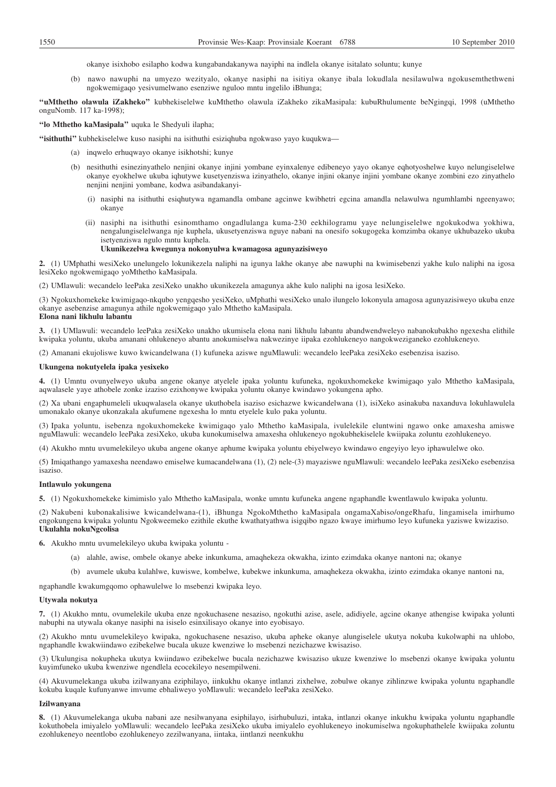okanye isixhobo esilapho kodwa kungabandakanywa nayiphi na indlela okanye isitalato soluntu; kunye

(b) nawo nawuphi na umyezo wezityalo, okanye nasiphi na isitiya okanye ibala lokudlala nesilawulwa ngokusemthethweni ngokwemigaqo yesivumelwano esenziwe nguloo mntu ingelilo iBhunga;

**''uMthetho olawula iZakheko''** kubhekiselelwe kuMthetho olawula iZakheko zikaMasipala: kubuRhulumente beNgingqi, 1998 (uMthetho onguNomb. 117 ka-1998);

## **''lo Mthetho kaMasipala''** uquka le Shedyuli ilapha;

**''isithuthi''** kubhekiselelwe kuso nasiphi na isithuthi esiziqhuba ngokwaso yayo kuqukwa—

- (a) inqwelo erhuqwayo okanye isikhotshi; kunye
- (b) nesithuthi esinezinyathelo nenjini okanye injini yombane eyinxalenye edibeneyo yayo okanye eqhotyoshelwe kuyo nelungiselelwe okanye eyokhelwe ukuba iqhutywe kusetyenziswa izinyathelo, okanye injini okanye injini yombane okanye zombini ezo zinyathelo nenjini nenjini yombane, kodwa asibandakanyi-
	- (i) nasiphi na isithuthi esiqhutywa ngamandla ombane agcinwe kwibhetri egcina amandla nelawulwa ngumhlambi ngeenyawo; okanye
	- (ii) nasiphi na isithuthi esinomthamo ongadlulanga kuma-230 eekhilogramu yaye nelungiselelwe ngokukodwa yokhiwa, nengalungiselelwanga nje kuphela, ukusetyenziswa nguye nabani na onesifo sokugogeka komzimba okanye ukhubazeko ukuba isetyenziswa ngulo mntu kuphela.

## **Ukunikezelwa kwegunya nokonyulwa kwamagosa agunyazisiweyo**

**2.** (1) UMphathi wesiXeko unelungelo lokunikezela naliphi na igunya lakhe okanye abe nawuphi na kwimisebenzi yakhe kulo naliphi na igosa lesiXeko ngokwemigaqo yoMthetho kaMasipala.

(2) UMlawuli: wecandelo leePaka zesiXeko unakho ukunikezela amagunya akhe kulo naliphi na igosa lesiXeko.

(3) Ngokuxhomekeke kwimigaqo-nkqubo yengqesho yesiXeko, uMphathi wesiXeko unalo ilungelo lokonyula amagosa agunyazisiweyo ukuba enze okanye asebenzise amagunya athile ngokwemigaqo yalo Mthetho kaMasipala. **Elona nani likhulu labantu**

**3.** (1) UMlawuli: wecandelo leePaka zesiXeko unakho ukumisela elona nani likhulu labantu abandwendweleyo nabanokubakho ngexesha elithile kwipaka yoluntu, ukuba amanani ohlukeneyo abantu anokumiselwa nakwezinye iipaka ezohlukeneyo nangokweziganeko ezohlukeneyo.

(2) Amanani ekujoliswe kuwo kwicandelwana (1) kufuneka aziswe nguMlawuli: wecandelo leePaka zesiXeko esebenzisa isaziso.

#### **Ukungena nokutyelela ipaka yesixeko**

**4.** (1) Umntu ovunyelweyo ukuba angene okanye atyelele ipaka yoluntu kufuneka, ngokuxhomekeke kwimigaqo yalo Mthetho kaMasipala, aqwalasele yaye athobele zonke izaziso ezixhonywe kwipaka yoluntu okanye kwindawo yokungena apho.

(2) Xa ubani engaphumeleli ukuqwalasela okanye ukuthobela isaziso esichazwe kwicandelwana (1), isiXeko asinakuba naxanduva lokuhlawulela umonakalo okanye ukonzakala akufumene ngexesha lo mntu etyelele kulo paka yoluntu.

(3) Ipaka yoluntu, isebenza ngokuxhomekeke kwimigaqo yalo Mthetho kaMasipala, ivulelekile eluntwini ngawo onke amaxesha amiswe nguMlawuli: wecandelo leePaka zesiXeko, ukuba kunokumiselwa amaxesha ohlukeneyo ngokubhekiselele kwiipaka zoluntu ezohlukeneyo.

(4) Akukho mntu uvumelekileyo ukuba angene okanye aphume kwipaka yoluntu ebiyelweyo kwindawo engeyiyo leyo iphawulelwe oko.

(5) Imiqathango yamaxesha neendawo emiselwe kumacandelwana (1), (2) nele-(3) mayaziswe nguMlawuli: wecandelo leePaka zesiXeko esebenzisa isaziso.

## **Intlawulo yokungena**

**5.** (1) Ngokuxhomekeke kimimislo yalo Mthetho kaMasipala, wonke umntu kufuneka angene ngaphandle kwentlawulo kwipaka yoluntu.

(2) Nakubeni kubonakalisiwe kwicandelwana-(1), iBhunga NgokoMthetho kaMasipala ongamaXabiso/ongeRhafu, lingamisela imirhumo engokungena kwipaka yoluntu Ngokweemeko ezithile ekuthe kwathatyathwa isigqibo ngazo kwaye imirhumo leyo kufuneka yaziswe kwizaziso. **Ukulahla nokuNgcolisa**

**6.** Akukho mntu uvumelekileyo ukuba kwipaka yoluntu -

- (a) alahle, awise, ombele okanye abeke inkunkuma, amaqhekeza okwakha, izinto ezimdaka okanye nantoni na; okanye
- (b) avumele ukuba kulahlwe, kuwiswe, kombelwe, kubekwe inkunkuma, amaqhekeza okwakha, izinto ezimdaka okanye nantoni na,

ngaphandle kwakumgqomo ophawulelwe lo msebenzi kwipaka leyo.

### **Utywala nokutya**

**7.** (1) Akukho mntu, ovumelekile ukuba enze ngokuchasene nesaziso, ngokuthi azise, asele, adidiyele, agcine okanye athengise kwipaka yolunti nabuphi na utywala okanye nasiphi na isiselo esinxilisayo okanye into eyobisayo.

(2) Akukho mntu uvumelekileyo kwipaka, ngokuchasene nesaziso, ukuba apheke okanye alungiselele ukutya nokuba kukolwaphi na uhlobo, ngaphandle kwakwiindawo ezibekelwe bucala ukuze kwenziwe lo msebenzi nezichazwe kwisaziso.

(3) Ukulungisa nokupheka ukutya kwiindawo ezibekelwe bucala nezichazwe kwisaziso ukuze kwenziwe lo msebenzi okanye kwipaka yoluntu kuyimfuneko ukuba kwenziwe ngendlela ecocekileyo nesempilweni.

(4) Akuvumelekanga ukuba izilwanyana eziphilayo, iinkukhu okanye intlanzi zixhelwe, zobulwe okanye zihlinzwe kwipaka yoluntu ngaphandle kokuba kuqale kufunyanwe imvume ebhaliweyo yoMlawuli: wecandelo leePaka zesiXeko.

#### **Izilwanyana**

**8.** (1) Akuvumelekanga ukuba nabani aze nesilwanyana esiphilayo, isirhubuluzi, intaka, intlanzi okanye inkukhu kwipaka yoluntu ngaphandle kokuthobela imiyalelo yoMlawuli: wecandelo leePaka zesiXeko ukuba imiyalelo eyohlukeneyo inokumiselwa ngokuphathelele kwiipaka zoluntu ezohlukeneyo neentlobo ezohlukeneyo zezilwanyana, iintaka, iintlanzi neenkukhu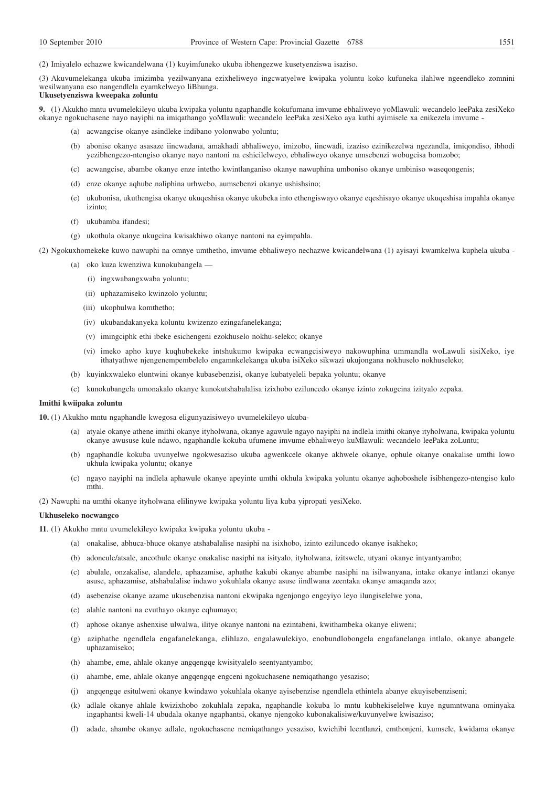(2) Imiyalelo echazwe kwicandelwana (1) kuyimfuneko ukuba ibhengezwe kusetyenziswa isaziso.

(3) Akuvumelekanga ukuba imizimba yezilwanyana ezixheliweyo ingcwatyelwe kwipaka yoluntu koko kufuneka ilahlwe ngeendleko zomnini wesilwanyana eso nangendlela eyamkelweyo liBhunga. **Ukusetyenziswa kweepaka zoluntu**

**9.** (1) Akukho mntu uvumelekileyo ukuba kwipaka yoluntu ngaphandle kokufumana imvume ebhaliweyo yoMlawuli: wecandelo leePaka zesiXeko okanye ngokuchasene nayo nayiphi na imiqathango yoMlawuli: wecandelo leePaka zesiXeko aya kuthi ayimisele xa enikezela imvume -

- (a) acwangcise okanye asindleke indibano yolonwabo yoluntu;
- (b) abonise okanye asasaze iincwadana, amakhadi abhaliweyo, imizobo, iincwadi, izaziso ezinikezelwa ngezandla, imiqondiso, ibhodi yezibhengezo-ntengiso okanye nayo nantoni na eshicilelweyo, ebhaliweyo okanye umsebenzi wobugcisa bomzobo;
- (c) acwangcise, abambe okanye enze intetho kwintlanganiso okanye nawuphina umboniso okanye umbiniso waseqongenis;
- (d) enze okanye aqhube naliphina urhwebo, aumsebenzi okanye ushishsino;
- (e) ukubonisa, ukuthengisa okanye ukuqeshisa okanye ukubeka into ethengiswayo okanye eqeshisayo okanye ukuqeshisa impahla okanye izinto;
- (f) ukubamba ifandesi;
- (g) ukothula okanye ukugcina kwisakhiwo okanye nantoni na eyimpahla.

(2) Ngokuxhomekeke kuwo nawuphi na omnye umthetho, imvume ebhaliweyo nechazwe kwicandelwana (1) ayisayi kwamkelwa kuphela ukuba -

- (a) oko kuza kwenziwa kunokubangela
	- (i) ingxwabangxwaba yoluntu;
	- (ii) uphazamiseko kwinzolo yoluntu;
	- (iii) ukophulwa komthetho;
	- (iv) ukubandakanyeka koluntu kwizenzo ezingafanelekanga;
	- (v) imingciphk ethi ibeke esichengeni ezokhuselo nokhu-seleko; okanye
	- (vi) imeko apho kuye kuqhubekeke intshukumo kwipaka ecwangcisiweyo nakowuphina ummandla woLawuli sisiXeko, iye ithatyathwe njengenempembelelo engamnkelekanga ukuba isiXeko sikwazi ukujongana nokhuselo nokhuseleko;
- (b) kuyinkxwaleko eluntwini okanye kubasebenzisi, okanye kubatyeleli bepaka yoluntu; okanye
- (c) kunokubangela umonakalo okanye kunokutshabalalisa izixhobo eziluncedo okanye izinto zokugcina izityalo zepaka.

## **Imithi kwiipaka zoluntu**

**10.** (1) Akukho mntu ngaphandle kwegosa eligunyazisiweyo uvumelekileyo ukuba-

- (a) atyale okanye athene imithi okanye ityholwana, okanye agawule ngayo nayiphi na indlela imithi okanye ityholwana, kwipaka yoluntu okanye awususe kule ndawo, ngaphandle kokuba ufumene imvume ebhaliweyo kuMlawuli: wecandelo leePaka zoLuntu;
- (b) ngaphandle kokuba uvunyelwe ngokwesaziso ukuba agwenkcele okanye akhwele okanye, ophule okanye onakalise umthi lowo ukhula kwipaka yoluntu; okanye
- (c) ngayo nayiphi na indlela aphawule okanye apeyinte umthi okhula kwipaka yoluntu okanye aqhoboshele isibhengezo-ntengiso kulo mthi.

(2) Nawuphi na umthi okanye ityholwana elilinywe kwipaka yoluntu liya kuba yipropati yesiXeko.

### **Ukhuseleko nocwangco**

**11**. (1) Akukho mntu uvumelekileyo kwipaka kwipaka yoluntu ukuba -

- (a) onakalise, abhuca-bhuce okanye atshabalalise nasiphi na isixhobo, izinto eziluncedo okanye isakheko;
- (b) adoncule/atsale, ancothule okanye onakalise nasiphi na isityalo, ityholwana, izitswele, utyani okanye intyantyambo;
- (c) abulale, onzakalise, alandele, aphazamise, aphathe kakubi okanye abambe nasiphi na isilwanyana, intake okanye intlanzi okanye asuse, aphazamise, atshabalalise indawo yokuhlala okanye asuse iindlwana zeentaka okanye amaqanda azo;
- (d) asebenzise okanye azame ukusebenzisa nantoni ekwipaka ngenjongo engeyiyo leyo ilungiselelwe yona,
- (e) alahle nantoni na evuthayo okanye eqhumayo;
- (f) aphose okanye ashenxise ulwalwa, ilitye okanye nantoni na ezintabeni, kwithambeka okanye eliweni;
- (g) aziphathe ngendlela engafanelekanga, elihlazo, engalawulekiyo, enobundlobongela engafanelanga intlalo, okanye abangele uphazamiseko;
- (h) ahambe, eme, ahlale okanye angqengqe kwisityalelo seentyantyambo;
- (i) ahambe, eme, ahlale okanye angqengqe engceni ngokuchasene nemiqathango yesaziso;
- (j) angqengqe esitulweni okanye kwindawo yokuhlala okanye ayisebenzise ngendlela ethintela abanye ekuyisebenziseni;
- (k) adlale okanye ahlale kwizixhobo zokuhlala zepaka, ngaphandle kokuba lo mntu kubhekiselelwe kuye ngumntwana ominyaka ingaphantsi kweli-14 ubudala okanye ngaphantsi, okanye njengoko kubonakalisiwe/kuvunyelwe kwisaziso;
- (l) adade, ahambe okanye adlale, ngokuchasene nemiqathango yesaziso, kwichibi leentlanzi, emthonjeni, kumsele, kwidama okanye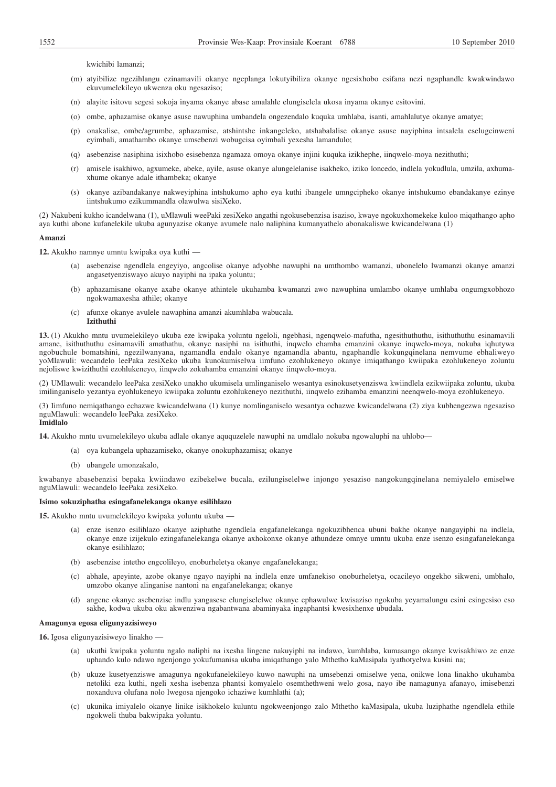kwichibi lamanzi;

- (m) atyibilize ngezihlangu ezinamavili okanye ngeplanga lokutyibiliza okanye ngesixhobo esifana nezi ngaphandle kwakwindawo ekuvumelekileyo ukwenza oku ngesaziso;
- (n) alayite isitovu segesi sokoja inyama okanye abase amalahle elungiselela ukosa inyama okanye esitovini.
- (o) ombe, aphazamise okanye asuse nawuphina umbandela ongezendalo kuquka umhlaba, isanti, amahlalutye okanye amatye;
- (p) onakalise, ombe/agrumbe, aphazamise, atshintshe inkangeleko, atshabalalise okanye asuse nayiphina intsalela eselugcinweni eyimbali, amathambo okanye umsebenzi wobugcisa oyimbali yexesha lamandulo;
- (q) asebenzise nasiphina isixhobo esisebenza ngamaza omoya okanye injini kuquka izikhephe, iinqwelo-moya nezithuthi;
- (r) amisele isakhiwo, agxumeke, abeke, ayile, asuse okanye alungelelanise isakheko, iziko loncedo, indlela yokudlula, umzila, axhumaxhume okanye adale ithambeka; okanye
- (s) okanye azibandakanye nakweyiphina intshukumo apho eya kuthi ibangele umngcipheko okanye intshukumo ebandakanye ezinye iintshukumo ezikummandla olawulwa sisiXeko.

(2) Nakubeni kukho icandelwana (1), uMlawuli weePaki zesiXeko angathi ngokusebenzisa isaziso, kwaye ngokuxhomekeke kuloo miqathango apho aya kuthi abone kufanelekile ukuba agunyazise okanye avumele nalo naliphina kumanyathelo abonakaliswe kwicandelwana (1)

#### **Amanzi**

**12.** Akukho namnye umntu kwipaka oya kuthi —

- (a) asebenzise ngendlela engeyiyo, angcolise okanye adyobhe nawuphi na umthombo wamanzi, ubonelelo lwamanzi okanye amanzi angasetyenziswayo akuyo nayiphi na ipaka yoluntu;
- (b) aphazamisane okanye axabe okanye athintele ukuhamba kwamanzi awo nawuphina umlambo okanye umhlaba ongumgxobhozo ngokwamaxesha athile; okanye
- (c) afunxe okanye avulele nawaphina amanzi akumhlaba wabucala. **Izithuthi**

**13.** (1) Akukho mntu uvumelekileyo ukuba eze kwipaka yoluntu ngeloli, ngebhasi, ngenqwelo-mafutha, ngesithuthuthu, isithuthuthu esinamavili amane, isithuthuthu esinamavili amathathu, okanye nasiphi na isithuthi, inqwelo ehamba emanzini okanye inqwelo-moya, nokuba iqhutywa ngobuchule bomatshini, ngezilwanyana, ngamandla endalo okanye ngamandla abantu, ngaphandle kokungqinelana nemvume ebhaliweyo yoMlawuli: wecandelo leePaka zesiXeko ukuba kunokumiselwa iimfuno ezohlukeneyo okanye imiqathango kwiipaka ezohlukeneyo zoluntu nejoliswe kwizithuthi ezohlukeneyo, iinqwelo zokuhamba emanzini okanye iinqwelo-moya.

(2) UMlawuli: wecandelo leePaka zesiXeko unakho ukumisela umlinganiselo wesantya esinokusetyenziswa kwiindlela ezikwiipaka zoluntu, ukuba imilinganiselo yezantya eyohlukeneyo kwiipaka zoluntu ezohlukeneyo nezithuthi, iinqwelo ezihamba emanzini neenqwelo-moya ezohlukeneyo.

(3) Iimfuno nemiqathango echazwe kwicandelwana (1) kunye nomlinganiselo wesantya ochazwe kwicandelwana (2) ziya kubhengezwa ngesaziso nguMlawuli: wecandelo leePaka zesiXeko. **Imidlalo**

**14.** Akukho mntu uvumelekileyo ukuba adlale okanye aququzelele nawuphi na umdlalo nokuba ngowaluphi na uhlobo—

- (a) oya kubangela uphazamiseko, okanye onokuphazamisa; okanye
- (b) ubangele umonzakalo,

kwabanye abasebenzisi bepaka kwiindawo ezibekelwe bucala, ezilungiselelwe injongo yesaziso nangokungqinelana nemiyalelo emiselwe nguMlawuli: wecandelo leePaka zesiXeko.

#### **Isimo sokuziphatha esingafanelekanga okanye esilihlazo**

**15.** Akukho mntu uvumelekileyo kwipaka yoluntu ukuba —

- (a) enze isenzo esilihlazo okanye aziphathe ngendlela engafanelekanga ngokuzibhenca ubuni bakhe okanye nangayiphi na indlela, okanye enze izijekulo ezingafanelekanga okanye axhokonxe okanye athundeze omnye umntu ukuba enze isenzo esingafanelekanga okanye esilihlazo;
- (b) asebenzise intetho engcolileyo, enoburheletya okanye engafanelekanga;
- (c) abhale, apeyinte, azobe okanye ngayo nayiphi na indlela enze umfanekiso onoburheletya, ocacileyo ongekho sikweni, umbhalo, umzobo okanye alinganise nantoni na engafanelekanga; okanye
- (d) angene okanye asebenzise indlu yangasese elungiselelwe okanye ephawulwe kwisaziso ngokuba yeyamalungu esini esingesiso eso sakhe, kodwa ukuba oku akwenziwa ngabantwana abaminyaka ingaphantsi kwesixhenxe ubudala.

### **Amagunya egosa eligunyazisiweyo**

**16.** Igosa eligunyazisiweyo linakho —

- (a) ukuthi kwipaka yoluntu ngalo naliphi na ixesha lingene nakuyiphi na indawo, kumhlaba, kumasango okanye kwisakhiwo ze enze uphando kulo ndawo ngenjongo yokufumanisa ukuba imiqathango yalo Mthetho kaMasipala iyathotyelwa kusini na;
- (b) ukuze kusetyenziswe amagunya ngokufanelekileyo kuwo nawuphi na umsebenzi omiselwe yena, onikwe lona linakho ukuhamba netoliki eza kuthi, ngeli xesha isebenza phantsi komyalelo osemthethweni welo gosa, nayo ibe namagunya afanayo, imisebenzi noxanduva olufana nolo lwegosa njengoko ichaziwe kumhlathi (a);
- (c) ukunika imiyalelo okanye linike isikhokelo kuluntu ngokweenjongo zalo Mthetho kaMasipala, ukuba luziphathe ngendlela ethile ngokweli thuba bakwipaka yoluntu.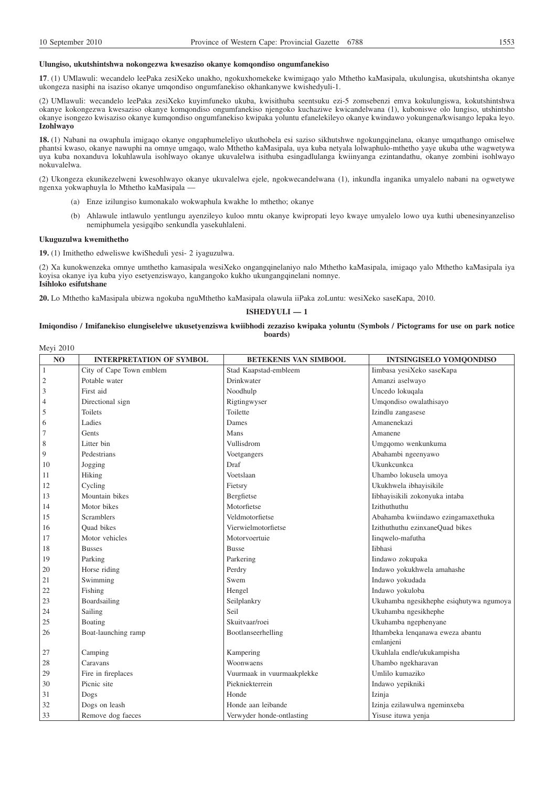#### **Ulungiso, ukutshintshwa nokongezwa kwesaziso okanye komqondiso ongumfanekiso**

**17**. (1) UMlawuli: wecandelo leePaka zesiXeko unakho, ngokuxhomekeke kwimigaqo yalo Mthetho kaMasipala, ukulungisa, ukutshintsha okanye ukongeza nasiphi na isaziso okanye umqondiso ongumfanekiso okhankanywe kwishedyuli-1.

(2) UMlawuli: wecandelo leePaka zesiXeko kuyimfuneko ukuba, kwisithuba seentsuku ezi-5 zomsebenzi emva kokulungiswa, kokutshintshwa okanye kokongezwa kwesaziso okanye komqondiso ongumfanekiso njengoko kuchaziwe kwicandelwana (1), kuboniswe olo lungiso, utshintsho okanye isongezo kwisaziso okanye kumqondiso ongumfanekiso kwipaka yoluntu efanelekileyo okanye kwindawo yokungena/kwisango lepaka leyo. **Izohlwayo**

**18.** (1) Nabani na owaphula imigaqo okanye ongaphumeleliyo ukuthobela esi saziso sikhutshwe ngokungqinelana, okanye umqathango omiselwe phantsi kwaso, okanye nawuphi na omnye umgaqo, walo Mthetho kaMasipala, uya kuba netyala lolwaphulo-mthetho yaye ukuba uthe wagwetywa uya kuba noxanduva lokuhlawula isohlwayo okanye ukuvalelwa isithuba esingadlulanga kwiinyanga ezintandathu, okanye zombini isohlwayo nokuvalelwa.

(2) Ukongeza ekunikezelweni kwesohlwayo okanye ukuvalelwa ejele, ngokwecandelwana (1), inkundla inganika umyalelo nabani na ogwetywe ngenxa yokwaphuyla lo Mthetho kaMasipala —

- (a) Enze izilungiso kumonakalo wokwaphula kwakhe lo mthetho; okanye
- (b) Ahlawule intlawulo yentlungu ayenzileyo kuloo mntu okanye kwipropati leyo kwaye umyalelo lowo uya kuthi ubenesinyanzeliso nemiphumela yesigqibo senkundla yasekuhlaleni.

## **Ukuguzulwa kwemithetho**

**19.** (1) Imithetho edweliswe kwiSheduli yesi- 2 iyaguzulwa.

(2) Xa kunokwenzeka omnye umthetho kamasipala wesiXeko ongangqinelaniyo nalo Mthetho kaMasipala, imigaqo yalo Mthetho kaMasipala iya koyisa okanye iya kuba yiyo esetyenziswayo, kangangoko kukho ukungangqinelani nomnye. **Isihloko esifutshane**

**20.** Lo Mthetho kaMasipala ubizwa ngokuba nguMthetho kaMasipala olawula iiPaka zoLuntu: wesiXeko saseKapa, 2010.

## **ISHEDYULI — 1**

## **Imiqondiso / Imifanekiso elungiselelwe ukusetyenziswa kwiibhodi zezaziso kwipaka yoluntu (Symbols / Pictograms for use on park notice boards)**

| Meyi 2010      |                                 |                              |                                         |  |
|----------------|---------------------------------|------------------------------|-----------------------------------------|--|
| N <sub>O</sub> | <b>INTERPRETATION OF SYMBOL</b> | <b>BETEKENIS VAN SIMBOOL</b> | <b>INTSINGISELO YOMQONDISO</b>          |  |
| $\mathbf{1}$   | City of Cape Town emblem        | Stad Kaapstad-embleem        | Iimbasa yesiXeko saseKapa               |  |
| $\overline{c}$ | Potable water                   | Drinkwater                   | Amanzi aselwayo                         |  |
| 3              | First aid                       | Noodhulp                     | Uncedo lokuqala                         |  |
| 4              | Directional sign                | Rigtingwyser                 | Umqondiso owalathisayo                  |  |
| 5              | <b>Toilets</b>                  | Toilette                     | Izindlu zangasese                       |  |
| 6              | Ladies                          | Dames                        | Amanenekazi                             |  |
| 7              | Gents                           | Mans                         | Amanene                                 |  |
| 8              | Litter bin                      | Vullisdrom                   | Umgqomo wenkunkuma                      |  |
| 9              | Pedestrians                     | Voetgangers                  | Abahambi ngeenyawo                      |  |
| 10             | Jogging                         | Draf                         | Ukunkcunkca                             |  |
| 11             | Hiking                          | Voetslaan                    | Uhambo lokusela umoya                   |  |
| 12             | Cycling                         | Fietsry                      | Ukukhwela ibhayisikile                  |  |
| 13             | Mountain bikes                  | Bergfietse                   | Iibhayisikili zokonyuka intaba          |  |
| 14             | Motor bikes                     | Motorfietse                  | Izithuthuthu                            |  |
| 15             | <b>Scramblers</b>               | Veldmotorfietse              | Abahamba kwiindawo ezingamaxethuka      |  |
| 16             | <b>Ouad</b> bikes               | Vierwielmotorfietse          | Izithuthuthu ezinxaneQuad bikes         |  |
| 17             | Motor vehicles                  | Motorvoertuie                | Iinqwelo-mafutha                        |  |
| 18             | <b>Busses</b>                   | <b>Busse</b>                 | Iibhasi                                 |  |
| 19             | Parking                         | Parkering                    | Iindawo zokupaka                        |  |
| 20             | Horse riding                    | Perdry                       | Indawo yokukhwela amahashe              |  |
| 21             | Swimming                        | Swem                         | Indawo yokudada                         |  |
| 22             | Fishing                         | Hengel                       | Indawo yokuloba                         |  |
| 23             | Boardsailing                    | Seilplankry                  | Ukuhamba ngesikhephe esiqhutywa ngumoya |  |
| 24             | Sailing                         | Seil                         | Ukuhamba ngesikhephe                    |  |
| 25             | Boating                         | Skuitvaar/roei               | Ukuhamba ngephenyane                    |  |
| 26             | Boat-launching ramp             | Bootlanseerhelling           | Ithambeka lenqanawa eweza abantu        |  |
|                |                                 |                              | emlanjeni                               |  |
| 27             | Camping                         | Kampering                    | Ukuhlala endle/ukukampisha              |  |
| 28             | Caravans                        | Woonwaens                    | Uhambo ngekharavan                      |  |
| 29             | Fire in fireplaces              | Vuurmaak in vuurmaakplekke   | Umlilo kumaziko                         |  |
| 30             | Picnic site                     | Piekniekterrein              | Indawo yepikniki                        |  |
| 31             | Dogs                            | Honde                        | Izinja                                  |  |
| 32             | Dogs on leash                   | Honde aan leibande           | Izinja ezilawulwa ngeminxeba            |  |
| 33             | Remove dog faeces               | Verwyder honde-ontlasting    | Yisuse ituwa yenja                      |  |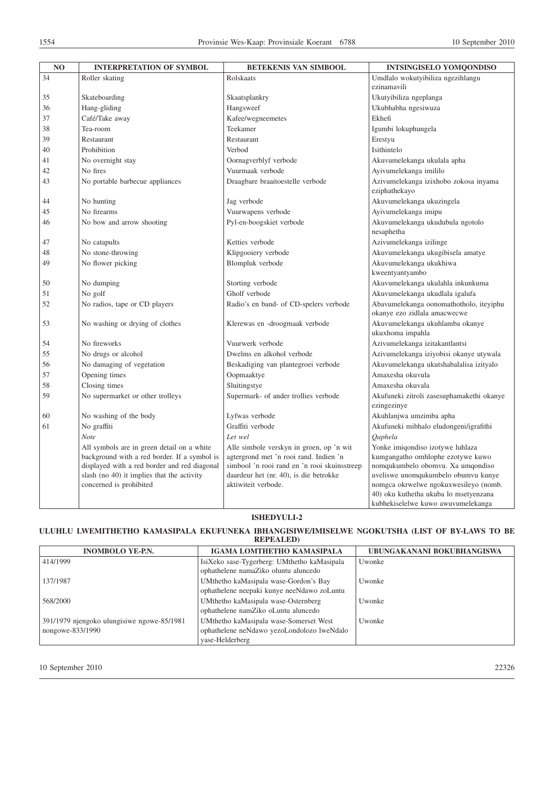| N <sub>O</sub> | <b>INTERPRETATION OF SYMBOL</b>                                                                                                                                                                                     | <b>BETEKENIS VAN SIMBOOL</b>                                                                                                                                                                        | <b>INTSINGISELO YOMQONDISO</b>                                                                                                                                                                                                      |
|----------------|---------------------------------------------------------------------------------------------------------------------------------------------------------------------------------------------------------------------|-----------------------------------------------------------------------------------------------------------------------------------------------------------------------------------------------------|-------------------------------------------------------------------------------------------------------------------------------------------------------------------------------------------------------------------------------------|
| 34             | Roller skating                                                                                                                                                                                                      | Rolskaats                                                                                                                                                                                           | Umdlalo wokutyibiliza ngezihlangu                                                                                                                                                                                                   |
|                |                                                                                                                                                                                                                     |                                                                                                                                                                                                     | ezinamavili                                                                                                                                                                                                                         |
| 35             | Skateboarding                                                                                                                                                                                                       | Skaatsplankry                                                                                                                                                                                       | Ukutyibiliza ngeplanga                                                                                                                                                                                                              |
| 36             | Hang-gliding                                                                                                                                                                                                        | Hangsweef                                                                                                                                                                                           | Ukubhabha ngesiwuza                                                                                                                                                                                                                 |
| 37             | Café/Take away                                                                                                                                                                                                      | Kafee/wegneemetes                                                                                                                                                                                   | Ekhefi                                                                                                                                                                                                                              |
| 38             | Tea-room                                                                                                                                                                                                            | Teekamer                                                                                                                                                                                            | Igumbi lokuphungela                                                                                                                                                                                                                 |
| 39             | Restaurant                                                                                                                                                                                                          | Restaurant                                                                                                                                                                                          | Erestyu                                                                                                                                                                                                                             |
| 40             | Prohibition                                                                                                                                                                                                         | Verbod                                                                                                                                                                                              | Isithintelo                                                                                                                                                                                                                         |
| 41             | No overnight stay                                                                                                                                                                                                   | Oornagverblyf verbode                                                                                                                                                                               | Akuvumelekanga ukulala apha                                                                                                                                                                                                         |
| 42             | No fires                                                                                                                                                                                                            | Vuurmaak verbode                                                                                                                                                                                    | Ayivumelekanga imililo                                                                                                                                                                                                              |
| 43             | No portable barbecue appliances                                                                                                                                                                                     | Draagbare braaitoestelle verbode                                                                                                                                                                    | Azivumelekanga izixhobo zokosa inyama<br>eziphathekayo                                                                                                                                                                              |
| 44             | No hunting                                                                                                                                                                                                          | Jag verbode                                                                                                                                                                                         | Akuvumelekanga ukuzingela                                                                                                                                                                                                           |
| 45             | No firearms                                                                                                                                                                                                         | Vuurwapens verbode                                                                                                                                                                                  | Ayivumelekanga imipu                                                                                                                                                                                                                |
| 46             | No bow and arrow shooting                                                                                                                                                                                           | Pyl-en-boogskiet verbode                                                                                                                                                                            | Akuvumelekanga ukudubula ngotolo<br>nesaphetha                                                                                                                                                                                      |
| 47             | No catapults                                                                                                                                                                                                        | Ketties verbode                                                                                                                                                                                     | Azivumelekanga izilinge                                                                                                                                                                                                             |
| 48             | No stone-throwing                                                                                                                                                                                                   | Klipgooiery verbode                                                                                                                                                                                 | Akuvumelekanga ukugibisela amatye                                                                                                                                                                                                   |
| 49             | No flower picking                                                                                                                                                                                                   | Blompluk verbode                                                                                                                                                                                    | Akuvumelekanga ukukhiwa                                                                                                                                                                                                             |
|                |                                                                                                                                                                                                                     |                                                                                                                                                                                                     | kweentyantyambo                                                                                                                                                                                                                     |
| 50             | No dumping                                                                                                                                                                                                          | Storting verbode                                                                                                                                                                                    | Akuvumelekanga ukulahla inkunkuma                                                                                                                                                                                                   |
| 51             | No golf                                                                                                                                                                                                             | Gholf verbode                                                                                                                                                                                       | Akuvumelekanga ukudlala igalufa                                                                                                                                                                                                     |
| 52             | No radios, tape or CD players                                                                                                                                                                                       | Radio's en band- of CD-spelers verbode                                                                                                                                                              | Abavumelekanga oonomathotholo, iteyiphu<br>okanye ezo zidlala amacwecwe                                                                                                                                                             |
| 53             | No washing or drying of clothes                                                                                                                                                                                     | Klerewas en -droogmaak verbode                                                                                                                                                                      | Akuvumelekanga ukuhlamba okanye<br>ukuxhoma impahla                                                                                                                                                                                 |
| 54             | No fireworks                                                                                                                                                                                                        | Vuurwerk verbode                                                                                                                                                                                    | Azivumelekanga izitakantlantsi                                                                                                                                                                                                      |
| 55             | No drugs or alcohol                                                                                                                                                                                                 | Dwelms en alkohol verbode                                                                                                                                                                           | Azivumelekanga iziyobisi okanye utywala                                                                                                                                                                                             |
| 56             | No damaging of vegetation                                                                                                                                                                                           | Beskadiging van plantegroei verbode                                                                                                                                                                 | Akuvumelekanga ukutshabalalisa izityalo                                                                                                                                                                                             |
| 57             | Opening times                                                                                                                                                                                                       | Oopmaaktye                                                                                                                                                                                          | Amaxesha okuvula                                                                                                                                                                                                                    |
| 58             | Closing times                                                                                                                                                                                                       | Sluitingstye                                                                                                                                                                                        | Amaxesha okuvala                                                                                                                                                                                                                    |
| 59             | No supermarket or other trolleys                                                                                                                                                                                    | Supermark- of ander trollies verbode                                                                                                                                                                | Akufuneki zitroli zasesuphamakethi okanye<br>ezingezinye                                                                                                                                                                            |
| 60             | No washing of the body                                                                                                                                                                                              | Lyfwas verbode                                                                                                                                                                                      | Akuhlanjwa umzimba apha                                                                                                                                                                                                             |
| 61             | No graffiti                                                                                                                                                                                                         | Graffiti verbode                                                                                                                                                                                    | Akufuneki mibhalo eludongeni/igrafithi                                                                                                                                                                                              |
|                | Note                                                                                                                                                                                                                | Let wel                                                                                                                                                                                             | <b>Oaphela</b>                                                                                                                                                                                                                      |
|                | All symbols are in green detail on a white<br>background with a red border. If a symbol is<br>displayed with a red border and red diagonal<br>slash (no 40) it implies that the activity<br>concerned is prohibited | Alle simbole verskyn in groen, op 'n wit<br>agtergrond met 'n rooi rand. Indien 'n<br>simbool 'n rooi rand en 'n rooi skuinsstreep<br>daardeur het (nr. 40), is die betrokke<br>aktiwiteit verbode. | Yonke imiqondiso izotywe luhlaza<br>kumgangatho omhlophe ezotywe kuwo<br>nomqukumbelo obomvu. Xa umqondiso<br>uveliswe unomqukumbelo obumvu kunye<br>nomgca okrwelwe ngokuxwesileyo (nomb.<br>40) oku kuthetha ukuba lo msetyenzana |
|                |                                                                                                                                                                                                                     |                                                                                                                                                                                                     | kubhekiselelwe kuwo awuvumelekanga                                                                                                                                                                                                  |

## **ISHEDYULI-2**

## **ULUHLU LWEMITHETHO KAMASIPALA EKUFUNEKA IBHANGISIWE/IMISELWE NGOKUTSHA (LIST OF BY-LAWS TO BE REPEALED)**

| <b>INOMBOLO YE-P.N.</b>                    | <b>IGAMA LOMTHETHO KAMASIPALA</b>           | UBUNGAKANANI BOKUBHANGISWA |
|--------------------------------------------|---------------------------------------------|----------------------------|
| 414/1999                                   | IsiXeko sase-Tygerberg: UMthetho kaMasipala | Uwonke                     |
|                                            | ophathelene namaZiko oluntu aluncedo        |                            |
| 137/1987                                   | UMthetho kaMasipala wase-Gordon's Bay       | Uwonke                     |
|                                            | ophathelene neepaki kunye neeNdawo zoLuntu  |                            |
| 568/2000                                   | UMthetho kaMasipala wase-Osternberg         | Uwonke                     |
|                                            | ophathelene namZiko oLuntu aluncedo         |                            |
| 391/1979 njengoko ulungisiwe ngowe-85/1981 | UMthetho kaMasipala wase-Somerset West      | Uwonke                     |
| nongowe-833/1990                           | ophathelene neNdawo yezoLondolozo lweNdalo  |                            |
|                                            | vase-Helderberg                             |                            |

10 September 2010 22326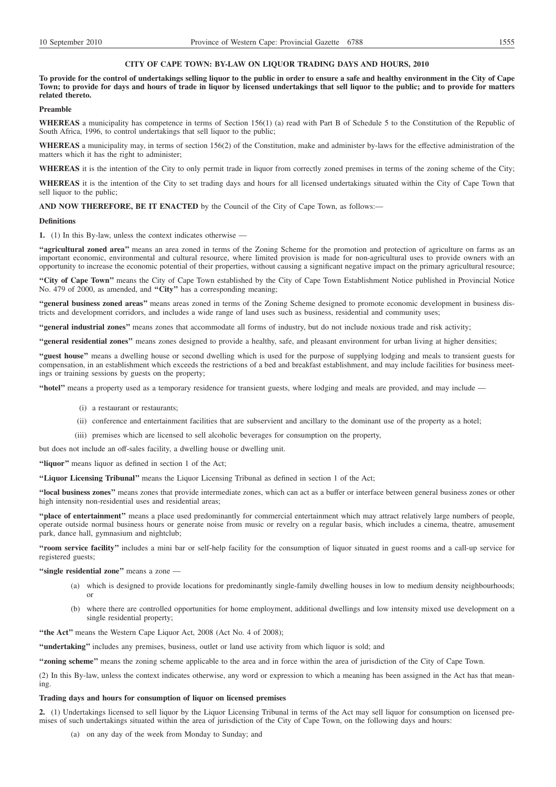#### **CITY OF CAPE TOWN: BY-LAW ON LIQUOR TRADING DAYS AND HOURS, 2010**

**To provide for the control of undertakings selling liquor to the public in order to ensure a safe and healthy environment in the City of Cape Town; to provide for days and hours of trade in liquor by licensed undertakings that sell liquor to the public; and to provide for matters related thereto.**

### **Preamble**

**WHEREAS** a municipality has competence in terms of Section 156(1) (a) read with Part B of Schedule 5 to the Constitution of the Republic of South Africa, 1996, to control undertakings that sell liquor to the public;

**WHEREAS** a municipality may, in terms of section 156(2) of the Constitution, make and administer by-laws for the effective administration of the matters which it has the right to administer;

**WHEREAS** it is the intention of the City to only permit trade in liquor from correctly zoned premises in terms of the zoning scheme of the City;

**WHEREAS** it is the intention of the City to set trading days and hours for all licensed undertakings situated within the City of Cape Town that sell liquor to the public;

**AND NOW THEREFORE, BE IT ENACTED** by the Council of the City of Cape Town, as follows:—

#### **Definitions**

**1.** (1) In this By-law, unless the context indicates otherwise —

**''agricultural zoned area''** means an area zoned in terms of the Zoning Scheme for the promotion and protection of agriculture on farms as an important economic, environmental and cultural resource, where limited provision is made for non-agricultural uses to provide owners with an opportunity to increase the economic potential of their properties, without causing a significant negative impact on the primary agricultural resource;

**''City of Cape Town''** means the City of Cape Town established by the City of Cape Town Establishment Notice published in Provincial Notice No. 479 of 2000, as amended, and **''City''** has a corresponding meaning;

**''general business zoned areas''** means areas zoned in terms of the Zoning Scheme designed to promote economic development in business districts and development corridors, and includes a wide range of land uses such as business, residential and community uses;

**''general industrial zones''** means zones that accommodate all forms of industry, but do not include noxious trade and risk activity;

**''general residential zones''** means zones designed to provide a healthy, safe, and pleasant environment for urban living at higher densities;

"guest house" means a dwelling house or second dwelling which is used for the purpose of supplying lodging and meals to transient guests for compensation, in an establishment which exceeds the restrictions of a bed and breakfast establishment, and may include facilities for business meetings or training sessions by guests on the property;

**''hotel''** means a property used as a temporary residence for transient guests, where lodging and meals are provided, and may include —

- (i) a restaurant or restaurants;
- (ii) conference and entertainment facilities that are subservient and ancillary to the dominant use of the property as a hotel;
- (iii) premises which are licensed to sell alcoholic beverages for consumption on the property,

but does not include an off-sales facility, a dwelling house or dwelling unit.

**''liquor''** means liquor as defined in section 1 of the Act;

**''Liquor Licensing Tribunal''** means the Liquor Licensing Tribunal as defined in section 1 of the Act;

**''local business zones''** means zones that provide intermediate zones, which can act as a buffer or interface between general business zones or other high intensity non-residential uses and residential areas;

**''place of entertainment''** means a place used predominantly for commercial entertainment which may attract relatively large numbers of people, operate outside normal business hours or generate noise from music or revelry on a regular basis, which includes a cinema, theatre, amusement park, dance hall, gymnasium and nightclub;

**''room service facility''** includes a mini bar or self-help facility for the consumption of liquor situated in guest rooms and a call-up service for registered guests;

**''single residential zone''** means a zone —

- (a) which is designed to provide locations for predominantly single-family dwelling houses in low to medium density neighbourhoods; or
- (b) where there are controlled opportunities for home employment, additional dwellings and low intensity mixed use development on a single residential property;

**''the Act''** means the Western Cape Liquor Act, 2008 (Act No. 4 of 2008);

**''undertaking''** includes any premises, business, outlet or land use activity from which liquor is sold; and

**''zoning scheme''** means the zoning scheme applicable to the area and in force within the area of jurisdiction of the City of Cape Town.

(2) In this By-law, unless the context indicates otherwise, any word or expression to which a meaning has been assigned in the Act has that meaning.

#### **Trading days and hours for consumption of liquor on licensed premises**

**2.** (1) Undertakings licensed to sell liquor by the Liquor Licensing Tribunal in terms of the Act may sell liquor for consumption on licensed premises of such undertakings situated within the area of jurisdiction of the City of Cape Town, on the following days and hours:

(a) on any day of the week from Monday to Sunday; and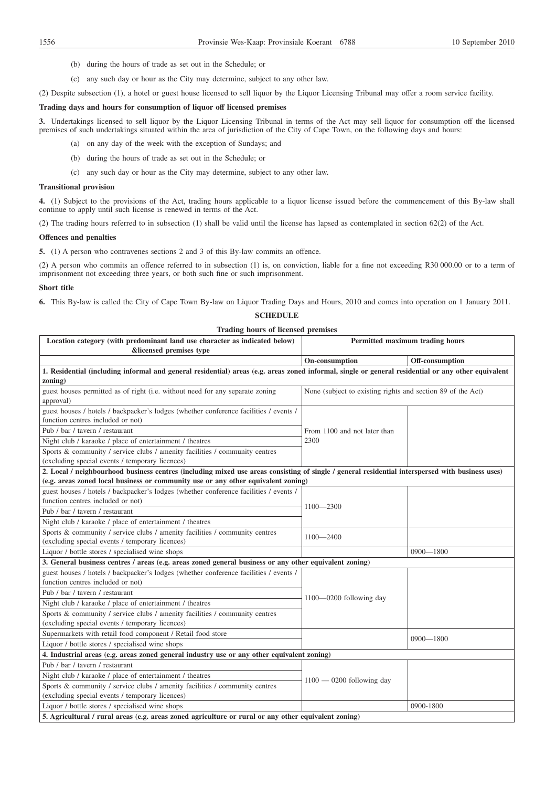- (b) during the hours of trade as set out in the Schedule; or
- (c) any such day or hour as the City may determine, subject to any other law.

(2) Despite subsection (1), a hotel or guest house licensed to sell liquor by the Liquor Licensing Tribunal may offer a room service facility.

## **Trading days and hours for consumption of liquor off licensed premises**

**3.** Undertakings licensed to sell liquor by the Liquor Licensing Tribunal in terms of the Act may sell liquor for consumption off the licensed premises of such undertakings situated within the area of jurisdiction of the City of Cape Town, on the following days and hours:

- (a) on any day of the week with the exception of Sundays; and
- (b) during the hours of trade as set out in the Schedule; or
- (c) any such day or hour as the City may determine, subject to any other law.

#### **Transitional provision**

**4.** (1) Subject to the provisions of the Act, trading hours applicable to a liquor license issued before the commencement of this By-law shall continue to apply until such license is renewed in terms of the Act.

(2) The trading hours referred to in subsection (1) shall be valid until the license has lapsed as contemplated in section 62(2) of the Act.

#### **Offences and penalties**

**5.** (1) A person who contravenes sections 2 and 3 of this By-law commits an offence.

(2) A person who commits an offence referred to in subsection (1) is, on conviction, liable for a fine not exceeding R30 000.00 or to a term of imprisonment not exceeding three years, or both such fine or such imprisonment.

#### **Short title**

**6.** This By-law is called the City of Cape Town By-law on Liquor Trading Days and Hours, 2010 and comes into operation on 1 January 2011.

## **SCHEDULE**

#### **Trading hours of licensed premises**

| Location category (with predominant land use character as indicated below)                                                                          | Permitted maximum trading hours                             |                 |
|-----------------------------------------------------------------------------------------------------------------------------------------------------|-------------------------------------------------------------|-----------------|
| &licensed premises type                                                                                                                             |                                                             |                 |
|                                                                                                                                                     | On-consumption                                              | Off-consumption |
| 1. Residential (including informal and general residential) areas (e.g. areas zoned informal, single or general residential or any other equivalent |                                                             |                 |
| zoning)                                                                                                                                             |                                                             |                 |
| guest houses permitted as of right (i.e. without need for any separate zoning                                                                       | None (subject to existing rights and section 89 of the Act) |                 |
| approval)                                                                                                                                           |                                                             |                 |
| guest houses / hotels / backpacker's lodges (whether conference facilities / events /                                                               |                                                             |                 |
| function centres included or not)                                                                                                                   |                                                             |                 |
| Pub / bar / tavern / restaurant                                                                                                                     | From 1100 and not later than                                |                 |
| Night club / karaoke / place of entertainment / theatres                                                                                            | 2300                                                        |                 |
| Sports & community / service clubs / amenity facilities / community centres                                                                         |                                                             |                 |
| (excluding special events / temporary licences)                                                                                                     |                                                             |                 |
| 2. Local / neighbourhood business centres (including mixed use areas consisting of single / general residential interspersed with business uses)    |                                                             |                 |
| (e.g. areas zoned local business or community use or any other equivalent zoning)                                                                   |                                                             |                 |
| guest houses / hotels / backpacker's lodges (whether conference facilities / events /                                                               |                                                             |                 |
| function centres included or not)                                                                                                                   | $1100 - 2300$                                               |                 |
| Pub / bar / tavern / restaurant                                                                                                                     |                                                             |                 |
| Night club / karaoke / place of entertainment / theatres                                                                                            |                                                             |                 |
| Sports & community / service clubs / amenity facilities / community centres                                                                         | $1100 - 2400$                                               |                 |
| (excluding special events / temporary licences)                                                                                                     |                                                             |                 |
| Liquor / bottle stores / specialised wine shops                                                                                                     |                                                             | $0900 - 1800$   |
| 3. General business centres / areas (e.g. areas zoned general business or any other equivalent zoning)                                              |                                                             |                 |
| guest houses / hotels / backpacker's lodges (whether conference facilities / events /                                                               |                                                             |                 |
| function centres included or not)                                                                                                                   |                                                             |                 |
| Pub / bar / tavern / restaurant                                                                                                                     | $1100 - 0200$ following day                                 |                 |
| Night club / karaoke / place of entertainment / theatres                                                                                            |                                                             |                 |
| Sports & community / service clubs / amenity facilities / community centres                                                                         |                                                             |                 |
| (excluding special events / temporary licences)                                                                                                     |                                                             |                 |
| Supermarkets with retail food component / Retail food store                                                                                         |                                                             | $0900 - 1800$   |
| Liquor / bottle stores / specialised wine shops                                                                                                     |                                                             |                 |
| 4. Industrial areas (e.g. areas zoned general industry use or any other equivalent zoning)                                                          |                                                             |                 |
| Pub / bar / tavern / restaurant                                                                                                                     |                                                             |                 |
| Night club / karaoke / place of entertainment / theatres                                                                                            | $1100 - 0200$ following day                                 |                 |
| Sports & community / service clubs / amenity facilities / community centres                                                                         |                                                             |                 |
| (excluding special events / temporary licences)                                                                                                     |                                                             |                 |
| Liquor / bottle stores / specialised wine shops                                                                                                     |                                                             | 0900-1800       |
| 5. Agricultural / rural areas (e.g. areas zoned agriculture or rural or any other equivalent zoning)                                                |                                                             |                 |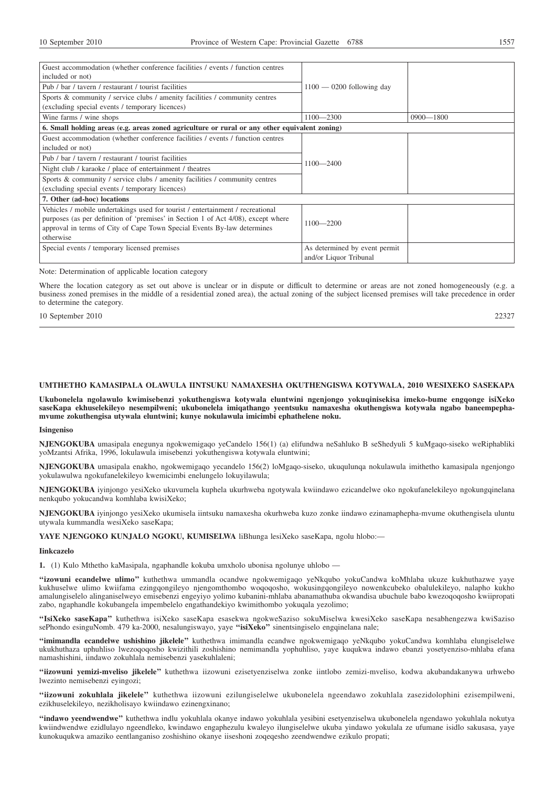| Guest accommodation (whether conference facilities / events / function centres                |                               |               |
|-----------------------------------------------------------------------------------------------|-------------------------------|---------------|
| included or not)                                                                              |                               |               |
| Pub / bar / tavern / restaurant / tourist facilities                                          | $1100 - 0200$ following day   |               |
| Sports & community / service clubs / amenity facilities / community centres                   |                               |               |
| (excluding special events / temporary licences)                                               |                               |               |
| Wine farms / wine shops                                                                       | $1100 - 2300$                 | $0900 - 1800$ |
| 6. Small holding areas (e.g. areas zoned agriculture or rural or any other equivalent zoning) |                               |               |
| Guest accommodation (whether conference facilities / events / function centres                |                               |               |
| included or not)                                                                              |                               |               |
| Pub / bar / tavern / restaurant / tourist facilities                                          | $1100 - 2400$                 |               |
| Night club / karaoke / place of entertainment / theatres                                      |                               |               |
| Sports & community / service clubs / amenity facilities / community centres                   |                               |               |
| (excluding special events / temporary licences)                                               |                               |               |
| 7. Other (ad-hoc) locations                                                                   |                               |               |
| Vehicles / mobile undertakings used for tourist / entertainment / recreational                |                               |               |
| purposes (as per definition of 'premises' in Section 1 of Act 4/08), except where             | $1100 - 2200$                 |               |
| approval in terms of City of Cape Town Special Events By-law determines                       |                               |               |
| otherwise                                                                                     |                               |               |
| Special events / temporary licensed premises                                                  | As determined by event permit |               |
|                                                                                               | and/or Liquor Tribunal        |               |

Note: Determination of applicable location category

Where the location category as set out above is unclear or in dispute or difficult to determine or areas are not zoned homogeneously (e.g. a business zoned premises in the middle of a residential zoned area), the actual zoning of the subject licensed premises will take precedence in order to determine the category.

10 September 2010 22327

**UMTHETHO KAMASIPALA OLAWULA IINTSUKU NAMAXESHA OKUTHENGISWA KOTYWALA, 2010 WESIXEKO SASEKAPA**

**Ukubonelela ngolawulo kwimisebenzi yokuthengiswa kotywala eluntwini ngenjongo yokuqinisekisa imeko-bume engqonge isiXeko saseKapa ekhuselekileyo nesempilweni; ukubonelela imiqathango yeentsuku namaxesha okuthengiswa kotywala ngabo baneempephamvume zokuthengisa utywala eluntwini; kunye nokulawula imicimbi ephathelene noku.**

#### **Isingeniso**

**NJENGOKUBA** umasipala enegunya ngokwemigaqo yeCandelo 156(1) (a) elifundwa neSahluko B seShedyuli 5 kuMgaqo-siseko weRiphabliki yoMzantsi Afrika, 1996, lokulawula imisebenzi yokuthengiswa kotywala eluntwini;

**NJENGOKUBA** umasipala enakho, ngokwemigaqo yecandelo 156(2) loMgaqo-siseko, ukuqulunqa nokulawula imithetho kamasipala ngenjongo yokulawulwa ngokufanelekileyo kwemicimbi enelungelo lokuyilawula;

**NJENGOKUBA** iyinjongo yesiXeko ukuvumela kuphela ukurhweba ngotywala kwiindawo ezicandelwe oko ngokufanelekileyo ngokungqinelana nenkqubo yokucandwa komhlaba kwisiXeko;

**NJENGOKUBA** iyinjongo yesiXeko ukumisela iintsuku namaxesha okurhweba kuzo zonke iindawo ezinamaphepha-mvume okuthengisela uluntu utywala kummandla wesiXeko saseKapa;

**YAYE NJENGOKO KUNJALO NGOKU, KUMISELWA** liBhunga lesiXeko saseKapa, ngolu hlobo:—

#### **Iinkcazelo**

**1.** (1) Kulo Mthetho kaMasipala, ngaphandle kokuba umxholo ubonisa ngolunye uhlobo —

**''izowuni ecandelwe ulimo''** kuthethwa ummandla ocandwe ngokwemigaqo yeNkqubo yokuCandwa koMhlaba ukuze kukhuthazwe yaye kukhuselwe ulimo kwiifama ezingqongileyo njengomthombo woqoqosho, wokusingqongileyo nowenkcubeko obalulekileyo, nalapho kukho amalungiselelo alinganiselweyo emisebenzi engeyiyo yolimo kubanini-mhlaba abanamathuba okwandisa ubuchule babo kwezoqoqosho kwiipropati zabo, ngaphandle kokubangela impembelelo engathandekiyo kwimithombo yokuqala yezolimo;

**''IsiXeko saseKapa''** kuthethwa isiXeko saseKapa esasekwa ngokweSaziso sokuMiselwa kwesiXeko saseKapa nesabhengezwa kwiSaziso sePhondo esinguNomb. 479 ka-2000, nesalungiswayo, yaye **''isiXeko''** sinentsingiselo engqinelana nale;

**''imimandla ecandelwe ushishino jikelele''** kuthethwa imimandla ecandwe ngokwemigaqo yeNkqubo yokuCandwa komhlaba elungiselelwe ukukhuthaza uphuhliso lwezoqoqosho kwizithili zoshishino nemimandla yophuhliso, yaye kuqukwa indawo ebanzi yosetyenziso-mhlaba efana namashishini, iindawo zokuhlala nemisebenzi yasekuhlaleni;

**''iizowuni yemizi-mveliso jikelele''** kuthethwa iizowuni ezisetyenziselwa zonke iintlobo zemizi-mveliso, kodwa akubandakanywa urhwebo lwezinto nemisebenzi eyingozi;

**''iizowuni zokuhlala jikelele''** kuthethwa iizowuni ezilungiselelwe ukubonelela ngeendawo zokuhlala zasezidolophini ezisempilweni, ezikhuselekileyo, nezikholisayo kwiindawo ezinengxinano;

**''indawo yeendwendwe''** kuthethwa indlu yokuhlala okanye indawo yokuhlala yesibini esetyenziselwa ukubonelela ngendawo yokuhlala nokutya kwiindwendwe ezidlulayo ngeendleko, kwindawo engaphezulu kwaleyo ilungiselelwe ukuba yindawo yokulala ze ufumane isidlo sakusasa, yaye kunokuqukwa amaziko eentlanganiso zoshishino okanye iiseshoni zoqeqesho zeendwendwe ezikulo propati;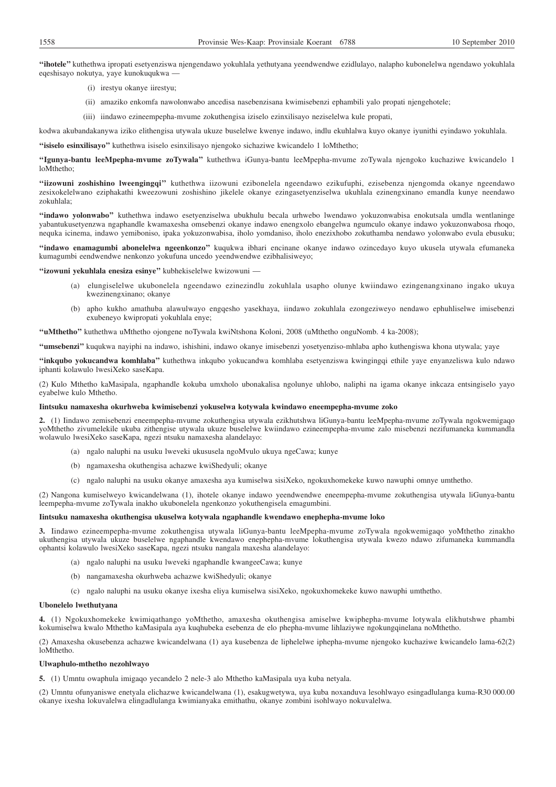**''ihotele''** kuthethwa ipropati esetyenziswa njengendawo yokuhlala yethutyana yeendwendwe ezidlulayo, nalapho kubonelelwa ngendawo yokuhlala eqeshisayo nokutya, yaye kunokuqukwa —

- (i) irestyu okanye iirestyu;
- (ii) amaziko enkomfa nawolonwabo ancedisa nasebenzisana kwimisebenzi ephambili yalo propati njengehotele;
- (iii) iindawo ezineempepha-mvume zokuthengisa iziselo ezinxilisayo neziselelwa kule propati,

kodwa akubandakanywa iziko elithengisa utywala ukuze buselelwe kwenye indawo, indlu ekuhlalwa kuyo okanye iyunithi eyindawo yokuhlala.

**''isiselo esinxilisayo''** kuthethwa isiselo esinxilisayo njengoko sichaziwe kwicandelo 1 loMthetho;

**''Igunya-bantu leeMpepha-mvume zoTywala''** kuthethwa iGunya-bantu leeMpepha-mvume zoTywala njengoko kuchaziwe kwicandelo 1 loMthetho;

**''iizowuni zoshishino lweengingqi''** kuthethwa iizowuni ezibonelela ngeendawo ezikufuphi, ezisebenza njengomda okanye ngeendawo zesixokelelwano eziphakathi kweezowuni zoshishino jikelele okanye ezingasetyenziselwa ukuhlala ezinengxinano emandla kunye neendawo zokuhlala;

**''indawo yolonwabo''** kuthethwa indawo esetyenziselwa ubukhulu becala urhwebo lwendawo yokuzonwabisa enokutsala umdla wentlaninge yabantukusetyenzwa ngaphandle kwamaxesha omsebenzi okanye indawo enengxolo ebangelwa ngumculo okanye indawo yokuzonwabosa rhoqo, nequka icinema, indawo yemiboniso, ipaka yokuzonwabisa, iholo yomdaniso, iholo enezixhobo zokuthamba nendawo yolonwabo evula ebusuku;

**''indawo enamagumbi abonelelwa ngeenkonzo''** kuqukwa ibhari encinane okanye indawo ozincedayo kuyo ukusela utywala efumaneka kumagumbi eendwendwe nenkonzo yokufuna uncedo yeendwendwe ezibhalisiweyo;

**''izowuni yekuhlala enesiza esinye''** kubhekiselelwe kwizowuni —

- (a) elungiselelwe ukubonelela ngeendawo ezinezindlu zokuhlala usapho olunye kwiindawo ezingenangxinano ingako ukuya kwezinengxinano; okanye
- (b) apho kukho amathuba alawulwayo engqesho yasekhaya, iindawo zokuhlala ezongeziweyo nendawo ephuhliselwe imisebenzi exubeneyo kwipropati yokuhlala enye;

**''uMthetho''** kuthethwa uMthetho ojongene noTywala kwiNtshona Koloni, 2008 (uMthetho onguNomb. 4 ka-2008);

**''umsebenzi''** kuqukwa nayiphi na indawo, ishishini, indawo okanye imisebenzi yosetyenziso-mhlaba apho kuthengiswa khona utywala; yaye

**''inkqubo yokucandwa komhlaba''** kuthethwa inkqubo yokucandwa komhlaba esetyenziswa kwingingqi ethile yaye enyanzeliswa kulo ndawo iphanti kolawulo lwesiXeko saseKapa.

(2) Kulo Mthetho kaMasipala, ngaphandle kokuba umxholo ubonakalisa ngolunye uhlobo, naliphi na igama okanye inkcaza entsingiselo yayo eyabelwe kulo Mthetho.

## **Iintsuku namaxesha okurhweba kwimisebenzi yokuselwa kotywala kwindawo eneempepha-mvume zoko**

**2.** (1) Iindawo zemisebenzi eneempepha-mvume zokuthengisa utywala ezikhutshwa liGunya-bantu leeMpepha-mvume zoTywala ngokwemigaqo yoMthetho zivumelekile ukuba zithengise utywala ukuze buselelwe kwiindawo ezineempepha-mvume zalo misebenzi nezifumaneka kummandla wolawulo lwesiXeko saseKapa, ngezi ntsuku namaxesha alandelayo:

- (a) ngalo naluphi na usuku lweveki ukususela ngoMvulo ukuya ngeCawa; kunye
- (b) ngamaxesha okuthengisa achazwe kwiShedyuli; okanye
- (c) ngalo naluphi na usuku okanye amaxesha aya kumiselwa sisiXeko, ngokuxhomekeke kuwo nawuphi omnye umthetho.

(2) Nangona kumiselweyo kwicandelwana (1), ihotele okanye indawo yeendwendwe eneempepha-mvume zokuthengisa utywala liGunya-bantu leempepha-mvume zoTywala inakho ukubonelela ngenkonzo yokuthengisela emagumbini.

## **Iintsuku namaxesha okuthengisa ukuselwa kotywala ngaphandle kwendawo enephepha-mvume loko**

**3.** Iindawo ezineempepha-mvume zokuthengisa utywala liGunya-bantu leeMpepha-mvume zoTywala ngokwemigaqo yoMthetho zinakho ukuthengisa utywala ukuze buselelwe ngaphandle kwendawo enephepha-mvume lokuthengisa utywala kwezo ndawo zifumaneka kummandla ophantsi kolawulo lwesiXeko saseKapa, ngezi ntsuku nangala maxesha alandelayo:

- (a) ngalo naluphi na usuku lweveki ngaphandle kwangeeCawa; kunye
- (b) nangamaxesha okurhweba achazwe kwiShedyuli; okanye
- (c) ngalo naluphi na usuku okanye ixesha eliya kumiselwa sisiXeko, ngokuxhomekeke kuwo nawuphi umthetho.

#### **Ubonelelo lwethutyana**

**4.** (1) Ngokuxhomekeke kwimiqathango yoMthetho, amaxesha okuthengisa amiselwe kwiphepha-mvume lotywala elikhutshwe phambi kokumiselwa kwalo Mthetho kaMasipala aya kuqhubeka esebenza de elo phepha-mvume lihlaziywe ngokungqinelana noMthetho.

(2) Amaxesha okusebenza achazwe kwicandelwana (1) aya kusebenza de liphelelwe iphepha-mvume njengoko kuchaziwe kwicandelo lama-62(2) loMthetho.

## **Ulwaphulo-mthetho nezohlwayo**

**5.** (1) Umntu owaphula imigaqo yecandelo 2 nele-3 alo Mthetho kaMasipala uya kuba netyala.

(2) Umntu ofunyaniswe enetyala elichazwe kwicandelwana (1), esakugwetywa, uya kuba noxanduva lesohlwayo esingadlulanga kuma-R30 000.00 okanye ixesha lokuvalelwa elingadlulanga kwimianyaka emithathu, okanye zombini isohlwayo nokuvalelwa.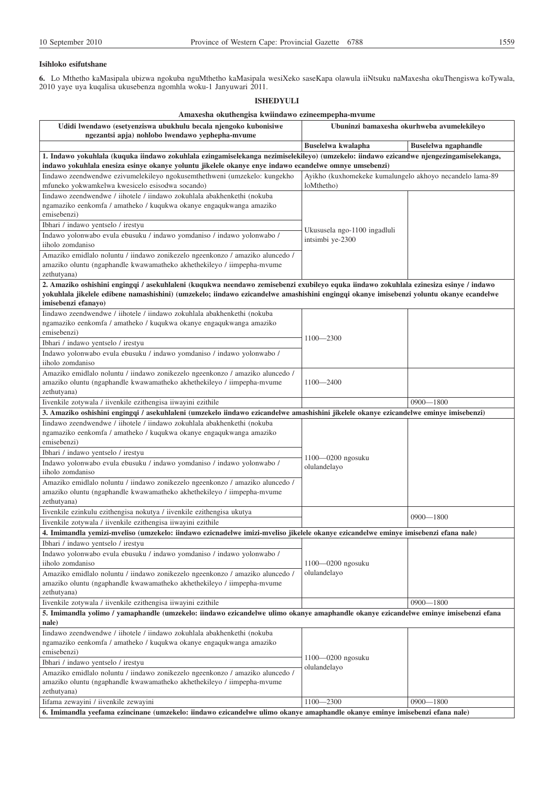## **Isihloko esifutshane**

**6.** Lo Mthetho kaMasipala ubizwa ngokuba nguMthetho kaMasipala wesiXeko saseKapa olawula iiNtsuku naMaxesha okuThengiswa koTywala, 2010 yaye uya kuqalisa ukusebenza ngomhla woku-1 Janyuwari 2011.

# **ISHEDYULI**

| Amaxesha okuthengisa kwiindawo ezineempepha-mvume                                                                                                                   |                                                                        |                      |
|---------------------------------------------------------------------------------------------------------------------------------------------------------------------|------------------------------------------------------------------------|----------------------|
| Udidi lwendawo (esetyenziswa ubukhulu becala njengoko kubonisiwe<br>ngezantsi apja) nohlobo lwendawo yephepha-mvume                                                 | Ubuninzi bamaxesha okurhweba avumelekileyo                             |                      |
|                                                                                                                                                                     | Buselelwa kwalapha                                                     | Buselelwa ngaphandle |
| 1. Indawo yokuhlala (kuquka iindawo zokuhlala ezingamiselekanga nezimiselekileyo) (umzekelo: iindawo ezicandwe njengezingamiselekanga,                              |                                                                        |                      |
| indawo yokuhlala enesiza esinye okanye yoluntu jikelele okanye enye indawo ecandelwe omnye umsebenzi)                                                               |                                                                        |                      |
| Iindawo zeendwendwe ezivumelekileyo ngokusemthethweni (umzekelo: kungekho<br>mfuneko yokwamkelwa kwesicelo esisodwa socando)                                        | Ayikho (kuxhomekeke kumalungelo akhoyo necandelo lama-89<br>loMthetho) |                      |
| Iindawo zeendwendwe / iihotele / iindawo zokuhlala abakhenkethi (nokuba                                                                                             |                                                                        |                      |
| ngamaziko eenkomfa / amatheko / kuqukwa okanye engaqukwanga amaziko<br>emisebenzi)                                                                                  |                                                                        |                      |
| Ibhari / indawo yentselo / irestyu                                                                                                                                  |                                                                        |                      |
| Indawo yolonwabo evula ebusuku / indawo yomdaniso / indawo yolonwabo /                                                                                              | Ukususela ngo-1100 ingadluli<br>intsimbi ye-2300                       |                      |
| iiholo zomdaniso<br>Amaziko emidlalo noluntu / iindawo zonikezelo ngeenkonzo / amaziko aluncedo /                                                                   |                                                                        |                      |
| amaziko oluntu (ngaphandle kwawamatheko akhethekileyo / iimpepha-mvume                                                                                              |                                                                        |                      |
| zethutyana)                                                                                                                                                         |                                                                        |                      |
| 2. Amaziko oshishini engingqi / asekuhlaleni (kuqukwa neendawo zemisebenzi exubileyo equka iindawo zokuhlala ezinesiza esinye / indawo                              |                                                                        |                      |
| yokuhlala jikelele edibene namashishini) (umzekelo; iindawo ezicandelwe amashishini engingqi okanye imisebenzi yoluntu okanye ecandelwe                             |                                                                        |                      |
| imisebenzi efanavo)                                                                                                                                                 |                                                                        |                      |
| Iindawo zeendwendwe / iihotele / iindawo zokuhlala abakhenkethi (nokuba<br>ngamaziko eenkomfa / amatheko / kuqukwa okanye engaqukwanga amaziko                      |                                                                        |                      |
| emisebenzi)                                                                                                                                                         |                                                                        |                      |
| Ibhari / indawo yentselo / irestyu                                                                                                                                  | $1100 - 2300$                                                          |                      |
| Indawo yolonwabo evula ebusuku / indawo yomdaniso / indawo yolonwabo /                                                                                              |                                                                        |                      |
| iiholo zomdaniso                                                                                                                                                    |                                                                        |                      |
| Amaziko emidlalo noluntu / iindawo zonikezelo ngeenkonzo / amaziko aluncedo /<br>amaziko oluntu (ngaphandle kwawamatheko akhethekileyo / iimpepha-mvume             | $1100 - 2400$                                                          |                      |
| zethutyana)                                                                                                                                                         |                                                                        |                      |
| Iivenkile zotywala / iivenkile ezithengisa iiwayini ezithile                                                                                                        |                                                                        | $0900 - 1800$        |
| 3. Amaziko oshishini engingqi / asekuhlaleni (umzekelo iindawo ezicandelwe amashishini jikelele okanye ezicandelwe eminye imisebenzi)                               |                                                                        |                      |
| Iindawo zeendwendwe / iihotele / iindawo zokuhlala abakhenkethi (nokuba                                                                                             |                                                                        |                      |
| ngamaziko eenkomfa / amatheko / kuqukwa okanye engaqukwanga amaziko<br>emisebenzi)                                                                                  |                                                                        |                      |
| Ibhari / indawo yentselo / irestyu                                                                                                                                  |                                                                        |                      |
| Indawo yolonwabo evula ebusuku / indawo yomdaniso / indawo yolonwabo /                                                                                              | 1100-0200 ngosuku                                                      |                      |
| iiholo zomdaniso                                                                                                                                                    | olulandelayo                                                           |                      |
| Amaziko emidlalo noluntu / iindawo zonikezelo ngeenkonzo / amaziko aluncedo /                                                                                       |                                                                        |                      |
| amaziko oluntu (ngaphandle kwawamatheko akhethekileyo / iimpepha-mvume<br>zethutyana)                                                                               |                                                                        |                      |
| Iivenkile ezinkulu ezithengisa nokutya / iivenkile ezithengisa ukutya                                                                                               |                                                                        |                      |
| Iivenkile zotywala / iivenkile ezithengisa iiwayini ezithile                                                                                                        |                                                                        | $0900 - 1800$        |
| 4. Imimandla yemizi-mveliso (umzekelo: iindawo ezicnadelwe imizi-mveliso jikelele okanye ezicandelwe eminye imisebenzi efana nale)                                  |                                                                        |                      |
| Ibhari / indawo yentselo / irestyu                                                                                                                                  |                                                                        |                      |
| Indawo yolonwabo evula ebusuku / indawo yomdaniso / indawo yolonwabo /                                                                                              |                                                                        |                      |
| iiholo zomdaniso                                                                                                                                                    | $1100 - 0200$ ngosuku                                                  |                      |
| Amaziko emidlalo noluntu / iindawo zonikezelo ngeenkonzo / amaziko aluncedo /<br>amaziko oluntu (ngaphandle kwawamatheko akhethekileyo / iimpepha-mvume             | olulandelayo                                                           |                      |
| zethutyana)                                                                                                                                                         |                                                                        |                      |
| Iivenkile zotywala / iivenkile ezithengisa iiwayini ezithile                                                                                                        |                                                                        | $0900 - 1800$        |
| 5. Imimandla volimo / vamaphandle (umzekelo: iindawo ezicandelwe ulimo okanye amaphandle okanye ezicandelwe eminye imisebenzi efana                                 |                                                                        |                      |
| nale)                                                                                                                                                               |                                                                        |                      |
| Iindawo zeendwendwe / iihotele / iindawo zokuhlala abakhenkethi (nokuba<br>ngamaziko eenkomfa / amatheko / kuqukwa okanye engaqukwanga amaziko                      |                                                                        |                      |
| emisebenzi)                                                                                                                                                         |                                                                        |                      |
| Ibhari / indawo yentselo / irestyu                                                                                                                                  | $1100 - 0200$ ngosuku                                                  |                      |
| Amaziko emidlalo noluntu / iindawo zonikezelo ngeenkonzo / amaziko aluncedo /                                                                                       | olulandelayo                                                           |                      |
| amaziko oluntu (ngaphandle kwawamatheko akhethekileyo / iimpepha-mvume                                                                                              |                                                                        |                      |
| zethutyana)                                                                                                                                                         | $1100 - 2300$                                                          | $0900 - 1800$        |
| Iifama zewayini / iivenkile zewayini<br>6. Imimandla yeefama ezincinane (umzekelo: iindawo ezicandelwe ulimo okanye amaphandle okanye eminye imisebenzi efana nale) |                                                                        |                      |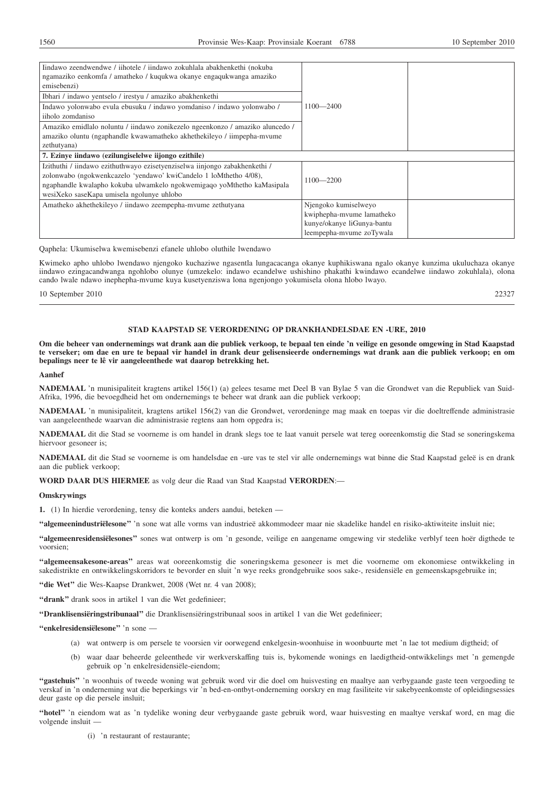| Iindawo zeendwendwe / iihotele / iindawo zokuhlala abakhenkethi (nokuba<br>ngamaziko eenkomfa / amatheko / kuqukwa okanye engaqukwanga amaziko<br>emisebenzi)<br>Ibhari / indawo yentselo / irestyu / amaziko abakhenkethi<br>Indawo yolonwabo evula ebusuku / indawo yomdaniso / indawo yolonwabo /<br>iiholo zomdaniso<br>Amaziko emidlalo noluntu / iindawo zonikezelo ngeenkonzo / amaziko aluncedo /<br>amaziko oluntu (ngaphandle kwawamatheko akhethekileyo / iimpepha-mvume | $1100 - 2400$              |  |
|-------------------------------------------------------------------------------------------------------------------------------------------------------------------------------------------------------------------------------------------------------------------------------------------------------------------------------------------------------------------------------------------------------------------------------------------------------------------------------------|----------------------------|--|
| zethutyana)<br>7. Ezinye iindawo (ezilungiselelwe iijongo ezithile)                                                                                                                                                                                                                                                                                                                                                                                                                 |                            |  |
| Izithuthi / iindawo ezithuthwayo ezisetyenziselwa iinjongo zabakhenkethi /                                                                                                                                                                                                                                                                                                                                                                                                          |                            |  |
| zolonwabo (ngokwenkcazelo 'yendawo' kwiCandelo 1 loMthetho 4/08),<br>ngaphandle kwalapho kokuba ulwamkelo ngokwemigaqo yoMthetho kaMasipala<br>wesiXeko saseKapa umisela ngolunye uhlobo                                                                                                                                                                                                                                                                                            | $1100 - 2200$              |  |
| Amatheko akhethekileyo / iindawo zeempepha-myume zethutyana                                                                                                                                                                                                                                                                                                                                                                                                                         | Njengoko kumiselweyo       |  |
|                                                                                                                                                                                                                                                                                                                                                                                                                                                                                     | kwiphepha-mvume lamatheko  |  |
|                                                                                                                                                                                                                                                                                                                                                                                                                                                                                     | kunye/okanye liGunya-bantu |  |
|                                                                                                                                                                                                                                                                                                                                                                                                                                                                                     | leempepha-mvume zoTywala   |  |

Qaphela: Ukumiselwa kwemisebenzi efanele uhlobo oluthile lwendawo

Kwimeko apho uhlobo lwendawo njengoko kuchaziwe ngasentla lungacacanga okanye kuphikiswana ngalo okanye kunzima ukuluchaza okanye iindawo ezingacandwanga ngohlobo olunye (umzekelo: indawo ecandelwe ushishino phakathi kwindawo ecandelwe iindawo zokuhlala), olona cando lwale ndawo inephepha-mvume kuya kusetyenziswa lona ngenjongo yokumisela olona hlobo lwayo.

10 September 2010 22327

## **STAD KAAPSTAD SE VERORDENING OP DRANKHANDELSDAE EN -URE, 2010**

**Om die beheer van ondernemings wat drank aan die publiek verkoop, te bepaal ten einde 'n veilige en gesonde omgewing in Stad Kaapstad te verseker; om dae en ure te bepaal vir handel in drank deur gelisensieerde ondernemings wat drank aan die publiek verkoop; en om bepalings neer te lê vir aangeleenthede wat daarop betrekking het.**

## **Aanhef**

**NADEMAAL** 'n munisipaliteit kragtens artikel 156(1) (a) gelees tesame met Deel B van Bylae 5 van die Grondwet van die Republiek van Suid-Afrika, 1996, die bevoegdheid het om ondernemings te beheer wat drank aan die publiek verkoop;

**NADEMAAL** 'n munisipaliteit, kragtens artikel 156(2) van die Grondwet, verordeninge mag maak en toepas vir die doeltreffende administrasie van aangeleenthede waarvan die administrasie regtens aan hom opgedra is;

**NADEMAAL** dit die Stad se voorneme is om handel in drank slegs toe te laat vanuit persele wat tereg ooreenkomstig die Stad se soneringskema hiervoor gesoneer is;

**NADEMAAL** dit die Stad se voorneme is om handelsdae en -ure vas te stel vir alle ondernemings wat binne die Stad Kaapstad geleë is en drank aan die publiek verkoop;

### **WORD DAAR DUS HIERMEE** as volg deur die Raad van Stad Kaapstad **VERORDEN**:—

## **Omskrywings**

**1.** (1) In hierdie verordening, tensy die konteks anders aandui, beteken —

**''algemeenindustriëlesone''** 'n sone wat alle vorms van industrieë akkommodeer maar nie skadelike handel en risiko-aktiwiteite insluit nie;

**''algemeenresidensiëlesones''** sones wat ontwerp is om 'n gesonde, veilige en aangename omgewing vir stedelike verblyf teen hoër digthede te voorsien;

**''algemeensakesone-areas''** areas wat ooreenkomstig die soneringskema gesoneer is met die voorneme om ekonomiese ontwikkeling in sakedistrikte en ontwikkelingskorridors te bevorder en sluit 'n wye reeks grondgebruike soos sake-, residensiële en gemeenskapsgebruike in;

**''die Wet''** die Wes-Kaapse Drankwet, 2008 (Wet nr. 4 van 2008);

**''drank''** drank soos in artikel 1 van die Wet gedefinieer;

**''Dranklisensiëringstribunaal''** die Dranklisensiëringstribunaal soos in artikel 1 van die Wet gedefinieer;

**''enkelresidensiëlesone''** 'n sone —

- (a) wat ontwerp is om persele te voorsien vir oorwegend enkelgesin-woonhuise in woonbuurte met 'n lae tot medium digtheid; of
- (b) waar daar beheerde geleenthede vir werkverskaffing tuis is, bykomende wonings en laedigtheid-ontwikkelings met 'n gemengde gebruik op 'n enkelresidensiële-eiendom;

**''gastehuis''** 'n woonhuis of tweede woning wat gebruik word vir die doel om huisvesting en maaltye aan verbygaande gaste teen vergoeding te verskaf in 'n onderneming wat die beperkings vir 'n bed-en-ontbyt-onderneming oorskry en mag fasiliteite vir sakebyeenkomste of opleidingsessies deur gaste op die persele insluit;

**''hotel''** 'n eiendom wat as 'n tydelike woning deur verbygaande gaste gebruik word, waar huisvesting en maaltye verskaf word, en mag die volgende insluit -

(i) 'n restaurant of restaurante;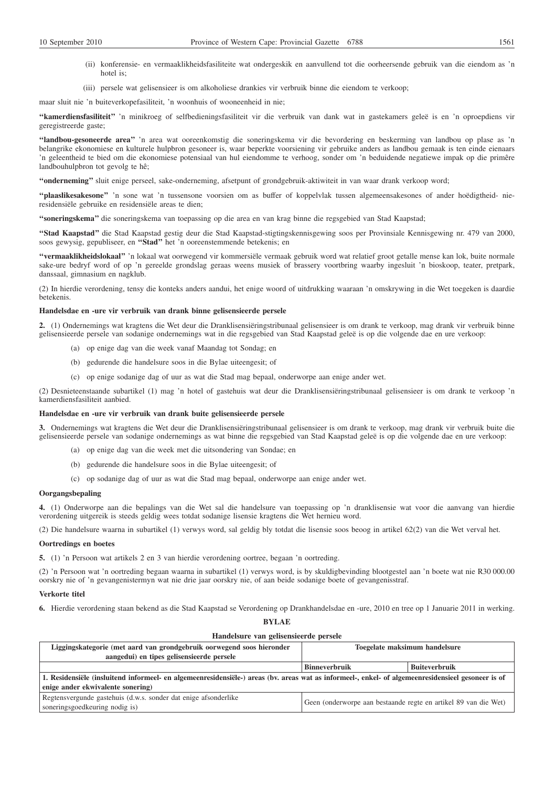- (ii) konferensie- en vermaaklikheidsfasiliteite wat ondergeskik en aanvullend tot die oorheersende gebruik van die eiendom as 'n hotel is;
- (iii) persele wat gelisensieer is om alkoholiese drankies vir verbruik binne die eiendom te verkoop;

maar sluit nie 'n buiteverkopefasiliteit, 'n woonhuis of wooneenheid in nie;

**''kamerdiensfasiliteit''** 'n minikroeg of selfbedieningsfasiliteit vir die verbruik van dank wat in gastekamers geleë is en 'n oproepdiens vir geregistreerde gaste;

**''landbou-gesoneerde area''** 'n area wat ooreenkomstig die soneringskema vir die bevordering en beskerming van landbou op plase as 'n belangrike ekonomiese en kulturele hulpbron gesoneer is, waar beperkte voorsiening vir gebruike anders as landbou gemaak is ten einde eienaars 'n geleentheid te bied om die ekonomiese potensiaal van hul eiendomme te verhoog, sonder om 'n beduidende negatiewe impak op die primêre landbouhulpbron tot gevolg te hê;

**''onderneming''** sluit enige perseel, sake-onderneming, afsetpunt of grondgebruik-aktiwiteit in van waar drank verkoop word;

**''plaaslikesakesone''** 'n sone wat 'n tussensone voorsien om as buffer of koppelvlak tussen algemeensakesones of ander hoëdigtheid- nieresidensiële gebruike en residensiële areas te dien;

**''soneringskema''** die soneringskema van toepassing op die area en van krag binne die regsgebied van Stad Kaapstad;

**''Stad Kaapstad''** die Stad Kaapstad gestig deur die Stad Kaapstad-stigtingskennisgewing soos per Provinsiale Kennisgewing nr. 479 van 2000, soos gewysig, gepubliseer, en **''Stad''** het 'n ooreenstemmende betekenis; en

**''vermaaklikheidslokaal''** 'n lokaal wat oorwegend vir kommersiële vermaak gebruik word wat relatief groot getalle mense kan lok, buite normale sake-ure bedryf word of op 'n gereelde grondslag geraas weens musiek of brassery voortbring waarby ingesluit 'n bioskoop, teater, pretpark, danssaal, gimnasium en nagklub.

(2) In hierdie verordening, tensy die konteks anders aandui, het enige woord of uitdrukking waaraan 'n omskrywing in die Wet toegeken is daardie betekenis.

### **Handelsdae en -ure vir verbruik van drank binne gelisensieerde persele**

**2.** (1) Ondernemings wat kragtens die Wet deur die Dranklisensiëringstribunaal gelisensieer is om drank te verkoop, mag drank vir verbruik binne gelisensieerde persele van sodanige ondernemings wat in die regsgebied van Stad Kaapstad geleë is op die volgende dae en ure verkoop:

- (a) op enige dag van die week vanaf Maandag tot Sondag; en
- (b) gedurende die handelsure soos in die Bylae uiteengesit; of
- (c) op enige sodanige dag of uur as wat die Stad mag bepaal, onderworpe aan enige ander wet.

(2) Desnieteenstaande subartikel (1) mag 'n hotel of gastehuis wat deur die Dranklisensiëringstribunaal gelisensieer is om drank te verkoop 'n kamerdiensfasiliteit aanbied.

### **Handelsdae en -ure vir verbruik van drank buite gelisensieerde persele**

**3.** Ondernemings wat kragtens die Wet deur die Dranklisensiëringstribunaal gelisensieer is om drank te verkoop, mag drank vir verbruik buite die gelisensieerde persele van sodanige ondernemings as wat binne die regsgebied van Stad Kaapstad geleë is op die volgende dae en ure verkoop:

- (a) op enige dag van die week met die uitsondering van Sondae; en
- (b) gedurende die handelsure soos in die Bylae uiteengesit; of
- (c) op sodanige dag of uur as wat die Stad mag bepaal, onderworpe aan enige ander wet.

#### **Oorgangsbepaling**

**4.** (1) Onderworpe aan die bepalings van die Wet sal die handelsure van toepassing op 'n dranklisensie wat voor die aanvang van hierdie verordening uitgereik is steeds geldig wees totdat sodanige lisensie kragtens die Wet hernieu word.

(2) Die handelsure waarna in subartikel (1) verwys word, sal geldig bly totdat die lisensie soos beoog in artikel 62(2) van die Wet verval het.

#### **Oortredings en boetes**

**5.** (1) 'n Persoon wat artikels 2 en 3 van hierdie verordening oortree, begaan 'n oortreding.

(2) 'n Persoon wat 'n oortreding begaan waarna in subartikel (1) verwys word, is by skuldigbevinding blootgestel aan 'n boete wat nie R30 000.00 oorskry nie of 'n gevangenistermyn wat nie drie jaar oorskry nie, of aan beide sodanige boete of gevangenisstraf.

#### **Verkorte titel**

**6.** Hierdie verordening staan bekend as die Stad Kaapstad se Verordening op Drankhandelsdae en -ure, 2010 en tree op 1 Januarie 2011 in werking.

**BYLAE**

| Handelsure van gelisensieerde persele                                                                                                              |                                                                 |                      |  |  |
|----------------------------------------------------------------------------------------------------------------------------------------------------|-----------------------------------------------------------------|----------------------|--|--|
| Liggingskategorie (met aard van grondgebruik oorwegend soos hieronder                                                                              | Toegelate maksimum handelsure                                   |                      |  |  |
| aangedui) en tipes gelisensieerde persele                                                                                                          |                                                                 |                      |  |  |
|                                                                                                                                                    | <b>Binneverbruik</b>                                            | <b>Buiteverbruik</b> |  |  |
| 1. Residensiële (insluitend informeel- en algemeenresidensiële-) areas (bv. areas wat as informeel-, enkel- of algemeenresidensieel gesoneer is of |                                                                 |                      |  |  |
| enige ander ekwivalente sonering)                                                                                                                  |                                                                 |                      |  |  |
| Regtensvergunde gastehuis (d.w.s. sonder dat enige afsonderlike<br>soneringsgoedkeuring nodig is)                                                  | Geen (onderworpe aan bestaande regte en artikel 89 van die Wet) |                      |  |  |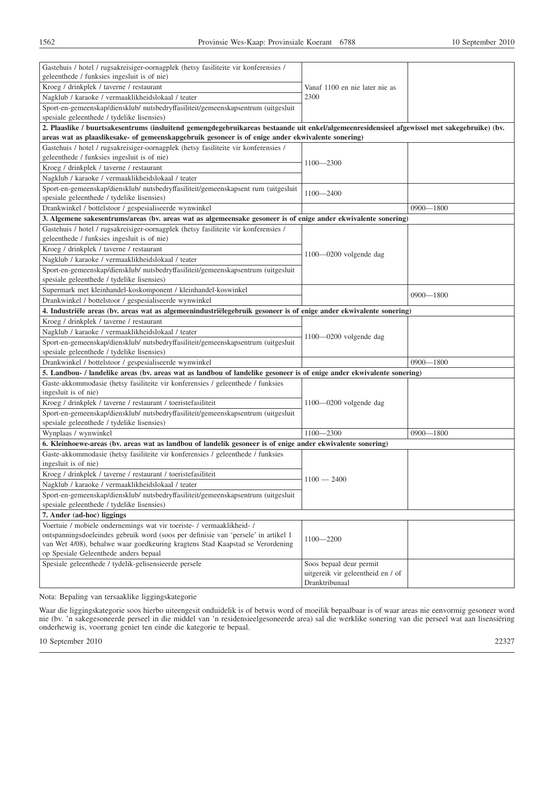| Gastehuis / hotel / rugsakreisiger-oornagplek (hetsy fasiliteite vir konferensies /                                                          |                                                     |               |
|----------------------------------------------------------------------------------------------------------------------------------------------|-----------------------------------------------------|---------------|
| geleenthede / funksies ingesluit is of nie)                                                                                                  |                                                     |               |
| Kroeg / drinkplek / taverne / restaurant                                                                                                     | Vanaf 1100 en nie later nie as                      |               |
| Nagklub / karaoke / vermaaklikheidslokaal / teater                                                                                           | 2300                                                |               |
| Sport-en-gemeenskap/diensklub/ nutsbedryffasiliteit/gemeenskapsentrum (uitgesluit<br>spesiale geleenthede / tydelike lisensies)              |                                                     |               |
| 2. Plaaslike / buurtsakesentrums (insluitend gemengdegebruikareas bestaande uit enkel/algemeenresidensieel afgewissel met sakegebruike) (bv. |                                                     |               |
| areas wat as plaaslikesake- of gemeenskapgebruik gesoneer is of enige ander ekwivalente sonering)                                            |                                                     |               |
| Gastehuis / hotel / rugsakreisiger-oornagplek (hetsy fasiliteite vir konferensies /                                                          |                                                     |               |
| geleenthede / funksies ingesluit is of nie)                                                                                                  | $1100 - 2300$                                       |               |
| Kroeg / drinkplek / taverne / restaurant                                                                                                     |                                                     |               |
| Nagklub / karaoke / vermaaklikheidslokaal / teater                                                                                           |                                                     |               |
| Sport-en-gemeenskap/diensklub/ nutsbedryffasiliteit/gemeenskapsent rum (uitgesluit                                                           | $1100 - 2400$                                       |               |
| spesiale geleenthede / tydelike lisensies)                                                                                                   |                                                     |               |
| Drankwinkel / bottelstoor / gespesialiseerde wynwinkel                                                                                       |                                                     | $0900 - 1800$ |
| 3. Algemene sakesentrums/areas (bv. areas wat as algemeensake gesoneer is of enige ander ekwivalente sonering)                               |                                                     |               |
| Gastehuis / hotel / rugsakreisiger-oornagplek (hetsy fasiliteite vir konferensies /                                                          |                                                     |               |
| geleenthede / funksies ingesluit is of nie)                                                                                                  |                                                     |               |
| Kroeg / drinkplek / taverne / restaurant                                                                                                     | $1100 - 0200$ volgende dag                          |               |
| Nagklub / karaoke / vermaaklikheidslokaal / teater                                                                                           |                                                     |               |
| Sport-en-gemeenskap/diensklub/ nutsbedryffasiliteit/gemeenskapsentrum (uitgesluit                                                            |                                                     |               |
| spesiale geleenthede / tydelike lisensies)                                                                                                   |                                                     |               |
| Supermark met kleinhandel-koskomponent / kleinhandel-koswinkel                                                                               |                                                     | $0900 - 1800$ |
| Drankwinkel / bottelstoor / gespesialiseerde wynwinkel                                                                                       |                                                     |               |
| 4. Industriële areas (bv. areas wat as algemeenindustriëlegebruik gesoneer is of enige ander ekwivalente sonering)                           |                                                     |               |
| Kroeg / drinkplek / taverne / restaurant                                                                                                     |                                                     |               |
| Nagklub / karaoke / vermaaklikheidslokaal / teater                                                                                           | $1100 - 0200$ volgende dag                          |               |
| Sport-en-gemeenskap/diensklub/ nutsbedryffasiliteit/gemeenskapsentrum (uitgesluit                                                            |                                                     |               |
| spesiale geleenthede / tydelike lisensies)                                                                                                   |                                                     |               |
| Drankwinkel / bottelstoor / gespesialiseerde wynwinkel                                                                                       |                                                     | $0900 - 1800$ |
| 5. Landbou- / landelike areas (bv. areas wat as landbou of landelike gesoneer is of enige ander ekwivalente sonering)                        |                                                     |               |
| Gaste-akkommodasie (hetsy fasiliteite vir konferensies / geleenthede / funksies<br>ingesluit is of nie)                                      |                                                     |               |
| Kroeg / drinkplek / taverne / restaurant / toeristefasiliteit                                                                                | $1100 - 0200$ volgende dag                          |               |
| Sport-en-gemeenskap/diensklub/ nutsbedryffasiliteit/gemeenskapsentrum (uitgesluit                                                            |                                                     |               |
| spesiale geleenthede / tydelike lisensies)                                                                                                   |                                                     |               |
| Wynplaas / wynwinkel                                                                                                                         | $1100 - 2300$                                       | $0900 - 1800$ |
| 6. Kleinhoewe-areas (bv. areas wat as landbou of landelik gesoneer is of enige ander ekwivalente sonering)                                   |                                                     |               |
| Gaste-akkommodasie (hetsy fasiliteite vir konferensies / geleenthede / funksies                                                              |                                                     |               |
| ingesluit is of nie)                                                                                                                         |                                                     |               |
| Kroeg / drinkplek / taverne / restaurant / toeristefasiliteit                                                                                | $1100 - 2400$                                       |               |
| Nagklub / karaoke / vermaaklikheidslokaal / teater                                                                                           |                                                     |               |
| Sport-en-gemeenskap/diensklub/ nutsbedryffasiliteit/gemeenskapsentrum (uitgesluit                                                            |                                                     |               |
| spesiale geleenthede / tydelike lisensies)                                                                                                   |                                                     |               |
| 7. Ander (ad-hoc) liggings                                                                                                                   |                                                     |               |
| Voertuie / mobiele ondernemings wat vir toeriste- / vermaaklikheid- /                                                                        |                                                     |               |
| ontspanningsdoeleindes gebruik word (soos per definisie van 'persele' in artikel 1                                                           | 1100-2200                                           |               |
| van Wet 4/08), behalwe waar goedkeuring kragtens Stad Kaapstad se Verordening<br>op Spesiale Geleenthede anders bepaal                       |                                                     |               |
| Spesiale geleenthede / tydelik-gelisensieerde persele                                                                                        | Soos bepaal deur permit                             |               |
|                                                                                                                                              | uitgereik vir geleentheid en / of<br>Dranktribunaal |               |
|                                                                                                                                              |                                                     |               |

Nota: Bepaling van tersaaklike liggingskategorie

Waar die liggingskategorie soos hierbo uiteengesit onduidelik is of betwis word of moeilik bepaalbaar is of waar areas nie eenvormig gesoneer word nie (bv. 'n sakegesoneerde perseel in die middel van 'n residensieelgesoneerde area) sal die werklike sonering van die perseel wat aan lisensiëring onderhewig is, voorrang geniet ten einde die kategorie te bepaal.

10 September 2010 22327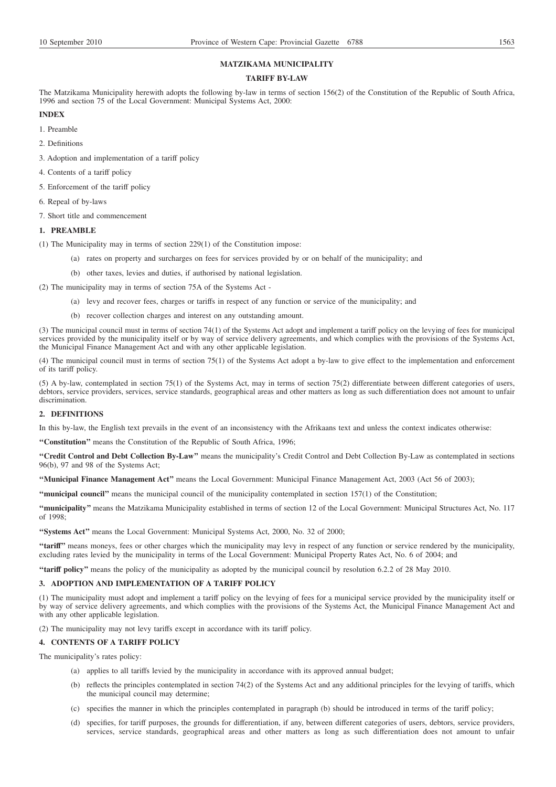# **MATZIKAMA MUNICIPALITY**

## **TARIFF BY-LAW**

The Matzikama Municipality herewith adopts the following by-law in terms of section 156(2) of the Constitution of the Republic of South Africa, 1996 and section 75 of the Local Government: Municipal Systems Act, 2000:

## **INDEX**

1. Preamble

- 2. Definitions
- 3. Adoption and implementation of a tariff policy
- 4. Contents of a tariff policy
- 5. Enforcement of the tariff policy
- 6. Repeal of by-laws
- 7. Short title and commencement

## **1. PREAMBLE**

- (1) The Municipality may in terms of section 229(1) of the Constitution impose:
	- (a) rates on property and surcharges on fees for services provided by or on behalf of the municipality; and
	- (b) other taxes, levies and duties, if authorised by national legislation.
- (2) The municipality may in terms of section 75A of the Systems Act
	- (a) levy and recover fees, charges or tariffs in respect of any function or service of the municipality; and
	- (b) recover collection charges and interest on any outstanding amount.

(3) The municipal council must in terms of section 74(1) of the Systems Act adopt and implement a tariff policy on the levying of fees for municipal services provided by the municipality itself or by way of service delivery agreements, and which complies with the provisions of the Systems Act, the Municipal Finance Management Act and with any other applicable legislation.

(4) The municipal council must in terms of section 75(1) of the Systems Act adopt a by-law to give effect to the implementation and enforcement of its tariff policy.

(5) A by-law, contemplated in section 75(1) of the Systems Act, may in terms of section 75(2) differentiate between different categories of users, debtors, service providers, services, service standards, geographical areas and other matters as long as such differentiation does not amount to unfair discrimination.

## **2. DEFINITIONS**

In this by-law, the English text prevails in the event of an inconsistency with the Afrikaans text and unless the context indicates otherwise:

**''Constitution''** means the Constitution of the Republic of South Africa, 1996;

**''Credit Control and Debt Collection By-Law''** means the municipality's Credit Control and Debt Collection By-Law as contemplated in sections 96(b), 97 and 98 of the Systems Act;

**''Municipal Finance Management Act''** means the Local Government: Municipal Finance Management Act, 2003 (Act 56 of 2003);

**''municipal council''** means the municipal council of the municipality contemplated in section 157(1) of the Constitution;

**''municipality''** means the Matzikama Municipality established in terms of section 12 of the Local Government: Municipal Structures Act, No. 117 of 1998;

**''Systems Act''** means the Local Government: Municipal Systems Act, 2000, No. 32 of 2000;

**''tariff''** means moneys, fees or other charges which the municipality may levy in respect of any function or service rendered by the municipality, excluding rates levied by the municipality in terms of the Local Government: Municipal Property Rates Act, No. 6 of 2004; and

**''tariff policy''** means the policy of the municipality as adopted by the municipal council by resolution 6.2.2 of 28 May 2010.

### **3. ADOPTION AND IMPLEMENTATION OF A TARIFF POLICY**

(1) The municipality must adopt and implement a tariff policy on the levying of fees for a municipal service provided by the municipality itself or by way of service delivery agreements, and which complies with the provisions of the Systems Act, the Municipal Finance Management Act and with any other applicable legislation.

(2) The municipality may not levy tariffs except in accordance with its tariff policy.

## **4. CONTENTS OF A TARIFF POLICY**

The municipality's rates policy:

- (a) applies to all tariffs levied by the municipality in accordance with its approved annual budget;
- (b) reflects the principles contemplated in section 74(2) of the Systems Act and any additional principles for the levying of tariffs, which the municipal council may determine;
- (c) specifies the manner in which the principles contemplated in paragraph (b) should be introduced in terms of the tariff policy;
- (d) specifies, for tariff purposes, the grounds for differentiation, if any, between different categories of users, debtors, service providers, services, service standards, geographical areas and other matters as long as such differentiation does not amount to unfair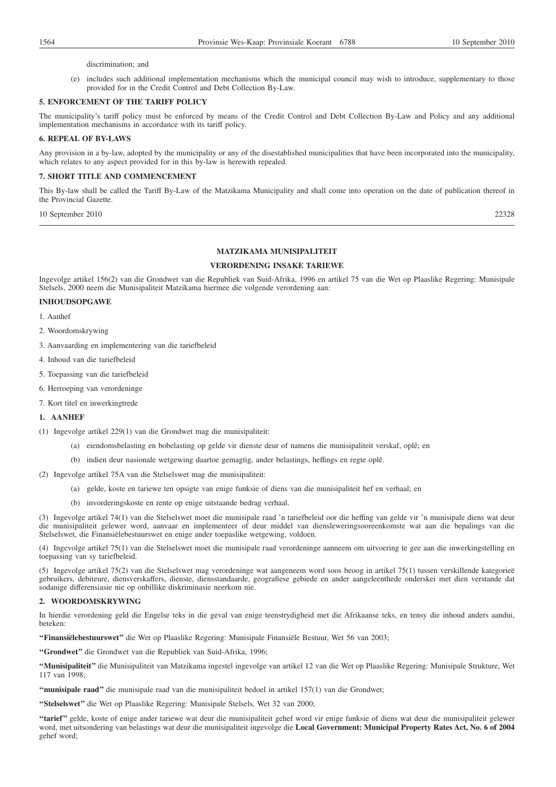### discrimination; and

(e) includes such additional implementation mechanisms which the municipal council may wish to introduce, supplementary to those provided for in the Credit Control and Debt Collection By-Law.

## **5. ENFORCEMENT OF THE TARIFF POLICY**

The municipality's tariff policy must be enforced by means of the Credit Control and Debt Collection By-Law and Policy and any additional implementation mechanisms in accordance with its tariff policy.

## **6. REPEAL OF BY-LAWS**

Any provision in a by-law, adopted by the municipality or any of the disestablished municipalities that have been incorporated into the municipality, which relates to any aspect provided for in this by-law is herewith repealed.

## **7. SHORT TITLE AND COMMENCEMENT**

This By-law shall be called the Tariff By-Law of the Matzikama Municipality and shall come into operation on the date of publication thereof in the Provincial Gazette.

10 September 2010 22328

## **MATZIKAMA MUNISIPALITEIT**

## **VERORDENING INSAKE TARIEWE**

Ingevolge artikel 156(2) van die Grondwet van die Republiek van Suid-Afrika, 1996 en artikel 75 van die Wet op Plaaslike Regering: Munisipale Stelsels, 2000 neem die Munisipaliteit Matzikama hiermee die volgende verordening aan:

## **INHOUDSOPGAWE**

1. Aanhef

- 2. Woordomskrywing
- 3. Aanvaarding en implementering van die tariefbeleid
- 4. Inhoud van die tariefbeleid
- 5. Toepassing van die tariefbeleid
- 6. Herroeping van verordeninge
- 7. Kort titel en inwerkingtrede

## **1. AANHEF**

- (1) Ingevolge artikel 229(1) van die Grondwet mag die munisipaliteit:
	- (a) eiendomsbelasting en bobelasting op gelde vir dienste deur of namens die munisipaliteit verskaf, oplê; en
	- (b) indien deur nasionale wetgewing daartoe gemagtig, ander belastings, heffings en regte oplê.
- (2) Ingevolge artikel 75A van die Stelselswet mag die munisipaliteit:
	- (a) gelde, koste en tariewe ten opsigte van enige funksie of diens van die munisipaliteit hef en verhaal; en
		- (b) invorderingskoste en rente op enige uitstaande bedrag verhaal.

(3) Ingevolge artikel 74(1) van die Stelselswet moet die munisipale raad 'n tariefbeleid oor die heffing van gelde vir 'n munisipale diens wat deur die munisipaliteit gelewer word, aanvaar en implementeer of deur middel van diensleweringsooreenkomste wat aan die bepalings van die Stelselswet, die Finansiëlebestuurswet en enige ander toepaslike wetgewing, voldoen.

(4) Ingevolge artikel 75(1) van die Stelselswet moet die munisipale raad verordeninge aanneem om uitvoering te gee aan die inwerkingstelling en toepassing van sy tariefbeleid.

(5) Ingevolge artikel 75(2) van die Stelselswet mag verordeninge wat aangeneem word soos beoog in artikel 75(1) tussen verskillende kategorieë gebruikers, debiteure, diensverskaffers, dienste, diensstandaarde, geografiese gebiede en ander aangeleenthede onderskei met dien verstande dat sodanige differensiasie nie op onbillike diskriminasie neerkom nie.

### **2. WOORDOMSKRYWING**

In hierdie verordening geld die Engelse teks in die geval van enige teenstrydigheid met die Afrikaanse teks, en tensy die inhoud anders aandui, beteken:

**''Finansiëlebestuurswet''** die Wet op Plaaslike Regering: Munisipale Finansiële Bestuur, Wet 56 van 2003;

**''Grondwet''** die Grondwet van die Republiek van Suid-Afrika, 1996;

**''Munisipaliteit''** die Munisipaliteit van Matzikama ingestel ingevolge van artikel 12 van die Wet op Plaaslike Regering: Munisipale Strukture, Wet 117 van 1998;

**''munisipale raad''** die munisipale raad van die munisipaliteit bedoel in artikel 157(1) van die Grondwet;

**''Stelselswet''** die Wet op Plaaslike Regering: Munisipale Stelsels, Wet 32 van 2000;

**''tarief''** gelde, koste of enige ander tariewe wat deur die munisipaliteit gehef word vir enige funksie of diens wat deur die munisipaliteit gelewer word, met uitsondering van belastings wat deur die munisipaliteit ingevolge die **Local Government: Municipal Property Rates Act, No. 6 of 2004** gehef word;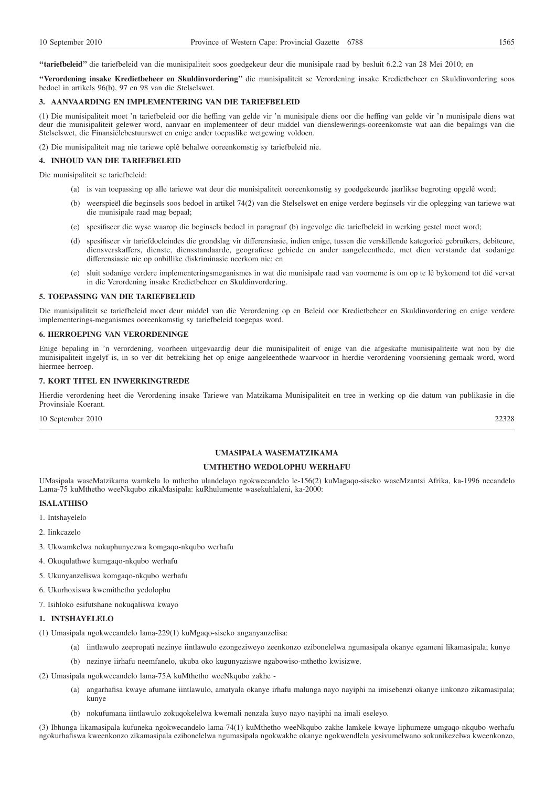**''tariefbeleid''** die tariefbeleid van die munisipaliteit soos goedgekeur deur die munisipale raad by besluit 6.2.2 van 28 Mei 2010; en

**''Verordening insake Kredietbeheer en Skuldinvordering''** die munisipaliteit se Verordening insake Kredietbeheer en Skuldinvordering soos bedoel in artikels 96(b), 97 en 98 van die Stelselswet.

#### **3. AANVAARDING EN IMPLEMENTERING VAN DIE TARIEFBELEID**

(1) Die munisipaliteit moet 'n tariefbeleid oor die heffing van gelde vir 'n munisipale diens oor die heffing van gelde vir 'n munisipale diens wat deur die munisipaliteit gelewer word, aanvaar en implementeer of deur middel van dienslewerings-ooreenkomste wat aan die bepalings van die Stelselswet, die Finansiëlebestuurswet en enige ander toepaslike wetgewing voldoen.

(2) Die munisipaliteit mag nie tariewe oplê behalwe ooreenkomstig sy tariefbeleid nie.

### **4. INHOUD VAN DIE TARIEFBELEID**

Die munisipaliteit se tariefbeleid:

- (a) is van toepassing op alle tariewe wat deur die munisipaliteit ooreenkomstig sy goedgekeurde jaarlikse begroting opgelê word;
- (b) weerspieël die beginsels soos bedoel in artikel 74(2) van die Stelselswet en enige verdere beginsels vir die oplegging van tariewe wat die munisipale raad mag bepaal;
- (c) spesifiseer die wyse waarop die beginsels bedoel in paragraaf (b) ingevolge die tariefbeleid in werking gestel moet word;
- (d) spesifiseer vir tariefdoeleindes die grondslag vir differensiasie, indien enige, tussen die verskillende kategorieë gebruikers, debiteure, diensverskaffers, dienste, diensstandaarde, geografiese gebiede en ander aangeleenthede, met dien verstande dat sodanige differensiasie nie op onbillike diskriminasie neerkom nie; en
- (e) sluit sodanige verdere implementeringsmeganismes in wat die munisipale raad van voorneme is om op te lê bykomend tot dié vervat in die Verordening insake Kredietbeheer en Skuldinvordering.

#### **5. TOEPASSING VAN DIE TARIEFBELEID**

Die munisipaliteit se tariefbeleid moet deur middel van die Verordening op en Beleid oor Kredietbeheer en Skuldinvordering en enige verdere implementerings-meganismes ooreenkomstig sy tariefbeleid toegepas word.

## **6. HERROEPING VAN VERORDENINGE**

Enige bepaling in 'n verordening, voorheen uitgevaardig deur die munisipaliteit of enige van die afgeskafte munisipaliteite wat nou by die munisipaliteit ingelyf is, in so ver dit betrekking het op enige aangeleenthede waarvoor in hierdie verordening voorsiening gemaak word, word hiermee herroep.

### **7. KORT TITEL EN INWERKINGTREDE**

Hierdie verordening heet die Verordening insake Tariewe van Matzikama Munisipaliteit en tree in werking op die datum van publikasie in die Provinsiale Koerant.

10 September 2010 22328

### **UMASIPALA WASEMATZIKAMA**

## **UMTHETHO WEDOLOPHU WERHAFU**

UMasipala waseMatzikama wamkela lo mthetho ulandelayo ngokwecandelo le-156(2) kuMagaqo-siseko waseMzantsi Afrika, ka-1996 necandelo Lama-75 kuMthetho weeNkqubo zikaMasipala: kuRhulumente wasekuhlaleni, ka-2000:

## **ISALATHISO**

- 1. Intshayelelo
- 2. Iinkcazelo
- 3. Ukwamkelwa nokuphunyezwa komgaqo-nkqubo werhafu
- 4. Okuqulathwe kumgaqo-nkqubo werhafu
- 5. Ukunyanzeliswa komgaqo-nkqubo werhafu
- 6. Ukurhoxiswa kwemithetho yedolophu
- 7. Isihloko esifutshane nokuqaliswa kwayo

## **1. INTSHAYELELO**

- (1) Umasipala ngokwecandelo lama-229(1) kuMgaqo-siseko anganyanzelisa:
	- (a) iintlawulo zeepropati nezinye iintlawulo ezongeziweyo zeenkonzo ezibonelelwa ngumasipala okanye egameni likamasipala; kunye
	- (b) nezinye iirhafu neemfanelo, ukuba oko kugunyaziswe ngabowiso-mthetho kwisizwe.
- (2) Umasipala ngokwecandelo lama-75A kuMthetho weeNkqubo zakhe
	- (a) angarhafisa kwaye afumane iintlawulo, amatyala okanye irhafu malunga nayo nayiphi na imisebenzi okanye iinkonzo zikamasipala; kunye
	- (b) nokufumana iintlawulo zokuqokelelwa kwemali nenzala kuyo nayo nayiphi na imali eseleyo.

(3) Ibhunga likamasipala kufuneka ngokwecandelo lama-74(1) kuMthetho weeNkqubo zakhe lamkele kwaye liphumeze umgaqo-nkqubo werhafu ngokurhafiswa kweenkonzo zikamasipala ezibonelelwa ngumasipala ngokwakhe okanye ngokwendlela yesivumelwano sokunikezelwa kweenkonzo,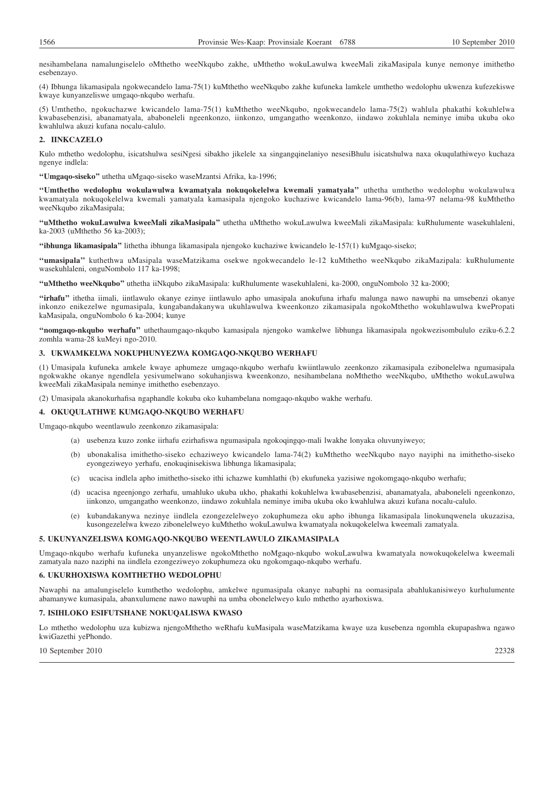nesihambelana namalungiselelo oMthetho weeNkqubo zakhe, uMthetho wokuLawulwa kweeMali zikaMasipala kunye nemonye imithetho esebenzayo.

(4) Ibhunga likamasipala ngokwecandelo lama-75(1) kuMthetho weeNkqubo zakhe kufuneka lamkele umthetho wedolophu ukwenza kufezekiswe kwaye kunyanzeliswe umgaqo-nkqubo werhafu.

(5) Umthetho, ngokuchazwe kwicandelo lama-75(1) kuMthetho weeNkqubo, ngokwecandelo lama-75(2) wahlula phakathi kokuhlelwa kwabasebenzisi, abanamatyala, ababoneleli ngeenkonzo, iinkonzo, umgangatho weenkonzo, iindawo zokuhlala neminye imiba ukuba oko kwahlulwa akuzi kufana nocalu-calulo.

## **2. IINKCAZELO**

Kulo mthetho wedolophu, isicatshulwa sesiNgesi sibakho jikelele xa singangqinelaniyo nesesiBhulu isicatshulwa naxa okuqulathiweyo kuchaza ngenye indlela:

**''Umgaqo-siseko''** uthetha uMgaqo-siseko waseMzantsi Afrika, ka-1996;

**''Umthetho wedolophu wokulawulwa kwamatyala nokuqokelelwa kwemali yamatyala''** uthetha umthetho wedolophu wokulawulwa kwamatyala nokuqokelelwa kwemali yamatyala kamasipala njengoko kuchaziwe kwicandelo lama-96(b), lama-97 nelama-98 kuMthetho weeNkqubo zikaMasipala;

**''uMthetho wokuLawulwa kweeMali zikaMasipala''** uthetha uMthetho wokuLawulwa kweeMali zikaMasipala: kuRhulumente wasekuhlaleni, ka-2003 (uMthetho 56 ka-2003);

**''ibhunga likamasipala''** lithetha ibhunga likamasipala njengoko kuchaziwe kwicandelo le-157(1) kuMgaqo-siseko;

**''umasipala''** kuthethwa uMasipala waseMatzikama osekwe ngokwecandelo le-12 kuMthetho weeNkqubo zikaMazipala: kuRhulumente wasekuhlaleni, onguNombolo 117 ka-1998;

**''uMthetho weeNkqubo''** uthetha iiNkqubo zikaMasipala: kuRhulumente wasekuhlaleni, ka-2000, onguNombolo 32 ka-2000;

**''irhafu''** ithetha iimali, iintlawulo okanye ezinye iintlawulo apho umasipala anokufuna irhafu malunga nawo nawuphi na umsebenzi okanye inkonzo enikezelwe ngumasipala, kungabandakanywa ukuhlawulwa kweenkonzo zikamasipala ngokoMthetho wokuhlawulwa kwePropati kaMasipala, onguNombolo 6 ka-2004; kunye

**''nomgaqo-nkqubo werhafu''** uthethaumgaqo-nkqubo kamasipala njengoko wamkelwe libhunga likamasipala ngokwezisombululo eziku-6.2.2 zomhla wama-28 kuMeyi ngo-2010.

## **3. UKWAMKELWA NOKUPHUNYEZWA KOMGAQO-NKQUBO WERHAFU**

(1) Umasipala kufuneka amkele kwaye aphumeze umgaqo-nkqubo werhafu kwiintlawulo zeenkonzo zikamasipala ezibonelelwa ngumasipala ngokwakhe okanye ngendlela yesivumelwano sokuhanjiswa kweenkonzo, nesihambelana noMthetho weeNkqubo, uMthetho wokuLawulwa kweeMali zikaMasipala neminye imithetho esebenzayo.

(2) Umasipala akanokurhafisa ngaphandle kokuba oko kuhambelana nomgaqo-nkqubo wakhe werhafu.

## **4. OKUQULATHWE KUMGAQO-NKQUBO WERHAFU**

Umgaqo-nkqubo weentlawulo zeenkonzo zikamasipala:

- (a) usebenza kuzo zonke iirhafu ezirhafiswa ngumasipala ngokoqingqo-mali lwakhe lonyaka oluvunyiweyo;
- (b) ubonakalisa imithetho-siseko echaziweyo kwicandelo lama-74(2) kuMthetho weeNkqubo nayo nayiphi na imithetho-siseko eyongeziweyo yerhafu, enokuqinisekiswa libhunga likamasipala;
- (c) ucacisa indlela apho imithetho-siseko ithi ichazwe kumhlathi (b) ekufuneka yazisiwe ngokomgaqo-nkqubo werhafu;
- (d) ucacisa ngeenjongo zerhafu, umahluko ukuba ukho, phakathi kokuhlelwa kwabasebenzisi, abanamatyala, ababoneleli ngeenkonzo, iinkonzo, umgangatho weenkonzo, iindawo zokuhlala neminye imiba ukuba oko kwahlulwa akuzi kufana nocalu-calulo.
- kubandakanywa nezinye iindlela ezongezelelweyo zokuphumeza oku apho ibhunga likamasipala linokunqwenela ukuzazisa, kusongezelelwa kwezo zibonelelweyo kuMthetho wokuLawulwa kwamatyala nokuqokelelwa kweemali zamatyala.

## **5. UKUNYANZELISWA KOMGAQO-NKQUBO WEENTLAWULO ZIKAMASIPALA**

Umgaqo-nkqubo werhafu kufuneka unyanzeliswe ngokoMthetho noMgaqo-nkqubo wokuLawulwa kwamatyala nowokuqokelelwa kweemali zamatyala nazo naziphi na iindlela ezongeziweyo zokuphumeza oku ngokomgaqo-nkqubo werhafu.

#### **6. UKURHOXISWA KOMTHETHO WEDOLOPHU**

Nawaphi na amalungiselelo kumthetho wedolophu, amkelwe ngumasipala okanye nabaphi na oomasipala abahlukanisiweyo kurhulumente abamanywe kumasipala, abanxulumene nawo nawuphi na umba obonelelweyo kulo mthetho ayarhoxiswa.

## **7. ISIHLOKO ESIFUTSHANE NOKUQALISWA KWASO**

Lo mthetho wedolophu uza kubizwa njengoMthetho weRhafu kuMasipala waseMatzikama kwaye uza kusebenza ngomhla ekupapashwa ngawo kwiGazethi yePhondo.

10 September 2010 22328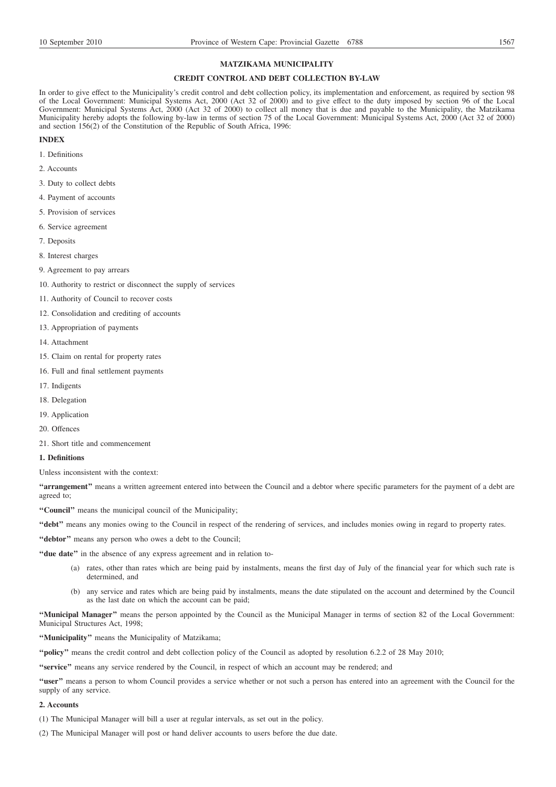#### **MATZIKAMA MUNICIPALITY**

## **CREDIT CONTROL AND DEBT COLLECTION BY-LAW**

In order to give effect to the Municipality's credit control and debt collection policy, its implementation and enforcement, as required by section 98 of the Local Government: Municipal Systems Act, 2000 (Act 32 of 2000) and to give effect to the duty imposed by section 96 of the Local Government: Municipal Systems Act, 2000 (Act 32 of 2000) to collect all money that is due and payable to the Municipality, the Matzikama Municipality hereby adopts the following by-law in terms of section 75 of the Local Government: Municipal Systems Act, 2000 (Act 32 of 2000) and section 156(2) of the Constitution of the Republic of South Africa, 1996:

## **INDEX**

- 1. Definitions
- 2. Accounts
- 3. Duty to collect debts
- 4. Payment of accounts
- 5. Provision of services
- 6. Service agreement
- 7. Deposits
- 8. Interest charges
- 9. Agreement to pay arrears
- 10. Authority to restrict or disconnect the supply of services
- 11. Authority of Council to recover costs
- 12. Consolidation and crediting of accounts
- 13. Appropriation of payments
- 14. Attachment
- 15. Claim on rental for property rates
- 16. Full and final settlement payments
- 17. Indigents
- 18. Delegation
- 19. Application
- 20. Offences
- 21. Short title and commencement

## **1. Definitions**

Unless inconsistent with the context:

**''arrangement''** means a written agreement entered into between the Council and a debtor where specific parameters for the payment of a debt are agreed to;

**''Council''** means the municipal council of the Municipality;

**''debt''** means any monies owing to the Council in respect of the rendering of services, and includes monies owing in regard to property rates.

"debtor" means any person who owes a debt to the Council;

- **''due date''** in the absence of any express agreement and in relation to-
	- (a) rates, other than rates which are being paid by instalments, means the first day of July of the financial year for which such rate is determined, and
	- (b) any service and rates which are being paid by instalments, means the date stipulated on the account and determined by the Council as the last date on which the account can be paid;

**''Municipal Manager''** means the person appointed by the Council as the Municipal Manager in terms of section 82 of the Local Government: Municipal Structures Act, 1998;

**''Municipality''** means the Municipality of Matzikama;

**''policy''** means the credit control and debt collection policy of the Council as adopted by resolution 6.2.2 of 28 May 2010;

**''service''** means any service rendered by the Council, in respect of which an account may be rendered; and

**''user''** means a person to whom Council provides a service whether or not such a person has entered into an agreement with the Council for the supply of any service.

#### **2. Accounts**

(1) The Municipal Manager will bill a user at regular intervals, as set out in the policy.

(2) The Municipal Manager will post or hand deliver accounts to users before the due date.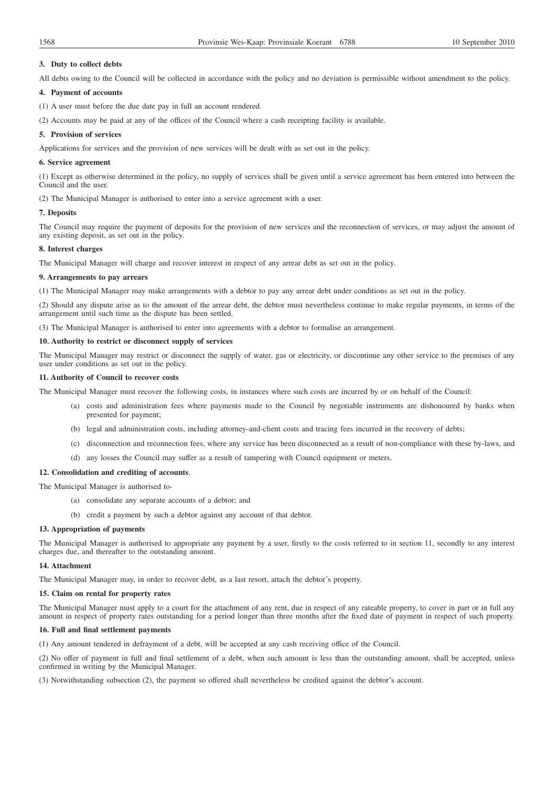## **3. Duty to collect debts**

All debts owing to the Council will be collected in accordance with the policy and no deviation is permissible without amendment to the policy.

## **4. Payment of accounts**

- (1) A user must before the due date pay in full an account rendered.
- (2) Accounts may be paid at any of the offices of the Council where a cash receipting facility is available.

#### **5. Provision of services**

Applications for services and the provision of new services will be dealt with as set out in the policy.

#### **6. Service agreement**

(1) Except as otherwise determined in the policy, no supply of services shall be given until a service agreement has been entered into between the Council and the user.

(2) The Municipal Manager is authorised to enter into a service agreement with a user.

### **7. Deposits**

The Council may require the payment of deposits for the provision of new services and the reconnection of services, or may adjust the amount of any existing deposit, as set out in the policy.

## **8. Interest charges**

The Municipal Manager will charge and recover interest in respect of any arrear debt as set out in the policy.

### **9. Arrangements to pay arrears**

(1) The Municipal Manager may make arrangements with a debtor to pay any arrear debt under conditions as set out in the policy.

(2) Should any dispute arise as to the amount of the arrear debt, the debtor must nevertheless continue to make regular payments, in terms of the arrangement until such time as the dispute has been settled.

(3) The Municipal Manager is authorised to enter into agreements with a debtor to formalise an arrangement.

## **10. Authority to restrict or disconnect supply of services**

The Municipal Manager may restrict or disconnect the supply of water, gas or electricity, or discontinue any other service to the premises of any user under conditions as set out in the policy.

## **11. Authority of Council to recover costs**

The Municipal Manager must recover the following costs, in instances where such costs are incurred by or on behalf of the Council:

- (a) costs and administration fees where payments made to the Council by negotiable instruments are dishonoured by banks when presented for payment;
- (b) legal and administration costs, including attorney-and-client costs and tracing fees incurred in the recovery of debts;
- (c) disconnection and reconnection fees, where any service has been disconnected as a result of non-compliance with these by-laws, and
- (d) any losses the Council may suffer as a result of tampering with Council equipment or meters.

### **12. Consolidation and crediting of accounts**.

The Municipal Manager is authorised to-

- (a) consolidate any separate accounts of a debtor; and
- (b) credit a payment by such a debtor against any account of that debtor.

#### **13. Appropriation of payments**

The Municipal Manager is authorised to appropriate any payment by a user, firstly to the costs referred to in section 11, secondly to any interest charges due, and thereafter to the outstanding amount.

## **14. Attachment**

The Municipal Manager may, in order to recover debt, as a last resort, attach the debtor's property.

#### **15. Claim on rental for property rates**

The Municipal Manager must apply to a court for the attachment of any rent, due in respect of any rateable property, to cover in part or in full any amount in respect of property rates outstanding for a period longer than three months after the fixed date of payment in respect of such property.

### **16. Full and final settlement payments**

(1) Any amount tendered in defrayment of a debt, will be accepted at any cash receiving office of the Council.

(2) No offer of payment in full and final settlement of a debt, when such amount is less than the outstanding amount, shall be accepted, unless confirmed in writing by the Municipal Manager.

(3) Notwithstanding subsection (2), the payment so offered shall nevertheless be credited against the debtor's account.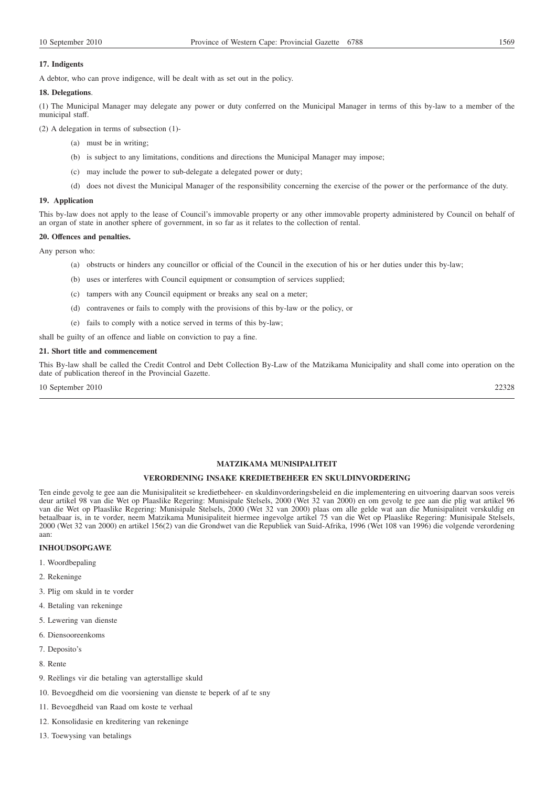## **17. Indigents**

A debtor, who can prove indigence, will be dealt with as set out in the policy.

### **18. Delegations**.

(1) The Municipal Manager may delegate any power or duty conferred on the Municipal Manager in terms of this by-law to a member of the municipal staff.

(2) A delegation in terms of subsection (1)-

- (a) must be in writing;
- (b) is subject to any limitations, conditions and directions the Municipal Manager may impose;
- (c) may include the power to sub-delegate a delegated power or duty;
- (d) does not divest the Municipal Manager of the responsibility concerning the exercise of the power or the performance of the duty.

### **19. Application**

This by-law does not apply to the lease of Council's immovable property or any other immovable property administered by Council on behalf of an organ of state in another sphere of government, in so far as it relates to the collection of rental.

#### **20. Offences and penalties.**

Any person who:

- (a) obstructs or hinders any councillor or official of the Council in the execution of his or her duties under this by-law;
- (b) uses or interferes with Council equipment or consumption of services supplied;
- (c) tampers with any Council equipment or breaks any seal on a meter;
- (d) contravenes or fails to comply with the provisions of this by-law or the policy, or
- (e) fails to comply with a notice served in terms of this by-law;

shall be guilty of an offence and liable on conviction to pay a fine.

## **21. Short title and commencement**

This By-law shall be called the Credit Control and Debt Collection By-Law of the Matzikama Municipality and shall come into operation on the date of publication thereof in the Provincial Gazette.

10 September 2010 22328

## **MATZIKAMA MUNISIPALITEIT**

## **VERORDENING INSAKE KREDIETBEHEER EN SKULDINVORDERING**

Ten einde gevolg te gee aan die Munisipaliteit se kredietbeheer- en skuldinvorderingsbeleid en die implementering en uitvoering daarvan soos vereis deur artikel 98 van die Wet op Plaaslike Regering: Munisipale Stelsels, 2000 (Wet 32 van 2000) en om gevolg te gee aan die plig wat artikel 96 van die Wet op Plaaslike Regering: Munisipale Stelsels, 2000 (Wet 32 van 2000) plaas om alle gelde wat aan die Munisipaliteit verskuldig en betaalbaar is, in te vorder, neem Matzikama Munisipaliteit hiermee ingevolge artikel 75 van die Wet op Plaaslike Regering: Munisipale Stelsels, 2000 (Wet 32 van 2000) en artikel 156(2) van die Grondwet van die Republiek van Suid-Afrika, 1996 (Wet 108 van 1996) die volgende verordening aan:

## **INHOUDSOPGAWE**

- 1. Woordbepaling
- 2. Rekeninge
- 3. Plig om skuld in te vorder
- 4. Betaling van rekeninge
- 5. Lewering van dienste
- 6. Diensooreenkoms
- 7. Deposito's
- 8. Rente
- 9. Reëlings vir die betaling van agterstallige skuld
- 10. Bevoegdheid om die voorsiening van dienste te beperk of af te sny
- 11. Bevoegdheid van Raad om koste te verhaal
- 12. Konsolidasie en kreditering van rekeninge
- 13. Toewysing van betalings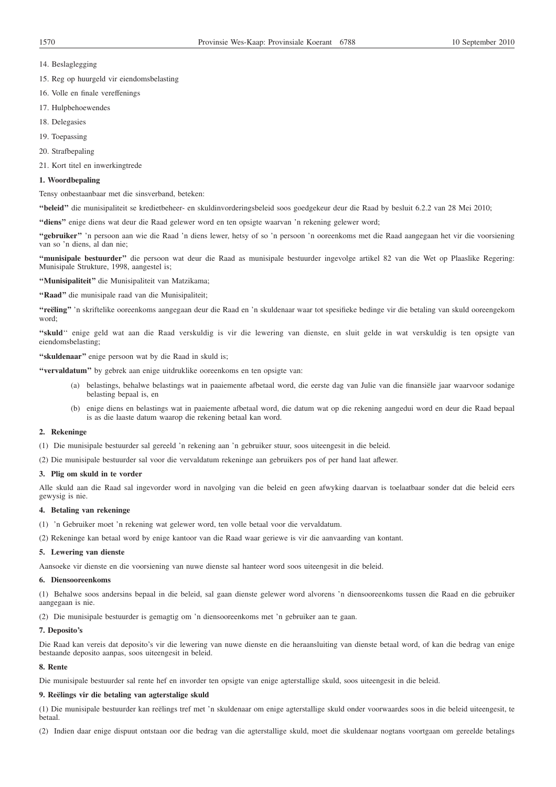- 14. Beslaglegging
- 15. Reg op huurgeld vir eiendomsbelasting
- 16. Volle en finale vereffenings
- 17. Hulpbehoewendes
- 18. Delegasies
- 19. Toepassing
- 20. Strafbepaling
- 21. Kort titel en inwerkingtrede

### **1. Woordbepaling**

Tensy onbestaanbaar met die sinsverband, beteken:

**''beleid''** die munisipaliteit se kredietbeheer- en skuldinvorderingsbeleid soos goedgekeur deur die Raad by besluit 6.2.2 van 28 Mei 2010;

**''diens''** enige diens wat deur die Raad gelewer word en ten opsigte waarvan 'n rekening gelewer word;

**''gebruiker''** 'n persoon aan wie die Raad 'n diens lewer, hetsy of so 'n persoon 'n ooreenkoms met die Raad aangegaan het vir die voorsiening van so 'n diens, al dan nie;

**''munisipale bestuurder''** die persoon wat deur die Raad as munisipale bestuurder ingevolge artikel 82 van die Wet op Plaaslike Regering: Munisipale Strukture, 1998, aangestel is;

**''Munisipaliteit''** die Munisipaliteit van Matzikama;

**''Raad''** die munisipale raad van die Munisipaliteit;

**''reëling''** 'n skriftelike ooreenkoms aangegaan deur die Raad en 'n skuldenaar waar tot spesifieke bedinge vir die betaling van skuld ooreengekom word;

**''skuld**'' enige geld wat aan die Raad verskuldig is vir die lewering van dienste, en sluit gelde in wat verskuldig is ten opsigte van eiendomsbelasting;

**''skuldenaar''** enige persoon wat by die Raad in skuld is;

**''vervaldatum''** by gebrek aan enige uitdruklike ooreenkoms en ten opsigte van:

- (a) belastings, behalwe belastings wat in paaiemente afbetaal word, die eerste dag van Julie van die finansiële jaar waarvoor sodanige belasting bepaal is, en
- (b) enige diens en belastings wat in paaiemente afbetaal word, die datum wat op die rekening aangedui word en deur die Raad bepaal is as die laaste datum waarop die rekening betaal kan word.

## **2. Rekeninge**

(1) Die munisipale bestuurder sal gereeld 'n rekening aan 'n gebruiker stuur, soos uiteengesit in die beleid.

(2) Die munisipale bestuurder sal voor die vervaldatum rekeninge aan gebruikers pos of per hand laat aflewer.

## **3. Plig om skuld in te vorder**

Alle skuld aan die Raad sal ingevorder word in navolging van die beleid en geen afwyking daarvan is toelaatbaar sonder dat die beleid eers gewysig is nie.

### **4. Betaling van rekeninge**

(1) 'n Gebruiker moet 'n rekening wat gelewer word, ten volle betaal voor die vervaldatum.

(2) Rekeninge kan betaal word by enige kantoor van die Raad waar geriewe is vir die aanvaarding van kontant.

#### **5. Lewering van dienste**

Aansoeke vir dienste en die voorsiening van nuwe dienste sal hanteer word soos uiteengesit in die beleid.

## **6. Diensooreenkoms**

(1) Behalwe soos andersins bepaal in die beleid, sal gaan dienste gelewer word alvorens 'n diensooreenkoms tussen die Raad en die gebruiker aangegaan is nie.

(2) Die munisipale bestuurder is gemagtig om 'n diensooreenkoms met 'n gebruiker aan te gaan.

### **7. Deposito's**

Die Raad kan vereis dat deposito's vir die lewering van nuwe dienste en die heraansluiting van dienste betaal word, of kan die bedrag van enige bestaande deposito aanpas, soos uiteengesit in beleid.

#### **8. Rente**

Die munisipale bestuurder sal rente hef en invorder ten opsigte van enige agterstallige skuld, soos uiteengesit in die beleid.

#### **9. Reëlings vir die betaling van agterstalige skuld**

(1) Die munisipale bestuurder kan reëlings tref met 'n skuldenaar om enige agterstallige skuld onder voorwaardes soos in die beleid uiteengesit, te betaal.

(2) Indien daar enige dispuut ontstaan oor die bedrag van die agterstallige skuld, moet die skuldenaar nogtans voortgaan om gereelde betalings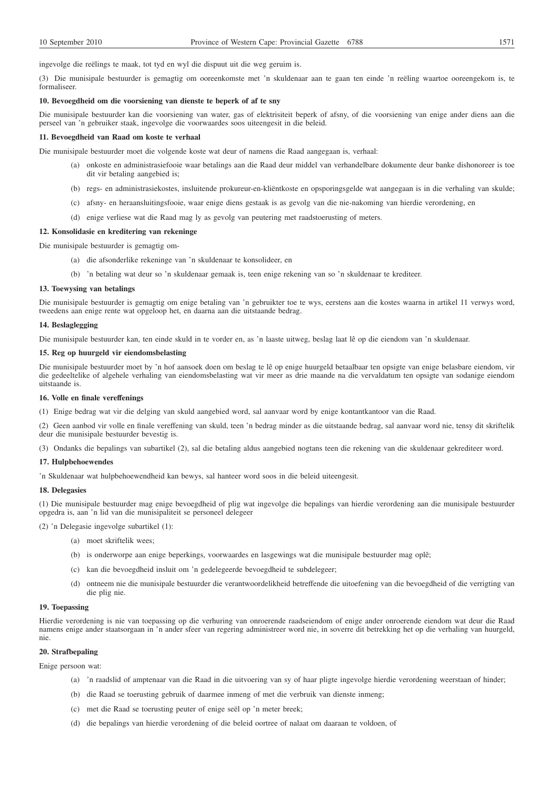ingevolge die reëlings te maak, tot tyd en wyl die dispuut uit die weg geruim is.

(3) Die munisipale bestuurder is gemagtig om ooreenkomste met 'n skuldenaar aan te gaan ten einde 'n reëling waartoe ooreengekom is, te formaliseer.

#### **10. Bevoegdheid om die voorsiening van dienste te beperk of af te sny**

Die munisipale bestuurder kan die voorsiening van water, gas of elektrisiteit beperk of afsny, of die voorsiening van enige ander diens aan die perseel van 'n gebruiker staak, ingevolge die voorwaardes soos uiteengesit in die beleid.

### **11. Bevoegdheid van Raad om koste te verhaal**

Die munisipale bestuurder moet die volgende koste wat deur of namens die Raad aangegaan is, verhaal:

- (a) onkoste en administrasiefooie waar betalings aan die Raad deur middel van verhandelbare dokumente deur banke dishonoreer is toe dit vir betaling aangebied is;
- (b) regs- en administrasiekostes, insluitende prokureur-en-kliëntkoste en opsporingsgelde wat aangegaan is in die verhaling van skulde;
- (c) afsny- en heraansluitingsfooie, waar enige diens gestaak is as gevolg van die nie-nakoming van hierdie verordening, en
- (d) enige verliese wat die Raad mag ly as gevolg van peutering met raadstoerusting of meters.

## **12. Konsolidasie en kreditering van rekeninge**

Die munisipale bestuurder is gemagtig om-

- (a) die afsonderlike rekeninge van 'n skuldenaar te konsolideer, en
- (b) 'n betaling wat deur so 'n skuldenaar gemaak is, teen enige rekening van so 'n skuldenaar te krediteer.

#### **13. Toewysing van betalings**

Die munisipale bestuurder is gemagtig om enige betaling van 'n gebruikter toe te wys, eerstens aan die kostes waarna in artikel 11 verwys word, tweedens aan enige rente wat opgeloop het, en daarna aan die uitstaande bedrag.

## **14. Beslaglegging**

Die munisipale bestuurder kan, ten einde skuld in te vorder en, as 'n laaste uitweg, beslag laat lê op die eiendom van 'n skuldenaar.

## **15. Reg op huurgeld vir eiendomsbelasting**

Die munisipale bestuurder moet by 'n hof aansoek doen om beslag te lê op enige huurgeld betaalbaar ten opsigte van enige belasbare eiendom, vir die gedeeltelike of algehele verhaling van eiendomsbelasting wat vir meer as drie maande na die vervaldatum ten opsigte van sodanige eiendom uitstaande is.

#### **16. Volle en finale vereffenings**

(1) Enige bedrag wat vir die delging van skuld aangebied word, sal aanvaar word by enige kontantkantoor van die Raad.

(2) Geen aanbod vir volle en finale vereffening van skuld, teen 'n bedrag minder as die uitstaande bedrag, sal aanvaar word nie, tensy dit skriftelik deur die munisipale bestuurder bevestig is.

(3) Ondanks die bepalings van subartikel (2), sal die betaling aldus aangebied nogtans teen die rekening van die skuldenaar gekrediteer word.

#### **17. Hulpbehoewendes**

'n Skuldenaar wat hulpbehoewendheid kan bewys, sal hanteer word soos in die beleid uiteengesit.

#### **18. Delegasies**

(1) Die munisipale bestuurder mag enige bevoegdheid of plig wat ingevolge die bepalings van hierdie verordening aan die munisipale bestuurder opgedra is, aan 'n lid van die munisipaliteit se personeel delegeer

(2) 'n Delegasie ingevolge subartikel (1):

- (a) moet skriftelik wees;
- (b) is onderworpe aan enige beperkings, voorwaardes en lasgewings wat die munisipale bestuurder mag oplê;
- (c) kan die bevoegdheid insluit om 'n gedelegeerde bevoegdheid te subdelegeer;
- (d) ontneem nie die munisipale bestuurder die verantwoordelikheid betreffende die uitoefening van die bevoegdheid of die verrigting van die plig nie.

## **19. Toepassing**

Hierdie verordening is nie van toepassing op die verhuring van onroerende raadseiendom of enige ander onroerende eiendom wat deur die Raad namens enige ander staatsorgaan in 'n ander sfeer van regering administreer word nie, in soverre dit betrekking het op die verhaling van huurgeld, nie.

## **20. Strafbepaling**

Enige persoon wat:

- (a) 'n raadslid of amptenaar van die Raad in die uitvoering van sy of haar pligte ingevolge hierdie verordening weerstaan of hinder;
- (b) die Raad se toerusting gebruik of daarmee inmeng of met die verbruik van dienste inmeng;
- (c) met die Raad se toerusting peuter of enige seël op 'n meter breek;
- (d) die bepalings van hierdie verordening of die beleid oortree of nalaat om daaraan te voldoen, of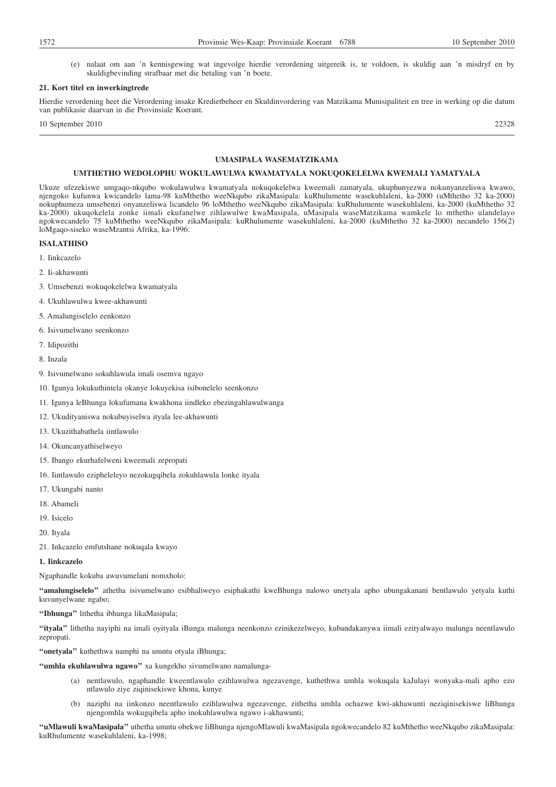(e) nalaat om aan 'n kennisgewing wat ingevolge hierdie verordening uitgereik is, te voldoen, is skuldig aan 'n misdryf en by skuldigbevinding strafbaar met die betaling van 'n boete.

#### **21. Kort titel en inwerkingtrede**

Hierdie verordening heet die Verordening insake Kredietbeheer en Skuldinvordering van Matzikama Munisipaliteit en tree in werking op die datum van publikasie daarvan in die Provinsiale Koerant.

10 September 2010 22328

## **UMASIPALA WASEMATZIKAMA**

## **UMTHETHO WEDOLOPHU WOKULAWULWA KWAMATYALA NOKUQOKELELWA KWEMALI YAMATYALA**

Ukuze ufezekiswe umgaqo-nkqubo wokulawulwa kwamatyala nokuqokelelwa kweemali zamatyala, ukuphunyezwa nokunyanzeliswa kwawo, njengoko kufunwa kwicandelo lama-98 kuMthetho weeNkqubo zikaMasipala: kuRhulumente wasekuhlaleni, ka-2000 (uMthetho 32 ka-2000) nokuphumeza umsebenzi onyanzeliswa licandelo 96 loMthetho weeNkqubo zikaMasipala: kuRhulumente wasekuhlaleni, ka-2000 (kuMthetho 32 ka-2000) ukuqokelela zonke iimali ekufanelwe zihlawulwe kwaMasipala, uMasipala waseMatzikama wamkele lo mthetho ulandelayo ngokwecandelo 75 kuMthetho weeNkqubo zikaMasipala: kuRhulumente wasekuhlaleni, ka-2000 (kuMthetho 32 ka-2000) necandelo 156(2) loMgaqo-siseko waseMzantsi Afrika, ka-1996:

## **ISALATHISO**

- 1. Iinkcazelo
- 2. Ii-akhawunti
- 3. Umsebenzi wokuqokelelwa kwamatyala
- 4. Ukuhlawulwa kwee-akhawunti
- 5. Amalungiselelo eenkonzo
- 6. Isivumelwano seenkonzo
- 7. Idipozithi
- 8. Inzala
- 9. Isivumelwano sokuhlawula imali osemva ngayo
- 10. Igunya lokukuthintela okanye lokuyekisa isibonelelo seenkonzo
- 11. Igunya leBhunga lokufumana kwakhona iindleko ebezingahlawulwanga
- 12. Ukudityaniswa nokubuyiselwa ityala lee-akhawunti
- 13. Ukuzithabathela iintlawulo
- 14. Okuncanyathiselweyo
- 15. Ibango ekurhafelweni kweemali zepropati
- 16. Iintlawulo ezipheleleyo nezokugqibela zokuhlawula lonke ityala
- 17. Ukungabi nanto
- 18. Abameli
- 19. Isicelo
- 20. Ityala
- 21. Inkcazelo emfutshane nokuqala kwayo

### **1. Iinkcazelo**

Ngaphandle kokuba awuvumelani nomxholo:

**''amalungiselelo''** athetha isivumelwano esibhaliweyo esiphakathi kweBhunga nalowo unetyala apho ubungakanani bentlawulo yetyala kuthi kuvunyelwane ngabo;

**''Ibhunga''** lithetha ibhunga likaMasipala;

**''ityala''** lithetha nayiphi na imali oyityala iBunga malunga neenkonzo ezinikezelweyo, kubandakanywa iimali ezityalwayo malunga neentlawulo zepropati.

**''onetyala''** kuthethwa namphi na umntu otyala iBhunga;

**''umhla ekuhlawulwa ngawo''** xa kungekho sivumelwano namalunga-

- (a) nentlawulo, ngaphandle kweentlawulo ezihlawulwa ngezavenge, kuthethwa umhla wokuqala kaJulayi wonyaka-mali apho ezo ntlawulo ziye ziqinisekiswe khona, kunye
- (b) naziphi na iinkonzo neentlawulo ezihlawulwa ngezavenge, zithetha umhla ochazwe kwi-akhawunti neziqinisekiswe liBhunga njengomhla wokugqibela apho inokuhlawulwa ngawo i-akhawunti;

**''uMlawuli kwaMasipala''** uthetha umntu obekwe liBhunga njengoMlawuli kwaMasipala ngokwecandelo 82 kuMthetho weeNkqubo zikaMasipala: kuRhulumente wasekuhlaleni, ka-1998;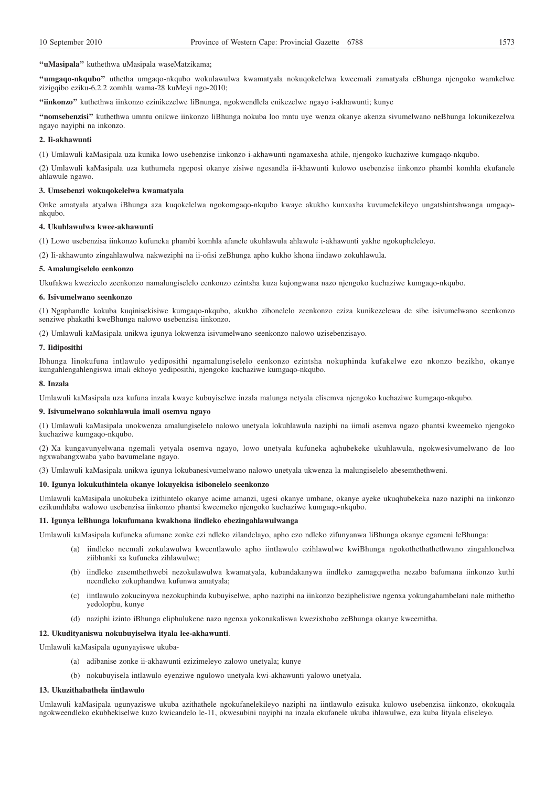**''uMasipala''** kuthethwa uMasipala waseMatzikama;

**''umgaqo-nkqubo''** uthetha umgaqo-nkqubo wokulawulwa kwamatyala nokuqokelelwa kweemali zamatyala eBhunga njengoko wamkelwe zizigqibo eziku-6.2.2 zomhla wama-28 kuMeyi ngo-2010;

**''iinkonzo''** kuthethwa iinkonzo ezinikezelwe liBnunga, ngokwendlela enikezelwe ngayo i-akhawunti; kunye

**''nomsebenzisi''** kuthethwa umntu onikwe iinkonzo liBhunga nokuba loo mntu uye wenza okanye akenza sivumelwano neBhunga lokunikezelwa ngayo nayiphi na inkonzo.

## **2. Ii-akhawunti**

(1) Umlawuli kaMasipala uza kunika lowo usebenzise iinkonzo i-akhawunti ngamaxesha athile, njengoko kuchaziwe kumgaqo-nkqubo.

(2) Umlawuli kaMasipala uza kuthumela ngeposi okanye zisiwe ngesandla ii-khawunti kulowo usebenzise iinkonzo phambi komhla ekufanele ahlawule ngawo.

## **3. Umsebenzi wokuqokelelwa kwamatyala**

Onke amatyala atyalwa iBhunga aza kuqokelelwa ngokomgaqo-nkqubo kwaye akukho kunxaxha kuvumelekileyo ungatshintshwanga umgaqonkqubo.

#### **4. Ukuhlawulwa kwee-akhawunti**

(1) Lowo usebenzisa iinkonzo kufuneka phambi komhla afanele ukuhlawula ahlawule i-akhawunti yakhe ngokupheleleyo.

(2) Ii-akhawunto zingahlawulwa nakweziphi na ii-ofisi zeBhunga apho kukho khona iindawo zokuhlawula.

## **5. Amalungiselelo eenkonzo**

Ukufakwa kwezicelo zeenkonzo namalungiselelo eenkonzo ezintsha kuza kujongwana nazo njengoko kuchaziwe kumgaqo-nkqubo.

#### **6. Isivumelwano seenkonzo**

(1) Ngaphandle kokuba kuqinisekisiwe kumgaqo-nkqubo, akukho zibonelelo zeenkonzo eziza kunikezelewa de sibe isivumelwano seenkonzo senziwe phakathi kweBhunga nalowo usebenzisa iinkonzo.

(2) Umlawuli kaMasipala unikwa igunya lokwenza isivumelwano seenkonzo nalowo uzisebenzisayo.

#### **7. Iidiposithi**

Ibhunga linokufuna intlawulo yediposithi ngamalungiselelo eenkonzo ezintsha nokuphinda kufakelwe ezo nkonzo bezikho, okanye kungahlengahlengiswa imali ekhoyo yediposithi, njengoko kuchaziwe kumgaqo-nkqubo.

### **8. Inzala**

Umlawuli kaMasipala uza kufuna inzala kwaye kubuyiselwe inzala malunga netyala elisemva njengoko kuchaziwe kumgaqo-nkqubo.

### **9. Isivumelwano sokuhlawula imali osemva ngayo**

(1) Umlawuli kaMasipala unokwenza amalungiselelo nalowo unetyala lokuhlawula naziphi na iimali asemva ngazo phantsi kweemeko njengoko kuchaziwe kumgaqo-nkqubo.

(2) Xa kungavunyelwana ngemali yetyala osemva ngayo, lowo unetyala kufuneka aqhubekeke ukuhlawula, ngokwesivumelwano de loo ngxwabangxwaba yabo bavumelane ngayo.

(3) Umlawuli kaMasipala unikwa igunya lokubanesivumelwano nalowo unetyala ukwenza la malungiselelo abesemthethweni.

## **10. Igunya lokukuthintela okanye lokuyekisa isibonelelo seenkonzo**

Umlawuli kaMasipala unokubeka izithintelo okanye acime amanzi, ugesi okanye umbane, okanye ayeke ukuqhubekeka nazo naziphi na iinkonzo ezikumhlaba walowo usebenzisa iinkonzo phantsi kweemeko njengoko kuchaziwe kumgaqo-nkqubo.

### **11. Igunya leBhunga lokufumana kwakhona iindleko ebezingahlawulwanga**

Umlawuli kaMasipala kufuneka afumane zonke ezi ndleko zilandelayo, apho ezo ndleko zifunyanwa liBhunga okanye egameni leBhunga:

- (a) iindleko neemali zokulawulwa kweentlawulo apho iintlawulo ezihlawulwe kwiBhunga ngokothethathethwano zingahlonelwa ziibhanki xa kufuneka zihlawulwe;
- (b) iindleko zasemthethwebi nezokulawulwa kwamatyala, kubandakanywa iindleko zamagqwetha nezabo bafumana iinkonzo kuthi neendleko zokuphandwa kufunwa amatyala;
- (c) iintlawulo zokucinywa nezokuphinda kubuyiselwe, apho naziphi na iinkonzo beziphelisiwe ngenxa yokungahambelani nale mithetho yedolophu, kunye
- (d) naziphi izinto iBhunga eliphulukene nazo ngenxa yokonakaliswa kwezixhobo zeBhunga okanye kweemitha.

### **12. Ukudityaniswa nokubuyiselwa ityala lee-akhawunti**.

Umlawuli kaMasipala ugunyayiswe ukuba-

- (a) adibanise zonke ii-akhawunti ezizimeleyo zalowo unetyala; kunye
- (b) nokubuyisela intlawulo eyenziwe ngulowo unetyala kwi-akhawunti yalowo unetyala.

## **13. Ukuzithabathela iintlawulo**

Umlawuli kaMasipala ugunyaziswe ukuba azithathele ngokufanelekileyo naziphi na iintlawulo ezisuka kulowo usebenzisa iinkonzo, okokuqala ngokweendleko ekubhekiselwe kuzo kwicandelo le-11, okwesubini nayiphi na inzala ekufanele ukuba ihlawulwe, eza kuba lityala eliseleyo.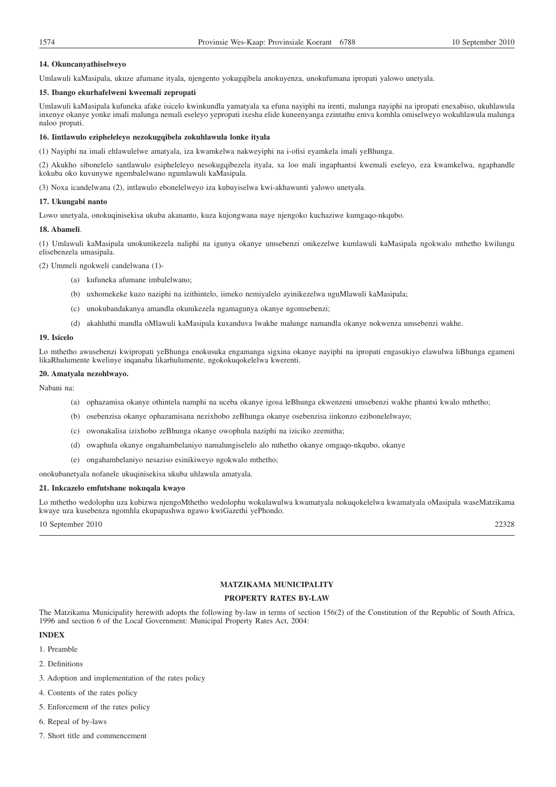## **14. Okuncanyathiselweyo**

Umlawuli kaMasipala, ukuze afumane ityala, njengento yokugqibela anokuyenza, unokufumana ipropati yalowo unetyala.

### **15. Ibango ekurhafelweni kweemali zepropati**

Umlawuli kaMasipala kufuneka afake isicelo kwinkundla yamatyala xa efuna nayiphi na irenti, malunga nayiphi na ipropati enexabiso, ukuhlawula inxenye okanye yonke imali malunga nemali eseleyo yepropati ixesha elide kuneenyanga ezintathu emva komhla omiselweyo wokuhlawula malunga naloo propati.

### **16. Iintlawulo ezipheleleyo nezokugqibela zokuhlawula lonke ityala**

(1) Nayiphi na imali ehlawulelwe amatyala, iza kwamkelwa nakweyiphi na i-ofisi eyamkela imali yeBhunga.

(2) Akukho sibonelelo santlawulo esipheleleyo nesokugqibezela ityala, xa loo mali ingaphantsi kwemali eseleyo, eza kwamkelwa, ngaphandle kokuba oko kuvunywe ngembalelwano ngumlawuli kaMasipala.

(3) Noxa icandelwana (2), intlawulo ebonelelweyo iza kubuyiselwa kwi-akhawunti yalowo unetyala.

### **17. Ukungabi nanto**

Lowo unetyala, onokuqinisekisa ukuba akananto, kuza kujongwana naye njengoko kuchaziwe kumgaqo-nkqubo.

### **18. Abameli**.

(1) Umlawuli kaMasipala unokunikezela naliphi na igunya okanye umsebenzi onikezelwe kumlawuli kaMasipala ngokwalo mthetho kwilungu elisebenzela umasipala.

(2) Ummeli ngokweli candelwana (1)-

- (a) kufuneka afumane imbalelwano;
- (b) uxhomekeke kuzo naziphi na izithintelo, iimeko nemiyalelo ayinikezelwa nguMlawuli kaMasipala;
- (c) unokubandakanya amandla okunikezela ngamagunya okanye ngomsebenzi;
- (d) akahluthi mandla oMlawuli kaMasipala kuxanduva lwakhe malunge namandla okanye nokwenza umsebenzi wakhe.

### **19. Isicelo**

Lo mthetho awusebenzi kwipropati yeBhunga enokusuka engamanga sigxina okanye nayiphi na ipropati engasukiyo elawulwa liBhunga egameni likaRhulumente kwelinye inqanaba likarhulumente, ngokokuqokelelwa kwerenti.

#### **20. Amatyala nezohlwayo.**

Nabani na:

- (a) ophazamisa okanye othintela namphi na uceba okanye igosa leBhunga ekwenzeni umsebenzi wakhe phantsi kwalo mthetho;
- (b) osebenzisa okanye ophazamisana nezixhobo zeBhunga okanye osebenzisa iinkonzo ezibonelelwayo;
- (c) owonakalisa izixhobo zeBhunga okanye owophula naziphi na iziciko zeemitha;
- (d) owaphula okanye ongahambelaniyo namalungiselelo alo mthetho okanye omgaqo-nkqubo, okanye
- (e) ongahambelaniyo nesaziso esinikiweyo ngokwalo mthetho;

onokubanetyala nofanele ukuqinisekisa ukuba uhlawula amatyala.

## **21. Inkcazelo emfutshane nokuqala kwayo**

Lo mthetho wedolophu uza kubizwa njengoMthetho wedolophu wokulawulwa kwamatyala nokuqokelelwa kwamatyala oMasipala waseMatzikama kwaye uza kusebenza ngomhla ekupapashwa ngawo kwiGazethi yePhondo.

10 September 2010 22328

## **MATZIKAMA MUNICIPALITY**

## **PROPERTY RATES BY-LAW**

The Matzikama Municipality herewith adopts the following by-law in terms of section 156(2) of the Constitution of the Republic of South Africa, 1996 and section 6 of the Local Government: Municipal Property Rates Act, 2004:

#### **INDEX**

- 1. Preamble
- 2. Definitions
- 3. Adoption and implementation of the rates policy
- 4. Contents of the rates policy
- 5. Enforcement of the rates policy
- 6. Repeal of by-laws
- 7. Short title and commencement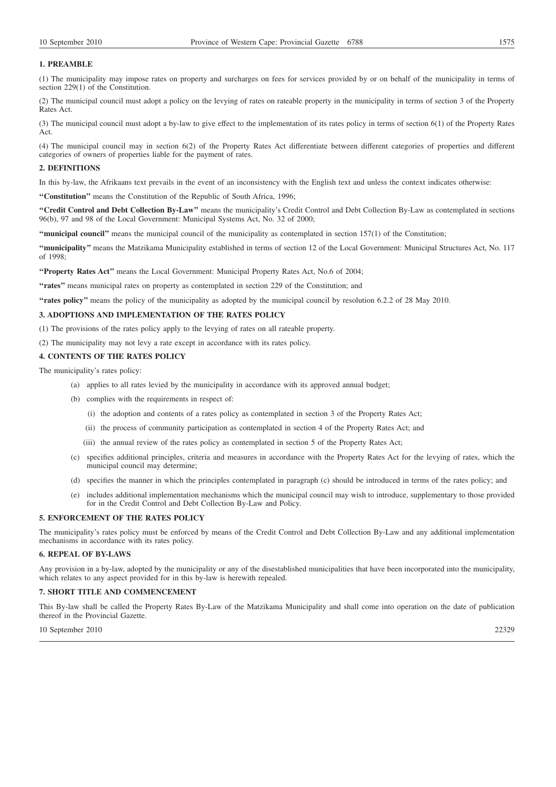## **1. PREAMBLE**

(1) The municipality may impose rates on property and surcharges on fees for services provided by or on behalf of the municipality in terms of section 229(1) of the Constitution.

(2) The municipal council must adopt a policy on the levying of rates on rateable property in the municipality in terms of section 3 of the Property Rates Act.

(3) The municipal council must adopt a by-law to give effect to the implementation of its rates policy in terms of section 6(1) of the Property Rates Act.

(4) The municipal council may in section 6(2) of the Property Rates Act differentiate between different categories of properties and different categories of owners of properties liable for the payment of rates.

## **2. DEFINITIONS**

In this by-law, the Afrikaans text prevails in the event of an inconsistency with the English text and unless the context indicates otherwise:

**''Constitution''** means the Constitution of the Republic of South Africa, 1996;

**''Credit Control and Debt Collection By-Law''** means the municipality's Credit Control and Debt Collection By-Law as contemplated in sections 96(b), 97 and 98 of the Local Government: Municipal Systems Act, No. 32 of 2000;

**''municipal council''** means the municipal council of the municipality as contemplated in section 157(1) of the Constitution;

**''municipality''** means the Matzikama Municipality established in terms of section 12 of the Local Government: Municipal Structures Act, No. 117 of 1998;

**''Property Rates Act''** means the Local Government: Municipal Property Rates Act, No.6 of 2004;

**''rates''** means municipal rates on property as contemplated in section 229 of the Constitution; and

**''rates policy''** means the policy of the municipality as adopted by the municipal council by resolution 6.2.2 of 28 May 2010.

## **3. ADOPTIONS AND IMPLEMENTATION OF THE RATES POLICY**

(1) The provisions of the rates policy apply to the levying of rates on all rateable property.

(2) The municipality may not levy a rate except in accordance with its rates policy.

## **4. CONTENTS OF THE RATES POLICY**

The municipality's rates policy:

- (a) applies to all rates levied by the municipality in accordance with its approved annual budget;
- (b) complies with the requirements in respect of:
	- (i) the adoption and contents of a rates policy as contemplated in section 3 of the Property Rates Act;
	- (ii) the process of community participation as contemplated in section 4 of the Property Rates Act; and
	- (iii) the annual review of the rates policy as contemplated in section 5 of the Property Rates Act;
- (c) specifies additional principles, criteria and measures in accordance with the Property Rates Act for the levying of rates, which the municipal council may determine;
- (d) specifies the manner in which the principles contemplated in paragraph (c) should be introduced in terms of the rates policy; and
- (e) includes additional implementation mechanisms which the municipal council may wish to introduce, supplementary to those provided for in the Credit Control and Debt Collection By-Law and Policy.

### **5. ENFORCEMENT OF THE RATES POLICY**

The municipality's rates policy must be enforced by means of the Credit Control and Debt Collection By-Law and any additional implementation mechanisms in accordance with its rates policy.

## **6. REPEAL OF BY-LAWS**

Any provision in a by-law, adopted by the municipality or any of the disestablished municipalities that have been incorporated into the municipality, which relates to any aspect provided for in this by-law is herewith repealed.

## **7. SHORT TITLE AND COMMENCEMENT**

This By-law shall be called the Property Rates By-Law of the Matzikama Municipality and shall come into operation on the date of publication thereof in the Provincial Gazette.

## 10 September 2010 22329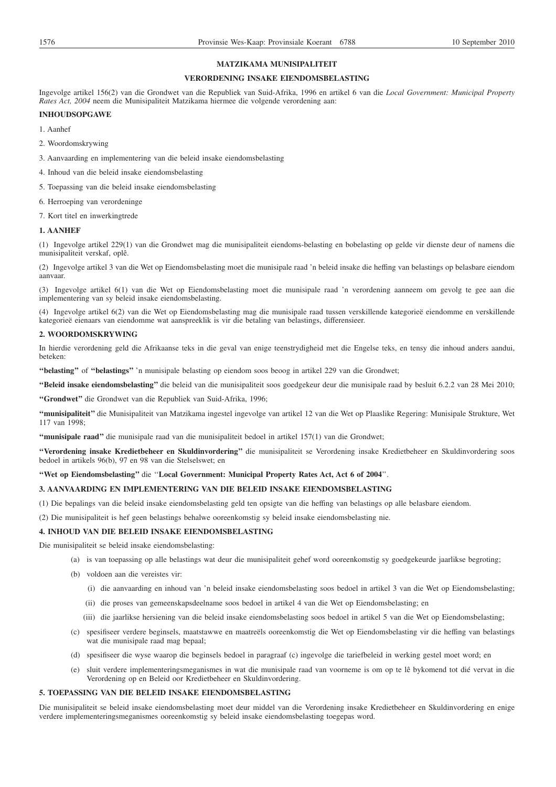## **MATZIKAMA MUNISIPALITEIT**

## **VERORDENING INSAKE EIENDOMSBELASTING**

Ingevolge artikel 156(2) van die Grondwet van die Republiek van Suid-Afrika, 1996 en artikel 6 van die *Local Government: Municipal Property Rates Act, 2004* neem die Munisipaliteit Matzikama hiermee die volgende verordening aan:

## **INHOUDSOPGAWE**

- 1. Aanhef
- 2. Woordomskrywing
- 3. Aanvaarding en implementering van die beleid insake eiendomsbelasting
- 4. Inhoud van die beleid insake eiendomsbelasting
- 5. Toepassing van die beleid insake eiendomsbelasting
- 6. Herroeping van verordeninge
- 7. Kort titel en inwerkingtrede

## **1. AANHEF**

(1) Ingevolge artikel 229(1) van die Grondwet mag die munisipaliteit eiendoms-belasting en bobelasting op gelde vir dienste deur of namens die munisipaliteit verskaf, oplê.

(2) Ingevolge artikel 3 van die Wet op Eiendomsbelasting moet die munisipale raad 'n beleid insake die heffing van belastings op belasbare eiendom aanvaar.

(3) Ingevolge artikel 6(1) van die Wet op Eiendomsbelasting moet die munisipale raad 'n verordening aanneem om gevolg te gee aan die implementering van sy beleid insake eiendomsbelasting.

(4) Ingevolge artikel 6(2) van die Wet op Eiendomsbelasting mag die munisipale raad tussen verskillende kategorieë eiendomme en verskillende kategorieë eienaars van eiendomme wat aanspreeklik is vir die betaling van belastings, differensieer.

## **2. WOORDOMSKRYWING**

In hierdie verordening geld die Afrikaanse teks in die geval van enige teenstrydigheid met die Engelse teks, en tensy die inhoud anders aandui, beteken:

**''belasting''** of **''belastings''** 'n munisipale belasting op eiendom soos beoog in artikel 229 van die Grondwet;

**''Beleid insake eiendomsbelasting''** die beleid van die munisipaliteit soos goedgekeur deur die munisipale raad by besluit 6.2.2 van 28 Mei 2010;

**''Grondwet''** die Grondwet van die Republiek van Suid-Afrika, 1996;

**''munisipaliteit''** die Munisipaliteit van Matzikama ingestel ingevolge van artikel 12 van die Wet op Plaaslike Regering: Munisipale Strukture, Wet 117 van 1998;

**''munisipale raad''** die munisipale raad van die munisipaliteit bedoel in artikel 157(1) van die Grondwet;

**''Verordening insake Kredietbeheer en Skuldinvordering''** die munisipaliteit se Verordening insake Kredietbeheer en Skuldinvordering soos bedoel in artikels 96(b), 97 en 98 van die Stelselswet; en

## **''Wet op Eiendomsbelasting''** die ''**Local Government: Municipal Property Rates Act, Act 6 of 2004**''.

## **3. AANVAARDING EN IMPLEMENTERING VAN DIE BELEID INSAKE EIENDOMSBELASTING**

(1) Die bepalings van die beleid insake eiendomsbelasting geld ten opsigte van die heffing van belastings op alle belasbare eiendom.

(2) Die munisipaliteit is hef geen belastings behalwe ooreenkomstig sy beleid insake eiendomsbelasting nie.

## **4. INHOUD VAN DIE BELEID INSAKE EIENDOMSBELASTING**

Die munisipaliteit se beleid insake eiendomsbelasting:

- (a) is van toepassing op alle belastings wat deur die munisipaliteit gehef word ooreenkomstig sy goedgekeurde jaarlikse begroting;
- (b) voldoen aan die vereistes vir:
	- (i) die aanvaarding en inhoud van 'n beleid insake eiendomsbelasting soos bedoel in artikel 3 van die Wet op Eiendomsbelasting;
	- (ii) die proses van gemeenskapsdeelname soos bedoel in artikel 4 van die Wet op Eiendomsbelasting; en
	- (iii) die jaarlikse hersiening van die beleid insake eiendomsbelasting soos bedoel in artikel 5 van die Wet op Eiendomsbelasting;
- (c) spesifiseer verdere beginsels, maatstawwe en maatreëls ooreenkomstig die Wet op Eiendomsbelasting vir die heffing van belastings wat die munisipale raad mag bepaal;
- (d) spesifiseer die wyse waarop die beginsels bedoel in paragraaf (c) ingevolge die tariefbeleid in werking gestel moet word; en
- (e) sluit verdere implementeringsmeganismes in wat die munisipale raad van voorneme is om op te lê bykomend tot dié vervat in die Verordening op en Beleid oor Kredietbeheer en Skuldinvordering.

## **5. TOEPASSING VAN DIE BELEID INSAKE EIENDOMSBELASTING**

Die munisipaliteit se beleid insake eiendomsbelasting moet deur middel van die Verordening insake Kredietbeheer en Skuldinvordering en enige verdere implementeringsmeganismes ooreenkomstig sy beleid insake eiendomsbelasting toegepas word.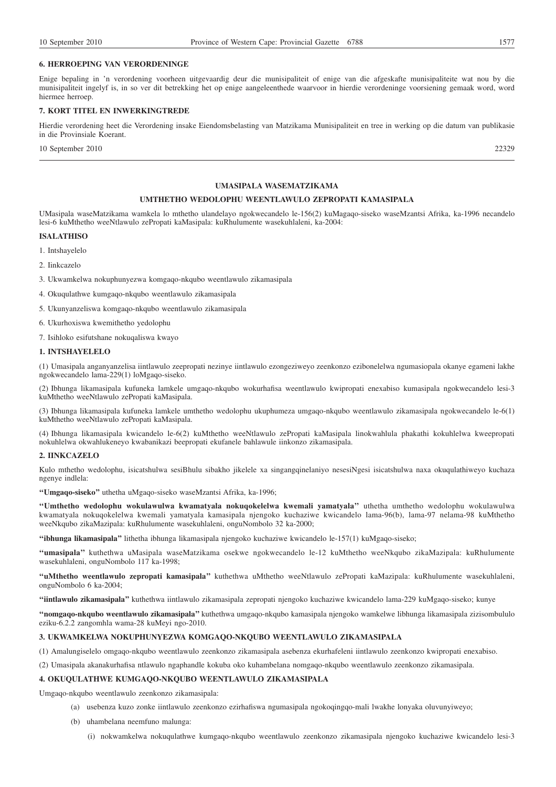### **6. HERROEPING VAN VERORDENINGE**

Enige bepaling in 'n verordening voorheen uitgevaardig deur die munisipaliteit of enige van die afgeskafte munisipaliteite wat nou by die munisipaliteit ingelyf is, in so ver dit betrekking het op enige aangeleenthede waarvoor in hierdie verordeninge voorsiening gemaak word, word hiermee herroep.

## **7. KORT TITEL EN INWERKINGTREDE**

Hierdie verordening heet die Verordening insake Eiendomsbelasting van Matzikama Munisipaliteit en tree in werking op die datum van publikasie in die Provinsiale Koerant.

10 September 2010 22329

### **UMASIPALA WASEMATZIKAMA**

## **UMTHETHO WEDOLOPHU WEENTLAWULO ZEPROPATI KAMASIPALA**

UMasipala waseMatzikama wamkela lo mthetho ulandelayo ngokwecandelo le-156(2) kuMagaqo-siseko waseMzantsi Afrika, ka-1996 necandelo lesi-6 kuMthetho weeNtlawulo zePropati kaMasipala: kuRhulumente wasekuhlaleni, ka-2004:

### **ISALATHISO**

- 1. Intshayelelo
- 2. Iinkcazelo

3. Ukwamkelwa nokuphunyezwa komgaqo-nkqubo weentlawulo zikamasipala

- 4. Okuqulathwe kumgaqo-nkqubo weentlawulo zikamasipala
- 5. Ukunyanzeliswa komgaqo-nkqubo weentlawulo zikamasipala
- 6. Ukurhoxiswa kwemithetho yedolophu

7. Isihloko esifutshane nokuqaliswa kwayo

## **1. INTSHAYELELO**

(1) Umasipala anganyanzelisa iintlawulo zeepropati nezinye iintlawulo ezongeziweyo zeenkonzo ezibonelelwa ngumasiopala okanye egameni lakhe ngokwecandelo lama-229(1) loMgaqo-siseko.

(2) Ibhunga likamasipala kufuneka lamkele umgaqo-nkqubo wokurhafisa weentlawulo kwipropati enexabiso kumasipala ngokwecandelo lesi-3 kuMthetho weeNtlawulo zePropati kaMasipala.

(3) Ibhunga likamasipala kufuneka lamkele umthetho wedolophu ukuphumeza umgaqo-nkqubo weentlawulo zikamasipala ngokwecandelo le-6(1) kuMthetho weeNtlawulo zePropati kaMasipala.

(4) Ibhunga likamasipala kwicandelo le-6(2) kuMthetho weeNtlawulo zePropati kaMasipala linokwahlula phakathi kokuhlelwa kweepropati nokuhlelwa okwahlukeneyo kwabanikazi beepropati ekufanele bahlawule iinkonzo zikamasipala.

## **2. IINKCAZELO**

Kulo mthetho wedolophu, isicatshulwa sesiBhulu sibakho jikelele xa singangqinelaniyo nesesiNgesi isicatshulwa naxa okuqulathiweyo kuchaza ngenye indlela:

**''Umgaqo-siseko''** uthetha uMgaqo-siseko waseMzantsi Afrika, ka-1996;

**''Umthetho wedolophu wokulawulwa kwamatyala nokuqokelelwa kwemali yamatyala''** uthetha umthetho wedolophu wokulawulwa kwamatyala nokuqokelelwa kwemali yamatyala kamasipala njengoko kuchaziwe kwicandelo lama-96(b), lama-97 nelama-98 kuMthetho weeNkqubo zikaMazipala: kuRhulumente wasekuhlaleni, onguNombolo 32 ka-2000;

**''ibhunga likamasipala''** lithetha ibhunga likamasipala njengoko kuchaziwe kwicandelo le-157(1) kuMgaqo-siseko;

**''umasipala''** kuthethwa uMasipala waseMatzikama osekwe ngokwecandelo le-12 kuMthetho weeNkqubo zikaMazipala: kuRhulumente wasekuhlaleni, onguNombolo 117 ka-1998;

**''uMthetho weentlawulo zepropati kamasipala''** kuthethwa uMthetho weeNtlawulo zePropati kaMazipala: kuRhulumente wasekuhlaleni, onguNombolo 6 ka-2004;

**''iintlawulo zikamasipala''** kuthethwa iintlawulo zikamasipala zepropati njengoko kuchaziwe kwicandelo lama-229 kuMgaqo-siseko; kunye

**''nomgaqo-nkqubo weentlawulo zikamasipala''** kuthethwa umgaqo-nkqubo kamasipala njengoko wamkelwe libhunga likamasipala zizisombululo eziku-6.2.2 zangomhla wama-28 kuMeyi ngo-2010.

## **3. UKWAMKELWA NOKUPHUNYEZWA KOMGAQO-NKQUBO WEENTLAWULO ZIKAMASIPALA**

(1) Amalungiselelo omgaqo-nkqubo weentlawulo zeenkonzo zikamasipala asebenza ekurhafeleni iintlawulo zeenkonzo kwipropati enexabiso.

(2) Umasipala akanakurhafisa ntlawulo ngaphandle kokuba oko kuhambelana nomgaqo-nkqubo weentlawulo zeenkonzo zikamasipala.

## **4. OKUQULATHWE KUMGAQO-NKQUBO WEENTLAWULO ZIKAMASIPALA**

Umgaqo-nkqubo weentlawulo zeenkonzo zikamasipala:

- (a) usebenza kuzo zonke iintlawulo zeenkonzo ezirhafiswa ngumasipala ngokoqingqo-mali lwakhe lonyaka oluvunyiweyo;
- (b) uhambelana neemfuno malunga:
	- (i) nokwamkelwa nokuqulathwe kumgaqo-nkqubo weentlawulo zeenkonzo zikamasipala njengoko kuchaziwe kwicandelo lesi-3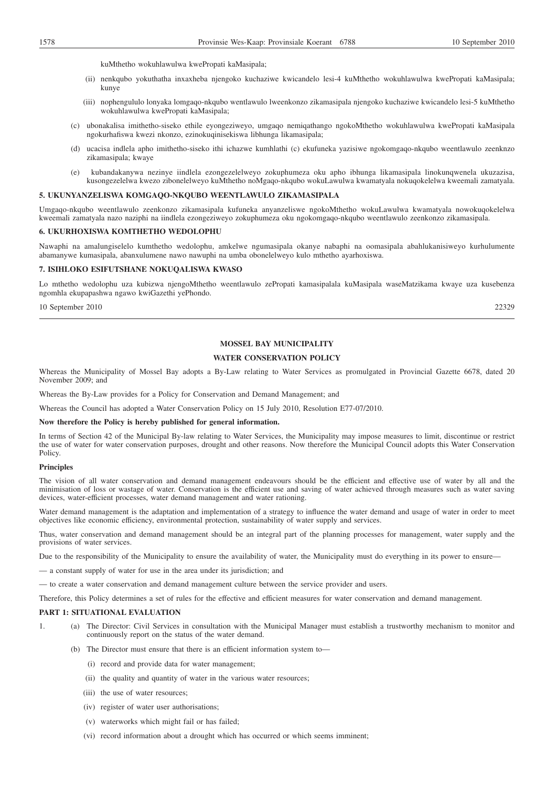kuMthetho wokuhlawulwa kwePropati kaMasipala;

- (ii) nenkqubo yokuthatha inxaxheba njengoko kuchaziwe kwicandelo lesi-4 kuMthetho wokuhlawulwa kwePropati kaMasipala; kunye
- (iii) nophengululo lonyaka lomgaqo-nkqubo wentlawulo lweenkonzo zikamasipala njengoko kuchaziwe kwicandelo lesi-5 kuMthetho wokuhlawulwa kwePropati kaMasipala;
- (c) ubonakalisa imithetho-siseko ethile eyongeziweyo, umgaqo nemiqathango ngokoMthetho wokuhlawulwa kwePropati kaMasipala ngokurhafiswa kwezi nkonzo, ezinokuqinisekiswa libhunga likamasipala;
- (d) ucacisa indlela apho imithetho-siseko ithi ichazwe kumhlathi (c) ekufuneka yazisiwe ngokomgaqo-nkqubo weentlawulo zeenknzo zikamasipala; kwaye
- (e) kubandakanywa nezinye iindlela ezongezelelweyo zokuphumeza oku apho ibhunga likamasipala linokunqwenela ukuzazisa, kusongezelelwa kwezo zibonelelweyo kuMthetho noMgaqo-nkqubo wokuLawulwa kwamatyala nokuqokelelwa kweemali zamatyala.

#### **5. UKUNYANZELISWA KOMGAQO-NKQUBO WEENTLAWULO ZIKAMASIPALA**

Umgaqo-nkqubo weentlawulo zeenkonzo zikamasipala kufuneka anyanzeliswe ngokoMthetho wokuLawulwa kwamatyala nowokuqokelelwa kweemali zamatyala nazo naziphi na iindlela ezongeziweyo zokuphumeza oku ngokomgaqo-nkqubo weentlawulo zeenkonzo zikamasipala.

#### **6. UKURHOXISWA KOMTHETHO WEDOLOPHU**

Nawaphi na amalungiselelo kumthetho wedolophu, amkelwe ngumasipala okanye nabaphi na oomasipala abahlukanisiweyo kurhulumente abamanywe kumasipala, abanxulumene nawo nawuphi na umba obonelelweyo kulo mthetho ayarhoxiswa.

#### **7. ISIHLOKO ESIFUTSHANE NOKUQALISWA KWASO**

Lo mthetho wedolophu uza kubizwa njengoMthetho weentlawulo zePropati kamasipalala kuMasipala waseMatzikama kwaye uza kusebenza ngomhla ekupapashwa ngawo kwiGazethi yePhondo.

10 September 2010 22329

## **MOSSEL BAY MUNICIPALITY**

## **WATER CONSERVATION POLICY**

Whereas the Municipality of Mossel Bay adopts a By-Law relating to Water Services as promulgated in Provincial Gazette 6678, dated 20 November 2009; and

Whereas the By-Law provides for a Policy for Conservation and Demand Management; and

Whereas the Council has adopted a Water Conservation Policy on 15 July 2010, Resolution E77-07/2010.

### **Now therefore the Policy is hereby published for general information.**

In terms of Section 42 of the Municipal By-law relating to Water Services, the Municipality may impose measures to limit, discontinue or restrict the use of water for water conservation purposes, drought and other reasons. Now therefore the Municipal Council adopts this Water Conservation Policy.

### **Principles**

The vision of all water conservation and demand management endeavours should be the efficient and effective use of water by all and the minimisation of loss or wastage of water. Conservation is the efficient use and saving of water achieved through measures such as water saving devices, water-efficient processes, water demand management and water rationing.

Water demand management is the adaptation and implementation of a strategy to influence the water demand and usage of water in order to meet objectives like economic efficiency, environmental protection, sustainability of water supply and services.

Thus, water conservation and demand management should be an integral part of the planning processes for management, water supply and the provisions of water services.

Due to the responsibility of the Municipality to ensure the availability of water, the Municipality must do everything in its power to ensure—

— a constant supply of water for use in the area under its jurisdiction; and

— to create a water conservation and demand management culture between the service provider and users.

Therefore, this Policy determines a set of rules for the effective and efficient measures for water conservation and demand management.

### **PART 1: SITUATIONAL EVALUATION**

- 1. (a) The Director: Civil Services in consultation with the Municipal Manager must establish a trustworthy mechanism to monitor and continuously report on the status of the water demand.
	- (b) The Director must ensure that there is an efficient information system to—
		- (i) record and provide data for water management;
		- (ii) the quality and quantity of water in the various water resources;
		- (iii) the use of water resources;
		- (iv) register of water user authorisations;
		- (v) waterworks which might fail or has failed;
		- (vi) record information about a drought which has occurred or which seems imminent;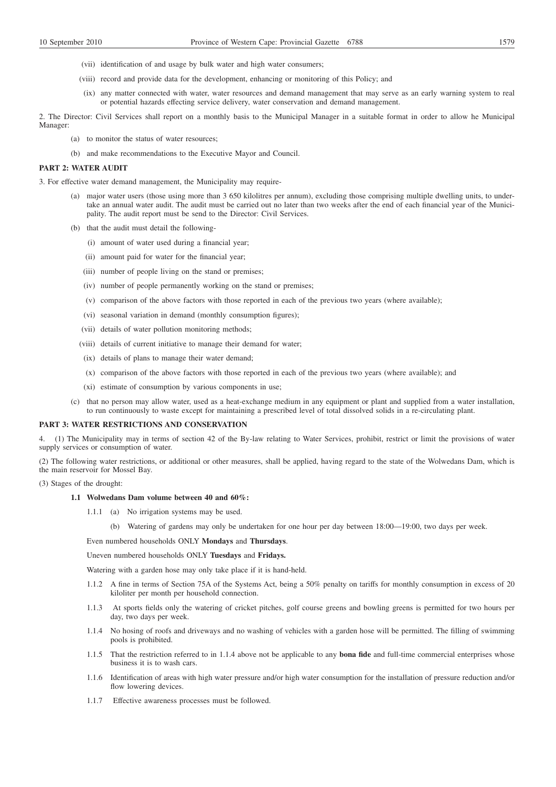- (vii) identification of and usage by bulk water and high water consumers;
- (viii) record and provide data for the development, enhancing or monitoring of this Policy; and
- (ix) any matter connected with water, water resources and demand management that may serve as an early warning system to real or potential hazards effecting service delivery, water conservation and demand management.

2. The Director: Civil Services shall report on a monthly basis to the Municipal Manager in a suitable format in order to allow he Municipal Manager:

- (a) to monitor the status of water resources;
- (b) and make recommendations to the Executive Mayor and Council.

## **PART 2: WATER AUDIT**

3. For effective water demand management, the Municipality may require-

- major water users (those using more than 3 650 kilolitres per annum), excluding those comprising multiple dwelling units, to undertake an annual water audit. The audit must be carried out no later than two weeks after the end of each financial year of the Municipality. The audit report must be send to the Director: Civil Services.
- (b) that the audit must detail the following-
	- (i) amount of water used during a financial year;
	- (ii) amount paid for water for the financial year;
	- (iii) number of people living on the stand or premises;
	- (iv) number of people permanently working on the stand or premises;
	- (v) comparison of the above factors with those reported in each of the previous two years (where available);
	- (vi) seasonal variation in demand (monthly consumption figures);
	- (vii) details of water pollution monitoring methods;
	- (viii) details of current initiative to manage their demand for water;
	- (ix) details of plans to manage their water demand;
	- (x) comparison of the above factors with those reported in each of the previous two years (where available); and
	- (xi) estimate of consumption by various components in use;
- (c) that no person may allow water, used as a heat-exchange medium in any equipment or plant and supplied from a water installation, to run continuously to waste except for maintaining a prescribed level of total dissolved solids in a re-circulating plant.

## **PART 3: WATER RESTRICTIONS AND CONSERVATION**

4. (1) The Municipality may in terms of section 42 of the By-law relating to Water Services, prohibit, restrict or limit the provisions of water supply services or consumption of water.

(2) The following water restrictions, or additional or other measures, shall be applied, having regard to the state of the Wolwedans Dam, which is the main reservoir for Mossel Bay.

(3) Stages of the drought:

#### **1.1 Wolwedans Dam volume between 40 and 60%:**

- 1.1.1 (a) No irrigation systems may be used.
	- (b) Watering of gardens may only be undertaken for one hour per day between 18:00—19:00, two days per week.

Even numbered households ONLY **Mondays** and **Thursdays**.

Uneven numbered households ONLY **Tuesdays** and **Fridays.**

Watering with a garden hose may only take place if it is hand-held.

- 1.1.2 A fine in terms of Section 75A of the Systems Act, being a 50% penalty on tariffs for monthly consumption in excess of 20 kiloliter per month per household connection.
- 1.1.3 At sports fields only the watering of cricket pitches, golf course greens and bowling greens is permitted for two hours per day, two days per week.
- 1.1.4 No hosing of roofs and driveways and no washing of vehicles with a garden hose will be permitted. The filling of swimming pools is prohibited.
- 1.1.5 That the restriction referred to in 1.1.4 above not be applicable to any **bona fide** and full-time commercial enterprises whose business it is to wash cars.
- 1.1.6 Identification of areas with high water pressure and/or high water consumption for the installation of pressure reduction and/or flow lowering devices.
- 1.1.7 Effective awareness processes must be followed.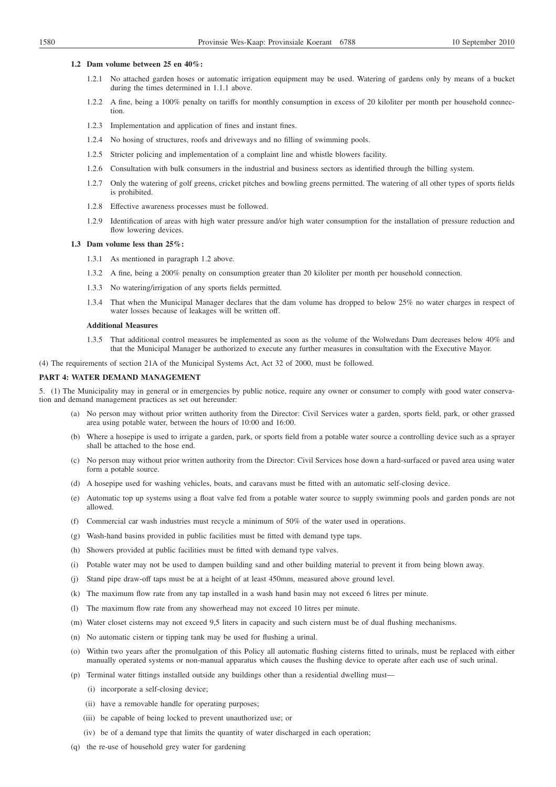#### **1.2 Dam volume between 25 en 40%:**

- 1.2.1 No attached garden hoses or automatic irrigation equipment may be used. Watering of gardens only by means of a bucket during the times determined in 1.1.1 above.
- 1.2.2 A fine, being a 100% penalty on tariffs for monthly consumption in excess of 20 kiloliter per month per household connection.
- 1.2.3 Implementation and application of fines and instant fines.
- 1.2.4 No hosing of structures, roofs and driveways and no filling of swimming pools.
- 1.2.5 Stricter policing and implementation of a complaint line and whistle blowers facility.
- 1.2.6 Consultation with bulk consumers in the industrial and business sectors as identified through the billing system.
- 1.2.7 Only the watering of golf greens, cricket pitches and bowling greens permitted. The watering of all other types of sports fields is prohibited.
- 1.2.8 Effective awareness processes must be followed.
- 1.2.9 Identification of areas with high water pressure and/or high water consumption for the installation of pressure reduction and flow lowering devices.

## **1.3 Dam volume less than 25%:**

- 1.3.1 As mentioned in paragraph 1.2 above.
- 1.3.2 A fine, being a 200% penalty on consumption greater than 20 kiloliter per month per household connection.
- 1.3.3 No watering/irrigation of any sports fields permitted.
- 1.3.4 That when the Municipal Manager declares that the dam volume has dropped to below 25% no water charges in respect of water losses because of leakages will be written off.

### **Additional Measures**

1.3.5 That additional control measures be implemented as soon as the volume of the Wolwedans Dam decreases below 40% and that the Municipal Manager be authorized to execute any further measures in consultation with the Executive Mayor.

(4) The requirements of section 21A of the Municipal Systems Act, Act 32 of 2000, must be followed.

## **PART 4: WATER DEMAND MANAGEMENT**

5. (1) The Municipality may in general or in emergencies by public notice, require any owner or consumer to comply with good water conservation and demand management practices as set out hereunder:

- (a) No person may without prior written authority from the Director: Civil Services water a garden, sports field, park, or other grassed area using potable water, between the hours of 10:00 and 16:00.
- (b) Where a hosepipe is used to irrigate a garden, park, or sports field from a potable water source a controlling device such as a sprayer shall be attached to the hose end.
- (c) No person may without prior written authority from the Director: Civil Services hose down a hard-surfaced or paved area using water form a potable source.
- (d) A hosepipe used for washing vehicles, boats, and caravans must be fitted with an automatic self-closing device.
- (e) Automatic top up systems using a float valve fed from a potable water source to supply swimming pools and garden ponds are not allowed.
- (f) Commercial car wash industries must recycle a minimum of 50% of the water used in operations.
- (g) Wash-hand basins provided in public facilities must be fitted with demand type taps.
- (h) Showers provided at public facilities must be fitted with demand type valves.
- (i) Potable water may not be used to dampen building sand and other building material to prevent it from being blown away.
- (j) Stand pipe draw-off taps must be at a height of at least 450mm, measured above ground level.
- (k) The maximum flow rate from any tap installed in a wash hand basin may not exceed 6 litres per minute.
- (l) The maximum flow rate from any showerhead may not exceed 10 litres per minute.
- (m) Water closet cisterns may not exceed 9,5 liters in capacity and such cistern must be of dual flushing mechanisms.
- (n) No automatic cistern or tipping tank may be used for flushing a urinal.
- (o) Within two years after the promulgation of this Policy all automatic flushing cisterns fitted to urinals, must be replaced with either manually operated systems or non-manual apparatus which causes the flushing device to operate after each use of such urinal.
- (p) Terminal water fittings installed outside any buildings other than a residential dwelling must—
	- (i) incorporate a self-closing device;
	- (ii) have a removable handle for operating purposes;
	- (iii) be capable of being locked to prevent unauthorized use; or
	- (iv) be of a demand type that limits the quantity of water discharged in each operation;
- (q) the re-use of household grey water for gardening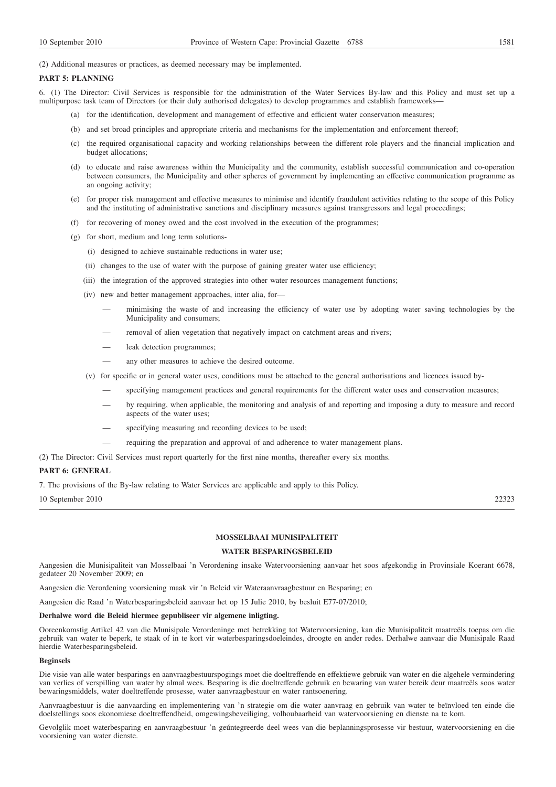(2) Additional measures or practices, as deemed necessary may be implemented.

#### **PART 5: PLANNING**

6. (1) The Director: Civil Services is responsible for the administration of the Water Services By-law and this Policy and must set up a multipurpose task team of Directors (or their duly authorised delegates) to develop programmes and establish frameworks—

- (a) for the identification, development and management of effective and efficient water conservation measures;
- (b) and set broad principles and appropriate criteria and mechanisms for the implementation and enforcement thereof;
- (c) the required organisational capacity and working relationships between the different role players and the financial implication and budget allocations;
- (d) to educate and raise awareness within the Municipality and the community, establish successful communication and co-operation between consumers, the Municipality and other spheres of government by implementing an effective communication programme as an ongoing activity;
- (e) for proper risk management and effective measures to minimise and identify fraudulent activities relating to the scope of this Policy and the instituting of administrative sanctions and disciplinary measures against transgressors and legal proceedings;
- (f) for recovering of money owed and the cost involved in the execution of the programmes;
- (g) for short, medium and long term solutions-
	- (i) designed to achieve sustainable reductions in water use;
	- (ii) changes to the use of water with the purpose of gaining greater water use efficiency;
	- (iii) the integration of the approved strategies into other water resources management functions;
	- (iv) new and better management approaches, inter alia, for—
		- minimising the waste of and increasing the efficiency of water use by adopting water saving technologies by the Municipality and consumers;
		- removal of alien vegetation that negatively impact on catchment areas and rivers;
		- leak detection programmes;
		- any other measures to achieve the desired outcome.
	- (v) for specific or in general water uses, conditions must be attached to the general authorisations and licences issued by
		- specifying management practices and general requirements for the different water uses and conservation measures;
		- by requiring, when applicable, the monitoring and analysis of and reporting and imposing a duty to measure and record aspects of the water uses;
		- specifying measuring and recording devices to be used;
		- requiring the preparation and approval of and adherence to water management plans.

(2) The Director: Civil Services must report quarterly for the first nine months, thereafter every six months.

### **PART 6: GENERAL**

7. The provisions of the By-law relating to Water Services are applicable and apply to this Policy.

10 September 2010 22323

## **MOSSELBAAI MUNISIPALITEIT**

## **WATER BESPARINGSBELEID**

Aangesien die Munisipaliteit van Mosselbaai 'n Verordening insake Watervoorsiening aanvaar het soos afgekondig in Provinsiale Koerant 6678, gedateer 20 November 2009; en

Aangesien die Verordening voorsiening maak vir 'n Beleid vir Wateraanvraagbestuur en Besparing; en

Aangesien die Raad 'n Waterbesparingsbeleid aanvaar het op 15 Julie 2010, by besluit E77-07/2010;

#### **Derhalwe word die Beleid hiermee gepubliseer vir algemene inligting.**

Ooreenkomstig Artikel 42 van die Munisipale Verordeninge met betrekking tot Watervoorsiening, kan die Munisipaliteit maatreëls toepas om die gebruik van water te beperk, te staak of in te kort vir waterbesparingsdoeleindes, droogte en ander redes. Derhalwe aanvaar die Munisipale Raad hierdie Waterbesparingsbeleid.

#### **Beginsels**

Die visie van alle water besparings en aanvraagbestuurspogings moet die doeltreffende en effektiewe gebruik van water en die algehele vermindering van verlies of verspilling van water by almal wees. Besparing is die doeltreffende gebruik en bewaring van water bereik deur maatreëls soos water bewaringsmiddels, water doeltreffende prosesse, water aanvraagbestuur en water rantsoenering.

Aanvraagbestuur is die aanvaarding en implementering van 'n strategie om die water aanvraag en gebruik van water te beïnvloed ten einde die doelstellings soos ekonomiese doeltreffendheid, omgewingsbeveiliging, volhoubaarheid van watervoorsiening en dienste na te kom.

Gevolglik moet waterbesparing en aanvraagbestuur 'n geúntegreerde deel wees van die beplanningsprosesse vir bestuur, watervoorsiening en die voorsiening van water dienste.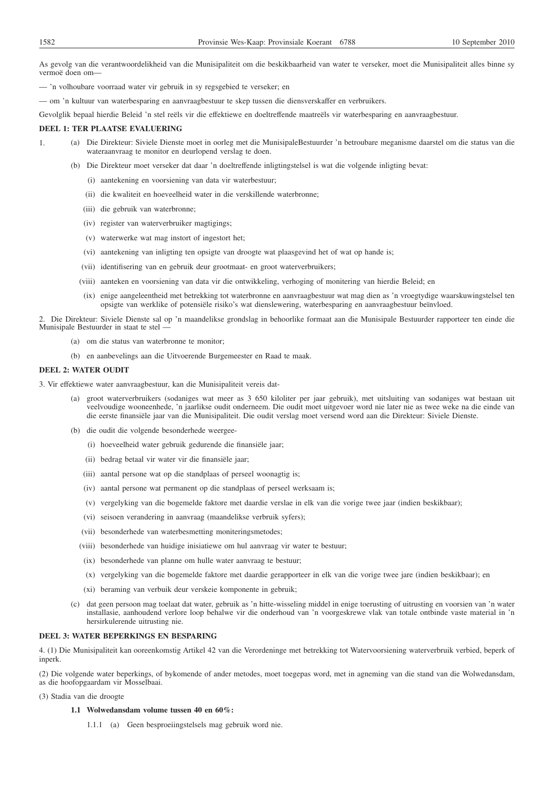As gevolg van die verantwoordelikheid van die Munisipaliteit om die beskikbaarheid van water te verseker, moet die Munisipaliteit alles binne sy vermoë doen om—

— 'n volhoubare voorraad water vir gebruik in sy regsgebied te verseker; en

— om 'n kultuur van waterbesparing en aanvraagbestuur te skep tussen die diensverskaffer en verbruikers.

Gevolglik bepaal hierdie Beleid 'n stel reëls vir die effektiewe en doeltreffende maatreëls vir waterbesparing en aanvraagbestuur.

## **DEEL 1: TER PLAATSE EVALUERING**

- 1. (a) Die Direkteur: Siviele Dienste moet in oorleg met die MunisipaleBestuurder 'n betroubare meganisme daarstel om die status van die wateraanvraag te monitor en deurlopend verslag te doen.
	- (b) Die Direkteur moet verseker dat daar 'n doeltreffende inligtingstelsel is wat die volgende inligting bevat:
		- (i) aantekening en voorsiening van data vir waterbestuur;
		- (ii) die kwaliteit en hoeveelheid water in die verskillende waterbronne;
		- (iii) die gebruik van waterbronne;
		- (iv) register van waterverbruiker magtigings;
		- (v) waterwerke wat mag instort of ingestort het;
		- (vi) aantekening van inligting ten opsigte van droogte wat plaasgevind het of wat op hande is;
		- (vii) identifisering van en gebruik deur grootmaat- en groot waterverbruikers;
		- (viii) aanteken en voorsiening van data vir die ontwikkeling, verhoging of monitering van hierdie Beleid; en
		- (ix) enige aangeleentheid met betrekking tot waterbronne en aanvraagbestuur wat mag dien as 'n vroegtydige waarskuwingstelsel ten opsigte van werklike of potensiële risiko's wat dienslewering, waterbesparing en aanvraagbestuur beïnvloed.

2. Die Direkteur: Siviele Dienste sal op 'n maandelikse grondslag in behoorlike formaat aan die Munisipale Bestuurder rapporteer ten einde die Munisipale Bestuurder in staat te stel —

- (a) om die status van waterbronne te monitor;
- (b) en aanbevelings aan die Uitvoerende Burgemeester en Raad te maak.

#### **DEEL 2: WATER OUDIT**

3. Vir effektiewe water aanvraagbestuur, kan die Munisipaliteit vereis dat-

- (a) groot waterverbruikers (sodaniges wat meer as 3 650 kiloliter per jaar gebruik), met uitsluiting van sodaniges wat bestaan uit veelvoudige wooneenhede, 'n jaarlikse oudit onderneem. Die oudit moet uitgevoer word nie later nie as twee weke na die einde van die eerste finansiële jaar van die Munisipaliteit. Die oudit verslag moet versend word aan die Direkteur: Siviele Dienste.
- (b) die oudit die volgende besonderhede weergee-
	- (i) hoeveelheid water gebruik gedurende die finansiële jaar;
	- (ii) bedrag betaal vir water vir die finansiële jaar;
	- (iii) aantal persone wat op die standplaas of perseel woonagtig is;
	- (iv) aantal persone wat permanent op die standplaas of perseel werksaam is;
	- (v) vergelyking van die bogemelde faktore met daardie verslae in elk van die vorige twee jaar (indien beskikbaar);
	- (vi) seisoen verandering in aanvraag (maandelikse verbruik syfers);
	- (vii) besonderhede van waterbesmetting moniteringsmetodes;
	- (viii) besonderhede van huidige inisiatiewe om hul aanvraag vir water te bestuur;
	- (ix) besonderhede van planne om hulle water aanvraag te bestuur;
	- (x) vergelyking van die bogemelde faktore met daardie gerapporteer in elk van die vorige twee jare (indien beskikbaar); en
	- (xi) beraming van verbuik deur verskeie komponente in gebruik;
- (c) dat geen persoon mag toelaat dat water, gebruik as 'n hitte-wisseling middel in enige toerusting of uitrusting en voorsien van 'n water installasie, aanhoudend verlore loop behalwe vir die onderhoud van 'n voorgeskrewe vlak van totale ontbinde vaste material in 'n hersirkulerende uitrusting nie.

#### **DEEL 3: WATER BEPERKINGS EN BESPARING**

4. (1) Die Munisipaliteit kan ooreenkomstig Artikel 42 van die Verordeninge met betrekking tot Watervoorsiening waterverbruik verbied, beperk of inperk.

(2) Die volgende water beperkings, of bykomende of ander metodes, moet toegepas word, met in agneming van die stand van die Wolwedansdam, as die hoofopgaardam vir Mosselbaai.

(3) Stadia van die droogte

#### **1.1 Wolwedansdam volume tussen 40 en 60%:**

1.1.1 (a) Geen besproeiingstelsels mag gebruik word nie.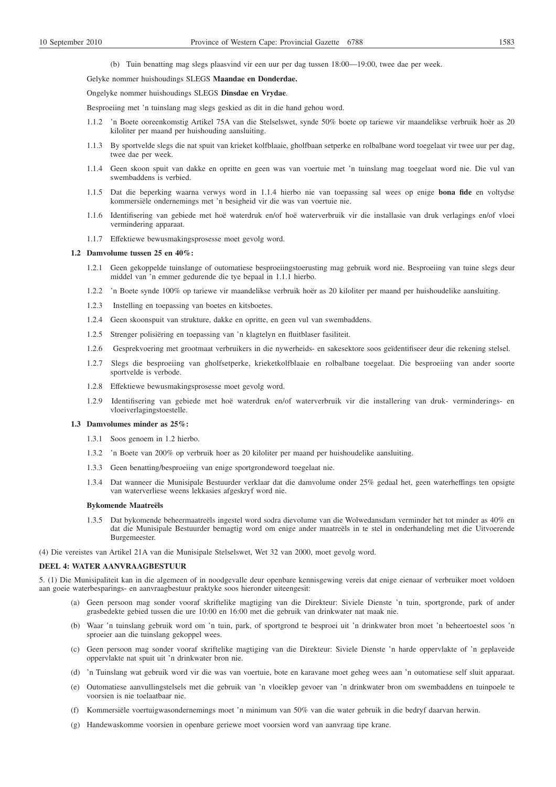(b) Tuin benatting mag slegs plaasvind vir een uur per dag tussen 18:00—19:00, twee dae per week.

# Gelyke nommer huishoudings SLEGS **Maandae en Donderdae.**

Ongelyke nommer huishoudings SLEGS **Dinsdae en Vrydae**.

Besproeiing met 'n tuinslang mag slegs geskied as dit in die hand gehou word.

- 1.1.2 'n Boete ooreenkomstig Artikel 75A van die Stelselswet, synde 50% boete op tariewe vir maandelikse verbruik hoër as 20 kiloliter per maand per huishouding aansluiting.
- 1.1.3 By sportvelde slegs die nat spuit van krieket kolfblaaie, gholfbaan setperke en rolbalbane word toegelaat vir twee uur per dag, twee dae per week.
- 1.1.4 Geen skoon spuit van dakke en opritte en geen was van voertuie met 'n tuinslang mag toegelaat word nie. Die vul van swembaddens is verbied.
- 1.1.5 Dat die beperking waarna verwys word in 1.1.4 hierbo nie van toepassing sal wees op enige **bona fide** en voltydse kommersiële ondernemings met 'n besigheid vir die was van voertuie nie.
- 1.1.6 Identifisering van gebiede met hoë waterdruk en/of hoë waterverbruik vir die installasie van druk verlagings en/of vloei vermindering apparaat.
- 1.1.7 Effektiewe bewusmakingsprosesse moet gevolg word.

#### **1.2 Damvolume tussen 25 en 40%:**

- 1.2.1 Geen gekoppelde tuinslange of outomatiese besproeiingstoerusting mag gebruik word nie. Besproeiing van tuine slegs deur middel van 'n emmer gedurende die tye bepaal in 1.1.1 hierbo.
- 1.2.2 'n Boete synde 100% op tariewe vir maandelikse verbruik hoër as 20 kiloliter per maand per huishoudelike aansluiting.
- 1.2.3 Instelling en toepassing van boetes en kitsboetes.
- 1.2.4 Geen skoonspuit van strukture, dakke en opritte, en geen vul van swembaddens.
- 1.2.5 Strenger polisiëring en toepassing van 'n klagtelyn en fluitblaser fasiliteit.
- 1.2.6 Gesprekvoering met grootmaat verbruikers in die nywerheids- en sakesektore soos geïdentifiseer deur die rekening stelsel.
- 1.2.7 Slegs die besproeiing van gholfsetperke, krieketkolfblaaie en rolbalbane toegelaat. Die besproeiing van ander soorte sportvelde is verbode.
- 1.2.8 Effektiewe bewusmakingsprosesse moet gevolg word.
- 1.2.9 Identifisering van gebiede met hoë waterdruk en/of waterverbruik vir die installering van druk- verminderings- en vloeiverlagingstoestelle.

## **1.3 Damvolumes minder as 25%:**

- 1.3.1 Soos genoem in 1.2 hierbo.
- 1.3.2 'n Boete van 200% op verbruik hoer as 20 kiloliter per maand per huishoudelike aansluiting.
- 1.3.3 Geen benatting/besproeiing van enige sportgrondeword toegelaat nie.
- 1.3.4 Dat wanneer die Munisipale Bestuurder verklaar dat die damvolume onder 25% gedaal het, geen waterheffings ten opsigte van waterverliese weens lekkasies afgeskryf word nie.

## **Bykomende Maatreëls**

1.3.5 Dat bykomende beheermaatreëls ingestel word sodra dievolume van die Wolwedansdam verminder het tot minder as 40% en dat die Munisipale Bestuurder bemagtig word om enige ander maatreëls in te stel in onderhandeling met die Uitvoerende Burgemeester.

(4) Die vereistes van Artikel 21A van die Munisipale Stelselswet, Wet 32 van 2000, moet gevolg word.

## **DEEL 4: WATER AANVRAAGBESTUUR**

5. (1) Die Munisipaliteit kan in die algemeen of in noodgevalle deur openbare kennisgewing vereis dat enige eienaar of verbruiker moet voldoen aan goeie waterbesparings- en aanvraagbestuur praktyke soos hieronder uiteengesit:

- (a) Geen persoon mag sonder vooraf skriftelike magtiging van die Direkteur: Siviele Dienste 'n tuin, sportgronde, park of ander grasbedekte gebied tussen die ure 10:00 en 16:00 met die gebruik van drinkwater nat maak nie.
- (b) Waar 'n tuinslang gebruik word om 'n tuin, park, of sportgrond te besproei uit 'n drinkwater bron moet 'n beheertoestel soos 'n sproeier aan die tuinslang gekoppel wees.
- (c) Geen persoon mag sonder vooraf skriftelike magtiging van die Direkteur: Siviele Dienste 'n harde oppervlakte of 'n geplaveide oppervlakte nat spuit uit 'n drinkwater bron nie.
- (d) 'n Tuinslang wat gebruik word vir die was van voertuie, bote en karavane moet geheg wees aan 'n outomatiese self sluit apparaat.
- (e) Outomatiese aanvullingstelsels met die gebruik van 'n vloeiklep gevoer van 'n drinkwater bron om swembaddens en tuinpoele te voorsien is nie toelaatbaar nie.
- (f) Kommersiële voertuigwasondernemings moet 'n minimum van 50% van die water gebruik in die bedryf daarvan herwin.
- (g) Handewaskomme voorsien in openbare geriewe moet voorsien word van aanvraag tipe krane.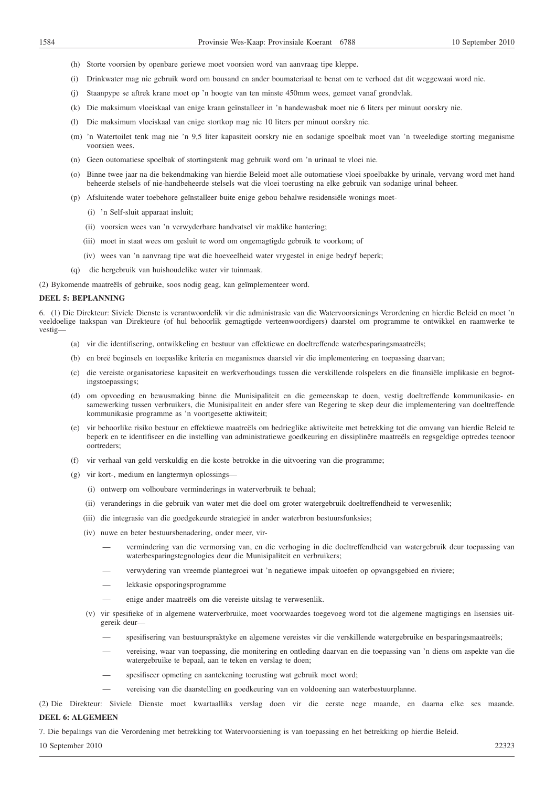- (h) Storte voorsien by openbare geriewe moet voorsien word van aanvraag tipe kleppe.
- (i) Drinkwater mag nie gebruik word om bousand en ander boumateriaal te benat om te verhoed dat dit weggewaai word nie.
- (j) Staanpype se aftrek krane moet op 'n hoogte van ten minste 450mm wees, gemeet vanaf grondvlak.
- (k) Die maksimum vloeiskaal van enige kraan geïnstalleer in 'n handewasbak moet nie 6 liters per minuut oorskry nie.
- (l) Die maksimum vloeiskaal van enige stortkop mag nie 10 liters per minuut oorskry nie.
- (m) 'n Watertoilet tenk mag nie 'n 9,5 liter kapasiteit oorskry nie en sodanige spoelbak moet van 'n tweeledige storting meganisme voorsien wees.
- (n) Geen outomatiese spoelbak of stortingstenk mag gebruik word om 'n urinaal te vloei nie.
- (o) Binne twee jaar na die bekendmaking van hierdie Beleid moet alle outomatiese vloei spoelbakke by urinale, vervang word met hand beheerde stelsels of nie-handbeheerde stelsels wat die vloei toerusting na elke gebruik van sodanige urinal beheer.
- (p) Afsluitende water toebehore geïnstalleer buite enige gebou behalwe residensiële wonings moet-
	- (i) 'n Self-sluit apparaat insluit;
	- (ii) voorsien wees van 'n verwyderbare handvatsel vir maklike hantering;
	- (iii) moet in staat wees om gesluit te word om ongemagtigde gebruik te voorkom; of
	- (iv) wees van 'n aanvraag tipe wat die hoeveelheid water vrygestel in enige bedryf beperk;
- (q) die hergebruik van huishoudelike water vir tuinmaak.

(2) Bykomende maatreëls of gebruike, soos nodig geag, kan geïmplementeer word.

#### **DEEL 5: BEPLANNING**

6. (1) Die Direkteur: Siviele Dienste is verantwoordelik vir die administrasie van die Watervoorsienings Verordening en hierdie Beleid en moet 'n veeldoelige taakspan van Direkteure (of hul behoorlik gemagtigde verteenwoordigers) daarstel om programme te ontwikkel en raamwerke te vestig

- (a) vir die identifisering, ontwikkeling en bestuur van effektiewe en doeltreffende waterbesparingsmaatreëls;
- (b) en breë beginsels en toepaslike kriteria en meganismes daarstel vir die implementering en toepassing daarvan;
- (c) die vereiste organisatoriese kapasiteit en werkverhoudings tussen die verskillende rolspelers en die finansiële implikasie en begrotingstoepassings;
- (d) om opvoeding en bewusmaking binne die Munisipaliteit en die gemeenskap te doen, vestig doeltreffende kommunikasie- en samewerking tussen verbruikers, die Munisipaliteit en ander sfere van Regering te skep deur die implementering van doeltreffende kommunikasie programme as 'n voortgesette aktiwiteit;
- (e) vir behoorlike risiko bestuur en effektiewe maatreëls om bedrieglike aktiwiteite met betrekking tot die omvang van hierdie Beleid te beperk en te identifiseer en die instelling van administratiewe goedkeuring en dissiplinêre maatreëls en regsgeldige optredes teenoor oortreders;
- (f) vir verhaal van geld verskuldig en die koste betrokke in die uitvoering van die programme;
- (g) vir kort-, medium en langtermyn oplossings—
	- (i) ontwerp om volhoubare verminderings in waterverbruik te behaal;
	- (ii) veranderings in die gebruik van water met die doel om groter watergebruik doeltreffendheid te verwesenlik;
	- (iii) die integrasie van die goedgekeurde strategieë in ander waterbron bestuursfunksies;
	- (iv) nuwe en beter bestuursbenadering, onder meer, vir-
		- vermindering van die vermorsing van, en die verhoging in die doeltreffendheid van watergebruik deur toepassing van waterbesparingstegnologies deur die Munisipaliteit en verbruikers;
		- verwydering van vreemde plantegroei wat 'n negatiewe impak uitoefen op opvangsgebied en riviere;
		- lekkasie opsporingsprogramme
		- enige ander maatreëls om die vereiste uitslag te verwesenlik.
	- (v) vir spesifieke of in algemene waterverbruike, moet voorwaardes toegevoeg word tot die algemene magtigings en lisensies uitgereik deur—
		- spesifisering van bestuurspraktyke en algemene vereistes vir die verskillende watergebruike en besparingsmaatreëls;
		- vereising, waar van toepassing, die monitering en ontleding daarvan en die toepassing van 'n diens om aspekte van die watergebruike te bepaal, aan te teken en verslag te doen;
		- spesifiseer opmeting en aantekening toerusting wat gebruik moet word;
			- vereising van die daarstelling en goedkeuring van en voldoening aan waterbestuurplanne.
- (2) Die Direkteur: Siviele Dienste moet kwartaalliks verslag doen vir die eerste nege maande, en daarna elke ses maande. **DEEL 6: ALGEMEEN**

7. Die bepalings van die Verordening met betrekking tot Watervoorsiening is van toepassing en het betrekking op hierdie Beleid.

## 10 September 2010 22323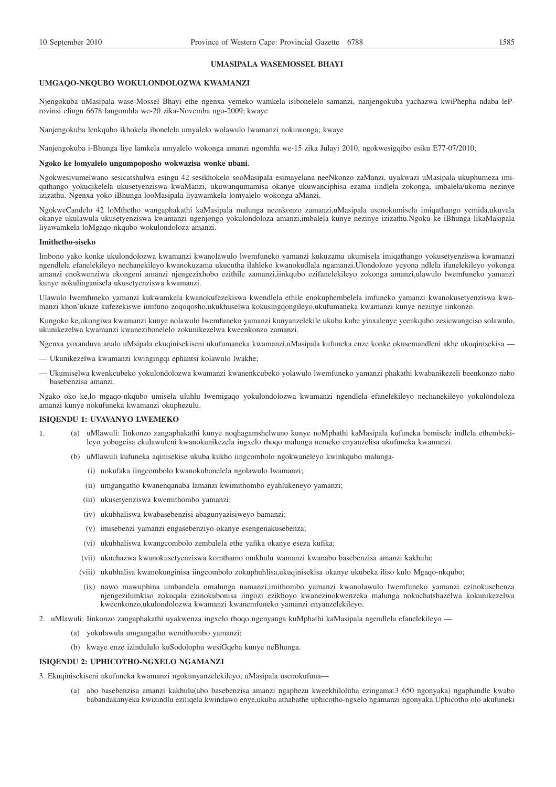#### **UMASIPALA WASEMOSSEL BHAYI**

#### **UMGAQO-NKQUBO WOKULONDOLOZWA KWAMANZI**

Njengokuba uMasipala wase-Mossel Bhayi ethe ngenxa yemeko wamkela isibonelelo samanzi, nanjengokuba yachazwa kwiPhepha ndaba leProvinsi elingu 6678 langomhla we-20 zika-Novemba ngo-2009; kwaye

Nanjengokuba lenkqubo ikhokela ibonelela umyalelo wolawulo lwamanzi nokuwonga; kwaye

Nanjengokuba i-Bhunga liye lamkela umyalelo wokonga amanzi ngomhla we-15 zika Julayi 2010, ngokwesigqibo esiku E77-07/2010;

#### **Ngoko ke lomyalelo ungumpoposho wokwazisa wonke ubani.**

Ngokwesivumelwano sesicatshulwa esingu 42 sesikhokelo sooMasipala esimayelana neeNkonzo zaManzi, uyakwazi uMasipala ukuphumeza imiqathango yokuqikelela ukusetyenziswa kwaManzi, ukuwanqumamisa okanye ukuwanciphisa ezama iindlela zokonga, imbalela/ukoma nezinye izizathu. Ngenxa yoko iBhunga looMasipala liyawamkela lomyalelo wokonga aManzi.

NgokweCandelo 42 loMthetho wangaphakathi kaMasipala malunga neenkonzo zamanzi,uMasipala usenokumisela imiqathango yemida,ukuvala okanye ukulawula ukusetyenziswa kwamanzi ngenjongo yokulondoloza amanzi,imbalela kunye nezinye izizathu.Ngoku ke iBhunga likaMasipala liyawamkela loMgaqo-nkqubo wokulondoloza amanzi.

#### **Imithetho-siseko**

Imbono yako konke ukulondolozwa kwamanzi kwanolawulo lwemfuneko yamanzi kukuzama ukumisela imiqathango yokusetyenziswa kwamanzi ngendlela efanelekileyo nechanekileyo kwanokuzama ukucutha ilahleko kwanokudlala ngamanzi.Ulondolozo yeyona ndlela ifanelekileyo yokonga amanzi enokwenziwa ekongeni amanzi njengezixhobo ezithile zamanzi,iinkqubo ezifanelekileyo zokonga amanzi,ulawulo lwemfuneko yamanzi kunye nokulinganisela ukusetyenziswa kwamanzi.

Ulawulo lwemfuneko yamanzi kukwamkela kwanokufezekiswa kwendlela ethile enokuphembelela imfuneko yamanzi kwanokusetyenziswa kwamanzi khon'ukuze kufezekiswe iimfuno zoqoqosho,ukukhuselwa kokusingqongileyo,ukufumaneka kwamanzi kunye nezinye iinkonzo.

Kungoko ke,ukongiwa kwamanzi kunye nolawulo lwemfuneko yamanzi kunyanzelekile ukuba kube yinxalenye yeenkqubo zesicwangciso solawulo, ukunikezelwa kwamanzi kwanezibonelelo zokunikezelwa kweenkonzo zamanzi.

Ngenxa yoxanduva analo uMsipala ekuqinisekiseni ukufumaneka kwamanzi,uMasipala kufuneka enze konke okusemandleni akhe ukuqinisekisa —

- Ukunikezelwa kwamanzi kwingingqi ephantsi kolawulo lwakhe;
- Ukumiselwa kwenkcubeko yokulondolozwa kwamanzi kwanenkcubeko yolawulo lwemfuneko yamanzi phakathi kwabanikezeli beenkonzo nabo basebenzisa amanzi.

Ngako oko ke,lo mgaqo-nkqubo umisela uluhlu lwemigaqo yokulondolozwa kwamanzi ngendlela efanelekileyo nechanekileyo yokulondoloza amanzi kunye nokufuneka kwamanzi okuphezulu.

#### **ISIQENDU 1: UVAVANYO LWEMEKO**

- 1. (a) uMlawuli: Iinkonzo zangaphakathi kunye noqhagamshelwano kunye noMphathi kaMasipala kufuneka bemisele indlela ethembekileyo yobugcisa ekulawuleni kwanokunikezela ingxelo rhoqo malunga nemeko enyanzelisa ukufuneka kwamanzi.
	- (b) uMlawuli kufuneka aqinisekise ukuba kukho iingcombolo ngokwaneleyo kwinkqubo malunga-
		- (i) nokufaka iingcombolo kwanokubonelela ngolawulo lwamanzi;
		- (ii) umgangatho kwanenqanaba lamanzi kwimithombo eyahlukeneyo yamanzi;
		- (iii) ukusetyenziswa kwemithombo yamanzi;
		- (iv) ukubhaliswa kwabasebenzisi abagunyazisiweyo bamanzi;
		- (v) imisebenzi yamanzi engasebenziyo okanye esengenakusebenza;
		- (vi) ukubhaliswa kwangcombolo zembalela ethe yafika okanye eseza kufika;
		- (vii) ukuchazwa kwanokusetyenziswa komthamo omkhulu wamanzi kwanabo basebenzisa amanzi kakhulu;
		- (viii) ukubhalisa kwanokunginisa iingcombolo zokuphuhlisa,ukuqinisekisa okanye ukubeka iliso kulo Mgaqo-nkqubo;
		- (ix) nawo mawuphina umbandela omalunga namanzi,imithombo yamanzi kwanolawulo lwemfuneko yamanzi ezinokusebenza njengezilumkiso zokuqala ezinokubonisa iingozi ezikhoyo kwanezinokwenzeka malunga nokuchatshazelwa kokunikezelwa kweenkonzo,ukulondolozwa kwamanzi kwanemfuneko yamanzi enyanzelekileyo.
- 2. uMlawuli: Iinkonzo zangaphakathi uyakwenza ingxelo rhoqo ngenyanga kuMphathi kaMasipala ngendlela efanelekileyo
	- (a) yokulawula umgangatho wemithombo yamanzi;
	- (b) kwaye enze izindululo kuSodolophu wesiGqeba kunye neBhunga.

#### **ISIQENDU 2: UPHICOTHO-NGXELO NGAMANZI**

3. Ekuqinisekiseni ukufuneka kwamanzi ngokunyanzelekileyo, uMasipala usenokufuna—

(a) abo basebenzisa amanzi kakhulu(abo basebenzisa amanzi ngaphezu kweekhilolitha ezingama:3 650 ngonyaka) ngaphandle kwabo babandakanyeka kwizindlu eziliqela kwindawo enye,ukuba athabathe uphicotho-ngxelo ngamanzi ngonyaka.Uphicotho olo akufuneki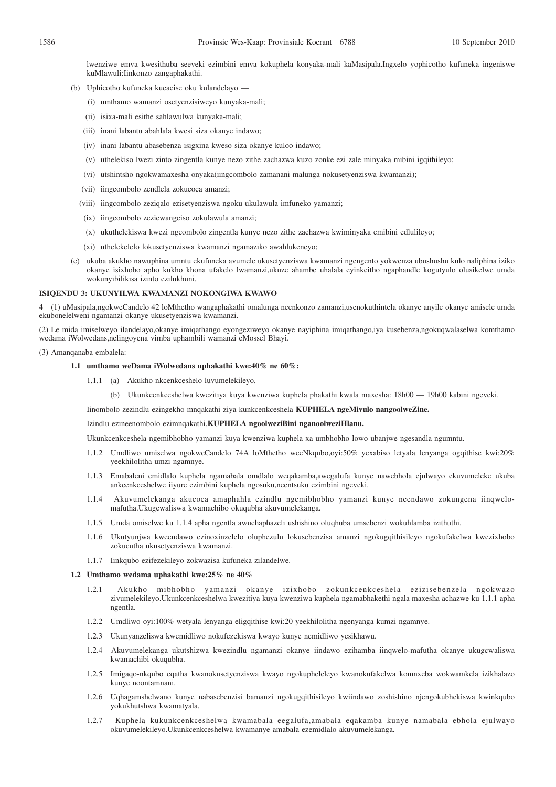lwenziwe emva kwesithuba seeveki ezimbini emva kokuphela konyaka-mali kaMasipala.Ingxelo yophicotho kufuneka ingeniswe kuMlawuli:Iinkonzo zangaphakathi.

- (b) Uphicotho kufuneka kucacise oku kulandelayo
	- (i) umthamo wamanzi osetyenzisiweyo kunyaka-mali;
	- (ii) isixa-mali esithe sahlawulwa kunyaka-mali;
	- (iii) inani labantu abahlala kwesi siza okanye indawo;
	- (iv) inani labantu abasebenza isigxina kweso siza okanye kuloo indawo;
	- (v) uthelekiso lwezi zinto zingentla kunye nezo zithe zachazwa kuzo zonke ezi zale minyaka mibini igqithileyo;
	- (vi) utshintsho ngokwamaxesha onyaka(iingcombolo zamanani malunga nokusetyenziswa kwamanzi);
	- (vii) iingcombolo zendlela zokucoca amanzi;
	- (viii) iingcombolo zeziqalo ezisetyenziswa ngoku ukulawula imfuneko yamanzi;
	- (ix) iingcombolo zezicwangciso zokulawula amanzi;
	- (x) ukuthelekiswa kwezi ngcombolo zingentla kunye nezo zithe zachazwa kwiminyaka emibini edlulileyo;
	- (xi) uthelekelelo lokusetyenziswa kwamanzi ngamaziko awahlukeneyo;
- (c) ukuba akukho nawuphina umntu ekufuneka avumele ukusetyenziswa kwamanzi ngengento yokwenza ubushushu kulo naliphina iziko okanye isixhobo apho kukho khona ufakelo lwamanzi,ukuze ahambe uhalala eyinkcitho ngaphandle kogutyulo olusikelwe umda wokunyibilikisa izinto ezilukhuni.

#### **ISIQENDU 3: UKUNYILWA KWAMANZI NOKONGIWA KWAWO**

4 (1) uMasipala,ngokweCandelo 42 loMthetho wangaphakathi omalunga neenkonzo zamanzi,usenokuthintela okanye anyile okanye amisele umda ekubonelelweni ngamanzi okanye ukusetyenziswa kwamanzi.

(2) Le mida imiselweyo ilandelayo,okanye imiqathango eyongeziweyo okanye nayiphina imiqathango,iya kusebenza,ngokuqwalaselwa komthamo wedama iWolwedans,nelingoyena vimba uphambili wamanzi eMossel Bhayi.

#### (3) Amanqanaba embalela:

#### **1.1 umthamo weDama iWolwedans uphakathi kwe:40% ne 60%:**

- 1.1.1 (a) Akukho nkcenkceshelo luvumelekileyo.
	- (b) Ukunkcenkceshelwa kwezitiya kuya kwenziwa kuphela phakathi kwala maxesha: 18h00 19h00 kabini ngeveki.

Iinombolo zezindlu ezingekho mnqakathi ziya kunkcenkceshela **KUPHELA ngeMivulo nangoolweZine.**

#### Izindlu ezineenombolo ezimnqakathi,**KUPHELA ngoolweziBini nganoolweziHlanu.**

Ukunkcenkceshela ngemibhobho yamanzi kuya kwenziwa kuphela xa umbhobho lowo ubanjwe ngesandla ngumntu.

- 1.1.2 Umdliwo umiselwa ngokweCandelo 74A loMthetho weeNkqubo,oyi:50% yexabiso letyala lenyanga ogqithise kwi:20% yeekhilolitha umzi ngamnye.
- 1.1.3 Emabaleni emidlalo kuphela ngamabala omdlalo weqakamba,awegalufa kunye nawebhola ejulwayo ekuvumeleke ukuba ankcenkceshelwe iiyure ezimbini kuphela ngosuku,neentsuku ezimbini ngeveki.
- 1.1.4 Akuvumelekanga akucoca amaphahla ezindlu ngemibhobho yamanzi kunye neendawo zokungena iinqwelomafutha.Ukugcwaliswa kwamachibo okuqubha akuvumelekanga.
- 1.1.5 Umda omiselwe ku 1.1.4 apha ngentla awuchaphazeli ushishino oluqhuba umsebenzi wokuhlamba izithuthi.
- 1.1.6 Ukutyunjwa kweendawo ezinoxinzelelo oluphezulu lokusebenzisa amanzi ngokugqithisileyo ngokufakelwa kwezixhobo zokucutha ukusetyenziswa kwamanzi.
- 1.1.7 Iinkqubo ezifezekileyo zokwazisa kufuneka zilandelwe.

#### **1.2 Umthamo wedama uphakathi kwe:25% ne 40%**

- 1.2.1 Akukho mibhobho yamanzi okanye izixhobo zokunkcenkceshela ezizisebenzela ngokwazo zivumelekileyo.Ukunkcenkceshelwa kwezitiya kuya kwenziwa kuphela ngamabhakethi ngala maxesha achazwe ku 1.1.1 apha ngentla.
- 1.2.2 Umdliwo oyi:100% wetyala lenyanga eligqithise kwi:20 yeekhilolitha ngenyanga kumzi ngamnye.
- 1.2.3 Ukunyanzeliswa kwemidliwo nokufezekiswa kwayo kunye nemidliwo yesikhawu.
- 1.2.4 Akuvumelekanga ukutshizwa kwezindlu ngamanzi okanye iindawo ezihamba iinqwelo-mafutha okanye ukugcwaliswa kwamachibi okuqubha.
- 1.2.5 Imigaqo-nkqubo eqatha kwanokusetyenziswa kwayo ngokupheleleyo kwanokufakelwa komnxeba wokwamkela izikhalazo kunye noontamnani.
- 1.2.6 Uqhagamshelwano kunye nabasebenzisi bamanzi ngokugqithisileyo kwiindawo zoshishino njengokubhekiswa kwinkqubo yokukhutshwa kwamatyala.
- 1.2.7 Kuphela kukunkcenkceshelwa kwamabala eegalufa,amabala eqakamba kunye namabala ebhola ejulwayo okuvumelekileyo.Ukunkcenkceshelwa kwamanye amabala ezemidlalo akuvumelekanga.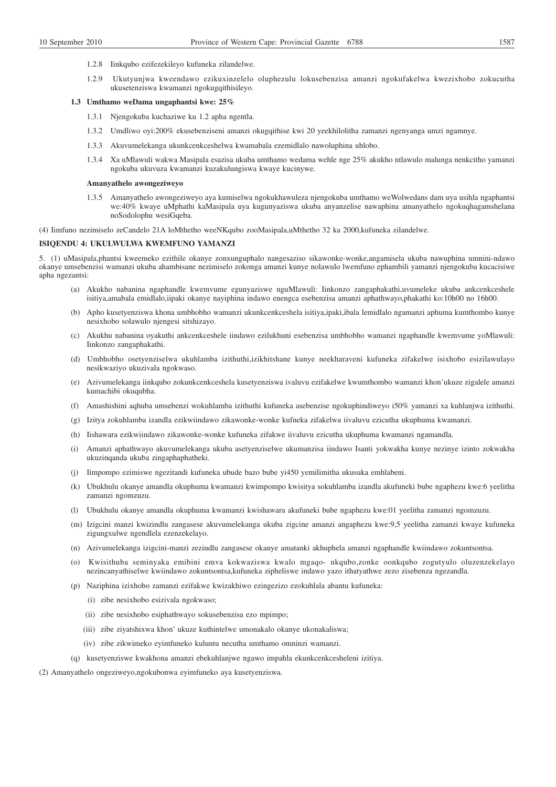- 1.2.8 Iinkqubo ezifezekileyo kufuneka zilandelwe.
- 1.2.9 Ukutyunjwa kweendawo ezikuxinzelelo oluphezulu lokusebenzisa amanzi ngokufakelwa kwezixhobo zokucutha ukusetenziswa kwamanzi ngokugqithisileyo.

#### **1.3 Umthamo weDama ungaphantsi kwe: 25%**

- 1.3.1 Njengokuba kuchaziwe ku 1.2 apha ngentla.
- 1.3.2 Umdliwo oyi:200% ekusebenziseni amanzi okugqithise kwi 20 yeekhilolitha zamanzi ngenyanga umzi ngamnye.
- 1.3.3 Akuvumelekanga ukunkcenkceshelwa kwamabala ezemidlalo nawoluphina uhlobo.
- 1.3.4 Xa uMlawuli wakwa Masipala esazisa ukuba umthamo wedama wehle nge 25% akukho ntlawulo malunga nenkcitho yamanzi ngokuba ukuvuza kwamanzi kuzakulungiswa kwaye kucinywe.

#### **Amanyathelo awongeziweyo**

1.3.5 Amanyathelo awongeziweyo aya kumiselwa ngokukhawuleza njengokuba umthamo weWolwedans dam uya usihla ngaphantsi we:40% kwaye uMphathi kaMasipala uya kugunyaziswa ukuba anyanzelise nawaphina amanyathelo ngokuqhagamshelana noSodolophu wesiGqeba.

(4) Iimfuno nezimiselo zeCandelo 21A loMthetho weeNKqubo zooMasipala,uMthetho 32 ka 2000,kufuneka zilandelwe.

#### **ISIQENDU 4: UKULWULWA KWEMFUNO YAMANZI**

5. (1) uMasipala,phantsi kweemeko ezithile okanye zonxunguphalo nangesaziso sikawonke-wonke,angamisela ukuba nawuphina umnini-ndawo okanye umsebenzisi wamanzi ukuba ahambisane nezimiselo zokonga amanzi kunye nolawulo lwemfuno ephambili yamanzi njengokuba kucacisiwe apha ngezantsi:

- (a) Akukho nabanina ngaphandle kwemvume egunyaziswe nguMlawuli: Iinkonzo zangaphakathi,uvumeleke ukuba ankcenkceshele isitiya,amabala emidlalo,iipaki okanye nayiphina indawo enengca esebenzisa amanzi aphathwayo,phakathi ko:10h00 no 16h00.
- (b) Apho kusetyenziswa khona umbhobho wamanzi ukunkcenkceshela isitiya,ipaki,ibala lemidlalo ngamanzi aphuma kumthombo kunye nesixhobo solawulo njengesi sitshizayo.
- (c) Akukhu nabanina oyakuthi ankcenkceshele iindawo ezilukhuni esebenzisa umbhobho wamanzi ngaphandle kwemvume yoMlawuli: Iinkonzo zangaphakathi.
- (d) Umbhobho osetyenziselwa ukuhlamba izithuthi,izikhitshane kunye neekharaveni kufuneka zifakelwe isixhobo esizilawulayo nesikwaziyo ukuzivala ngokwaso.
- (e) Azivumelekanga iinkqubo zokunkcenkceshela kusetyenziswa ivaluvu ezifakelwe kwumthombo wamanzi khon'ukuze zigalele amanzi kumachibi okuqubha.
- (f) Amashishini aqhuba umsebenzi wokuhlamba izithuthi kufuneka asebenzise ngokuphindiweyo i50% yamanzi xa kuhlanjwa izithuthi.
- (g) Izitya zokuhlamba izandla ezikwiindawo zikawonke-wonke kufneka zifakelwa iivaluvu ezicutha ukuphuma kwamanzi.
- (h) Iishawara ezikwiindawo zikawonke-wonke kufuneka zifakwe iivaluvu ezicutha ukuphuma kwamanzi ngamandla.
- (i) Amanzi aphathwayo akuvumelekanga ukuba asetyenziselwe ukumanzisa iindawo Isanti yokwakha kunye nezinye izinto zokwakha ukuzinqanda ukuba zingaphaphatheki.
- (j) Iimpompo ezimiswe ngezitandi kufuneka ubude bazo bube yi450 yemilimitha ukusuka emhlabeni.
- (k) Ubukhulu okanye amandla okuphuma kwamanzi kwimpompo kwisitya sokuhlamba izandla akufuneki bube ngaphezu kwe:6 yeelitha zamanzi ngomzuzu.
- (l) Ubukhulu okanye amandla okuphuma kwamanzi kwishawara akufuneki bube ngaphezu kwe:01 yeelitha zamanzi ngomzuzu.
- (m) Izigcini manzi kwizindlu zangasese akuvumelekanga ukuba zigcine amanzi angaphezu kwe:9,5 yeelitha zamanzi kwaye kufuneka zigungxulwe ngendlela ezenzekelayo.
- (n) Azivumelekanga izigcini-manzi zezindlu zangasese okanye amatanki akhuphela amanzi ngaphandle kwiindawo zokuntsontsa.
- (o) Kwisithuba seminyaka emibini emva kokwaziswa kwalo mgaqo- nkqubo,zonke oonkqubo zogutyulo oluzenzekelayo nezincanyathiselwe kwiindawo zokuntsontsa,kufuneka zipheliswe indawo yazo ithatyathwe zezo zisebenza ngezandla.
- (p) Naziphina izixhobo zamanzi ezifakwe kwizakhiwo ezingezizo ezokuhlala abantu kufuneka:
	- (i) zibe nesixhobo esizivala ngokwaso;
	- (ii) zibe nesixhobo esiphathwayo sokusebenzisa ezo mpimpo;
	- (iii) zibe ziyatshixwa khon' ukuze kuthintelwe umonakalo okanye ukonakaliswa;
	- (iv) zibe zikwimeko eyimfuneko kuluntu necutha umthamo omninzi wamanzi.
- (q) kusetyenziswe kwakhona amanzi ebekuhlanjwe ngawo impahla ekunkcenkcesheleni izitiya.
- (2) Amanyathelo ongeziweyo,ngokubonwa eyimfuneko aya kusetyenziswa.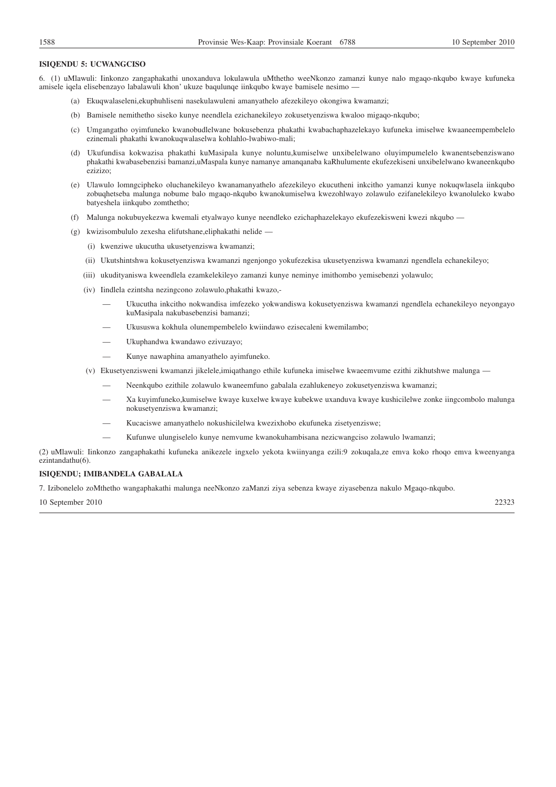#### **ISIQENDU 5: UCWANGCISO**

6. (1) uMlawuli: Iinkonzo zangaphakathi unoxanduva lokulawula uMthetho weeNkonzo zamanzi kunye nalo mgaqo-nkqubo kwaye kufuneka amisele iqela elisebenzayo labalawuli khon' ukuze baqulunqe iinkqubo kwaye bamisele nesimo —

- (a) Ekuqwalaseleni,ekuphuhliseni nasekulawuleni amanyathelo afezekileyo okongiwa kwamanzi;
- (b) Bamisele nemithetho siseko kunye neendlela ezichanekileyo zokusetyenziswa kwaloo migaqo-nkqubo;
- (c) Umgangatho oyimfuneko kwanobudlelwane bokusebenza phakathi kwabachaphazelekayo kufuneka imiselwe kwaaneempembelelo ezinemali phakathi kwanokuqwalaselwa kohlahlo-lwabiwo-mali;
- (d) Ukufundisa kokwazisa phakathi kuMasipala kunye noluntu,kumiselwe unxibelelwano oluyimpumelelo kwanentsebenziswano phakathi kwabasebenzisi bamanzi,uMaspala kunye namanye amanqanaba kaRhulumente ekufezekiseni unxibelelwano kwaneenkqubo ezizizo;
- (e) Ulawulo lomngcipheko oluchanekileyo kwanamanyathelo afezekileyo ekucutheni inkcitho yamanzi kunye nokuqwlasela iinkqubo zobuqhetseba malunga nobume balo mgaqo-nkqubo kwanokumiselwa kwezohlwayo zolawulo ezifanelekileyo kwanoluleko kwabo batyeshela iinkqubo zomthetho;
- (f) Malunga nokubuyekezwa kwemali etyalwayo kunye neendleko ezichaphazelekayo ekufezekisweni kwezi nkqubo —
- (g) kwizisombululo zexesha elifutshane,eliphakathi nelide
	- (i) kwenziwe ukucutha ukusetyenziswa kwamanzi;
	- (ii) Ukutshintshwa kokusetyenziswa kwamanzi ngenjongo yokufezekisa ukusetyenziswa kwamanzi ngendlela echanekileyo;
	- (iii) ukudityaniswa kweendlela ezamkelekileyo zamanzi kunye neminye imithombo yemisebenzi yolawulo;
	- (iv) Iindlela ezintsha nezingcono zolawulo,phakathi kwazo,-
		- Ukucutha inkcitho nokwandisa imfezeko yokwandiswa kokusetyenziswa kwamanzi ngendlela echanekileyo neyongayo kuMasipala nakubasebenzisi bamanzi;
		- Ukususwa kokhula olunempembelelo kwiindawo ezisecaleni kwemilambo;
		- Ukuphandwa kwandawo ezivuzayo;
		- Kunye nawaphina amanyathelo ayimfuneko.
	- (v) Ekusetyenzisweni kwamanzi jikelele,imiqathango ethile kufuneka imiselwe kwaeemvume ezithi zikhutshwe malunga
		- Neenkqubo ezithile zolawulo kwaneemfuno gabalala ezahlukeneyo zokusetyenziswa kwamanzi;
		- Xa kuyimfuneko,kumiselwe kwaye kuxelwe kwaye kubekwe uxanduva kwaye kushicilelwe zonke iingcombolo malunga nokusetyenziswa kwamanzi;
		- Kucaciswe amanyathelo nokushicilelwa kwezixhobo ekufuneka zisetyenziswe;
		- Kufunwe ulungiselelo kunye nemvume kwanokuhambisana nezicwangciso zolawulo lwamanzi;

(2) uMlawuli: Iinkonzo zangaphakathi kufuneka anikezele ingxelo yekota kwiinyanga ezili:9 zokuqala,ze emva koko rhoqo emva kweenyanga ezintandathu(6).

### **ISIQENDU; IMIBANDELA GABALALA**

7. Izibonelelo zoMthetho wangaphakathi malunga neeNkonzo zaManzi ziya sebenza kwaye ziyasebenza nakulo Mgaqo-nkqubo.

10 September 2010 22323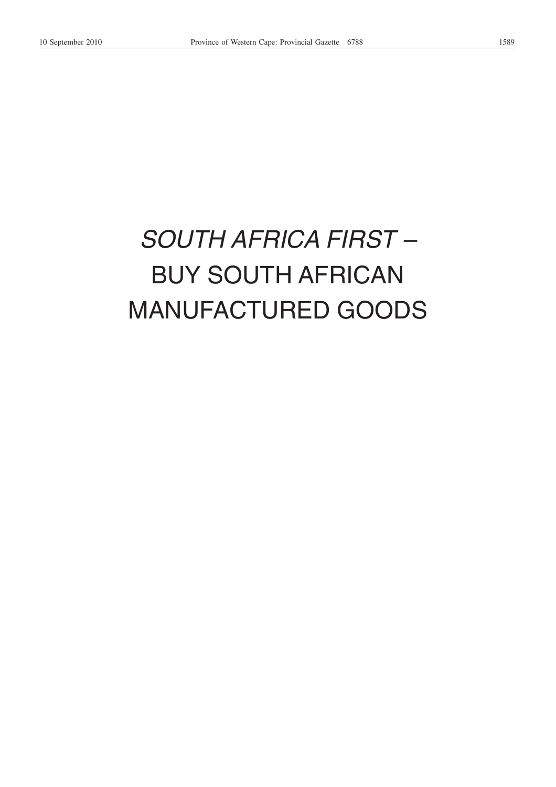## *SOUTH AFRICA FIRST –* BUY SOUTH AFRICAN MANUFACTURED GOODS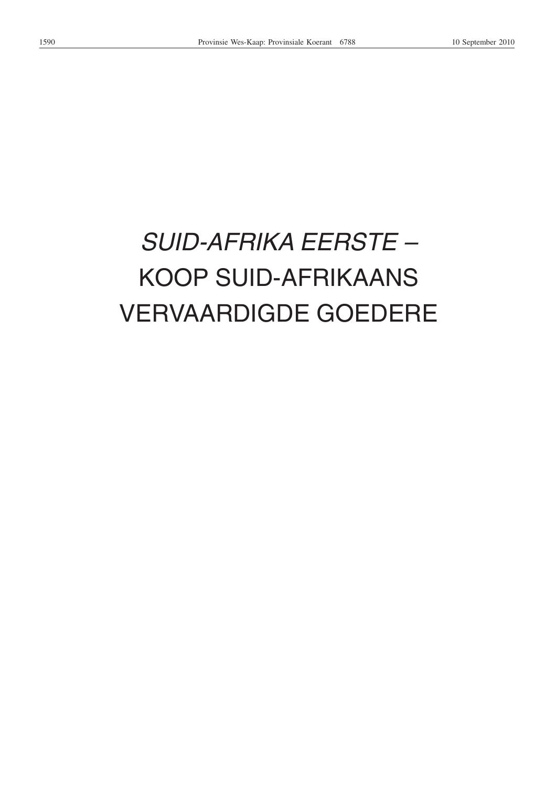# *SUID-AFRIKA EERSTE –* KOOP SUID-AFRIKAANS VERVAARDIGDE GOEDERE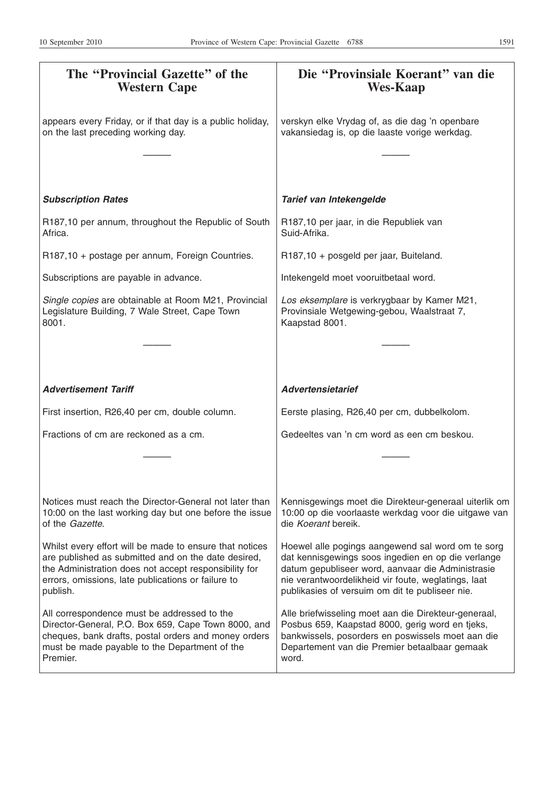| The "Provincial Gazette" of the<br><b>Western Cape</b>                                                                                                                                                                                    | Die "Provinsiale Koerant" van die<br><b>Wes-Kaap</b>                                                                                                                                                                                                                   |
|-------------------------------------------------------------------------------------------------------------------------------------------------------------------------------------------------------------------------------------------|------------------------------------------------------------------------------------------------------------------------------------------------------------------------------------------------------------------------------------------------------------------------|
| appears every Friday, or if that day is a public holiday,<br>on the last preceding working day.                                                                                                                                           | verskyn elke Vrydag of, as die dag 'n openbare<br>vakansiedag is, op die laaste vorige werkdag.                                                                                                                                                                        |
|                                                                                                                                                                                                                                           |                                                                                                                                                                                                                                                                        |
| <b>Subscription Rates</b>                                                                                                                                                                                                                 | Tarief van Intekengelde                                                                                                                                                                                                                                                |
| R187,10 per annum, throughout the Republic of South<br>Africa.                                                                                                                                                                            | R187,10 per jaar, in die Republiek van<br>Suid-Afrika.                                                                                                                                                                                                                 |
| R187,10 + postage per annum, Foreign Countries.                                                                                                                                                                                           | R187,10 + posgeld per jaar, Buiteland.                                                                                                                                                                                                                                 |
| Subscriptions are payable in advance.                                                                                                                                                                                                     | Intekengeld moet vooruitbetaal word.                                                                                                                                                                                                                                   |
| Single copies are obtainable at Room M21, Provincial<br>Legislature Building, 7 Wale Street, Cape Town<br>8001.                                                                                                                           | Los eksemplare is verkrygbaar by Kamer M21,<br>Provinsiale Wetgewing-gebou, Waalstraat 7,<br>Kaapstad 8001.                                                                                                                                                            |
|                                                                                                                                                                                                                                           |                                                                                                                                                                                                                                                                        |
| <b>Advertisement Tariff</b>                                                                                                                                                                                                               | <b>Advertensietarief</b>                                                                                                                                                                                                                                               |
| First insertion, R26,40 per cm, double column.                                                                                                                                                                                            | Eerste plasing, R26,40 per cm, dubbelkolom.                                                                                                                                                                                                                            |
| Fractions of cm are reckoned as a cm.                                                                                                                                                                                                     | Gedeeltes van 'n cm word as een cm beskou.                                                                                                                                                                                                                             |
|                                                                                                                                                                                                                                           |                                                                                                                                                                                                                                                                        |
| Notices must reach the Director-General not later than<br>10:00 on the last working day but one before the issue<br>of the Gazette.                                                                                                       | Kennisgewings moet die Direkteur-generaal uiterlik om<br>10:00 op die voorlaaste werkdag voor die uitgawe van<br>die Koerant bereik.                                                                                                                                   |
| Whilst every effort will be made to ensure that notices<br>are published as submitted and on the date desired,<br>the Administration does not accept responsibility for<br>errors, omissions, late publications or failure to<br>publish. | Hoewel alle pogings aangewend sal word om te sorg<br>dat kennisgewings soos ingedien en op die verlange<br>datum gepubliseer word, aanvaar die Administrasie<br>nie verantwoordelikheid vir foute, weglatings, laat<br>publikasies of versuim om dit te publiseer nie. |
| All correspondence must be addressed to the<br>Director-General, P.O. Box 659, Cape Town 8000, and<br>cheques, bank drafts, postal orders and money orders<br>must be made payable to the Department of the<br>Premier.                   | Alle briefwisseling moet aan die Direkteur-generaal,<br>Posbus 659, Kaapstad 8000, gerig word en tjeks,<br>bankwissels, posorders en poswissels moet aan die<br>Departement van die Premier betaalbaar gemaak<br>word.                                                 |